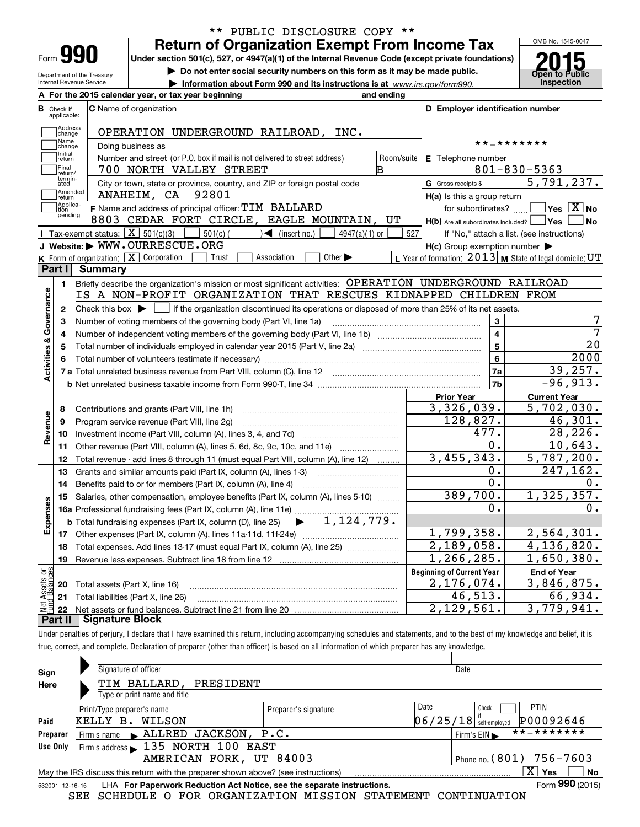| Form |  |
|------|--|
|      |  |

## **Return of Organization Exempt From Income Tax** \*\* PUBLIC DISCLOSURE COPY \*\*

**Under section 501(c), 527, or 4947(a)(1) of the Internal Revenue Code (except private foundations)**

**| Do not enter social security numbers on this form as it may be made public.**

**| Information about Form 990 and its instructions is at www.irs.gov/form990.** | Inspection



Department of the Treasury Internal Revenue Service

|                         |                                  | A For the 2015 calendar year, or tax year beginning                                                                                         | and ending |                                                     |                                                           |
|-------------------------|----------------------------------|---------------------------------------------------------------------------------------------------------------------------------------------|------------|-----------------------------------------------------|-----------------------------------------------------------|
|                         | <b>B</b> Check if<br>applicable: | <b>C</b> Name of organization                                                                                                               |            | D Employer identification number                    |                                                           |
|                         | Address<br> change               | OPERATION UNDERGROUND RAILROAD, INC.                                                                                                        |            |                                                     |                                                           |
|                         | Name<br>change                   | Doing business as                                                                                                                           |            |                                                     | * * _ * * * * * * *                                       |
|                         | Initial<br>return                | Number and street (or P.O. box if mail is not delivered to street address)                                                                  | Room/suite | E Telephone number                                  |                                                           |
|                         | Final<br>return/                 | 700 NORTH VALLEY STREET                                                                                                                     | В          |                                                     | $801 - 830 - 5363$                                        |
|                         | termin-<br>ated                  | City or town, state or province, country, and ZIP or foreign postal code                                                                    |            | G Gross receipts \$                                 | 5,791,237.                                                |
|                         | Amended<br>return                | 92801<br>ANAHEIM, CA                                                                                                                        |            | $H(a)$ is this a group return                       |                                                           |
|                         | Applica-<br>tion                 | F Name and address of principal officer: TIM BALLARD                                                                                        |            |                                                     | for subordinates? $\Box$ Yes $\boxed{X}$ No               |
|                         | pending                          | 8803 CEDAR FORT CIRCLE, EAGLE MOUNTAIN, UT                                                                                                  |            | $H(b)$ Are all subordinates included? $\Box$ Yes    | ∣No                                                       |
|                         |                                  | Tax-exempt status: $\boxed{\mathbf{X}}$ 501(c)(3)<br>$501(c)$ (<br>$\sqrt{\frac{1}{1}}$ (insert no.)<br>$4947(a)(1)$ or                     | 527        |                                                     | If "No," attach a list. (see instructions)                |
|                         |                                  | J Website: WWW.OURRESCUE.ORG                                                                                                                |            | $H(c)$ Group exemption number $\blacktriangleright$ |                                                           |
|                         |                                  | K Form of organization: X Corporation<br>Other $\blacktriangleright$<br>Trust<br>Association                                                |            |                                                     | L Year of formation: $2013$ M State of legal domicile: UT |
|                         | Part I                           | Summary                                                                                                                                     |            |                                                     |                                                           |
|                         | 1.                               | Briefly describe the organization's mission or most significant activities: OPERATION UNDERGROUND RAILROAD                                  |            |                                                     |                                                           |
| Activities & Governance |                                  | IS A NON-PROFIT ORGANIZATION THAT RESCUES KIDNAPPED CHILDREN FROM                                                                           |            |                                                     |                                                           |
|                         | 2                                | Check this box $\blacktriangleright$ $\Box$ if the organization discontinued its operations or disposed of more than 25% of its net assets. |            |                                                     |                                                           |
|                         | З                                | Number of voting members of the governing body (Part VI, line 1a)                                                                           |            | $\bf 3$                                             | 7                                                         |
|                         | 4                                |                                                                                                                                             |            | 4                                                   | $\overline{7}$                                            |
|                         | 5                                |                                                                                                                                             |            | 5                                                   | $\overline{20}$                                           |
|                         |                                  |                                                                                                                                             |            | 6                                                   | 2000                                                      |
|                         |                                  |                                                                                                                                             |            | 7a                                                  | 39, 257.                                                  |
|                         |                                  |                                                                                                                                             |            | 7b                                                  | $-96,913.$                                                |
|                         |                                  |                                                                                                                                             |            | <b>Prior Year</b>                                   | <b>Current Year</b>                                       |
|                         | 8                                |                                                                                                                                             |            | 3,326,039.                                          | 5,702,030.                                                |
|                         | 9                                | Program service revenue (Part VIII, line 2g)                                                                                                |            | 128,827.                                            | 46,301.                                                   |
| Revenue                 | 10                               |                                                                                                                                             |            | 477.                                                | 28, 226.                                                  |
|                         | 11                               | Other revenue (Part VIII, column (A), lines 5, 6d, 8c, 9c, 10c, and 11e)                                                                    |            | 0.                                                  | 10,643.                                                   |
|                         | 12                               | Total revenue - add lines 8 through 11 (must equal Part VIII, column (A), line 12)                                                          |            | 3,455,343.                                          | 5,787,200.                                                |
|                         | 13                               | Grants and similar amounts paid (Part IX, column (A), lines 1-3)                                                                            |            | 0.                                                  | 247,162.                                                  |
|                         | 14                               | Benefits paid to or for members (Part IX, column (A), line 4)                                                                               |            | 0.                                                  | 0.                                                        |
|                         | 15                               | Salaries, other compensation, employee benefits (Part IX, column (A), lines 5-10)                                                           |            | 389,700.                                            | 1,325,357.                                                |
|                         |                                  |                                                                                                                                             |            | 0.                                                  | 0.                                                        |
| Expenses                |                                  | <b>b</b> Total fundraising expenses (Part IX, column (D), line 25) $\rightarrow$ $\boxed{1,124,779}$ .                                      |            |                                                     |                                                           |
|                         | 17                               |                                                                                                                                             |            | 1,799,358.                                          | 2,564,301.                                                |
|                         | 18                               | Total expenses. Add lines 13-17 (must equal Part IX, column (A), line 25) <i></i>                                                           |            | $\overline{2,189,058}$ .                            | 4,136,820.                                                |
|                         | <u> 19</u>                       | Revenue less expenses. Subtract line 18 from line 12                                                                                        |            | 1, 266, 285.                                        | 1,650,380.                                                |
|                         |                                  |                                                                                                                                             |            | <b>Beginning of Current Year</b>                    | <b>End of Year</b>                                        |
| Assets or<br>Balances   | 20                               | Total assets (Part X, line 16)                                                                                                              |            | 2,176,074.                                          | 3,846,875.                                                |
|                         | 21                               | Total liabilities (Part X, line 26)                                                                                                         |            | 46,513.                                             | 66,934.                                                   |
|                         | 22                               |                                                                                                                                             |            | 2,129,561.                                          | 3,779,941.                                                |
|                         | Part II                          | <b>Signature Block</b>                                                                                                                      |            |                                                     |                                                           |

true, correct, and complete. Declaration of preparer (other than officer) is based on all information of which preparer has any knowledge.

| Sign<br>Here    | Signature of officer<br>TIM BALLARD,<br>PRESIDENT                                 |                              | Date                                  |
|-----------------|-----------------------------------------------------------------------------------|------------------------------|---------------------------------------|
|                 | Type or print name and title                                                      |                              |                                       |
|                 | Print/Type preparer's name                                                        | Preparer's signature         | Date<br>PTIN<br>Check                 |
| Paid            | KELLY B.<br>WILSON                                                                |                              | P00092646<br>$06/25/18$ self-employed |
| Preparer        | Firm's name RLLRED JACKSON, P.C.                                                  |                              | **_*******<br>Firm's $EIN$            |
| Use Only        | Firm's address 135 NORTH 100 EAST                                                 |                              |                                       |
|                 | AMERICAN FORK, UT 84003                                                           | Phone no. $(801)$ 756 - 7603 |                                       |
|                 | May the IRS discuss this return with the preparer shown above? (see instructions) |                              | $\overline{X}$ Yes<br><b>No</b>       |
| 532001 12-16-15 | LHA For Paperwork Reduction Act Notice, see the separate instructions.            |                              | Form 990 (2015)                       |

SEE SCHEDULE O FOR ORGANIZATION MISSION STATEMENT CONTINUATION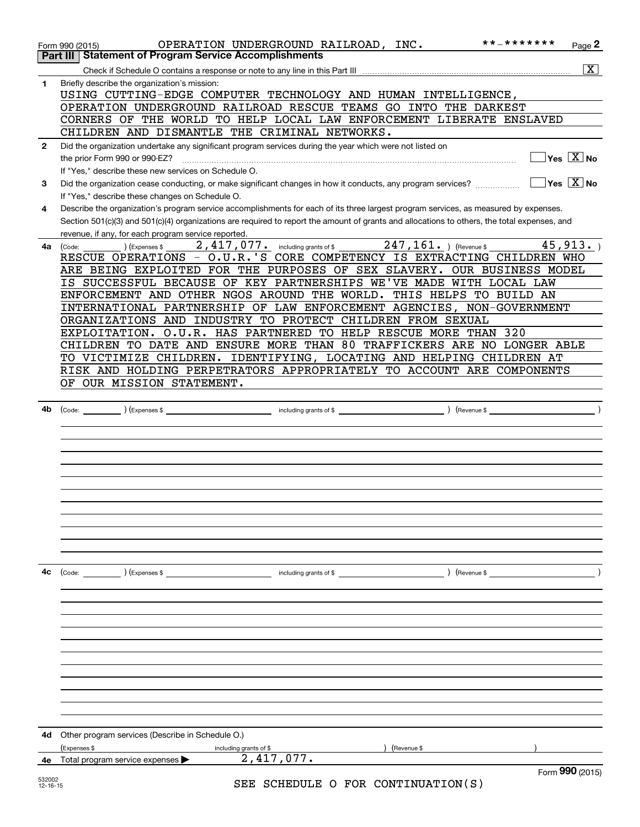|                    | * * _ * * * * * * *<br>OPERATION UNDERGROUND RAILROAD, INC.<br>Page 2<br>Form 990 (2015)<br><b>Part III   Statement of Program Service Accomplishments</b>                                                                                  |
|--------------------|---------------------------------------------------------------------------------------------------------------------------------------------------------------------------------------------------------------------------------------------|
|                    | $\overline{\mathbf{X}}$                                                                                                                                                                                                                     |
| 1                  | Briefly describe the organization's mission:<br>USING CUTTING-EDGE COMPUTER TECHNOLOGY AND HUMAN INTELLIGENCE,                                                                                                                              |
|                    | OPERATION UNDERGROUND RAILROAD RESCUE TEAMS GO INTO THE DARKEST<br>CORNERS OF THE WORLD TO HELP LOCAL LAW ENFORCEMENT LIBERATE ENSLAVED                                                                                                     |
|                    | CHILDREN AND DISMANTLE THE CRIMINAL NETWORKS.                                                                                                                                                                                               |
| $\mathbf{2}$       | Did the organization undertake any significant program services during the year which were not listed on<br>$\sqrt{}$ Yes $\sqrt{}$ X $\sqrt{}$ No<br>the prior Form 990 or 990-EZ?<br>If "Yes," describe these new services on Schedule O. |
| 3                  | $\sqrt{}$ Yes $\sqrt{}$ X $\sqrt{}$ No<br>Did the organization cease conducting, or make significant changes in how it conducts, any program services?                                                                                      |
| 4                  | If "Yes," describe these changes on Schedule O.<br>Describe the organization's program service accomplishments for each of its three largest program services, as measured by expenses.                                                     |
|                    | Section 501(c)(3) and 501(c)(4) organizations are required to report the amount of grants and allocations to others, the total expenses, and<br>revenue, if any, for each program service reported.                                         |
| 4a                 | 2,417,077. including grants of \$247,161. ) (Revenue \$<br>45,913.<br>(Expenses \$<br>(Code:                                                                                                                                                |
|                    | RESCUE OPERATIONS - O.U.R.'S CORE COMPETENCY IS EXTRACTING CHILDREN WHO                                                                                                                                                                     |
|                    | ARE BEING EXPLOITED FOR THE PURPOSES OF SEX SLAVERY. OUR BUSINESS MODEL                                                                                                                                                                     |
|                    | IS SUCCESSFUL BECAUSE OF KEY PARTNERSHIPS WE'VE MADE WITH LOCAL LAW                                                                                                                                                                         |
|                    | ENFORCEMENT AND OTHER NGOS AROUND THE WORLD. THIS HELPS TO BUILD AN                                                                                                                                                                         |
|                    | INTERNATIONAL PARTNERSHIP OF LAW ENFORCEMENT AGENCIES, NON-GOVERNMENT                                                                                                                                                                       |
|                    | ORGANIZATIONS AND INDUSTRY TO PROTECT CHILDREN FROM SEXUAL                                                                                                                                                                                  |
|                    | EXPLOITATION. O.U.R. HAS PARTNERED TO HELP RESCUE MORE THAN 320                                                                                                                                                                             |
|                    |                                                                                                                                                                                                                                             |
|                    | CHILDREN TO DATE AND ENSURE MORE THAN 80 TRAFFICKERS ARE NO LONGER ABLE                                                                                                                                                                     |
|                    | TO VICTIMIZE CHILDREN. IDENTIFYING, LOCATING AND HELPING CHILDREN AT                                                                                                                                                                        |
|                    | RISK AND HOLDING PERPETRATORS APPROPRIATELY TO ACCOUNT ARE COMPONENTS                                                                                                                                                                       |
|                    | OF OUR MISSION STATEMENT.                                                                                                                                                                                                                   |
|                    |                                                                                                                                                                                                                                             |
| 4b                 |                                                                                                                                                                                                                                             |
|                    |                                                                                                                                                                                                                                             |
|                    |                                                                                                                                                                                                                                             |
|                    |                                                                                                                                                                                                                                             |
|                    |                                                                                                                                                                                                                                             |
|                    |                                                                                                                                                                                                                                             |
|                    |                                                                                                                                                                                                                                             |
|                    |                                                                                                                                                                                                                                             |
|                    |                                                                                                                                                                                                                                             |
|                    |                                                                                                                                                                                                                                             |
|                    |                                                                                                                                                                                                                                             |
|                    |                                                                                                                                                                                                                                             |
|                    |                                                                                                                                                                                                                                             |
|                    |                                                                                                                                                                                                                                             |
|                    |                                                                                                                                                                                                                                             |
| 4c                 |                                                                                                                                                                                                                                             |
|                    | (Code: ) (Expenses \$<br>including grants of \$<br>) (Revenue \$                                                                                                                                                                            |
|                    |                                                                                                                                                                                                                                             |
|                    |                                                                                                                                                                                                                                             |
|                    |                                                                                                                                                                                                                                             |
|                    |                                                                                                                                                                                                                                             |
|                    |                                                                                                                                                                                                                                             |
|                    |                                                                                                                                                                                                                                             |
|                    |                                                                                                                                                                                                                                             |
|                    |                                                                                                                                                                                                                                             |
|                    |                                                                                                                                                                                                                                             |
|                    |                                                                                                                                                                                                                                             |
|                    |                                                                                                                                                                                                                                             |
|                    |                                                                                                                                                                                                                                             |
|                    |                                                                                                                                                                                                                                             |
| 4d                 | Other program services (Describe in Schedule O.)                                                                                                                                                                                            |
|                    | (Expenses \$<br>Revenue \$                                                                                                                                                                                                                  |
|                    | including grants of \$<br>2,417,077.                                                                                                                                                                                                        |
| 4е                 | Total program service expenses<br>Form 990 (2015)                                                                                                                                                                                           |
| 532002<br>12-16-15 | SEE SCHEDULE O FOR CONTINUATION(S)                                                                                                                                                                                                          |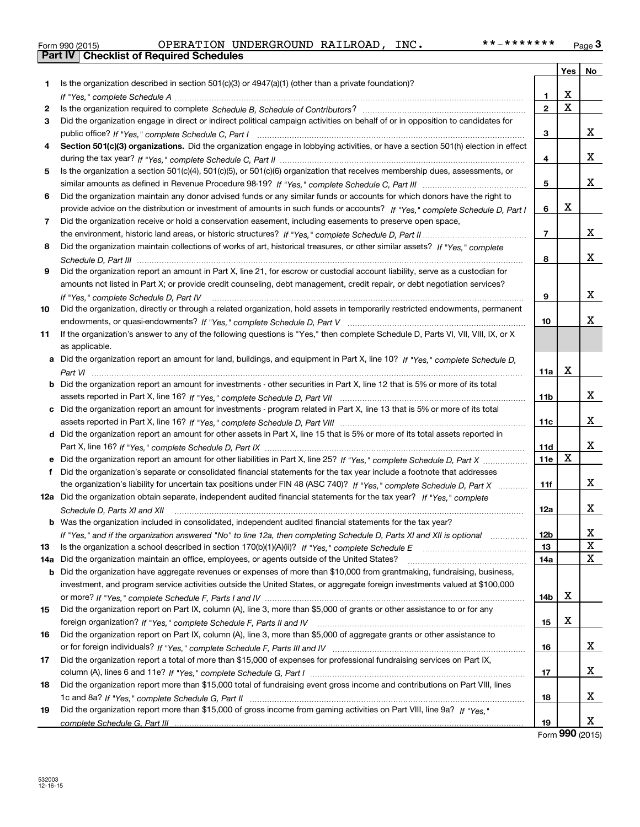| Form 990 (2015) |  |  |
|-----------------|--|--|

|     |                                                                                                                                      |                | Yes | No               |
|-----|--------------------------------------------------------------------------------------------------------------------------------------|----------------|-----|------------------|
| 1.  | Is the organization described in section $501(c)(3)$ or $4947(a)(1)$ (other than a private foundation)?                              |                |     |                  |
|     |                                                                                                                                      | 1              | х   |                  |
| 2   |                                                                                                                                      | $\overline{2}$ | X   |                  |
| 3   | Did the organization engage in direct or indirect political campaign activities on behalf of or in opposition to candidates for      |                |     |                  |
|     |                                                                                                                                      | 3              |     | x                |
| 4   | Section 501(c)(3) organizations. Did the organization engage in lobbying activities, or have a section 501(h) election in effect     |                |     |                  |
|     |                                                                                                                                      | 4              |     | X.               |
| 5   | Is the organization a section 501(c)(4), 501(c)(5), or 501(c)(6) organization that receives membership dues, assessments, or         |                |     |                  |
|     |                                                                                                                                      | 5              |     | x                |
| 6   | Did the organization maintain any donor advised funds or any similar funds or accounts for which donors have the right to            |                |     |                  |
|     | provide advice on the distribution or investment of amounts in such funds or accounts? If "Yes," complete Schedule D, Part I         | 6              | x   |                  |
| 7   | Did the organization receive or hold a conservation easement, including easements to preserve open space,                            |                |     |                  |
|     |                                                                                                                                      | 7              |     | x                |
| 8   | Did the organization maintain collections of works of art, historical treasures, or other similar assets? If "Yes," complete         |                |     |                  |
|     |                                                                                                                                      | 8              |     | x                |
| 9   | Did the organization report an amount in Part X, line 21, for escrow or custodial account liability, serve as a custodian for        |                |     |                  |
|     |                                                                                                                                      |                |     |                  |
|     | amounts not listed in Part X; or provide credit counseling, debt management, credit repair, or debt negotiation services?            |                |     | x                |
|     | If "Yes," complete Schedule D, Part IV                                                                                               | 9              |     |                  |
| 10  | Did the organization, directly or through a related organization, hold assets in temporarily restricted endowments, permanent        |                |     | x.               |
|     |                                                                                                                                      | 10             |     |                  |
| 11  | If the organization's answer to any of the following questions is "Yes," then complete Schedule D, Parts VI, VIII, VIII, IX, or X    |                |     |                  |
|     | as applicable.                                                                                                                       |                |     |                  |
|     | a Did the organization report an amount for land, buildings, and equipment in Part X, line 10? If "Yes," complete Schedule D,        |                | х   |                  |
|     | Part VI                                                                                                                              | 11a            |     |                  |
|     | <b>b</b> Did the organization report an amount for investments - other securities in Part X, line 12 that is 5% or more of its total |                |     |                  |
|     |                                                                                                                                      | 11b            |     | x                |
|     | c Did the organization report an amount for investments - program related in Part X, line 13 that is 5% or more of its total         |                |     | x                |
|     |                                                                                                                                      | 11c            |     |                  |
|     | d Did the organization report an amount for other assets in Part X, line 15 that is 5% or more of its total assets reported in       |                |     |                  |
|     |                                                                                                                                      | 11d            | X   | x                |
|     | e Did the organization report an amount for other liabilities in Part X, line 25? If "Yes," complete Schedule D, Part X              | 11e            |     |                  |
| f   | Did the organization's separate or consolidated financial statements for the tax year include a footnote that addresses              |                |     |                  |
|     | the organization's liability for uncertain tax positions under FIN 48 (ASC 740)? If "Yes," complete Schedule D, Part X               | 11f            |     | x                |
|     | 12a Did the organization obtain separate, independent audited financial statements for the tax year? If "Yes," complete              |                |     |                  |
|     | Schedule D, Parts XI and XII                                                                                                         | 12a            |     | x                |
|     | <b>b</b> Was the organization included in consolidated, independent audited financial statements for the tax year?                   |                |     |                  |
|     | If "Yes," and if the organization answered "No" to line 12a, then completing Schedule D, Parts XI and XII is optional                | 12b            |     | х<br>$\mathbf X$ |
| 13  |                                                                                                                                      | 13             |     | X                |
| 14a | Did the organization maintain an office, employees, or agents outside of the United States?                                          | 14a            |     |                  |
| b   | Did the organization have aggregate revenues or expenses of more than \$10,000 from grantmaking, fundraising, business,              |                |     |                  |
|     | investment, and program service activities outside the United States, or aggregate foreign investments valued at \$100,000           |                | x   |                  |
|     |                                                                                                                                      | 14b            |     |                  |
| 15  | Did the organization report on Part IX, column (A), line 3, more than \$5,000 of grants or other assistance to or for any            |                |     |                  |
|     |                                                                                                                                      | 15             | х   |                  |
| 16  | Did the organization report on Part IX, column (A), line 3, more than \$5,000 of aggregate grants or other assistance to             |                |     |                  |
|     |                                                                                                                                      | 16             |     | X                |
| 17  | Did the organization report a total of more than \$15,000 of expenses for professional fundraising services on Part IX,              |                |     |                  |
|     |                                                                                                                                      | 17             |     | x                |
| 18  | Did the organization report more than \$15,000 total of fundraising event gross income and contributions on Part VIII, lines         |                |     |                  |
|     |                                                                                                                                      | 18             |     | X.               |
| 19  | Did the organization report more than \$15,000 of gross income from gaming activities on Part VIII, line 9a? If "Yes."               |                |     |                  |
|     |                                                                                                                                      | 19             |     | x                |

Form (2015) **990**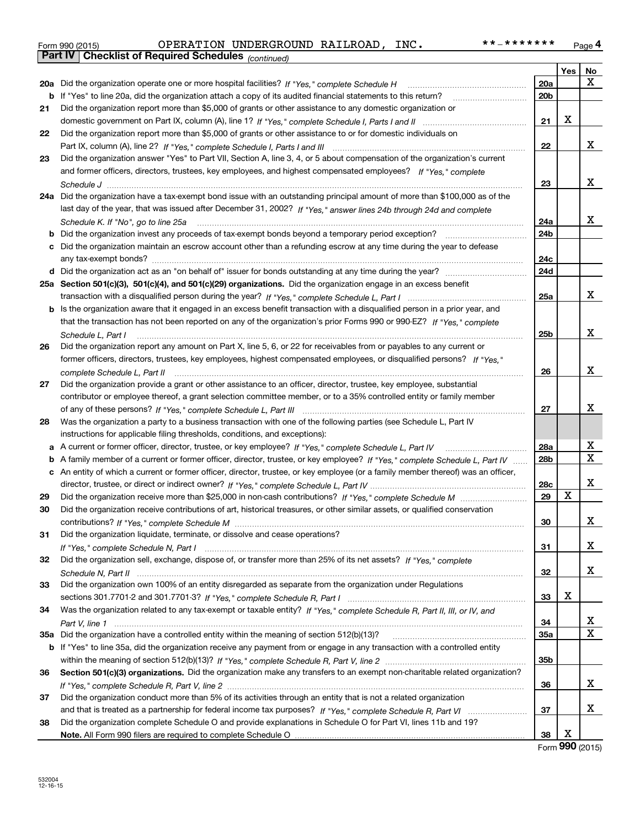| Form 990 (2015) |                                                              | OPERATION UNDERGROUND RAILROAD, | INC. | **_******* | Page 4 |
|-----------------|--------------------------------------------------------------|---------------------------------|------|------------|--------|
|                 | <b>Part IV   Checklist of Required Schedules</b> (continued) |                                 |      |            |        |

|    | Pall IV  <br>Criecklist of Required Scriedules (continued)                                                                        |                 |            |        |
|----|-----------------------------------------------------------------------------------------------------------------------------------|-----------------|------------|--------|
|    |                                                                                                                                   |                 | <b>Yes</b> | No     |
|    | 20a Did the organization operate one or more hospital facilities? If "Yes," complete Schedule H                                   | 20a             |            | x      |
|    | <b>b</b> If "Yes" to line 20a, did the organization attach a copy of its audited financial statements to this return?             | 20 <sub>b</sub> |            |        |
| 21 | Did the organization report more than \$5,000 of grants or other assistance to any domestic organization or                       |                 |            |        |
|    |                                                                                                                                   | 21              | X          |        |
| 22 | Did the organization report more than \$5,000 of grants or other assistance to or for domestic individuals on                     |                 |            |        |
|    |                                                                                                                                   | 22              |            | x      |
| 23 | Did the organization answer "Yes" to Part VII, Section A, line 3, 4, or 5 about compensation of the organization's current        |                 |            |        |
|    | and former officers, directors, trustees, key employees, and highest compensated employees? If "Yes," complete                    |                 |            |        |
|    |                                                                                                                                   | 23              |            | х      |
|    | 24a Did the organization have a tax-exempt bond issue with an outstanding principal amount of more than \$100,000 as of the       |                 |            |        |
|    | last day of the year, that was issued after December 31, 2002? If "Yes," answer lines 24b through 24d and complete                |                 |            |        |
|    | Schedule K. If "No", go to line 25a                                                                                               | 24a             |            | х      |
| b  | Did the organization invest any proceeds of tax-exempt bonds beyond a temporary period exception?                                 | 24 <sub>b</sub> |            |        |
|    | c Did the organization maintain an escrow account other than a refunding escrow at any time during the year to defease            |                 |            |        |
|    |                                                                                                                                   | 24c             |            |        |
|    |                                                                                                                                   | 24d             |            |        |
|    | 25a Section 501(c)(3), 501(c)(4), and 501(c)(29) organizations. Did the organization engage in an excess benefit                  |                 |            |        |
|    |                                                                                                                                   | 25a             |            | х      |
|    | b Is the organization aware that it engaged in an excess benefit transaction with a disqualified person in a prior year, and      |                 |            |        |
|    | that the transaction has not been reported on any of the organization's prior Forms 990 or 990-EZ? If "Yes," complete             |                 |            |        |
|    | Schedule L. Part I                                                                                                                | 25b             |            | х      |
| 26 | Did the organization report any amount on Part X, line 5, 6, or 22 for receivables from or payables to any current or             |                 |            |        |
|    | former officers, directors, trustees, key employees, highest compensated employees, or disqualified persons? If "Yes."            |                 |            |        |
|    |                                                                                                                                   | 26              |            | х      |
| 27 | Did the organization provide a grant or other assistance to an officer, director, trustee, key employee, substantial              |                 |            |        |
|    | contributor or employee thereof, a grant selection committee member, or to a 35% controlled entity or family member               |                 |            |        |
|    |                                                                                                                                   | 27              |            | x      |
| 28 | Was the organization a party to a business transaction with one of the following parties (see Schedule L, Part IV                 |                 |            |        |
|    | instructions for applicable filing thresholds, conditions, and exceptions):                                                       |                 |            |        |
|    | a A current or former officer, director, trustee, or key employee? If "Yes," complete Schedule L, Part IV                         | 28a             |            | х      |
|    | b A family member of a current or former officer, director, trustee, or key employee? If "Yes," complete Schedule L, Part IV      | 28 <sub>b</sub> |            | Χ      |
|    | c An entity of which a current or former officer, director, trustee, or key employee (or a family member thereof) was an officer, |                 |            |        |
|    |                                                                                                                                   | 28c             |            | х      |
| 29 |                                                                                                                                   | 29              | x          |        |
| 30 | Did the organization receive contributions of art, historical treasures, or other similar assets, or qualified conservation       |                 |            |        |
|    |                                                                                                                                   | 30              |            | х      |
|    |                                                                                                                                   |                 |            |        |
| 31 | Did the organization liquidate, terminate, or dissolve and cease operations?                                                      | 31              |            | x      |
|    | Did the organization sell, exchange, dispose of, or transfer more than 25% of its net assets? If "Yes," complete                  |                 |            |        |
| 32 |                                                                                                                                   |                 |            | x      |
|    |                                                                                                                                   | 32              |            |        |
| 33 | Did the organization own 100% of an entity disregarded as separate from the organization under Regulations                        | 33              | х          |        |
|    |                                                                                                                                   |                 |            |        |
| 34 | Was the organization related to any tax-exempt or taxable entity? If "Yes," complete Schedule R, Part II, III, or IV, and         |                 |            |        |
|    |                                                                                                                                   | 34              |            | X<br>х |
|    |                                                                                                                                   | 35a             |            |        |
|    | b If "Yes" to line 35a, did the organization receive any payment from or engage in any transaction with a controlled entity       |                 |            |        |
|    |                                                                                                                                   | 35b             |            |        |
| 36 | Section 501(c)(3) organizations. Did the organization make any transfers to an exempt non-charitable related organization?        |                 |            |        |
|    |                                                                                                                                   | 36              |            | х      |
| 37 | Did the organization conduct more than 5% of its activities through an entity that is not a related organization                  |                 |            |        |
|    |                                                                                                                                   | 37              |            | х      |
| 38 | Did the organization complete Schedule O and provide explanations in Schedule O for Part VI, lines 11b and 19?                    |                 |            |        |
|    |                                                                                                                                   | 38              | х          |        |

Form (2015) **990**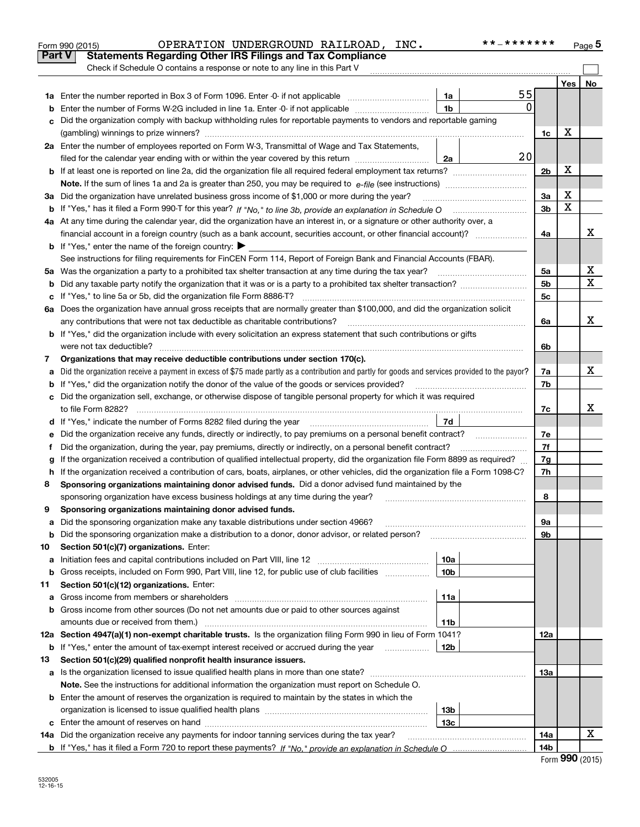|               | OPERATION UNDERGROUND RAILROAD, INC.<br>Form 990 (2015)                                                                                         |                 | * * _ * * * * * * * |                |     | Page 5 |
|---------------|-------------------------------------------------------------------------------------------------------------------------------------------------|-----------------|---------------------|----------------|-----|--------|
| <b>Part V</b> | <b>Statements Regarding Other IRS Filings and Tax Compliance</b>                                                                                |                 |                     |                |     |        |
|               | Check if Schedule O contains a response or note to any line in this Part V                                                                      |                 |                     |                |     |        |
|               |                                                                                                                                                 |                 |                     |                | Yes | No     |
|               |                                                                                                                                                 | 1a              | 55                  |                |     |        |
| b             | Enter the number of Forms W-2G included in line 1a. Enter -0- if not applicable                                                                 | 1 <sub>b</sub>  | 0                   |                |     |        |
| c             | Did the organization comply with backup withholding rules for reportable payments to vendors and reportable gaming                              |                 |                     |                |     |        |
|               |                                                                                                                                                 |                 |                     | 1c             | х   |        |
|               | 2a Enter the number of employees reported on Form W-3, Transmittal of Wage and Tax Statements,                                                  |                 |                     |                |     |        |
|               | filed for the calendar year ending with or within the year covered by this return                                                               | 2a              | 20                  |                |     |        |
| b             | If at least one is reported on line 2a, did the organization file all required federal employment tax returns?                                  |                 |                     | 2 <sub>b</sub> | х   |        |
|               |                                                                                                                                                 |                 |                     |                |     |        |
|               | 3a Did the organization have unrelated business gross income of \$1,000 or more during the year?                                                |                 |                     | 3a             | х   |        |
|               |                                                                                                                                                 |                 |                     | 3 <sub>b</sub> | X   |        |
|               | 4a At any time during the calendar year, did the organization have an interest in, or a signature or other authority over, a                    |                 |                     |                |     |        |
|               | financial account in a foreign country (such as a bank account, securities account, or other financial account)?                                |                 |                     | 4a             |     | х      |
|               | <b>b</b> If "Yes," enter the name of the foreign country: $\blacktriangleright$                                                                 |                 |                     |                |     |        |
|               | See instructions for filing requirements for FinCEN Form 114, Report of Foreign Bank and Financial Accounts (FBAR).                             |                 |                     |                |     |        |
|               | 5a Was the organization a party to a prohibited tax shelter transaction at any time during the tax year?                                        |                 |                     | 5a             |     | х      |
| b             |                                                                                                                                                 |                 |                     | 5 <sub>b</sub> |     | X      |
| c             | If "Yes," to line 5a or 5b, did the organization file Form 8886-T?                                                                              |                 |                     | 5с             |     |        |
|               | 6a Does the organization have annual gross receipts that are normally greater than \$100,000, and did the organization solicit                  |                 |                     |                |     |        |
|               | any contributions that were not tax deductible as charitable contributions?                                                                     |                 |                     | 6a             |     | х      |
|               | <b>b</b> If "Yes," did the organization include with every solicitation an express statement that such contributions or gifts                   |                 |                     |                |     |        |
|               | were not tax deductible?                                                                                                                        |                 |                     | 6b             |     |        |
| 7             | Organizations that may receive deductible contributions under section 170(c).                                                                   |                 |                     |                |     |        |
| а             | Did the organization receive a payment in excess of \$75 made partly as a contribution and partly for goods and services provided to the payor? |                 |                     | 7a             |     | х      |
| b             | If "Yes," did the organization notify the donor of the value of the goods or services provided?                                                 |                 |                     | 7b             |     |        |
|               | c Did the organization sell, exchange, or otherwise dispose of tangible personal property for which it was required                             |                 |                     |                |     |        |
|               |                                                                                                                                                 |                 |                     | 7c             |     | х      |
|               |                                                                                                                                                 | 7d              |                     |                |     |        |
| е             | Did the organization receive any funds, directly or indirectly, to pay premiums on a personal benefit contract?                                 |                 |                     | 7e             |     |        |
| f             | Did the organization, during the year, pay premiums, directly or indirectly, on a personal benefit contract?                                    |                 |                     | 7f             |     |        |
| g             | If the organization received a contribution of qualified intellectual property, did the organization file Form 8899 as required?                |                 |                     | 7g             |     |        |
| h.            | If the organization received a contribution of cars, boats, airplanes, or other vehicles, did the organization file a Form 1098-C?              |                 |                     | 7h             |     |        |
| 8             | Sponsoring organizations maintaining donor advised funds. Did a donor advised fund maintained by the                                            |                 |                     |                |     |        |
|               | sponsoring organization have excess business holdings at any time during the year?                                                              |                 |                     | 8              |     |        |
|               | Sponsoring organizations maintaining donor advised funds.                                                                                       |                 |                     |                |     |        |
| a             | Did the sponsoring organization make any taxable distributions under section 4966?                                                              |                 |                     | 9a             |     |        |
| b             | Did the sponsoring organization make a distribution to a donor, donor advisor, or related person?                                               |                 |                     | 9b             |     |        |
| 10            | Section 501(c)(7) organizations. Enter:                                                                                                         |                 |                     |                |     |        |
| а             |                                                                                                                                                 | 10a             |                     |                |     |        |
| b             | Gross receipts, included on Form 990, Part VIII, line 12, for public use of club facilities                                                     | 10 <sub>b</sub> |                     |                |     |        |
| 11            | Section 501(c)(12) organizations. Enter:                                                                                                        |                 |                     |                |     |        |
| а             | Gross income from members or shareholders                                                                                                       | 11a             |                     |                |     |        |
| b             | Gross income from other sources (Do not net amounts due or paid to other sources against                                                        |                 |                     |                |     |        |
|               | amounts due or received from them.)                                                                                                             | 11b             |                     |                |     |        |
|               | 12a Section 4947(a)(1) non-exempt charitable trusts. Is the organization filing Form 990 in lieu of Form 1041?                                  |                 |                     | 12a            |     |        |
|               | <b>b</b> If "Yes," enter the amount of tax-exempt interest received or accrued during the year <i>manument</i>                                  | 12b             |                     |                |     |        |
| 13            | Section 501(c)(29) qualified nonprofit health insurance issuers.                                                                                |                 |                     |                |     |        |
| а             | Is the organization licensed to issue qualified health plans in more than one state?                                                            |                 |                     | 13a            |     |        |
|               | Note. See the instructions for additional information the organization must report on Schedule O.                                               |                 |                     |                |     |        |
| b             | Enter the amount of reserves the organization is required to maintain by the states in which the                                                |                 |                     |                |     |        |
|               |                                                                                                                                                 | 13b             |                     |                |     |        |
| c             | 14a Did the organization receive any payments for indoor tanning services during the tax year?                                                  | 13c             |                     |                |     | x      |
|               |                                                                                                                                                 |                 |                     | 14a<br>14b     |     |        |
|               |                                                                                                                                                 |                 |                     |                |     |        |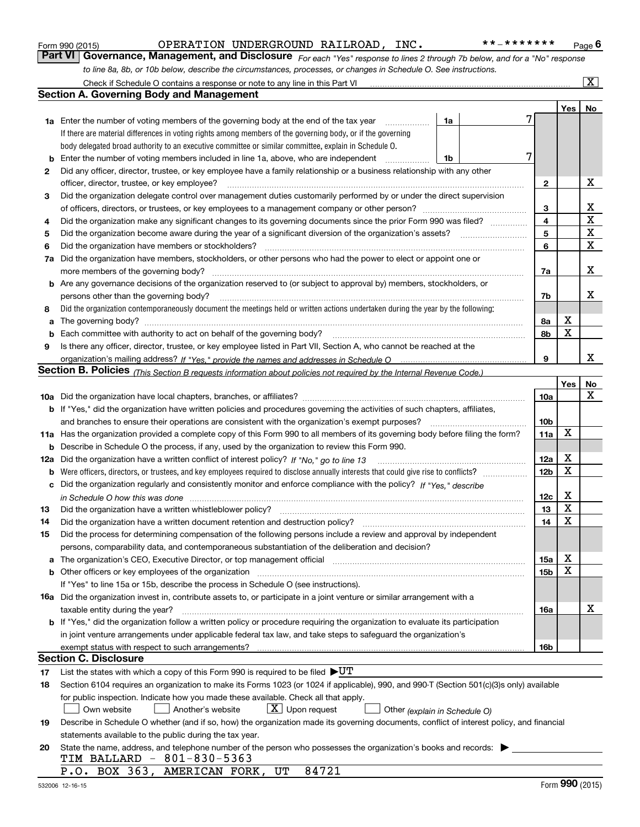|     | OPERATION UNDERGROUND RAILROAD, INC.<br>* * _ * * * * * * *<br>Form 990 (2015)                                                                                                                                                     |                        |             | Page 6                  |
|-----|------------------------------------------------------------------------------------------------------------------------------------------------------------------------------------------------------------------------------------|------------------------|-------------|-------------------------|
|     | Part VI   Governance, Management, and Disclosure For each "Yes" response to lines 2 through 7b below, and for a "No" response                                                                                                      |                        |             |                         |
|     | to line 8a, 8b, or 10b below, describe the circumstances, processes, or changes in Schedule O. See instructions.                                                                                                                   |                        |             |                         |
|     | Check if Schedule O contains a response or note to any line in this Part VI                                                                                                                                                        |                        |             | $\overline{\mathbf{X}}$ |
|     | <b>Section A. Governing Body and Management</b>                                                                                                                                                                                    |                        |             |                         |
|     |                                                                                                                                                                                                                                    |                        | Yes         | No                      |
|     | 1a Enter the number of voting members of the governing body at the end of the tax year<br>1a<br>.                                                                                                                                  | 7                      |             |                         |
|     | If there are material differences in voting rights among members of the governing body, or if the governing                                                                                                                        |                        |             |                         |
|     | body delegated broad authority to an executive committee or similar committee, explain in Schedule O.                                                                                                                              | 7                      |             |                         |
| b   | Enter the number of voting members included in line 1a, above, who are independent<br>1b<br>.                                                                                                                                      |                        |             |                         |
| 2   | Did any officer, director, trustee, or key employee have a family relationship or a business relationship with any other<br>officer, director, trustee, or key employee?                                                           |                        |             | x                       |
| 3   | Did the organization delegate control over management duties customarily performed by or under the direct supervision                                                                                                              | 2                      |             |                         |
|     |                                                                                                                                                                                                                                    | 3                      |             | х                       |
| 4   | Did the organization make any significant changes to its governing documents since the prior Form 990 was filed?                                                                                                                   | 4                      |             | $\mathbf X$             |
| 5   |                                                                                                                                                                                                                                    | 5                      |             | X                       |
| 6   | Did the organization have members or stockholders?                                                                                                                                                                                 | 6                      |             | $\mathbf X$             |
| 7a  | Did the organization have members, stockholders, or other persons who had the power to elect or appoint one or                                                                                                                     |                        |             |                         |
|     | more members of the governing body?                                                                                                                                                                                                | 7a                     |             | x                       |
|     | b Are any governance decisions of the organization reserved to (or subject to approval by) members, stockholders, or                                                                                                               |                        |             |                         |
|     | persons other than the governing body?                                                                                                                                                                                             | 7b                     |             | х                       |
| 8   | Did the organization contemporaneously document the meetings held or written actions undertaken during the year by the following:                                                                                                  |                        |             |                         |
| a   | The governing body?                                                                                                                                                                                                                | 8а                     | x           |                         |
| b   |                                                                                                                                                                                                                                    | 8b                     | X           |                         |
| 9   | Is there any officer, director, trustee, or key employee listed in Part VII, Section A, who cannot be reached at the                                                                                                               |                        |             |                         |
|     |                                                                                                                                                                                                                                    | 9                      |             | x                       |
|     | Section B. Policies (This Section B requests information about policies not required by the Internal Revenue Code.)                                                                                                                |                        |             |                         |
|     |                                                                                                                                                                                                                                    |                        | Yes         | No                      |
|     |                                                                                                                                                                                                                                    | 10a                    |             | x                       |
|     | <b>b</b> If "Yes," did the organization have written policies and procedures governing the activities of such chapters, affiliates,                                                                                                |                        |             |                         |
|     | and branches to ensure their operations are consistent with the organization's exempt purposes?<br>11a Has the organization provided a complete copy of this Form 990 to all members of its governing body before filing the form? | 10 <sub>b</sub><br>11a | x           |                         |
|     | <b>b</b> Describe in Schedule O the process, if any, used by the organization to review this Form 990.                                                                                                                             |                        |             |                         |
| 12a | Did the organization have a written conflict of interest policy? If "No," go to line 13                                                                                                                                            | 12a                    | х           |                         |
|     |                                                                                                                                                                                                                                    | 12 <sub>b</sub>        | X           |                         |
| с   | Did the organization regularly and consistently monitor and enforce compliance with the policy? If "Yes," describe                                                                                                                 |                        |             |                         |
|     | in Schedule O how this was done manufactured and continuum control of the state of the state of the state of t                                                                                                                     | <u>12c</u>             | х           |                         |
|     |                                                                                                                                                                                                                                    | 13                     | $\mathbf X$ |                         |
| 14  | Did the organization have a written document retention and destruction policy?                                                                                                                                                     | 14                     | X           |                         |
| 15  | Did the process for determining compensation of the following persons include a review and approval by independent                                                                                                                 |                        |             |                         |
|     | persons, comparability data, and contemporaneous substantiation of the deliberation and decision?                                                                                                                                  |                        |             |                         |
| a   | The organization's CEO, Executive Director, or top management official manufactured content of the organization's CEO, Executive Director, or top management official                                                              | 15a                    | х           |                         |
| b   |                                                                                                                                                                                                                                    | 15 <sub>b</sub>        | x           |                         |
|     | If "Yes" to line 15a or 15b, describe the process in Schedule O (see instructions).                                                                                                                                                |                        |             |                         |
|     | 16a Did the organization invest in, contribute assets to, or participate in a joint venture or similar arrangement with a                                                                                                          |                        |             |                         |
|     | taxable entity during the year?                                                                                                                                                                                                    | 16a                    |             | х                       |
|     | b If "Yes," did the organization follow a written policy or procedure requiring the organization to evaluate its participation                                                                                                     |                        |             |                         |
|     | in joint venture arrangements under applicable federal tax law, and take steps to safeguard the organization's                                                                                                                     |                        |             |                         |
|     | exempt status with respect to such arrangements?                                                                                                                                                                                   | 16b                    |             |                         |
|     | <b>Section C. Disclosure</b>                                                                                                                                                                                                       |                        |             |                         |
| 17  | List the states with which a copy of this Form 990 is required to be filed $\blacktriangleright U T$                                                                                                                               |                        |             |                         |
| 18  | Section 6104 requires an organization to make its Forms 1023 (or 1024 if applicable), 990, and 990-T (Section 501(c)(3)s only) available                                                                                           |                        |             |                         |
|     | for public inspection. Indicate how you made these available. Check all that apply.<br>$\lfloor x \rfloor$ Upon request                                                                                                            |                        |             |                         |
|     | Own website<br>Another's website<br>Other (explain in Schedule O)                                                                                                                                                                  |                        |             |                         |
| 19  | Describe in Schedule O whether (and if so, how) the organization made its governing documents, conflict of interest policy, and financial<br>statements available to the public during the tax year.                               |                        |             |                         |
| 20  | State the name, address, and telephone number of the person who possesses the organization's books and records:                                                                                                                    |                        |             |                         |
|     | TIM BALLARD - 801-830-5363                                                                                                                                                                                                         |                        |             |                         |
|     | 84721<br>P.O. BOX 363, AMERICAN FORK, UT                                                                                                                                                                                           |                        |             |                         |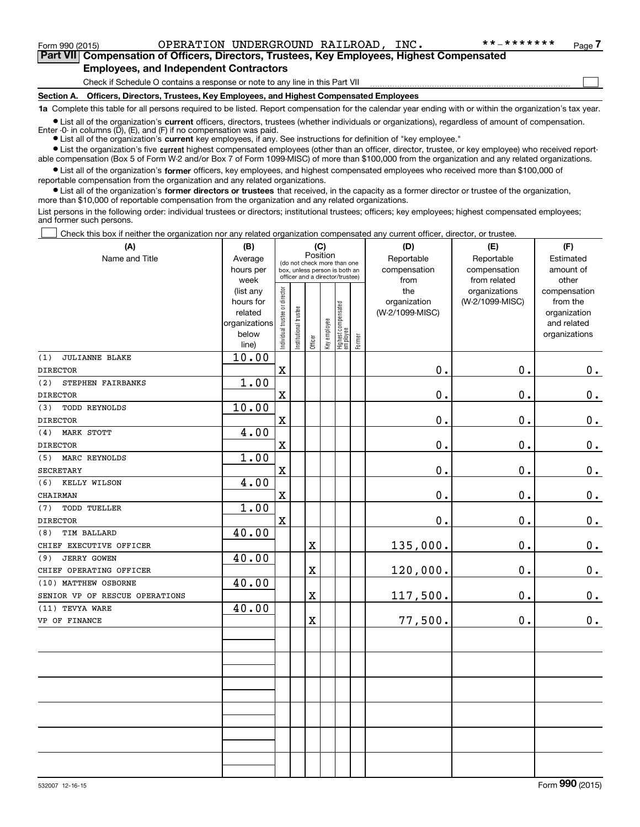Form 990 (2015) Page OPERATION UNDERGROUND RAILROAD, INC. \*\*‐\*\*\*\*\*\*\*

 $\mathcal{L}^{\text{max}}$ 

**7Part VII Compensation of Officers, Directors, Trustees, Key Employees, Highest Compensated Employees, and Independent Contractors**

Check if Schedule O contains a response or note to any line in this Part VII

**Section A. Officers, Directors, Trustees, Key Employees, and Highest Compensated Employees**

**1a**  Complete this table for all persons required to be listed. Report compensation for the calendar year ending with or within the organization's tax year.

**•** List all of the organization's current officers, directors, trustees (whether individuals or organizations), regardless of amount of compensation. Enter -0- in columns  $(D)$ ,  $(E)$ , and  $(F)$  if no compensation was paid.

● List all of the organization's **current** key employees, if any. See instructions for definition of "key employee."

**•** List the organization's five current highest compensated employees (other than an officer, director, trustee, or key employee) who received reportable compensation (Box 5 of Form W-2 and/or Box 7 of Form 1099-MISC) of more than \$100,000 from the organization and any related organizations.

 $\bullet$  List all of the organization's **former** officers, key employees, and highest compensated employees who received more than \$100,000 of reportable compensation from the organization and any related organizations.

**•** List all of the organization's former directors or trustees that received, in the capacity as a former director or trustee of the organization, more than \$10,000 of reportable compensation from the organization and any related organizations.

List persons in the following order: individual trustees or directors; institutional trustees; officers; key employees; highest compensated employees; and former such persons.

Check this box if neither the organization nor any related organization compensated any current officer, director, or trustee.  $\mathcal{L}^{\text{max}}$ 

| (A)                            | (B)                    | (C)                            |                       |                         |              |                                                                  |        | (D)                             | (E)             | (F)                      |
|--------------------------------|------------------------|--------------------------------|-----------------------|-------------------------|--------------|------------------------------------------------------------------|--------|---------------------------------|-----------------|--------------------------|
| Name and Title                 | Average                |                                |                       | Position                |              | (do not check more than one                                      |        | Reportable                      | Reportable      | Estimated                |
|                                | hours per              |                                |                       |                         |              | box, unless person is both an<br>officer and a director/trustee) |        | compensation                    | compensation    | amount of                |
|                                | week                   |                                |                       |                         |              |                                                                  |        | from                            | from related    | other                    |
|                                | (list any<br>hours for |                                |                       |                         |              |                                                                  |        | the                             | organizations   | compensation             |
|                                | related                |                                |                       |                         |              |                                                                  |        | organization<br>(W-2/1099-MISC) | (W-2/1099-MISC) | from the<br>organization |
|                                | organizations          |                                |                       |                         |              |                                                                  |        |                                 |                 | and related              |
|                                | below                  | Individual trustee or director | Institutional trustee |                         | Key employee |                                                                  |        |                                 |                 | organizations            |
|                                | line)                  |                                |                       | Officer                 |              | Highest compensated<br>  employee                                | Former |                                 |                 |                          |
| (1)<br><b>JULIANNE BLAKE</b>   | 10.00                  |                                |                       |                         |              |                                                                  |        |                                 |                 |                          |
| <b>DIRECTOR</b>                |                        | $\mathbf x$                    |                       |                         |              |                                                                  |        | 0.                              | 0.              | $0_{\cdot}$              |
| (2)<br>STEPHEN FAIRBANKS       | 1.00                   |                                |                       |                         |              |                                                                  |        |                                 |                 |                          |
| <b>DIRECTOR</b>                |                        | $\mathbf x$                    |                       |                         |              |                                                                  |        | $0$ .                           | 0.              | $\mathbf 0$ .            |
| <b>TODD REYNOLDS</b><br>(3)    | 10.00                  |                                |                       |                         |              |                                                                  |        |                                 |                 |                          |
| <b>DIRECTOR</b>                |                        | $\mathbf x$                    |                       |                         |              |                                                                  |        | 0.                              | 0.              | $0_{.}$                  |
| <b>MARK STOTT</b><br>(4)       | 4.00                   |                                |                       |                         |              |                                                                  |        |                                 |                 |                          |
| <b>DIRECTOR</b>                |                        | $\mathbf X$                    |                       |                         |              |                                                                  |        | 0.                              | 0.              | $\mathbf 0$ .            |
| MARC REYNOLDS<br>(5)           | 1.00                   |                                |                       |                         |              |                                                                  |        |                                 |                 |                          |
| <b>SECRETARY</b>               |                        | $\mathbf x$                    |                       |                         |              |                                                                  |        | 0.                              | 0.              | $\mathbf 0$ .            |
| KELLY WILSON<br>(6)            | 4.00                   |                                |                       |                         |              |                                                                  |        |                                 |                 |                          |
| CHAIRMAN                       |                        | $\mathbf X$                    |                       |                         |              |                                                                  |        | 0.                              | 0.              | $0_{.}$                  |
| <b>TODD TUELLER</b><br>(7)     | 1.00                   |                                |                       |                         |              |                                                                  |        |                                 |                 |                          |
| <b>DIRECTOR</b>                |                        | $\mathbf X$                    |                       |                         |              |                                                                  |        | 0.                              | $\mathbf 0$ .   | 0.                       |
| <b>TIM BALLARD</b><br>(8)      | 40.00                  |                                |                       |                         |              |                                                                  |        |                                 |                 |                          |
| CHIEF EXECUTIVE OFFICER        |                        |                                |                       | $\mathbf X$             |              |                                                                  |        | 135,000.                        | $\mathbf 0$ .   | $\mathbf 0$ .            |
| <b>JERRY GOWEN</b><br>(9)      | 40.00                  |                                |                       |                         |              |                                                                  |        |                                 |                 |                          |
| CHIEF OPERATING OFFICER        |                        |                                |                       | $\mathbf X$             |              |                                                                  |        | 120,000.                        | 0.              | $0_{.}$                  |
| (10) MATTHEW OSBORNE           | 40.00                  |                                |                       |                         |              |                                                                  |        |                                 |                 |                          |
| SENIOR VP OF RESCUE OPERATIONS |                        |                                |                       | $\overline{\textbf{X}}$ |              |                                                                  |        | 117,500.                        | 0.              | $0_{.}$                  |
| (11) TEVYA WARE                | 40.00                  |                                |                       |                         |              |                                                                  |        |                                 |                 |                          |
| VP OF FINANCE                  |                        |                                |                       | $\mathbf X$             |              |                                                                  |        | 77,500.                         | $\mathbf 0$ .   | 0.                       |
|                                |                        |                                |                       |                         |              |                                                                  |        |                                 |                 |                          |
|                                |                        |                                |                       |                         |              |                                                                  |        |                                 |                 |                          |
|                                |                        |                                |                       |                         |              |                                                                  |        |                                 |                 |                          |
|                                |                        |                                |                       |                         |              |                                                                  |        |                                 |                 |                          |
|                                |                        |                                |                       |                         |              |                                                                  |        |                                 |                 |                          |
|                                |                        |                                |                       |                         |              |                                                                  |        |                                 |                 |                          |
|                                |                        |                                |                       |                         |              |                                                                  |        |                                 |                 |                          |
|                                |                        |                                |                       |                         |              |                                                                  |        |                                 |                 |                          |
|                                |                        |                                |                       |                         |              |                                                                  |        |                                 |                 |                          |
|                                |                        |                                |                       |                         |              |                                                                  |        |                                 |                 |                          |
|                                |                        |                                |                       |                         |              |                                                                  |        |                                 |                 |                          |
|                                |                        |                                |                       |                         |              |                                                                  |        |                                 |                 |                          |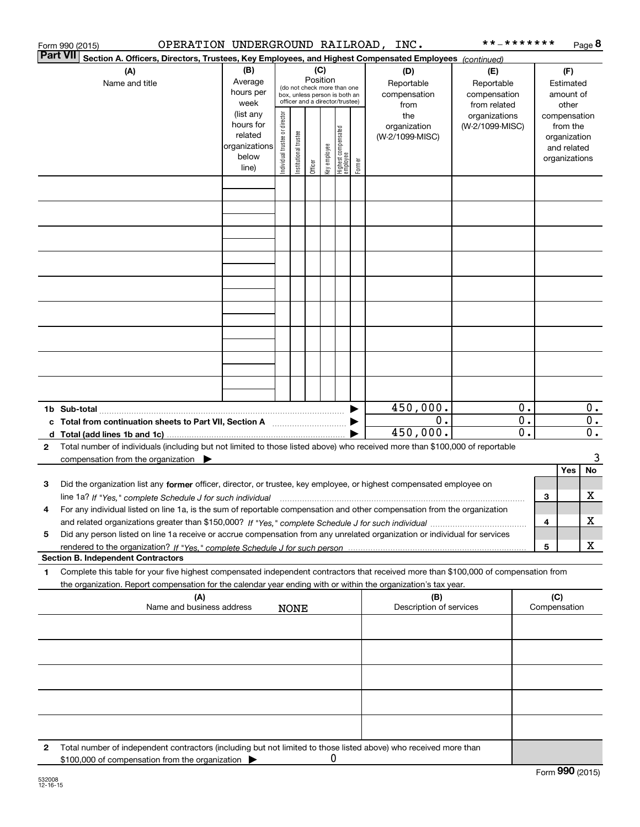|                 | OPERATION UNDERGROUND RAILROAD, INC.<br>Form 990 (2015)                                                                                                                                                                                                                      |                                                                                                                                                           |                                |                       |         |              |                                   |        |                                           | * * _ * * * * * * *                               |          |                                        |                                                                          | Page 8   |
|-----------------|------------------------------------------------------------------------------------------------------------------------------------------------------------------------------------------------------------------------------------------------------------------------------|-----------------------------------------------------------------------------------------------------------------------------------------------------------|--------------------------------|-----------------------|---------|--------------|-----------------------------------|--------|-------------------------------------------|---------------------------------------------------|----------|----------------------------------------|--------------------------------------------------------------------------|----------|
| <b>Part VII</b> | Section A. Officers, Directors, Trustees, Key Employees, and Highest Compensated Employees (continued)                                                                                                                                                                       |                                                                                                                                                           |                                |                       |         |              |                                   |        |                                           |                                                   |          |                                        |                                                                          |          |
|                 | (A)<br>Name and title                                                                                                                                                                                                                                                        | (B)<br>(C)<br>Position<br>Average<br>(do not check more than one<br>hours per<br>box, unless person is both an<br>officer and a director/trustee)<br>week |                                |                       |         |              |                                   |        | (D)<br>Reportable<br>compensation<br>from | (E)<br>Reportable<br>compensation<br>from related |          | (F)<br>Estimated<br>amount of<br>other |                                                                          |          |
|                 |                                                                                                                                                                                                                                                                              | (list any<br>hours for<br>related<br>organizations<br>below<br>line)                                                                                      | Individual trustee or director | Institutional trustee | Officer | key employee | Highest compensated<br>  employee | Former | the<br>organization<br>(W-2/1099-MISC)    | organizations<br>(W-2/1099-MISC)                  |          |                                        | compensation<br>from the<br>organization<br>and related<br>organizations |          |
|                 |                                                                                                                                                                                                                                                                              |                                                                                                                                                           |                                |                       |         |              |                                   |        |                                           |                                                   |          |                                        |                                                                          |          |
|                 |                                                                                                                                                                                                                                                                              |                                                                                                                                                           |                                |                       |         |              |                                   |        |                                           |                                                   |          |                                        |                                                                          |          |
|                 |                                                                                                                                                                                                                                                                              |                                                                                                                                                           |                                |                       |         |              |                                   |        |                                           |                                                   |          |                                        |                                                                          |          |
|                 |                                                                                                                                                                                                                                                                              |                                                                                                                                                           |                                |                       |         |              |                                   |        |                                           |                                                   |          |                                        |                                                                          |          |
|                 |                                                                                                                                                                                                                                                                              |                                                                                                                                                           |                                |                       |         |              |                                   |        |                                           |                                                   |          |                                        |                                                                          |          |
|                 |                                                                                                                                                                                                                                                                              |                                                                                                                                                           |                                |                       |         |              |                                   |        |                                           |                                                   |          |                                        |                                                                          |          |
|                 |                                                                                                                                                                                                                                                                              |                                                                                                                                                           |                                |                       |         |              |                                   |        |                                           |                                                   |          |                                        |                                                                          |          |
|                 |                                                                                                                                                                                                                                                                              |                                                                                                                                                           |                                |                       |         |              |                                   |        |                                           |                                                   |          |                                        |                                                                          |          |
|                 |                                                                                                                                                                                                                                                                              |                                                                                                                                                           |                                |                       |         |              |                                   |        | 450,000.<br>0.                            |                                                   | 0.<br>0. |                                        |                                                                          | 0.<br>0. |
|                 | c Total from continuation sheets to Part VII, Section A <b>manufarity</b>                                                                                                                                                                                                    |                                                                                                                                                           |                                |                       |         |              |                                   |        | 450,000.                                  |                                                   | 0.       |                                        |                                                                          | $0$ .    |
| 2               | Total number of individuals (including but not limited to those listed above) who received more than \$100,000 of reportable<br>compensation from the organization $\blacktriangleright$                                                                                     |                                                                                                                                                           |                                |                       |         |              |                                   |        |                                           |                                                   |          |                                        |                                                                          | 3        |
|                 |                                                                                                                                                                                                                                                                              |                                                                                                                                                           |                                |                       |         |              |                                   |        |                                           |                                                   |          |                                        | Yes                                                                      | No       |
| 3               | Did the organization list any former officer, director, or trustee, key employee, or highest compensated employee on<br>line 1a? If "Yes," complete Schedule J for such individual manufactured contained and the line 1a? If "Yes," complete Schedule J for such individual |                                                                                                                                                           |                                |                       |         |              |                                   |        |                                           |                                                   |          | 3                                      |                                                                          | x        |
|                 | For any individual listed on line 1a, is the sum of reportable compensation and other compensation from the organization                                                                                                                                                     |                                                                                                                                                           |                                |                       |         |              |                                   |        |                                           |                                                   |          | 4                                      |                                                                          | X        |
| 5               | Did any person listed on line 1a receive or accrue compensation from any unrelated organization or individual for services                                                                                                                                                   |                                                                                                                                                           |                                |                       |         |              |                                   |        |                                           |                                                   |          | 5                                      |                                                                          | х        |
|                 | <b>Section B. Independent Contractors</b>                                                                                                                                                                                                                                    |                                                                                                                                                           |                                |                       |         |              |                                   |        |                                           |                                                   |          |                                        |                                                                          |          |
| 1.              | Complete this table for your five highest compensated independent contractors that received more than \$100,000 of compensation from<br>the organization. Report compensation for the calendar year ending with or within the organization's tax year.                       |                                                                                                                                                           |                                |                       |         |              |                                   |        |                                           |                                                   |          |                                        |                                                                          |          |
|                 | (A)<br>Name and business address                                                                                                                                                                                                                                             |                                                                                                                                                           |                                | <b>NONE</b>           |         |              |                                   |        | (B)<br>Description of services            |                                                   |          | (C)                                    | Compensation                                                             |          |
|                 |                                                                                                                                                                                                                                                                              |                                                                                                                                                           |                                |                       |         |              |                                   |        |                                           |                                                   |          |                                        |                                                                          |          |
|                 |                                                                                                                                                                                                                                                                              |                                                                                                                                                           |                                |                       |         |              |                                   |        |                                           |                                                   |          |                                        |                                                                          |          |
|                 |                                                                                                                                                                                                                                                                              |                                                                                                                                                           |                                |                       |         |              |                                   |        |                                           |                                                   |          |                                        |                                                                          |          |
|                 |                                                                                                                                                                                                                                                                              |                                                                                                                                                           |                                |                       |         |              |                                   |        |                                           |                                                   |          |                                        |                                                                          |          |
| 2               | Total number of independent contractors (including but not limited to those listed above) who received more than                                                                                                                                                             |                                                                                                                                                           |                                |                       |         |              |                                   |        |                                           |                                                   |          |                                        |                                                                          |          |
|                 | \$100,000 of compensation from the organization                                                                                                                                                                                                                              |                                                                                                                                                           |                                |                       |         | 0            |                                   |        |                                           |                                                   |          |                                        |                                                                          |          |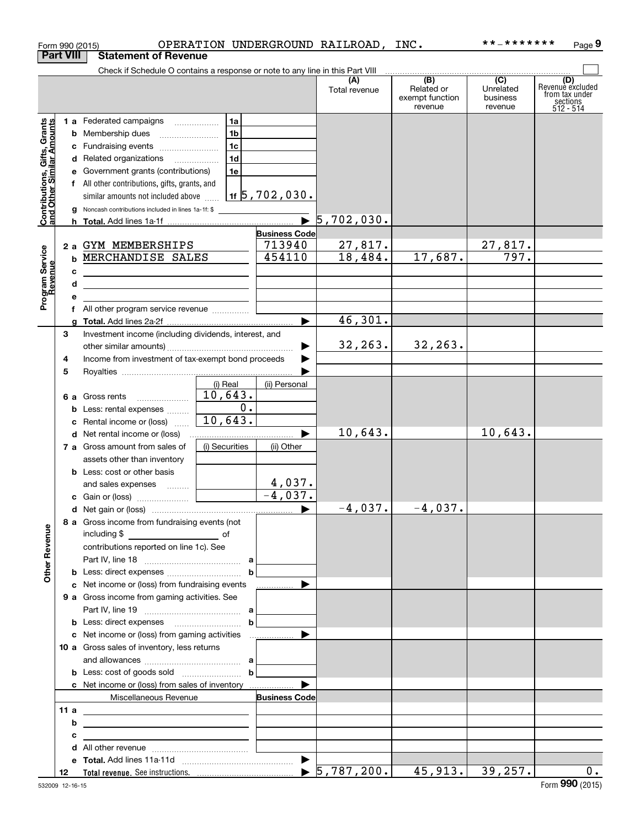|                                                           | Form 990 (2015)  |                                                                                                                                                                                                                                      |                |                                        | OPERATION UNDERGROUND RAILROAD, INC. |                                                 | **_*******                                           | Page 9                                                             |
|-----------------------------------------------------------|------------------|--------------------------------------------------------------------------------------------------------------------------------------------------------------------------------------------------------------------------------------|----------------|----------------------------------------|--------------------------------------|-------------------------------------------------|------------------------------------------------------|--------------------------------------------------------------------|
|                                                           | <b>Part VIII</b> | <b>Statement of Revenue</b>                                                                                                                                                                                                          |                |                                        |                                      |                                                 |                                                      |                                                                    |
|                                                           |                  | Check if Schedule O contains a response or note to any line in this Part VIII                                                                                                                                                        |                |                                        |                                      |                                                 |                                                      |                                                                    |
|                                                           |                  |                                                                                                                                                                                                                                      |                |                                        | (A)<br>Total revenue                 | (B)<br>Related or<br>exempt function<br>revenue | $\overline{(C)}$<br>Unrelated<br>business<br>revenue | (D)<br>Revenue excluded<br>from tax under<br>sections<br>512 - 514 |
|                                                           |                  | 1 a Federated campaigns                                                                                                                                                                                                              | 1a             |                                        |                                      |                                                 |                                                      |                                                                    |
| Contributions, Gifts, Grants<br>and Other Similar Amounts |                  | <b>b</b> Membership dues                                                                                                                                                                                                             | 1 <sub>b</sub> |                                        |                                      |                                                 |                                                      |                                                                    |
|                                                           |                  | c Fundraising events                                                                                                                                                                                                                 | 1 <sub>c</sub> |                                        |                                      |                                                 |                                                      |                                                                    |
|                                                           |                  | d Related organizations                                                                                                                                                                                                              | 1 <sub>d</sub> |                                        |                                      |                                                 |                                                      |                                                                    |
|                                                           |                  | e Government grants (contributions)                                                                                                                                                                                                  | 1e             |                                        |                                      |                                                 |                                                      |                                                                    |
|                                                           |                  | f All other contributions, gifts, grants, and                                                                                                                                                                                        |                |                                        |                                      |                                                 |                                                      |                                                                    |
|                                                           |                  | similar amounts not included above                                                                                                                                                                                                   |                | $1$ f $\overline{5}$ , $702$ , $030$ . |                                      |                                                 |                                                      |                                                                    |
|                                                           | g                | Noncash contributions included in lines 1a-1f: \$                                                                                                                                                                                    |                |                                        |                                      |                                                 |                                                      |                                                                    |
|                                                           |                  |                                                                                                                                                                                                                                      |                | $\blacktriangleright$                  | 5,702,030.                           |                                                 |                                                      |                                                                    |
|                                                           |                  |                                                                                                                                                                                                                                      |                | <b>Business Code</b>                   |                                      |                                                 |                                                      |                                                                    |
|                                                           |                  | 2 a GYM MEMBERSHIPS                                                                                                                                                                                                                  |                | 713940                                 | 27,817.                              |                                                 | 27,817.                                              |                                                                    |
|                                                           |                  | <b>b MERCHANDISE SALES</b>                                                                                                                                                                                                           |                | 454110                                 | 18,484.                              | 17,687.                                         | 797.                                                 |                                                                    |
|                                                           | c                | <u>and the state of the state of the state of the state of the state of the state of the state of the state of the state of the state of the state of the state of the state of the state of the state of the state of the state</u> |                |                                        |                                      |                                                 |                                                      |                                                                    |
|                                                           | d                | <u> 1989 - Johann Stein, mars an deus an deus Amerikaanse komme en de Fryske komme</u>                                                                                                                                               |                |                                        |                                      |                                                 |                                                      |                                                                    |
| Program Service<br>Revenue                                | е                |                                                                                                                                                                                                                                      |                |                                        |                                      |                                                 |                                                      |                                                                    |
|                                                           |                  | f All other program service revenue                                                                                                                                                                                                  |                |                                        |                                      |                                                 |                                                      |                                                                    |
|                                                           | a                |                                                                                                                                                                                                                                      |                |                                        | 46,301.                              |                                                 |                                                      |                                                                    |
|                                                           | З                | Investment income (including dividends, interest, and                                                                                                                                                                                |                |                                        |                                      |                                                 |                                                      |                                                                    |
|                                                           |                  |                                                                                                                                                                                                                                      |                |                                        | 32, 263.                             | 32, 263.                                        |                                                      |                                                                    |
|                                                           | 4                | Income from investment of tax-exempt bond proceeds                                                                                                                                                                                   |                |                                        |                                      |                                                 |                                                      |                                                                    |
|                                                           | 5                |                                                                                                                                                                                                                                      |                |                                        |                                      |                                                 |                                                      |                                                                    |
|                                                           |                  |                                                                                                                                                                                                                                      | (i) Real       | (ii) Personal                          |                                      |                                                 |                                                      |                                                                    |
|                                                           |                  | <b>6 a</b> Gross rents                                                                                                                                                                                                               | 10,643.        |                                        |                                      |                                                 |                                                      |                                                                    |
|                                                           |                  | <b>b</b> Less: rental expenses                                                                                                                                                                                                       | 0.             |                                        |                                      |                                                 |                                                      |                                                                    |
|                                                           | c                | Rental income or (loss)                                                                                                                                                                                                              | 10,643.        |                                        |                                      |                                                 |                                                      |                                                                    |
|                                                           |                  | <b>d</b> Net rental income or (loss)                                                                                                                                                                                                 |                |                                        | 10,643.                              |                                                 | 10,643.                                              |                                                                    |
|                                                           |                  | 7 a Gross amount from sales of                                                                                                                                                                                                       | (i) Securities | (ii) Other                             |                                      |                                                 |                                                      |                                                                    |
|                                                           |                  | assets other than inventory                                                                                                                                                                                                          |                |                                        |                                      |                                                 |                                                      |                                                                    |
|                                                           |                  | <b>b</b> Less: cost or other basis                                                                                                                                                                                                   |                |                                        |                                      |                                                 |                                                      |                                                                    |
|                                                           |                  | and sales expenses                                                                                                                                                                                                                   |                | 4,037.                                 |                                      |                                                 |                                                      |                                                                    |
|                                                           |                  |                                                                                                                                                                                                                                      |                | $-4,037.$                              |                                      |                                                 |                                                      |                                                                    |
|                                                           |                  |                                                                                                                                                                                                                                      |                |                                        | $-4,037.$                            | $-4,037.$                                       |                                                      |                                                                    |
|                                                           |                  | 8 a Gross income from fundraising events (not                                                                                                                                                                                        |                |                                        |                                      |                                                 |                                                      |                                                                    |
|                                                           |                  |                                                                                                                                                                                                                                      |                |                                        |                                      |                                                 |                                                      |                                                                    |
|                                                           |                  | contributions reported on line 1c). See                                                                                                                                                                                              |                |                                        |                                      |                                                 |                                                      |                                                                    |
| <b>Other Revenue</b>                                      |                  |                                                                                                                                                                                                                                      |                |                                        |                                      |                                                 |                                                      |                                                                    |
|                                                           |                  |                                                                                                                                                                                                                                      | $\mathbf b$    |                                        |                                      |                                                 |                                                      |                                                                    |
|                                                           |                  | c Net income or (loss) from fundraising events                                                                                                                                                                                       |                | .                                      |                                      |                                                 |                                                      |                                                                    |
|                                                           |                  | <b>9 a</b> Gross income from gaming activities. See                                                                                                                                                                                  |                |                                        |                                      |                                                 |                                                      |                                                                    |
|                                                           |                  |                                                                                                                                                                                                                                      |                |                                        |                                      |                                                 |                                                      |                                                                    |
|                                                           |                  |                                                                                                                                                                                                                                      | $\mathbf b$    |                                        |                                      |                                                 |                                                      |                                                                    |
|                                                           |                  |                                                                                                                                                                                                                                      |                |                                        |                                      |                                                 |                                                      |                                                                    |
|                                                           |                  | 10 a Gross sales of inventory, less returns                                                                                                                                                                                          |                |                                        |                                      |                                                 |                                                      |                                                                    |
|                                                           |                  |                                                                                                                                                                                                                                      |                |                                        |                                      |                                                 |                                                      |                                                                    |
|                                                           |                  |                                                                                                                                                                                                                                      | $\mathbf b$    |                                        |                                      |                                                 |                                                      |                                                                    |
|                                                           |                  | <b>c</b> Net income or (loss) from sales of inventory                                                                                                                                                                                |                | ▶                                      |                                      |                                                 |                                                      |                                                                    |
|                                                           |                  | Miscellaneous Revenue                                                                                                                                                                                                                |                | <b>Business Code</b>                   |                                      |                                                 |                                                      |                                                                    |
|                                                           | 11 a             | <u> 1989 - Johann Barn, fransk politik (d. 1989)</u>                                                                                                                                                                                 |                |                                        |                                      |                                                 |                                                      |                                                                    |
|                                                           | b                | <u> 1989 - Johann Barbara, martxa alemaniar arg</u>                                                                                                                                                                                  |                |                                        |                                      |                                                 |                                                      |                                                                    |
|                                                           | с                | the contract of the contract of the contract of the contract of                                                                                                                                                                      |                |                                        |                                      |                                                 |                                                      |                                                                    |
|                                                           |                  |                                                                                                                                                                                                                                      |                |                                        |                                      |                                                 |                                                      |                                                                    |
|                                                           |                  |                                                                                                                                                                                                                                      |                |                                        |                                      | 45,913.                                         | 39, 257.                                             | $0$ .                                                              |
|                                                           | 12               |                                                                                                                                                                                                                                      |                |                                        |                                      |                                                 |                                                      |                                                                    |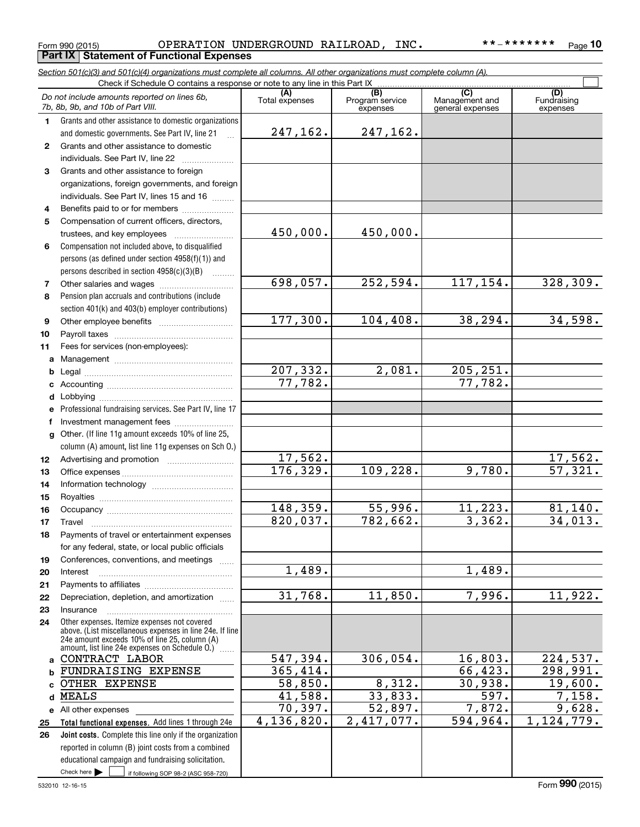Check here

Check here if following SOP 98-2 (ASC 958-720)

### Form 990 (2015) Page OPERATION UNDERGROUND RAILROAD, INC. \*\*‐\*\*\*\*\*\*\***Part IX Statement of Functional Expenses**

*Section 501(c)(3) and 501(c)(4) organizations must complete all columns. All other organizations must complete column (A).*

Check if Schedule O contains a response or note to any line in this Part IX

**10**

 $\mathcal{L}^{\text{max}}$ 

| Do not include amounts reported on lines 6b,<br>7b, 8b, 9b, and 10b of Part VIII. |                                                                                                                                                                                                               | (A)<br>Total expenses  | (B)<br>Program service<br>expenses |                    | (D)<br>Fundraising<br>expenses   |
|-----------------------------------------------------------------------------------|---------------------------------------------------------------------------------------------------------------------------------------------------------------------------------------------------------------|------------------------|------------------------------------|--------------------|----------------------------------|
| 1.                                                                                | Grants and other assistance to domestic organizations                                                                                                                                                         |                        |                                    | general expenses   |                                  |
|                                                                                   | and domestic governments. See Part IV, line 21                                                                                                                                                                | 247,162.               | 247,162.                           |                    |                                  |
| $\mathbf{2}$                                                                      | Grants and other assistance to domestic                                                                                                                                                                       |                        |                                    |                    |                                  |
|                                                                                   | individuals. See Part IV, line 22                                                                                                                                                                             |                        |                                    |                    |                                  |
| 3                                                                                 | Grants and other assistance to foreign                                                                                                                                                                        |                        |                                    |                    |                                  |
|                                                                                   | organizations, foreign governments, and foreign                                                                                                                                                               |                        |                                    |                    |                                  |
|                                                                                   | individuals. See Part IV, lines 15 and 16                                                                                                                                                                     |                        |                                    |                    |                                  |
| 4                                                                                 | Benefits paid to or for members                                                                                                                                                                               |                        |                                    |                    |                                  |
| 5                                                                                 | Compensation of current officers, directors,                                                                                                                                                                  |                        |                                    |                    |                                  |
|                                                                                   | trustees, and key employees                                                                                                                                                                                   | 450,000.               | 450,000.                           |                    |                                  |
| 6                                                                                 | Compensation not included above, to disqualified                                                                                                                                                              |                        |                                    |                    |                                  |
|                                                                                   | persons (as defined under section 4958(f)(1)) and                                                                                                                                                             |                        |                                    |                    |                                  |
|                                                                                   | persons described in section 4958(c)(3)(B)                                                                                                                                                                    |                        |                                    |                    |                                  |
| 7                                                                                 | Other salaries and wages                                                                                                                                                                                      | 698,057.               | 252,594.                           | 117,154.           | 328, 309.                        |
| 8                                                                                 | Pension plan accruals and contributions (include                                                                                                                                                              |                        |                                    |                    |                                  |
|                                                                                   | section 401(k) and 403(b) employer contributions)                                                                                                                                                             |                        |                                    |                    |                                  |
| 9                                                                                 |                                                                                                                                                                                                               | 177,300.               | 104, 408.                          | 38,294.            | 34,598.                          |
| 10                                                                                |                                                                                                                                                                                                               |                        |                                    |                    |                                  |
| 11                                                                                | Fees for services (non-employees):                                                                                                                                                                            |                        |                                    |                    |                                  |
| a                                                                                 |                                                                                                                                                                                                               |                        |                                    |                    |                                  |
| b                                                                                 |                                                                                                                                                                                                               | 207,332.               | $\overline{2,081}$ .               | 205, 251.          |                                  |
| c                                                                                 |                                                                                                                                                                                                               | 77,782.                |                                    | 77,782.            |                                  |
| d                                                                                 |                                                                                                                                                                                                               |                        |                                    |                    |                                  |
| e                                                                                 | Professional fundraising services. See Part IV, line 17                                                                                                                                                       |                        |                                    |                    |                                  |
| f                                                                                 | Investment management fees                                                                                                                                                                                    |                        |                                    |                    |                                  |
| $\mathbf{q}$                                                                      | Other. (If line 11g amount exceeds 10% of line 25,                                                                                                                                                            |                        |                                    |                    |                                  |
|                                                                                   | column (A) amount, list line 11g expenses on Sch O.)                                                                                                                                                          |                        |                                    |                    |                                  |
| 12                                                                                |                                                                                                                                                                                                               | 17,562.<br>176, 329.   |                                    | 9,780.             | 17,562.<br>$\overline{57,321}$ . |
| 13                                                                                |                                                                                                                                                                                                               |                        | 109,228.                           |                    |                                  |
| 14                                                                                |                                                                                                                                                                                                               |                        |                                    |                    |                                  |
| 15                                                                                |                                                                                                                                                                                                               | 148,359.               | <u>55,996.</u>                     | 11,223.            |                                  |
| 16                                                                                |                                                                                                                                                                                                               | 820,037.               | 782,662.                           | 3,362.             | <u>81,140.</u><br>34,013.        |
| 17                                                                                | Travel<br>Payments of travel or entertainment expenses                                                                                                                                                        |                        |                                    |                    |                                  |
| 18                                                                                | for any federal, state, or local public officials                                                                                                                                                             |                        |                                    |                    |                                  |
|                                                                                   | Conferences, conventions, and meetings                                                                                                                                                                        |                        |                                    |                    |                                  |
| 19<br>20                                                                          | Interest                                                                                                                                                                                                      | 1,489.                 |                                    | 1,489.             |                                  |
| 21                                                                                |                                                                                                                                                                                                               |                        |                                    |                    |                                  |
| 22                                                                                | Depreciation, depletion, and amortization                                                                                                                                                                     | 31,768.                | 11,850.                            | 7,996.             | 11,922.                          |
| 23                                                                                | Insurance                                                                                                                                                                                                     |                        |                                    |                    |                                  |
| 24                                                                                | Other expenses. Itemize expenses not covered<br>above. (List miscellaneous expenses in line 24e. If line<br>24e amount exceeds 10% of line 25, column (A)<br>amount, list line 24e expenses on Schedule O.) [ |                        |                                    |                    |                                  |
| a                                                                                 | CONTRACT LABOR                                                                                                                                                                                                | 547,394.               | 306,054.                           | 16,803.            | 224,537.                         |
| b                                                                                 | FUNDRAISING EXPENSE                                                                                                                                                                                           | $\overline{365,414}$ . |                                    | 66,423.            | 298,991.                         |
| C                                                                                 | OTHER EXPENSE                                                                                                                                                                                                 | 58,850.                | 8,312.                             | 30,938.            | 19,600.                          |
| d                                                                                 | <b>MEALS</b>                                                                                                                                                                                                  | 41,588.                | 33,833.                            | $\overline{597}$ . | 7,158.                           |
|                                                                                   | e All other expenses                                                                                                                                                                                          | 70,397.                | 52,897.                            | 7,872.             | 9,628.                           |
| 25                                                                                | Total functional expenses. Add lines 1 through 24e                                                                                                                                                            | 4, 136, 820.           | 2,417,077.                         | 594,964.           | 1, 124, 779.                     |
| 26                                                                                | Joint costs. Complete this line only if the organization                                                                                                                                                      |                        |                                    |                    |                                  |
|                                                                                   | reported in column (B) joint costs from a combined                                                                                                                                                            |                        |                                    |                    |                                  |
|                                                                                   | educational campaign and fundraising solicitation.                                                                                                                                                            |                        |                                    |                    |                                  |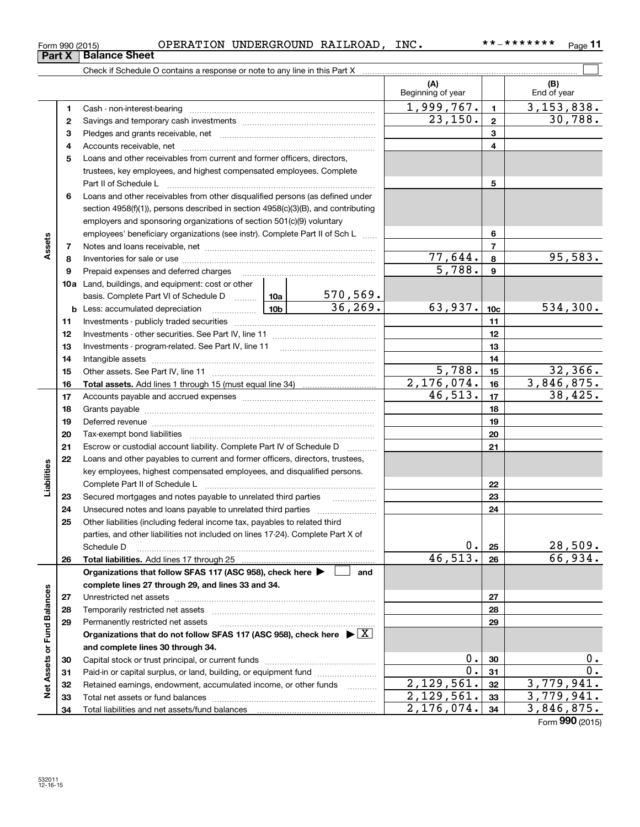|                             |          | OPERATION UNDERGROUND RAILROAD, INC.<br>Form 990 (2015)                                                                                      |            |                          |                          |                | **_*******<br>$P$ ade 11 |
|-----------------------------|----------|----------------------------------------------------------------------------------------------------------------------------------------------|------------|--------------------------|--------------------------|----------------|--------------------------|
|                             | Part $X$ | <b>Balance Sheet</b>                                                                                                                         |            |                          |                          |                |                          |
|                             |          |                                                                                                                                              |            |                          |                          |                |                          |
|                             |          |                                                                                                                                              |            |                          | (A)<br>Beginning of year |                | (B)<br>End of year       |
|                             | 1        | Cash - non-interest-bearing                                                                                                                  |            |                          | 1,999,767.               | $\mathbf{1}$   | $\overline{3,153},838.$  |
|                             | 2        |                                                                                                                                              |            |                          | 23,150.                  | $\overline{2}$ | 30,788.                  |
|                             | з        |                                                                                                                                              |            |                          |                          | 3              |                          |
|                             | 4        |                                                                                                                                              |            | 4                        |                          |                |                          |
|                             | 5        | Loans and other receivables from current and former officers, directors,                                                                     |            |                          |                          |                |                          |
|                             |          | trustees, key employees, and highest compensated employees. Complete<br>Part II of Schedule L                                                |            |                          | 5                        |                |                          |
|                             | 6        | Loans and other receivables from other disqualified persons (as defined under                                                                |            |                          |                          |                |                          |
|                             |          | section 4958(f)(1)), persons described in section 4958(c)(3)(B), and contributing                                                            |            |                          |                          |                |                          |
|                             |          | employers and sponsoring organizations of section 501(c)(9) voluntary                                                                        |            |                          |                          |                |                          |
|                             |          | employees' beneficiary organizations (see instr). Complete Part II of Sch L                                                                  |            | 6                        |                          |                |                          |
| Assets                      | 7        |                                                                                                                                              |            | $\overline{7}$           |                          |                |                          |
|                             | 8        |                                                                                                                                              | 77,644.    | 8                        | 95,583.                  |                |                          |
|                             | 9        | Prepaid expenses and deferred charges                                                                                                        |            |                          | $\overline{5,788}$ .     | 9              |                          |
|                             |          | 10a Land, buildings, and equipment: cost or other                                                                                            |            |                          |                          |                |                          |
|                             |          | basis. Complete Part VI of Schedule D  10a                                                                                                   |            | $\frac{570,569}{36,269}$ |                          |                |                          |
|                             |          |                                                                                                                                              | 63,937.    | 10 <sub>c</sub>          | 534,300.                 |                |                          |
|                             | 11       |                                                                                                                                              |            |                          | 11                       |                |                          |
|                             | 12       |                                                                                                                                              |            | 12                       |                          |                |                          |
|                             | 13       |                                                                                                                                              |            | 13                       |                          |                |                          |
|                             | 14       |                                                                                                                                              |            | 14                       |                          |                |                          |
|                             | 15       |                                                                                                                                              | 5,788.     | 15                       | 32,366.                  |                |                          |
|                             | 16       |                                                                                                                                              |            |                          | $\overline{2,176,074}$ . | 16             | 3,846,875.               |
|                             | 17       |                                                                                                                                              |            |                          | 46,513.                  | 17             | 38,425.                  |
|                             | 18       |                                                                                                                                              |            |                          |                          | 18             |                          |
|                             | 19       | Deferred revenue information and contract the contract of the contract of the contract of the contract of the                                |            |                          |                          | 19             |                          |
|                             | 20       |                                                                                                                                              |            |                          |                          | 20             |                          |
|                             | 21       | Escrow or custodial account liability. Complete Part IV of Schedule D                                                                        |            |                          |                          | 21             |                          |
|                             | 22       | Loans and other payables to current and former officers, directors, trustees,                                                                |            |                          |                          |                |                          |
| ities                       |          | key employees, highest compensated employees, and disqualified persons.                                                                      |            |                          |                          |                |                          |
| Liabil                      |          | Complete Part II of Schedule L                                                                                                               |            |                          |                          | 22             |                          |
|                             | 23       | Secured mortgages and notes payable to unrelated third parties                                                                               |            |                          |                          | 23             |                          |
|                             | 24       | Unsecured notes and loans payable to unrelated third parties                                                                                 |            |                          |                          | 24             |                          |
|                             | 25       | Other liabilities (including federal income tax, payables to related third                                                                   |            |                          |                          |                |                          |
|                             |          | parties, and other liabilities not included on lines 17-24). Complete Part X of                                                              |            |                          |                          |                |                          |
|                             |          | Schedule D                                                                                                                                   |            |                          | $0$ .<br>46,513.         | 25             | 28,509.<br>66,934.       |
|                             | 26       |                                                                                                                                              |            |                          |                          | 26             |                          |
|                             |          | Organizations that follow SFAS 117 (ASC 958), check here ▶                                                                                   |            | and                      |                          |                |                          |
|                             |          | complete lines 27 through 29, and lines 33 and 34.                                                                                           |            |                          |                          |                |                          |
|                             | 27       |                                                                                                                                              |            |                          |                          | 27             |                          |
|                             | 28       | Temporarily restricted net assets                                                                                                            |            |                          |                          | 28             |                          |
|                             | 29       | Permanently restricted net assets<br>Organizations that do not follow SFAS 117 (ASC 958), check here $\blacktriangleright \lfloor X \rfloor$ |            |                          |                          | 29             |                          |
|                             |          | and complete lines 30 through 34.                                                                                                            |            |                          |                          |                |                          |
|                             |          |                                                                                                                                              |            |                          | 0.                       | 30             | 0.                       |
|                             | 30<br>31 | Paid-in or capital surplus, or land, building, or equipment fund                                                                             |            |                          | 0.                       | 31             | 0.                       |
| Net Assets or Fund Balances | 32       | Retained earnings, endowment, accumulated income, or other funds                                                                             |            | .                        | 2,129,561.               | 32             | 3,779,941.               |
|                             | 33       | Total net assets or fund halances                                                                                                            | 29<br>.561 | 33                       |                          |                |                          |

Capital stock or trust principal, or current funds ~~~~~~~~~~~~~~~ Paid-in or capital surplus, or land, building, or equipment fund www.commun.com Retained earnings, endowment, accumulated income, or other funds we have all the Total net assets or fund balances ~~~~~~~~~~~~~~~~~~~~~~

Total liabilities and net assets/fund balances

Form (2015) **990**

2,129,561. 3,779,941. 2,129,561. 3,779,941. 2,176,074. 3,846,875.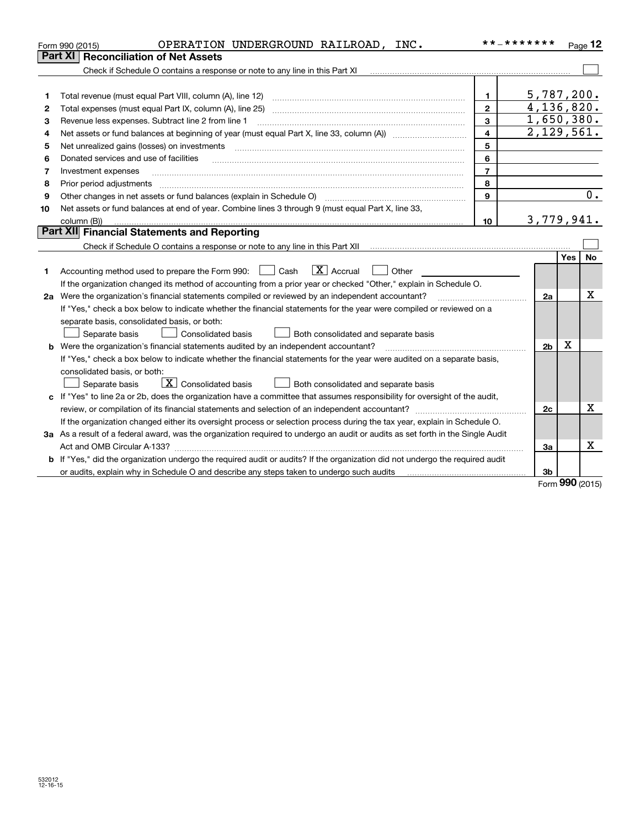| Part XI<br><b>Reconciliation of Net Assets</b><br>Check if Schedule O contains a response or note to any line in this Part XI<br>5,787,200.<br>1<br>1<br>4,136,820.<br>$\mathbf{2}$<br>Total expenses (must equal Part IX, column (A), line 25)<br>2<br>1,650,380.<br>3<br>Revenue less expenses. Subtract line 2 from line 1<br>з<br>2,129,561.<br>$\overline{\mathbf{4}}$<br>4<br>5<br>Net unrealized gains (losses) on investments<br>5<br>6<br>Donated services and use of facilities<br>6<br>$\overline{7}$<br>Investment expenses<br>7<br>8<br>Prior period adjustments<br>8<br>9<br>Other changes in net assets or fund balances (explain in Schedule O)<br>9<br>Net assets or fund balances at end of year. Combine lines 3 through 9 (must equal Part X, line 33,<br>10<br>3,779,941.<br>column (B))<br>10 |    |
|---------------------------------------------------------------------------------------------------------------------------------------------------------------------------------------------------------------------------------------------------------------------------------------------------------------------------------------------------------------------------------------------------------------------------------------------------------------------------------------------------------------------------------------------------------------------------------------------------------------------------------------------------------------------------------------------------------------------------------------------------------------------------------------------------------------------|----|
|                                                                                                                                                                                                                                                                                                                                                                                                                                                                                                                                                                                                                                                                                                                                                                                                                     |    |
|                                                                                                                                                                                                                                                                                                                                                                                                                                                                                                                                                                                                                                                                                                                                                                                                                     |    |
|                                                                                                                                                                                                                                                                                                                                                                                                                                                                                                                                                                                                                                                                                                                                                                                                                     |    |
|                                                                                                                                                                                                                                                                                                                                                                                                                                                                                                                                                                                                                                                                                                                                                                                                                     |    |
|                                                                                                                                                                                                                                                                                                                                                                                                                                                                                                                                                                                                                                                                                                                                                                                                                     |    |
|                                                                                                                                                                                                                                                                                                                                                                                                                                                                                                                                                                                                                                                                                                                                                                                                                     |    |
|                                                                                                                                                                                                                                                                                                                                                                                                                                                                                                                                                                                                                                                                                                                                                                                                                     |    |
|                                                                                                                                                                                                                                                                                                                                                                                                                                                                                                                                                                                                                                                                                                                                                                                                                     |    |
|                                                                                                                                                                                                                                                                                                                                                                                                                                                                                                                                                                                                                                                                                                                                                                                                                     |    |
|                                                                                                                                                                                                                                                                                                                                                                                                                                                                                                                                                                                                                                                                                                                                                                                                                     |    |
|                                                                                                                                                                                                                                                                                                                                                                                                                                                                                                                                                                                                                                                                                                                                                                                                                     |    |
|                                                                                                                                                                                                                                                                                                                                                                                                                                                                                                                                                                                                                                                                                                                                                                                                                     | 0. |
|                                                                                                                                                                                                                                                                                                                                                                                                                                                                                                                                                                                                                                                                                                                                                                                                                     |    |
|                                                                                                                                                                                                                                                                                                                                                                                                                                                                                                                                                                                                                                                                                                                                                                                                                     |    |
| Part XII Financial Statements and Reporting                                                                                                                                                                                                                                                                                                                                                                                                                                                                                                                                                                                                                                                                                                                                                                         |    |
|                                                                                                                                                                                                                                                                                                                                                                                                                                                                                                                                                                                                                                                                                                                                                                                                                     |    |
| Yes                                                                                                                                                                                                                                                                                                                                                                                                                                                                                                                                                                                                                                                                                                                                                                                                                 | No |
| $\boxed{\text{X}}$ Accrual<br>Accounting method used to prepare the Form 990: <u>June</u> Cash<br>Other<br>1                                                                                                                                                                                                                                                                                                                                                                                                                                                                                                                                                                                                                                                                                                        |    |
| If the organization changed its method of accounting from a prior year or checked "Other," explain in Schedule O.                                                                                                                                                                                                                                                                                                                                                                                                                                                                                                                                                                                                                                                                                                   |    |
| 2a Were the organization's financial statements compiled or reviewed by an independent accountant?<br>2a                                                                                                                                                                                                                                                                                                                                                                                                                                                                                                                                                                                                                                                                                                            | х  |
| If "Yes," check a box below to indicate whether the financial statements for the year were compiled or reviewed on a                                                                                                                                                                                                                                                                                                                                                                                                                                                                                                                                                                                                                                                                                                |    |
| separate basis, consolidated basis, or both:                                                                                                                                                                                                                                                                                                                                                                                                                                                                                                                                                                                                                                                                                                                                                                        |    |
| Separate basis<br>Consolidated basis<br>Both consolidated and separate basis                                                                                                                                                                                                                                                                                                                                                                                                                                                                                                                                                                                                                                                                                                                                        |    |
| X<br>Were the organization's financial statements audited by an independent accountant?<br>2 <sub>b</sub><br>b                                                                                                                                                                                                                                                                                                                                                                                                                                                                                                                                                                                                                                                                                                      |    |
| If "Yes," check a box below to indicate whether the financial statements for the year were audited on a separate basis,                                                                                                                                                                                                                                                                                                                                                                                                                                                                                                                                                                                                                                                                                             |    |
| consolidated basis, or both:                                                                                                                                                                                                                                                                                                                                                                                                                                                                                                                                                                                                                                                                                                                                                                                        |    |
| $\boxed{\textbf{X}}$ Consolidated basis<br>Separate basis<br>Both consolidated and separate basis                                                                                                                                                                                                                                                                                                                                                                                                                                                                                                                                                                                                                                                                                                                   |    |
| c If "Yes" to line 2a or 2b, does the organization have a committee that assumes responsibility for oversight of the audit,                                                                                                                                                                                                                                                                                                                                                                                                                                                                                                                                                                                                                                                                                         |    |
| 2c                                                                                                                                                                                                                                                                                                                                                                                                                                                                                                                                                                                                                                                                                                                                                                                                                  | x  |
| If the organization changed either its oversight process or selection process during the tax year, explain in Schedule O.                                                                                                                                                                                                                                                                                                                                                                                                                                                                                                                                                                                                                                                                                           |    |
| 3a As a result of a federal award, was the organization required to undergo an audit or audits as set forth in the Single Audit                                                                                                                                                                                                                                                                                                                                                                                                                                                                                                                                                                                                                                                                                     |    |
| Act and OMB Circular A-133?<br>За                                                                                                                                                                                                                                                                                                                                                                                                                                                                                                                                                                                                                                                                                                                                                                                   | Х  |
| If "Yes," did the organization undergo the required audit or audits? If the organization did not undergo the required audit                                                                                                                                                                                                                                                                                                                                                                                                                                                                                                                                                                                                                                                                                         |    |
| 3b<br>or audits, explain why in Schedule O and describe any steps taken to undergo such audits manufactured content contents and the schedule O and describe and the state of an antistic content of an audit of the state of an ant<br>nnn.                                                                                                                                                                                                                                                                                                                                                                                                                                                                                                                                                                        |    |

Form (2015) **990**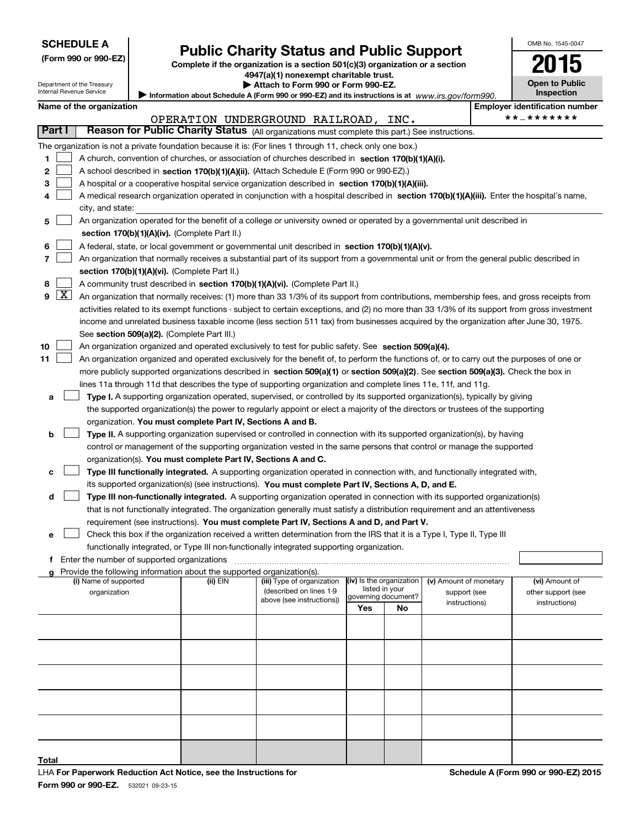| <b>SCHEDULE A</b> |  |
|-------------------|--|
|-------------------|--|

Department of the Treasury Internal Revenue Service

| (Form 990 or 990-EZ) |  |
|----------------------|--|
|----------------------|--|

# **Public Charity Status and Public Support**

**Complete if the organization is a section 501(c)(3) organization or a section 4947(a)(1) nonexempt charitable trust.**

Information about Schedule A (Form 990 or 990-EZ) and its instructions is at *www.irs.gov/form990.* **| Attach to Form 990 or Form 990-EZ.** 

| <b>Open to Public</b><br>Inspection |
|-------------------------------------|
| over identification numbe           |

OMB No. 1545-0047

**2015**

|  |  | Name of the organization |
|--|--|--------------------------|
|--|--|--------------------------|

| Name of the organization                                                                                                                                 |                                                                              | <b>Employer identification number</b> |  |  |  |  |  |  |
|----------------------------------------------------------------------------------------------------------------------------------------------------------|------------------------------------------------------------------------------|---------------------------------------|--|--|--|--|--|--|
| OPERATION UNDERGROUND RAILROAD,<br>INC.                                                                                                                  |                                                                              | **_*******                            |  |  |  |  |  |  |
| Reason for Public Charity Status (All organizations must complete this part.) See instructions.<br>Part I                                                |                                                                              |                                       |  |  |  |  |  |  |
| The organization is not a private foundation because it is: (For lines 1 through 11, check only one box.)                                                |                                                                              |                                       |  |  |  |  |  |  |
| 1<br>A church, convention of churches, or association of churches described in section 170(b)(1)(A)(i).                                                  |                                                                              |                                       |  |  |  |  |  |  |
| $\mathbf{2}$<br>A school described in <b>section 170(b)(1)(A)(ii).</b> (Attach Schedule E (Form 990 or 990-EZ).)                                         |                                                                              |                                       |  |  |  |  |  |  |
| 3<br>A hospital or a cooperative hospital service organization described in section 170(b)(1)(A)(iii).                                                   |                                                                              |                                       |  |  |  |  |  |  |
| A medical research organization operated in conjunction with a hospital described in section 170(b)(1)(A)(iii). Enter the hospital's name,<br>4          |                                                                              |                                       |  |  |  |  |  |  |
| city, and state:                                                                                                                                         |                                                                              |                                       |  |  |  |  |  |  |
| An organization operated for the benefit of a college or university owned or operated by a governmental unit described in<br>5                           |                                                                              |                                       |  |  |  |  |  |  |
| section 170(b)(1)(A)(iv). (Complete Part II.)                                                                                                            |                                                                              |                                       |  |  |  |  |  |  |
| A federal, state, or local government or governmental unit described in section $170(b)(1)(A)(v)$ .<br>6                                                 |                                                                              |                                       |  |  |  |  |  |  |
| 7<br>An organization that normally receives a substantial part of its support from a governmental unit or from the general public described in           |                                                                              |                                       |  |  |  |  |  |  |
| section 170(b)(1)(A)(vi). (Complete Part II.)                                                                                                            |                                                                              |                                       |  |  |  |  |  |  |
| A community trust described in section 170(b)(1)(A)(vi). (Complete Part II.)<br>8                                                                        |                                                                              |                                       |  |  |  |  |  |  |
| $9 \mid X$<br>An organization that normally receives: (1) more than 33 1/3% of its support from contributions, membership fees, and gross receipts from  |                                                                              |                                       |  |  |  |  |  |  |
| activities related to its exempt functions - subject to certain exceptions, and (2) no more than 33 1/3% of its support from gross investment            |                                                                              |                                       |  |  |  |  |  |  |
| income and unrelated business taxable income (less section 511 tax) from businesses acquired by the organization after June 30, 1975.                    |                                                                              |                                       |  |  |  |  |  |  |
| See section 509(a)(2). (Complete Part III.)                                                                                                              |                                                                              |                                       |  |  |  |  |  |  |
| An organization organized and operated exclusively to test for public safety. See section 509(a)(4).<br>10                                               |                                                                              |                                       |  |  |  |  |  |  |
| An organization organized and operated exclusively for the benefit of, to perform the functions of, or to carry out the purposes of one or<br>11         |                                                                              |                                       |  |  |  |  |  |  |
| more publicly supported organizations described in section 509(a)(1) or section 509(a)(2). See section 509(a)(3). Check the box in                       |                                                                              |                                       |  |  |  |  |  |  |
| lines 11a through 11d that describes the type of supporting organization and complete lines 11e, 11f, and 11g.                                           |                                                                              |                                       |  |  |  |  |  |  |
| Type I. A supporting organization operated, supervised, or controlled by its supported organization(s), typically by giving<br>a                         |                                                                              |                                       |  |  |  |  |  |  |
| the supported organization(s) the power to regularly appoint or elect a majority of the directors or trustees of the supporting                          |                                                                              |                                       |  |  |  |  |  |  |
| organization. You must complete Part IV, Sections A and B.                                                                                               |                                                                              |                                       |  |  |  |  |  |  |
| Type II. A supporting organization supervised or controlled in connection with its supported organization(s), by having<br>b                             |                                                                              |                                       |  |  |  |  |  |  |
| control or management of the supporting organization vested in the same persons that control or manage the supported                                     |                                                                              |                                       |  |  |  |  |  |  |
| organization(s). You must complete Part IV, Sections A and C.                                                                                            |                                                                              |                                       |  |  |  |  |  |  |
| Type III functionally integrated. A supporting organization operated in connection with, and functionally integrated with,<br>с                          |                                                                              |                                       |  |  |  |  |  |  |
| its supported organization(s) (see instructions). You must complete Part IV, Sections A, D, and E.                                                       |                                                                              |                                       |  |  |  |  |  |  |
| Type III non-functionally integrated. A supporting organization operated in connection with its supported organization(s)<br>d                           |                                                                              |                                       |  |  |  |  |  |  |
| that is not functionally integrated. The organization generally must satisfy a distribution requirement and an attentiveness                             |                                                                              |                                       |  |  |  |  |  |  |
| requirement (see instructions). You must complete Part IV, Sections A and D, and Part V.                                                                 |                                                                              |                                       |  |  |  |  |  |  |
| Check this box if the organization received a written determination from the IRS that it is a Type I, Type II, Type III<br>е                             |                                                                              |                                       |  |  |  |  |  |  |
| functionally integrated, or Type III non-functionally integrated supporting organization.                                                                |                                                                              |                                       |  |  |  |  |  |  |
| Enter the number of supported organizations                                                                                                              |                                                                              |                                       |  |  |  |  |  |  |
| Provide the following information about the supported organization(s).                                                                                   |                                                                              |                                       |  |  |  |  |  |  |
| (iv) Is the organization<br>(i) Name of supported<br>(ii) EIN<br>(iii) Type of organization<br>listed in your<br>(described on lines 1-9<br>organization | (v) Amount of monetary<br>support (see                                       | (vi) Amount of<br>other support (see  |  |  |  |  |  |  |
| governing document?<br>above (see instructions))                                                                                                         | $in \rightarrow \rightarrow \rightarrow \rightarrow \rightarrow \rightarrow$ | $int + u + i = h$                     |  |  |  |  |  |  |

| (i) ivalue of supported<br>organization | צוום נווי | (iii) i ype or organization<br>(described on lines 1-9<br>above (see instructions)) | $\mathbb{R}$ is the vigalization<br>listed in your<br>governing document? |    | <b>(V)</b> Alliount of morretary<br>support (see | <b>(VI)</b> Allioulit Of<br>other support (see |  |
|-----------------------------------------|-----------|-------------------------------------------------------------------------------------|---------------------------------------------------------------------------|----|--------------------------------------------------|------------------------------------------------|--|
|                                         |           |                                                                                     | Yes                                                                       | No | instructions)                                    | instructions)                                  |  |
|                                         |           |                                                                                     |                                                                           |    |                                                  |                                                |  |
|                                         |           |                                                                                     |                                                                           |    |                                                  |                                                |  |
|                                         |           |                                                                                     |                                                                           |    |                                                  |                                                |  |
|                                         |           |                                                                                     |                                                                           |    |                                                  |                                                |  |
|                                         |           |                                                                                     |                                                                           |    |                                                  |                                                |  |
|                                         |           |                                                                                     |                                                                           |    |                                                  |                                                |  |
|                                         |           |                                                                                     |                                                                           |    |                                                  |                                                |  |
| Total                                   |           |                                                                                     |                                                                           |    |                                                  |                                                |  |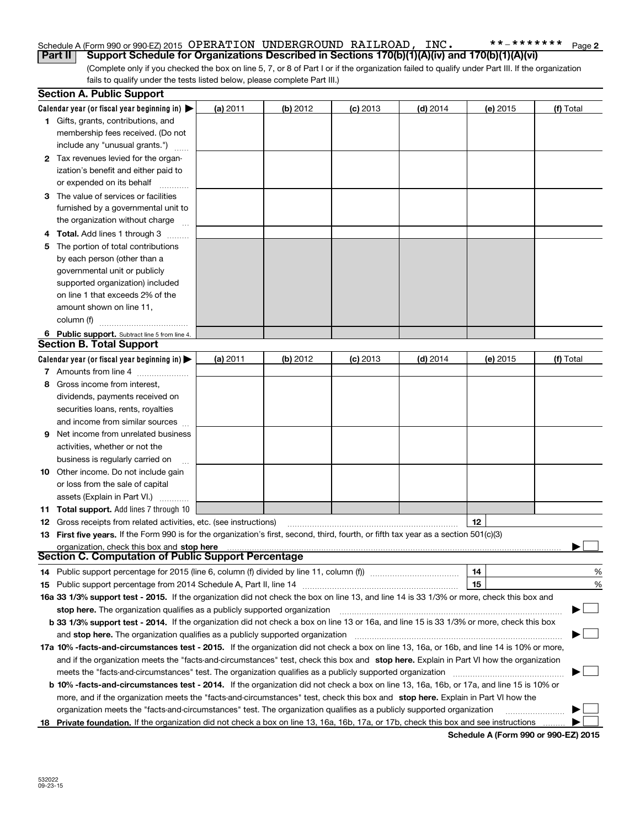### Schedule A (Form 990 or 990-EZ) 2015 Page OPERATION UNDERGROUND RAILROAD, INC. \*\*‐\*\*\*\*\*\*\***Part II Support Schedule for Organizations Described in Sections 170(b)(1)(A)(iv) and 170(b)(1)(A)(vi)**

(Complete only if you checked the box on line 5, 7, or 8 of Part I or if the organization failed to qualify under Part III. If the organization fails to qualify under the tests listed below, please complete Part III.)

|    | <b>Section A. Public Support</b>                                                                                                               |          |          |            |            |          |           |
|----|------------------------------------------------------------------------------------------------------------------------------------------------|----------|----------|------------|------------|----------|-----------|
|    | Calendar year (or fiscal year beginning in) $\blacktriangleright$                                                                              | (a) 2011 | (b) 2012 | $(c)$ 2013 | $(d)$ 2014 | (e) 2015 | (f) Total |
|    | 1 Gifts, grants, contributions, and                                                                                                            |          |          |            |            |          |           |
|    | membership fees received. (Do not                                                                                                              |          |          |            |            |          |           |
|    | include any "unusual grants.")                                                                                                                 |          |          |            |            |          |           |
|    | 2 Tax revenues levied for the organ-                                                                                                           |          |          |            |            |          |           |
|    | ization's benefit and either paid to                                                                                                           |          |          |            |            |          |           |
|    | or expended on its behalf                                                                                                                      |          |          |            |            |          |           |
|    | 3 The value of services or facilities                                                                                                          |          |          |            |            |          |           |
|    | furnished by a governmental unit to                                                                                                            |          |          |            |            |          |           |
|    | the organization without charge                                                                                                                |          |          |            |            |          |           |
|    | 4 Total. Add lines 1 through 3                                                                                                                 |          |          |            |            |          |           |
| 5. | The portion of total contributions                                                                                                             |          |          |            |            |          |           |
|    | by each person (other than a                                                                                                                   |          |          |            |            |          |           |
|    | governmental unit or publicly                                                                                                                  |          |          |            |            |          |           |
|    | supported organization) included                                                                                                               |          |          |            |            |          |           |
|    | on line 1 that exceeds 2% of the                                                                                                               |          |          |            |            |          |           |
|    | amount shown on line 11,                                                                                                                       |          |          |            |            |          |           |
|    | column (f)                                                                                                                                     |          |          |            |            |          |           |
|    | 6 Public support. Subtract line 5 from line 4.                                                                                                 |          |          |            |            |          |           |
|    | <b>Section B. Total Support</b>                                                                                                                |          |          |            |            |          |           |
|    | Calendar year (or fiscal year beginning in) $\blacktriangleright$                                                                              | (a) 2011 | (b) 2012 | $(c)$ 2013 | $(d)$ 2014 | (e) 2015 | (f) Total |
|    | 7 Amounts from line 4                                                                                                                          |          |          |            |            |          |           |
| 8  | Gross income from interest,                                                                                                                    |          |          |            |            |          |           |
|    | dividends, payments received on                                                                                                                |          |          |            |            |          |           |
|    | securities loans, rents, royalties                                                                                                             |          |          |            |            |          |           |
|    | and income from similar sources                                                                                                                |          |          |            |            |          |           |
|    | <b>9</b> Net income from unrelated business                                                                                                    |          |          |            |            |          |           |
|    | activities, whether or not the                                                                                                                 |          |          |            |            |          |           |
|    | business is regularly carried on                                                                                                               |          |          |            |            |          |           |
|    | <b>10</b> Other income. Do not include gain                                                                                                    |          |          |            |            |          |           |
|    | or loss from the sale of capital                                                                                                               |          |          |            |            |          |           |
|    | assets (Explain in Part VI.)                                                                                                                   |          |          |            |            |          |           |
|    | <b>11 Total support.</b> Add lines 7 through 10                                                                                                |          |          |            |            |          |           |
|    | <b>12</b> Gross receipts from related activities, etc. (see instructions)                                                                      |          |          |            |            | 12       |           |
|    | 13 First five years. If the Form 990 is for the organization's first, second, third, fourth, or fifth tax year as a section 501(c)(3)          |          |          |            |            |          |           |
|    | organization, check this box and stop here                                                                                                     |          |          |            |            |          |           |
|    | Section C. Computation of Public Support Percentage                                                                                            |          |          |            |            |          |           |
|    | 14 Public support percentage for 2015 (line 6, column (f) divided by line 11, column (f) <i>mummumumum</i>                                     |          |          |            |            | 14       | %         |
|    |                                                                                                                                                |          |          |            |            | 15       | %         |
|    | 16a 33 1/3% support test - 2015. If the organization did not check the box on line 13, and line 14 is 33 1/3% or more, check this box and      |          |          |            |            |          |           |
|    | stop here. The organization qualifies as a publicly supported organization                                                                     |          |          |            |            |          | ▔▁」       |
|    | b 33 1/3% support test - 2014. If the organization did not check a box on line 13 or 16a, and line 15 is 33 1/3% or more, check this box       |          |          |            |            |          |           |
|    | and stop here. The organization qualifies as a publicly supported organization                                                                 |          |          |            |            |          |           |
|    | 17a 10% -facts-and-circumstances test - 2015. If the organization did not check a box on line 13, 16a, or 16b, and line 14 is 10% or more,     |          |          |            |            |          |           |
|    | and if the organization meets the "facts-and-circumstances" test, check this box and stop here. Explain in Part VI how the organization        |          |          |            |            |          |           |
|    | meets the "facts-and-circumstances" test. The organization qualifies as a publicly supported organization                                      |          |          |            |            |          |           |
|    | <b>b 10% -facts-and-circumstances test - 2014.</b> If the organization did not check a box on line 13, 16a, 16b, or 17a, and line 15 is 10% or |          |          |            |            |          |           |
|    | more, and if the organization meets the "facts-and-circumstances" test, check this box and stop here. Explain in Part VI how the               |          |          |            |            |          |           |
|    | organization meets the "facts-and-circumstances" test. The organization qualifies as a publicly supported organization                         |          |          |            |            |          |           |
|    | 18 Private foundation. If the organization did not check a box on line 13, 16a, 16b, 17a, or 17b, check this box and see instructions          |          |          |            |            |          |           |

**Schedule A (Form 990 or 990-EZ) 2015**

**2**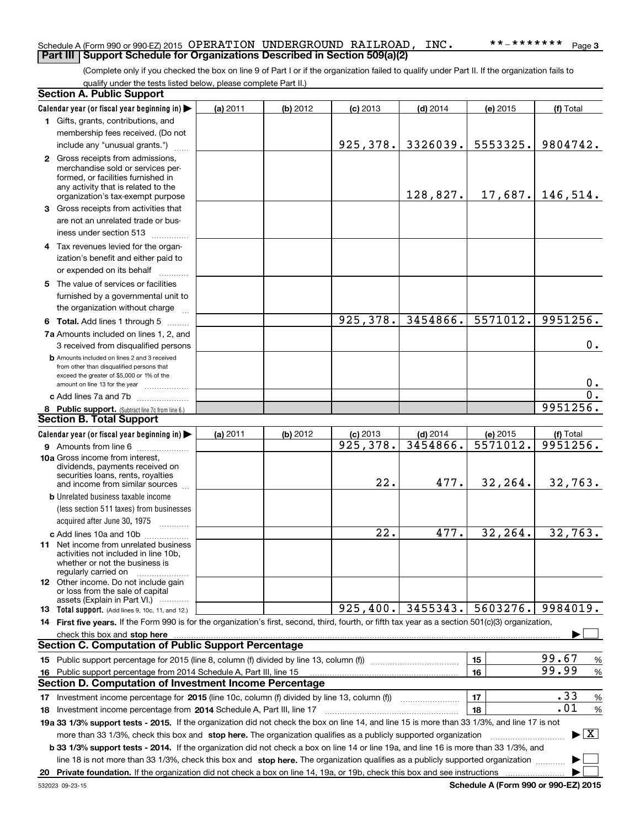## Schedule A (Form 990 or 990-EZ) 2015 Page OPERATION UNDERGROUND RAILROAD, INC. \*\*‐\*\*\*\*\*\*\* **Part III Support Schedule for Organizations Described in Section 509(a)(2)**

(Complete only if you checked the box on line 9 of Part I or if the organization failed to qualify under Part II. If the organization fails to qualify under the tests listed below, please complete Part II.)

|    | <b>Section A. Public Support</b>                                                                                                                    |          |          |            |            |          |                                          |  |  |  |
|----|-----------------------------------------------------------------------------------------------------------------------------------------------------|----------|----------|------------|------------|----------|------------------------------------------|--|--|--|
|    | Calendar year (or fiscal year beginning in)                                                                                                         | (a) 2011 | (b) 2012 | $(c)$ 2013 | $(d)$ 2014 | (e) 2015 | (f) Total                                |  |  |  |
|    | 1 Gifts, grants, contributions, and                                                                                                                 |          |          |            |            |          |                                          |  |  |  |
|    | membership fees received. (Do not                                                                                                                   |          |          |            |            |          |                                          |  |  |  |
|    | include any "unusual grants.")                                                                                                                      |          |          | 925,378.   | 3326039.   | 5553325. | 9804742.                                 |  |  |  |
|    | 2 Gross receipts from admissions,                                                                                                                   |          |          |            |            |          |                                          |  |  |  |
|    | merchandise sold or services per-                                                                                                                   |          |          |            |            |          |                                          |  |  |  |
|    | formed, or facilities furnished in                                                                                                                  |          |          |            |            |          |                                          |  |  |  |
|    | any activity that is related to the<br>organization's tax-exempt purpose                                                                            |          |          |            | 128,827.   | 17,687.  | 146,514.                                 |  |  |  |
|    | 3 Gross receipts from activities that                                                                                                               |          |          |            |            |          |                                          |  |  |  |
|    | are not an unrelated trade or bus-                                                                                                                  |          |          |            |            |          |                                          |  |  |  |
|    | iness under section 513                                                                                                                             |          |          |            |            |          |                                          |  |  |  |
|    |                                                                                                                                                     |          |          |            |            |          |                                          |  |  |  |
|    | 4 Tax revenues levied for the organ-                                                                                                                |          |          |            |            |          |                                          |  |  |  |
|    | ization's benefit and either paid to                                                                                                                |          |          |            |            |          |                                          |  |  |  |
|    | or expended on its behalf                                                                                                                           |          |          |            |            |          |                                          |  |  |  |
|    | 5 The value of services or facilities                                                                                                               |          |          |            |            |          |                                          |  |  |  |
|    | furnished by a governmental unit to                                                                                                                 |          |          |            |            |          |                                          |  |  |  |
|    | the organization without charge                                                                                                                     |          |          |            |            |          |                                          |  |  |  |
|    | <b>6 Total.</b> Add lines 1 through 5                                                                                                               |          |          | 925,378.   | 3454866.   | 5571012. | 9951256.                                 |  |  |  |
|    | 7a Amounts included on lines 1, 2, and                                                                                                              |          |          |            |            |          |                                          |  |  |  |
|    | 3 received from disqualified persons                                                                                                                |          |          |            |            |          | 0.                                       |  |  |  |
|    | <b>b</b> Amounts included on lines 2 and 3 received                                                                                                 |          |          |            |            |          |                                          |  |  |  |
|    | from other than disqualified persons that                                                                                                           |          |          |            |            |          |                                          |  |  |  |
|    | exceed the greater of \$5,000 or 1% of the<br>amount on line 13 for the year                                                                        |          |          |            |            |          | $0$ .                                    |  |  |  |
|    | c Add lines 7a and 7b                                                                                                                               |          |          |            |            |          | 0.                                       |  |  |  |
|    | 8 Public support. (Subtract line 7c from line 6.)                                                                                                   |          |          | 9951256.   |            |          |                                          |  |  |  |
|    | <b>Section B. Total Support</b>                                                                                                                     |          |          |            |            |          |                                          |  |  |  |
|    | Calendar year (or fiscal year beginning in)                                                                                                         | (a) 2011 | (b) 2012 | $(c)$ 2013 | $(d)$ 2014 | (e) 2015 | (f) Total                                |  |  |  |
|    | 9 Amounts from line 6                                                                                                                               |          |          | 925, 378.  | 3454866.   | 5571012. | 9951256.                                 |  |  |  |
|    | 10a Gross income from interest,                                                                                                                     |          |          |            |            |          |                                          |  |  |  |
|    | dividends, payments received on                                                                                                                     |          |          |            |            |          |                                          |  |  |  |
|    | securities loans, rents, royalties                                                                                                                  |          |          | 22.        | 477.       | 32,264.  | 32,763.                                  |  |  |  |
|    | and income from similar sources                                                                                                                     |          |          |            |            |          |                                          |  |  |  |
|    | <b>b</b> Unrelated business taxable income                                                                                                          |          |          |            |            |          |                                          |  |  |  |
|    | (less section 511 taxes) from businesses                                                                                                            |          |          |            |            |          |                                          |  |  |  |
|    |                                                                                                                                                     |          |          |            |            |          |                                          |  |  |  |
|    | c Add lines 10a and 10b                                                                                                                             |          |          | 22.        | 477.       | 32,264.  | 32,763.                                  |  |  |  |
|    | 11 Net income from unrelated business<br>activities not included in line 10b,                                                                       |          |          |            |            |          |                                          |  |  |  |
|    | whether or not the business is                                                                                                                      |          |          |            |            |          |                                          |  |  |  |
|    | regularly carried on                                                                                                                                |          |          |            |            |          |                                          |  |  |  |
|    | 12 Other income. Do not include gain<br>or loss from the sale of capital                                                                            |          |          |            |            |          |                                          |  |  |  |
|    | assets (Explain in Part VI.)                                                                                                                        |          |          |            |            |          |                                          |  |  |  |
|    | 13 Total support. (Add lines 9, 10c, 11, and 12.)                                                                                                   |          |          | 925, 400.  | 3455343.   | 5603276. | 9984019.                                 |  |  |  |
|    | 14 First five years. If the Form 990 is for the organization's first, second, third, fourth, or fifth tax year as a section 501(c)(3) organization, |          |          |            |            |          |                                          |  |  |  |
|    | check this box and stop here <b>with the contract of the contract of the state of the state of state and stop here</b>                              |          |          |            |            |          |                                          |  |  |  |
|    | <b>Section C. Computation of Public Support Percentage</b>                                                                                          |          |          |            |            |          |                                          |  |  |  |
|    |                                                                                                                                                     |          |          |            |            | 15       | 99.67<br>%                               |  |  |  |
|    | 16 Public support percentage from 2014 Schedule A, Part III, line 15                                                                                |          |          |            |            | 16       | 99.99<br>$\%$                            |  |  |  |
|    | <b>Section D. Computation of Investment Income Percentage</b>                                                                                       |          |          |            |            |          |                                          |  |  |  |
|    | .33<br>17<br>$\%$<br>17 Investment income percentage for 2015 (line 10c, column (f) divided by line 13, column (f))                                 |          |          |            |            |          |                                          |  |  |  |
|    | .01<br>$\%$<br>18<br>18 Investment income percentage from 2014 Schedule A, Part III, line 17                                                        |          |          |            |            |          |                                          |  |  |  |
|    | 19a 33 1/3% support tests - 2015. If the organization did not check the box on line 14, and line 15 is more than 33 1/3%, and line 17 is not        |          |          |            |            |          |                                          |  |  |  |
|    | more than 33 1/3%, check this box and stop here. The organization qualifies as a publicly supported organization                                    |          |          |            |            |          | $\blacktriangleright$ $\boxed{\text{X}}$ |  |  |  |
|    | b 33 1/3% support tests - 2014. If the organization did not check a box on line 14 or line 19a, and line 16 is more than 33 1/3%, and               |          |          |            |            |          |                                          |  |  |  |
|    |                                                                                                                                                     |          |          |            |            |          |                                          |  |  |  |
|    | line 18 is not more than 33 1/3%, check this box and stop here. The organization qualifies as a publicly supported organization                     |          |          |            |            |          |                                          |  |  |  |
| 20 |                                                                                                                                                     |          |          |            |            |          |                                          |  |  |  |

**Schedule A (Form 990 or 990-EZ) 2015**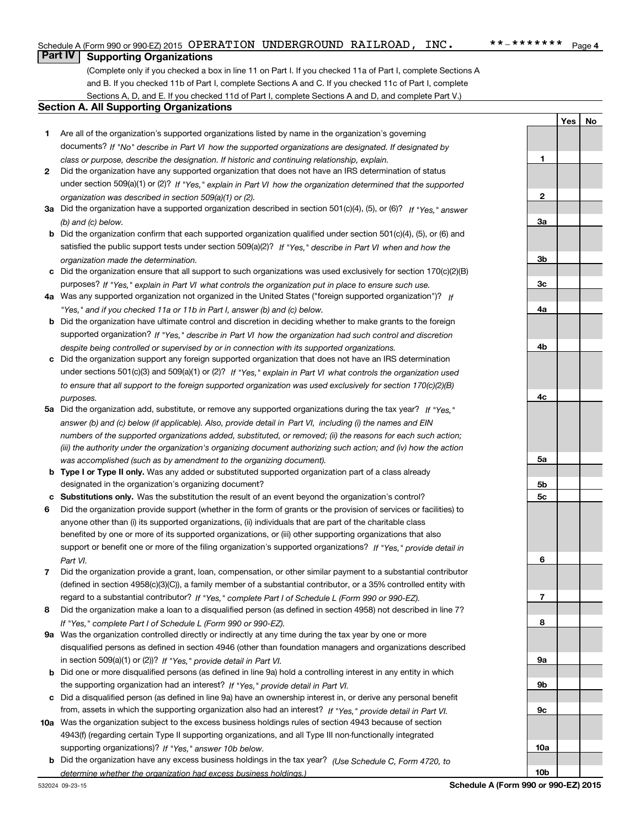**1**

**2**

**3a**

**3b**

**3c**

**4a**

**4b**

**4c**

**5a**

**5b5c**

**6**

**7**

**8**

**9a**

**9b**

**9c**

**10a**

**10b**

**YesNo**

## **Part IV Supporting Organizations**

(Complete only if you checked a box in line 11 on Part I. If you checked 11a of Part I, complete Sections A and B. If you checked 11b of Part I, complete Sections A and C. If you checked 11c of Part I, complete Sections A, D, and E. If you checked 11d of Part I, complete Sections A and D, and complete Part V.)

## **Section A. All Supporting Organizations**

- **1** Are all of the organization's supported organizations listed by name in the organization's governing *If "No" describe in how the supported organizations are designated. If designated by* documents? *Part VI class or purpose, describe the designation. If historic and continuing relationship, explain.*
- **2** Did the organization have any supported organization that does not have an IRS determination of status under section 509(a)(1) or (2)? If "Yes," explain in Part VI how the organization determined that the supported *organization was described in section 509(a)(1) or (2).*
- **3a** Did the organization have a supported organization described in section 501(c)(4), (5), or (6)? If "Yes," answer *(b) and (c) below.*
- **b** Did the organization confirm that each supported organization qualified under section 501(c)(4), (5), or (6) and satisfied the public support tests under section 509(a)(2)? If "Yes," describe in Part VI when and how the *organization made the determination.*
- **c**Did the organization ensure that all support to such organizations was used exclusively for section 170(c)(2)(B) purposes? If "Yes," explain in Part VI what controls the organization put in place to ensure such use.
- **4a***If* Was any supported organization not organized in the United States ("foreign supported organization")? *"Yes," and if you checked 11a or 11b in Part I, answer (b) and (c) below.*
- **b** Did the organization have ultimate control and discretion in deciding whether to make grants to the foreign supported organization? If "Yes," describe in Part VI how the organization had such control and discretion *despite being controlled or supervised by or in connection with its supported organizations.*
- **c** Did the organization support any foreign supported organization that does not have an IRS determination under sections 501(c)(3) and 509(a)(1) or (2)? If "Yes," explain in Part VI what controls the organization used *to ensure that all support to the foreign supported organization was used exclusively for section 170(c)(2)(B) purposes.*
- **5a***If "Yes,"* Did the organization add, substitute, or remove any supported organizations during the tax year? answer (b) and (c) below (if applicable). Also, provide detail in Part VI, including (i) the names and EIN *numbers of the supported organizations added, substituted, or removed; (ii) the reasons for each such action; (iii) the authority under the organization's organizing document authorizing such action; and (iv) how the action was accomplished (such as by amendment to the organizing document).*
- **b** Type I or Type II only. Was any added or substituted supported organization part of a class already designated in the organization's organizing document?
- **cSubstitutions only.**  Was the substitution the result of an event beyond the organization's control?
- **6** Did the organization provide support (whether in the form of grants or the provision of services or facilities) to *If "Yes," provide detail in* support or benefit one or more of the filing organization's supported organizations? anyone other than (i) its supported organizations, (ii) individuals that are part of the charitable class benefited by one or more of its supported organizations, or (iii) other supporting organizations that also *Part VI.*
- **7**Did the organization provide a grant, loan, compensation, or other similar payment to a substantial contributor *If "Yes," complete Part I of Schedule L (Form 990 or 990-EZ).* regard to a substantial contributor? (defined in section 4958(c)(3)(C)), a family member of a substantial contributor, or a 35% controlled entity with
- **8** Did the organization make a loan to a disqualified person (as defined in section 4958) not described in line 7? *If "Yes," complete Part I of Schedule L (Form 990 or 990-EZ).*
- **9a** Was the organization controlled directly or indirectly at any time during the tax year by one or more in section 509(a)(1) or (2))? If "Yes," *provide detail in Part VI.* disqualified persons as defined in section 4946 (other than foundation managers and organizations described
- **b** Did one or more disqualified persons (as defined in line 9a) hold a controlling interest in any entity in which the supporting organization had an interest? If "Yes," provide detail in Part VI.
- **c**Did a disqualified person (as defined in line 9a) have an ownership interest in, or derive any personal benefit from, assets in which the supporting organization also had an interest? If "Yes," provide detail in Part VI.
- **10a** Was the organization subject to the excess business holdings rules of section 4943 because of section supporting organizations)? If "Yes," answer 10b below. 4943(f) (regarding certain Type II supporting organizations, and all Type III non-functionally integrated
- **b** Did the organization have any excess business holdings in the tax year? (Use Schedule C, Form 4720, to *determine whether the organization had excess business holdings.)*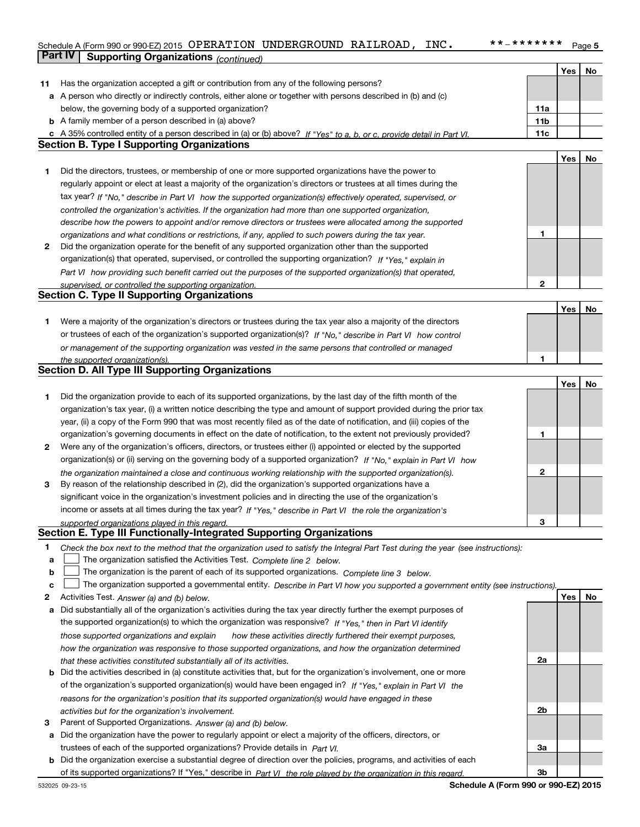## Schedule A (Form 990 or 990-EZ) 2015 Page OPERATION UNDERGROUND RAILROAD, INC. \*\*‐\*\*\*\*\*\*\***Part IV** Supporting Organizations (*continued*)

|    |                                                                                                                                   |                 | Yes | No |
|----|-----------------------------------------------------------------------------------------------------------------------------------|-----------------|-----|----|
|    | 11 Has the organization accepted a gift or contribution from any of the following persons?                                        |                 |     |    |
|    | a A person who directly or indirectly controls, either alone or together with persons described in (b) and (c)                    |                 |     |    |
|    | below, the governing body of a supported organization?                                                                            | 11a             |     |    |
|    | <b>b</b> A family member of a person described in (a) above?                                                                      | 11 <sub>b</sub> |     |    |
|    | c A 35% controlled entity of a person described in (a) or (b) above? If "Yes" to a, b, or c, provide detail in Part VI.           | 11c             |     |    |
|    | <b>Section B. Type I Supporting Organizations</b>                                                                                 |                 |     |    |
|    |                                                                                                                                   |                 | Yes | No |
| 1  | Did the directors, trustees, or membership of one or more supported organizations have the power to                               |                 |     |    |
|    | regularly appoint or elect at least a majority of the organization's directors or trustees at all times during the                |                 |     |    |
|    | tax year? If "No," describe in Part VI how the supported organization(s) effectively operated, supervised, or                     |                 |     |    |
|    | controlled the organization's activities. If the organization had more than one supported organization,                           |                 |     |    |
|    | describe how the powers to appoint and/or remove directors or trustees were allocated among the supported                         |                 |     |    |
|    | organizations and what conditions or restrictions, if any, applied to such powers during the tax year.                            | 1               |     |    |
| 2  | Did the organization operate for the benefit of any supported organization other than the supported                               |                 |     |    |
|    | organization(s) that operated, supervised, or controlled the supporting organization? If "Yes," explain in                        |                 |     |    |
|    |                                                                                                                                   |                 |     |    |
|    | Part VI how providing such benefit carried out the purposes of the supported organization(s) that operated,                       |                 |     |    |
|    | supervised, or controlled the supporting organization.<br><b>Section C. Type II Supporting Organizations</b>                      | 2               |     |    |
|    |                                                                                                                                   |                 |     |    |
|    |                                                                                                                                   |                 | Yes | No |
| 1. | Were a majority of the organization's directors or trustees during the tax year also a majority of the directors                  |                 |     |    |
|    | or trustees of each of the organization's supported organization(s)? If "No," describe in Part VI how control                     |                 |     |    |
|    | or management of the supporting organization was vested in the same persons that controlled or managed                            |                 |     |    |
|    | the supported organization(s).                                                                                                    | 1               |     |    |
|    | Section D. All Type III Supporting Organizations                                                                                  |                 |     |    |
|    |                                                                                                                                   |                 | Yes | No |
| 1  | Did the organization provide to each of its supported organizations, by the last day of the fifth month of the                    |                 |     |    |
|    | organization's tax year, (i) a written notice describing the type and amount of support provided during the prior tax             |                 |     |    |
|    | year, (ii) a copy of the Form 990 that was most recently filed as of the date of notification, and (iii) copies of the            |                 |     |    |
|    | organization's governing documents in effect on the date of notification, to the extent not previously provided?                  | 1               |     |    |
| 2  | Were any of the organization's officers, directors, or trustees either (i) appointed or elected by the supported                  |                 |     |    |
|    | organization(s) or (ii) serving on the governing body of a supported organization? If "No," explain in Part VI how                |                 |     |    |
|    | the organization maintained a close and continuous working relationship with the supported organization(s).                       | $\mathbf{2}$    |     |    |
| 3  | By reason of the relationship described in (2), did the organization's supported organizations have a                             |                 |     |    |
|    | significant voice in the organization's investment policies and in directing the use of the organization's                        |                 |     |    |
|    | income or assets at all times during the tax year? If "Yes," describe in Part VI the role the organization's                      |                 |     |    |
|    | supported organizations played in this regard.                                                                                    | 3               |     |    |
|    | Section E. Type III Functionally-Integrated Supporting Organizations                                                              |                 |     |    |
| 1  | Check the box next to the method that the organization used to satisfy the Integral Part Test during the year (see instructions): |                 |     |    |
| a  | The organization satisfied the Activities Test. Complete line 2 below.                                                            |                 |     |    |
| b  | The organization is the parent of each of its supported organizations. Complete line 3 below.                                     |                 |     |    |
| c  | The organization supported a governmental entity. Describe in Part VI how you supported a government entity (see instructions).   |                 |     |    |
| 2  | Activities Test. Answer (a) and (b) below.                                                                                        |                 | Yes | No |
| а  | Did substantially all of the organization's activities during the tax year directly further the exempt purposes of                |                 |     |    |
|    | the supported organization(s) to which the organization was responsive? If "Yes," then in Part VI identify                        |                 |     |    |
|    |                                                                                                                                   |                 |     |    |
|    | those supported organizations and explain<br>how these activities directly furthered their exempt purposes,                       |                 |     |    |
|    | how the organization was responsive to those supported organizations, and how the organization determined                         |                 |     |    |
|    | that these activities constituted substantially all of its activities.                                                            | 2a              |     |    |
|    | <b>b</b> Did the activities described in (a) constitute activities that, but for the organization's involvement, one or more      |                 |     |    |
|    | of the organization's supported organization(s) would have been engaged in? If "Yes," explain in Part VI the                      |                 |     |    |
|    | reasons for the organization's position that its supported organization(s) would have engaged in these                            |                 |     |    |
|    | activities but for the organization's involvement.                                                                                | 2b              |     |    |
| 3  | Parent of Supported Organizations. Answer (a) and (b) below.                                                                      |                 |     |    |
|    | a Did the organization have the power to regularly appoint or elect a majority of the officers, directors, or                     |                 |     |    |
|    | trustees of each of the supported organizations? Provide details in Part VI.                                                      | За              |     |    |
|    | <b>b</b> Did the organization exercise a substantial degree of direction over the policies, programs, and activities of each      |                 |     |    |
|    | of its supported organizations? If "Yes," describe in Part VI the role played by the organization in this regard.                 | 3b              |     |    |

**Schedule A (Form 990 or 990-EZ) 2015**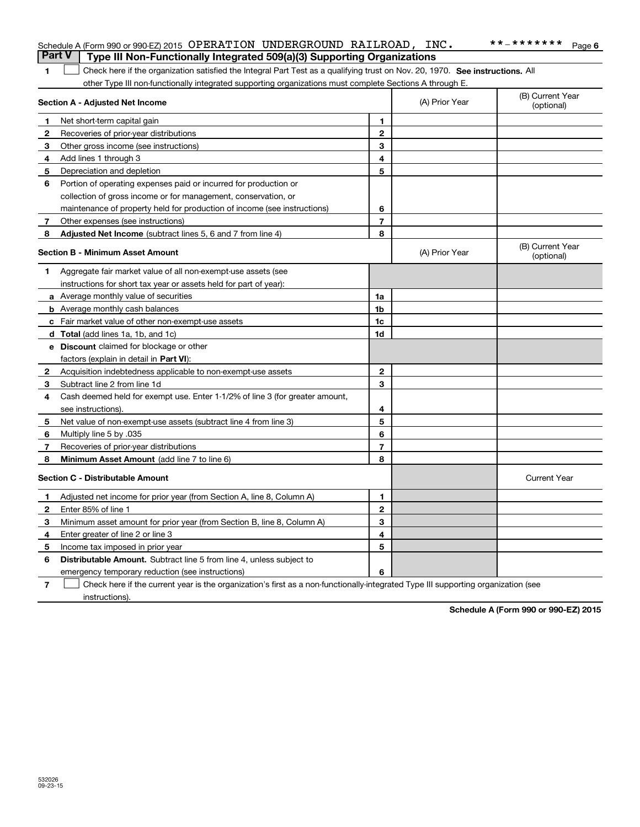|                | <b>Part V</b><br>Type III Non-Functionally Integrated 509(a)(3) Supporting Organizations                                          |                |                |                                |
|----------------|-----------------------------------------------------------------------------------------------------------------------------------|----------------|----------------|--------------------------------|
| 1.             | Check here if the organization satisfied the Integral Part Test as a qualifying trust on Nov. 20, 1970. See instructions. All     |                |                |                                |
|                | other Type III non-functionally integrated supporting organizations must complete Sections A through E.                           |                |                |                                |
|                | Section A - Adjusted Net Income                                                                                                   |                | (A) Prior Year | (B) Current Year<br>(optional) |
| 1              | Net short-term capital gain                                                                                                       | $\mathbf{1}$   |                |                                |
| 2              | Recoveries of prior-year distributions                                                                                            | $\mathbf{2}$   |                |                                |
| З              | Other gross income (see instructions)                                                                                             | 3              |                |                                |
| 4              | Add lines 1 through 3                                                                                                             | 4              |                |                                |
| 5              | Depreciation and depletion                                                                                                        | 5              |                |                                |
| 6              | Portion of operating expenses paid or incurred for production or                                                                  |                |                |                                |
|                | collection of gross income or for management, conservation, or                                                                    |                |                |                                |
|                | maintenance of property held for production of income (see instructions)                                                          | 6              |                |                                |
| 7              | Other expenses (see instructions)                                                                                                 | $\overline{7}$ |                |                                |
| 8              | <b>Adjusted Net Income</b> (subtract lines 5, 6 and 7 from line 4)                                                                | 8              |                |                                |
|                | <b>Section B - Minimum Asset Amount</b>                                                                                           |                | (A) Prior Year | (B) Current Year<br>(optional) |
| 1              | Aggregate fair market value of all non-exempt-use assets (see                                                                     |                |                |                                |
|                | instructions for short tax year or assets held for part of year):                                                                 |                |                |                                |
|                | a Average monthly value of securities                                                                                             | 1a             |                |                                |
|                | <b>b</b> Average monthly cash balances                                                                                            | 1b             |                |                                |
|                | c Fair market value of other non-exempt-use assets                                                                                | 1c             |                |                                |
|                | <b>d</b> Total (add lines 1a, 1b, and 1c)                                                                                         | 1d             |                |                                |
|                | e Discount claimed for blockage or other                                                                                          |                |                |                                |
|                | factors (explain in detail in Part VI):                                                                                           |                |                |                                |
| $\mathbf{2}$   | Acquisition indebtedness applicable to non-exempt-use assets                                                                      | $\mathbf{2}$   |                |                                |
| 3              | Subtract line 2 from line 1d                                                                                                      | 3              |                |                                |
| 4              | Cash deemed held for exempt use. Enter 1-1/2% of line 3 (for greater amount,                                                      |                |                |                                |
|                | see instructions).                                                                                                                | 4              |                |                                |
| 5              | Net value of non-exempt-use assets (subtract line 4 from line 3)                                                                  | 5              |                |                                |
| 6              | Multiply line 5 by .035                                                                                                           | 6              |                |                                |
| 7              | Recoveries of prior-year distributions                                                                                            | $\overline{7}$ |                |                                |
| 8              | Minimum Asset Amount (add line 7 to line 6)                                                                                       | 8              |                |                                |
|                | <b>Section C - Distributable Amount</b>                                                                                           |                |                | <b>Current Year</b>            |
| 1              | Adjusted net income for prior year (from Section A, line 8, Column A)                                                             | $\blacksquare$ |                |                                |
| $\mathbf{2}$   | Enter 85% of line 1                                                                                                               | $\mathbf{2}$   |                |                                |
| З              | Minimum asset amount for prior year (from Section B, line 8, Column A)                                                            | 3              |                |                                |
| 4              | Enter greater of line 2 or line 3                                                                                                 | 4              |                |                                |
| 5              | Income tax imposed in prior year                                                                                                  | 5              |                |                                |
| 6              | Distributable Amount. Subtract line 5 from line 4, unless subject to                                                              |                |                |                                |
|                | emergency temporary reduction (see instructions)                                                                                  | 6              |                |                                |
| $\overline{7}$ | Check here if the current year is the organization's first as a non-functionally-integrated Type III supporting organization (see |                |                |                                |

Schedule A (Form 990 or 990-EZ) 2015 Page OPERATION UNDERGROUND RAILROAD, INC. \*\*‐\*\*\*\*\*\*\*

instructions).

**Schedule A (Form 990 or 990-EZ) 2015**

**6**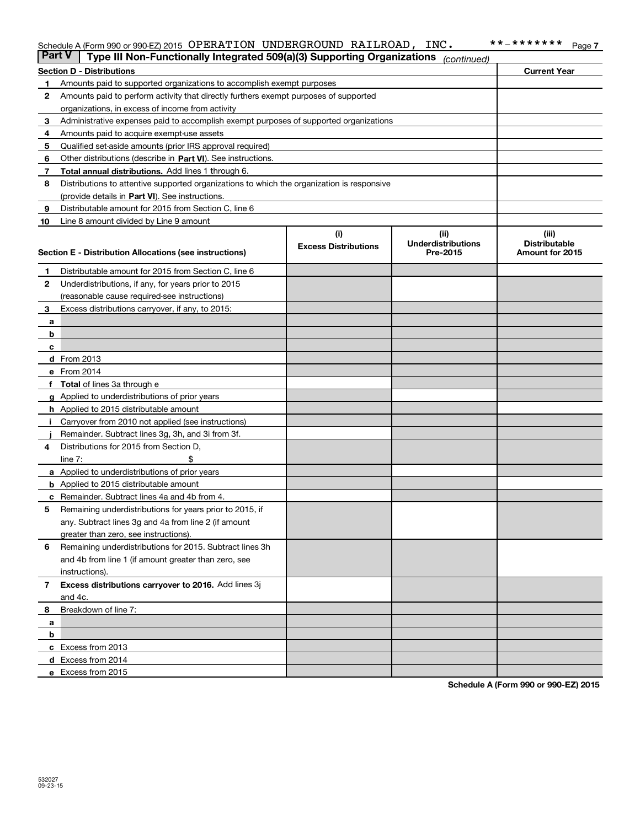#### Schedule A (Form 990 or 990-EZ) 2015 Page OPERATION UNDERGROUND RAILROAD, INC. \*\*‐\*\*\*\*\*\*\*

| <b>Section D - Distributions</b><br><b>Current Year</b><br>Amounts paid to supported organizations to accomplish exempt purposes<br>1<br>2<br>Amounts paid to perform activity that directly furthers exempt purposes of supported<br>organizations, in excess of income from activity<br>Administrative expenses paid to accomplish exempt purposes of supported organizations<br>з<br>Amounts paid to acquire exempt-use assets<br>4<br>Qualified set-aside amounts (prior IRS approval required)<br>5<br>Other distributions (describe in Part VI). See instructions.<br>6<br>Total annual distributions. Add lines 1 through 6.<br>7<br>8<br>Distributions to attentive supported organizations to which the organization is responsive<br>(provide details in Part VI). See instructions.<br>Distributable amount for 2015 from Section C, line 6<br>9<br>Line 8 amount divided by Line 9 amount<br>10<br>(i)<br>(ii)<br>(iii)<br><b>Underdistributions</b><br><b>Distributable</b><br><b>Excess Distributions</b><br>Section E - Distribution Allocations (see instructions)<br>Pre-2015<br>Amount for 2015<br>Distributable amount for 2015 from Section C, line 6<br>1<br>2<br>Underdistributions, if any, for years prior to 2015<br>(reasonable cause required-see instructions)<br>Excess distributions carryover, if any, to 2015:<br>3<br>а<br>b<br>c<br>d From 2013<br>e From 2014<br>Total of lines 3a through e<br><b>g</b> Applied to underdistributions of prior years<br><b>h</b> Applied to 2015 distributable amount<br>Carryover from 2010 not applied (see instructions)<br>Remainder. Subtract lines 3g, 3h, and 3i from 3f.<br>Distributions for 2015 from Section D,<br>4<br>line $7:$<br><b>a</b> Applied to underdistributions of prior years<br><b>b</b> Applied to 2015 distributable amount<br>Remainder. Subtract lines 4a and 4b from 4.<br>с<br>Remaining underdistributions for years prior to 2015, if<br>5<br>any. Subtract lines 3g and 4a from line 2 (if amount<br>greater than zero, see instructions).<br>Remaining underdistributions for 2015. Subtract lines 3h<br>6<br>and 4b from line 1 (if amount greater than zero, see<br>instructions).<br>Excess distributions carryover to 2016. Add lines 3j<br>7<br>and 4c.<br>Breakdown of line 7:<br>8<br>a<br>b<br>c Excess from 2013<br><b>d</b> Excess from 2014 | <b>Part V</b> | Type III Non-Functionally Integrated 509(a)(3) Supporting Organizations | (continued) |  |
|---------------------------------------------------------------------------------------------------------------------------------------------------------------------------------------------------------------------------------------------------------------------------------------------------------------------------------------------------------------------------------------------------------------------------------------------------------------------------------------------------------------------------------------------------------------------------------------------------------------------------------------------------------------------------------------------------------------------------------------------------------------------------------------------------------------------------------------------------------------------------------------------------------------------------------------------------------------------------------------------------------------------------------------------------------------------------------------------------------------------------------------------------------------------------------------------------------------------------------------------------------------------------------------------------------------------------------------------------------------------------------------------------------------------------------------------------------------------------------------------------------------------------------------------------------------------------------------------------------------------------------------------------------------------------------------------------------------------------------------------------------------------------------------------------------------------------------------------------------------------------------------------------------------------------------------------------------------------------------------------------------------------------------------------------------------------------------------------------------------------------------------------------------------------------------------------------------------------------------------------------------------------------------------------------------------------------------------------------------------|---------------|-------------------------------------------------------------------------|-------------|--|
|                                                                                                                                                                                                                                                                                                                                                                                                                                                                                                                                                                                                                                                                                                                                                                                                                                                                                                                                                                                                                                                                                                                                                                                                                                                                                                                                                                                                                                                                                                                                                                                                                                                                                                                                                                                                                                                                                                                                                                                                                                                                                                                                                                                                                                                                                                                                                               |               |                                                                         |             |  |
|                                                                                                                                                                                                                                                                                                                                                                                                                                                                                                                                                                                                                                                                                                                                                                                                                                                                                                                                                                                                                                                                                                                                                                                                                                                                                                                                                                                                                                                                                                                                                                                                                                                                                                                                                                                                                                                                                                                                                                                                                                                                                                                                                                                                                                                                                                                                                               |               |                                                                         |             |  |
|                                                                                                                                                                                                                                                                                                                                                                                                                                                                                                                                                                                                                                                                                                                                                                                                                                                                                                                                                                                                                                                                                                                                                                                                                                                                                                                                                                                                                                                                                                                                                                                                                                                                                                                                                                                                                                                                                                                                                                                                                                                                                                                                                                                                                                                                                                                                                               |               |                                                                         |             |  |
|                                                                                                                                                                                                                                                                                                                                                                                                                                                                                                                                                                                                                                                                                                                                                                                                                                                                                                                                                                                                                                                                                                                                                                                                                                                                                                                                                                                                                                                                                                                                                                                                                                                                                                                                                                                                                                                                                                                                                                                                                                                                                                                                                                                                                                                                                                                                                               |               |                                                                         |             |  |
|                                                                                                                                                                                                                                                                                                                                                                                                                                                                                                                                                                                                                                                                                                                                                                                                                                                                                                                                                                                                                                                                                                                                                                                                                                                                                                                                                                                                                                                                                                                                                                                                                                                                                                                                                                                                                                                                                                                                                                                                                                                                                                                                                                                                                                                                                                                                                               |               |                                                                         |             |  |
|                                                                                                                                                                                                                                                                                                                                                                                                                                                                                                                                                                                                                                                                                                                                                                                                                                                                                                                                                                                                                                                                                                                                                                                                                                                                                                                                                                                                                                                                                                                                                                                                                                                                                                                                                                                                                                                                                                                                                                                                                                                                                                                                                                                                                                                                                                                                                               |               |                                                                         |             |  |
|                                                                                                                                                                                                                                                                                                                                                                                                                                                                                                                                                                                                                                                                                                                                                                                                                                                                                                                                                                                                                                                                                                                                                                                                                                                                                                                                                                                                                                                                                                                                                                                                                                                                                                                                                                                                                                                                                                                                                                                                                                                                                                                                                                                                                                                                                                                                                               |               |                                                                         |             |  |
|                                                                                                                                                                                                                                                                                                                                                                                                                                                                                                                                                                                                                                                                                                                                                                                                                                                                                                                                                                                                                                                                                                                                                                                                                                                                                                                                                                                                                                                                                                                                                                                                                                                                                                                                                                                                                                                                                                                                                                                                                                                                                                                                                                                                                                                                                                                                                               |               |                                                                         |             |  |
|                                                                                                                                                                                                                                                                                                                                                                                                                                                                                                                                                                                                                                                                                                                                                                                                                                                                                                                                                                                                                                                                                                                                                                                                                                                                                                                                                                                                                                                                                                                                                                                                                                                                                                                                                                                                                                                                                                                                                                                                                                                                                                                                                                                                                                                                                                                                                               |               |                                                                         |             |  |
|                                                                                                                                                                                                                                                                                                                                                                                                                                                                                                                                                                                                                                                                                                                                                                                                                                                                                                                                                                                                                                                                                                                                                                                                                                                                                                                                                                                                                                                                                                                                                                                                                                                                                                                                                                                                                                                                                                                                                                                                                                                                                                                                                                                                                                                                                                                                                               |               |                                                                         |             |  |
|                                                                                                                                                                                                                                                                                                                                                                                                                                                                                                                                                                                                                                                                                                                                                                                                                                                                                                                                                                                                                                                                                                                                                                                                                                                                                                                                                                                                                                                                                                                                                                                                                                                                                                                                                                                                                                                                                                                                                                                                                                                                                                                                                                                                                                                                                                                                                               |               |                                                                         |             |  |
|                                                                                                                                                                                                                                                                                                                                                                                                                                                                                                                                                                                                                                                                                                                                                                                                                                                                                                                                                                                                                                                                                                                                                                                                                                                                                                                                                                                                                                                                                                                                                                                                                                                                                                                                                                                                                                                                                                                                                                                                                                                                                                                                                                                                                                                                                                                                                               |               |                                                                         |             |  |
|                                                                                                                                                                                                                                                                                                                                                                                                                                                                                                                                                                                                                                                                                                                                                                                                                                                                                                                                                                                                                                                                                                                                                                                                                                                                                                                                                                                                                                                                                                                                                                                                                                                                                                                                                                                                                                                                                                                                                                                                                                                                                                                                                                                                                                                                                                                                                               |               |                                                                         |             |  |
|                                                                                                                                                                                                                                                                                                                                                                                                                                                                                                                                                                                                                                                                                                                                                                                                                                                                                                                                                                                                                                                                                                                                                                                                                                                                                                                                                                                                                                                                                                                                                                                                                                                                                                                                                                                                                                                                                                                                                                                                                                                                                                                                                                                                                                                                                                                                                               |               |                                                                         |             |  |
|                                                                                                                                                                                                                                                                                                                                                                                                                                                                                                                                                                                                                                                                                                                                                                                                                                                                                                                                                                                                                                                                                                                                                                                                                                                                                                                                                                                                                                                                                                                                                                                                                                                                                                                                                                                                                                                                                                                                                                                                                                                                                                                                                                                                                                                                                                                                                               |               |                                                                         |             |  |
|                                                                                                                                                                                                                                                                                                                                                                                                                                                                                                                                                                                                                                                                                                                                                                                                                                                                                                                                                                                                                                                                                                                                                                                                                                                                                                                                                                                                                                                                                                                                                                                                                                                                                                                                                                                                                                                                                                                                                                                                                                                                                                                                                                                                                                                                                                                                                               |               |                                                                         |             |  |
|                                                                                                                                                                                                                                                                                                                                                                                                                                                                                                                                                                                                                                                                                                                                                                                                                                                                                                                                                                                                                                                                                                                                                                                                                                                                                                                                                                                                                                                                                                                                                                                                                                                                                                                                                                                                                                                                                                                                                                                                                                                                                                                                                                                                                                                                                                                                                               |               |                                                                         |             |  |
|                                                                                                                                                                                                                                                                                                                                                                                                                                                                                                                                                                                                                                                                                                                                                                                                                                                                                                                                                                                                                                                                                                                                                                                                                                                                                                                                                                                                                                                                                                                                                                                                                                                                                                                                                                                                                                                                                                                                                                                                                                                                                                                                                                                                                                                                                                                                                               |               |                                                                         |             |  |
|                                                                                                                                                                                                                                                                                                                                                                                                                                                                                                                                                                                                                                                                                                                                                                                                                                                                                                                                                                                                                                                                                                                                                                                                                                                                                                                                                                                                                                                                                                                                                                                                                                                                                                                                                                                                                                                                                                                                                                                                                                                                                                                                                                                                                                                                                                                                                               |               |                                                                         |             |  |
|                                                                                                                                                                                                                                                                                                                                                                                                                                                                                                                                                                                                                                                                                                                                                                                                                                                                                                                                                                                                                                                                                                                                                                                                                                                                                                                                                                                                                                                                                                                                                                                                                                                                                                                                                                                                                                                                                                                                                                                                                                                                                                                                                                                                                                                                                                                                                               |               |                                                                         |             |  |
|                                                                                                                                                                                                                                                                                                                                                                                                                                                                                                                                                                                                                                                                                                                                                                                                                                                                                                                                                                                                                                                                                                                                                                                                                                                                                                                                                                                                                                                                                                                                                                                                                                                                                                                                                                                                                                                                                                                                                                                                                                                                                                                                                                                                                                                                                                                                                               |               |                                                                         |             |  |
|                                                                                                                                                                                                                                                                                                                                                                                                                                                                                                                                                                                                                                                                                                                                                                                                                                                                                                                                                                                                                                                                                                                                                                                                                                                                                                                                                                                                                                                                                                                                                                                                                                                                                                                                                                                                                                                                                                                                                                                                                                                                                                                                                                                                                                                                                                                                                               |               |                                                                         |             |  |
|                                                                                                                                                                                                                                                                                                                                                                                                                                                                                                                                                                                                                                                                                                                                                                                                                                                                                                                                                                                                                                                                                                                                                                                                                                                                                                                                                                                                                                                                                                                                                                                                                                                                                                                                                                                                                                                                                                                                                                                                                                                                                                                                                                                                                                                                                                                                                               |               |                                                                         |             |  |
|                                                                                                                                                                                                                                                                                                                                                                                                                                                                                                                                                                                                                                                                                                                                                                                                                                                                                                                                                                                                                                                                                                                                                                                                                                                                                                                                                                                                                                                                                                                                                                                                                                                                                                                                                                                                                                                                                                                                                                                                                                                                                                                                                                                                                                                                                                                                                               |               |                                                                         |             |  |
|                                                                                                                                                                                                                                                                                                                                                                                                                                                                                                                                                                                                                                                                                                                                                                                                                                                                                                                                                                                                                                                                                                                                                                                                                                                                                                                                                                                                                                                                                                                                                                                                                                                                                                                                                                                                                                                                                                                                                                                                                                                                                                                                                                                                                                                                                                                                                               |               |                                                                         |             |  |
|                                                                                                                                                                                                                                                                                                                                                                                                                                                                                                                                                                                                                                                                                                                                                                                                                                                                                                                                                                                                                                                                                                                                                                                                                                                                                                                                                                                                                                                                                                                                                                                                                                                                                                                                                                                                                                                                                                                                                                                                                                                                                                                                                                                                                                                                                                                                                               |               |                                                                         |             |  |
|                                                                                                                                                                                                                                                                                                                                                                                                                                                                                                                                                                                                                                                                                                                                                                                                                                                                                                                                                                                                                                                                                                                                                                                                                                                                                                                                                                                                                                                                                                                                                                                                                                                                                                                                                                                                                                                                                                                                                                                                                                                                                                                                                                                                                                                                                                                                                               |               |                                                                         |             |  |
|                                                                                                                                                                                                                                                                                                                                                                                                                                                                                                                                                                                                                                                                                                                                                                                                                                                                                                                                                                                                                                                                                                                                                                                                                                                                                                                                                                                                                                                                                                                                                                                                                                                                                                                                                                                                                                                                                                                                                                                                                                                                                                                                                                                                                                                                                                                                                               |               |                                                                         |             |  |
|                                                                                                                                                                                                                                                                                                                                                                                                                                                                                                                                                                                                                                                                                                                                                                                                                                                                                                                                                                                                                                                                                                                                                                                                                                                                                                                                                                                                                                                                                                                                                                                                                                                                                                                                                                                                                                                                                                                                                                                                                                                                                                                                                                                                                                                                                                                                                               |               |                                                                         |             |  |
|                                                                                                                                                                                                                                                                                                                                                                                                                                                                                                                                                                                                                                                                                                                                                                                                                                                                                                                                                                                                                                                                                                                                                                                                                                                                                                                                                                                                                                                                                                                                                                                                                                                                                                                                                                                                                                                                                                                                                                                                                                                                                                                                                                                                                                                                                                                                                               |               |                                                                         |             |  |
|                                                                                                                                                                                                                                                                                                                                                                                                                                                                                                                                                                                                                                                                                                                                                                                                                                                                                                                                                                                                                                                                                                                                                                                                                                                                                                                                                                                                                                                                                                                                                                                                                                                                                                                                                                                                                                                                                                                                                                                                                                                                                                                                                                                                                                                                                                                                                               |               |                                                                         |             |  |
|                                                                                                                                                                                                                                                                                                                                                                                                                                                                                                                                                                                                                                                                                                                                                                                                                                                                                                                                                                                                                                                                                                                                                                                                                                                                                                                                                                                                                                                                                                                                                                                                                                                                                                                                                                                                                                                                                                                                                                                                                                                                                                                                                                                                                                                                                                                                                               |               |                                                                         |             |  |
|                                                                                                                                                                                                                                                                                                                                                                                                                                                                                                                                                                                                                                                                                                                                                                                                                                                                                                                                                                                                                                                                                                                                                                                                                                                                                                                                                                                                                                                                                                                                                                                                                                                                                                                                                                                                                                                                                                                                                                                                                                                                                                                                                                                                                                                                                                                                                               |               |                                                                         |             |  |
|                                                                                                                                                                                                                                                                                                                                                                                                                                                                                                                                                                                                                                                                                                                                                                                                                                                                                                                                                                                                                                                                                                                                                                                                                                                                                                                                                                                                                                                                                                                                                                                                                                                                                                                                                                                                                                                                                                                                                                                                                                                                                                                                                                                                                                                                                                                                                               |               |                                                                         |             |  |
|                                                                                                                                                                                                                                                                                                                                                                                                                                                                                                                                                                                                                                                                                                                                                                                                                                                                                                                                                                                                                                                                                                                                                                                                                                                                                                                                                                                                                                                                                                                                                                                                                                                                                                                                                                                                                                                                                                                                                                                                                                                                                                                                                                                                                                                                                                                                                               |               |                                                                         |             |  |
|                                                                                                                                                                                                                                                                                                                                                                                                                                                                                                                                                                                                                                                                                                                                                                                                                                                                                                                                                                                                                                                                                                                                                                                                                                                                                                                                                                                                                                                                                                                                                                                                                                                                                                                                                                                                                                                                                                                                                                                                                                                                                                                                                                                                                                                                                                                                                               |               |                                                                         |             |  |
|                                                                                                                                                                                                                                                                                                                                                                                                                                                                                                                                                                                                                                                                                                                                                                                                                                                                                                                                                                                                                                                                                                                                                                                                                                                                                                                                                                                                                                                                                                                                                                                                                                                                                                                                                                                                                                                                                                                                                                                                                                                                                                                                                                                                                                                                                                                                                               |               |                                                                         |             |  |
|                                                                                                                                                                                                                                                                                                                                                                                                                                                                                                                                                                                                                                                                                                                                                                                                                                                                                                                                                                                                                                                                                                                                                                                                                                                                                                                                                                                                                                                                                                                                                                                                                                                                                                                                                                                                                                                                                                                                                                                                                                                                                                                                                                                                                                                                                                                                                               |               |                                                                         |             |  |
|                                                                                                                                                                                                                                                                                                                                                                                                                                                                                                                                                                                                                                                                                                                                                                                                                                                                                                                                                                                                                                                                                                                                                                                                                                                                                                                                                                                                                                                                                                                                                                                                                                                                                                                                                                                                                                                                                                                                                                                                                                                                                                                                                                                                                                                                                                                                                               |               |                                                                         |             |  |
|                                                                                                                                                                                                                                                                                                                                                                                                                                                                                                                                                                                                                                                                                                                                                                                                                                                                                                                                                                                                                                                                                                                                                                                                                                                                                                                                                                                                                                                                                                                                                                                                                                                                                                                                                                                                                                                                                                                                                                                                                                                                                                                                                                                                                                                                                                                                                               |               |                                                                         |             |  |
|                                                                                                                                                                                                                                                                                                                                                                                                                                                                                                                                                                                                                                                                                                                                                                                                                                                                                                                                                                                                                                                                                                                                                                                                                                                                                                                                                                                                                                                                                                                                                                                                                                                                                                                                                                                                                                                                                                                                                                                                                                                                                                                                                                                                                                                                                                                                                               |               |                                                                         |             |  |
|                                                                                                                                                                                                                                                                                                                                                                                                                                                                                                                                                                                                                                                                                                                                                                                                                                                                                                                                                                                                                                                                                                                                                                                                                                                                                                                                                                                                                                                                                                                                                                                                                                                                                                                                                                                                                                                                                                                                                                                                                                                                                                                                                                                                                                                                                                                                                               |               |                                                                         |             |  |
|                                                                                                                                                                                                                                                                                                                                                                                                                                                                                                                                                                                                                                                                                                                                                                                                                                                                                                                                                                                                                                                                                                                                                                                                                                                                                                                                                                                                                                                                                                                                                                                                                                                                                                                                                                                                                                                                                                                                                                                                                                                                                                                                                                                                                                                                                                                                                               |               |                                                                         |             |  |
|                                                                                                                                                                                                                                                                                                                                                                                                                                                                                                                                                                                                                                                                                                                                                                                                                                                                                                                                                                                                                                                                                                                                                                                                                                                                                                                                                                                                                                                                                                                                                                                                                                                                                                                                                                                                                                                                                                                                                                                                                                                                                                                                                                                                                                                                                                                                                               |               |                                                                         |             |  |
|                                                                                                                                                                                                                                                                                                                                                                                                                                                                                                                                                                                                                                                                                                                                                                                                                                                                                                                                                                                                                                                                                                                                                                                                                                                                                                                                                                                                                                                                                                                                                                                                                                                                                                                                                                                                                                                                                                                                                                                                                                                                                                                                                                                                                                                                                                                                                               |               |                                                                         |             |  |
|                                                                                                                                                                                                                                                                                                                                                                                                                                                                                                                                                                                                                                                                                                                                                                                                                                                                                                                                                                                                                                                                                                                                                                                                                                                                                                                                                                                                                                                                                                                                                                                                                                                                                                                                                                                                                                                                                                                                                                                                                                                                                                                                                                                                                                                                                                                                                               |               |                                                                         |             |  |
|                                                                                                                                                                                                                                                                                                                                                                                                                                                                                                                                                                                                                                                                                                                                                                                                                                                                                                                                                                                                                                                                                                                                                                                                                                                                                                                                                                                                                                                                                                                                                                                                                                                                                                                                                                                                                                                                                                                                                                                                                                                                                                                                                                                                                                                                                                                                                               |               |                                                                         |             |  |
|                                                                                                                                                                                                                                                                                                                                                                                                                                                                                                                                                                                                                                                                                                                                                                                                                                                                                                                                                                                                                                                                                                                                                                                                                                                                                                                                                                                                                                                                                                                                                                                                                                                                                                                                                                                                                                                                                                                                                                                                                                                                                                                                                                                                                                                                                                                                                               |               |                                                                         |             |  |
|                                                                                                                                                                                                                                                                                                                                                                                                                                                                                                                                                                                                                                                                                                                                                                                                                                                                                                                                                                                                                                                                                                                                                                                                                                                                                                                                                                                                                                                                                                                                                                                                                                                                                                                                                                                                                                                                                                                                                                                                                                                                                                                                                                                                                                                                                                                                                               |               | e Excess from 2015                                                      |             |  |

**Schedule A (Form 990 or 990-EZ) 2015**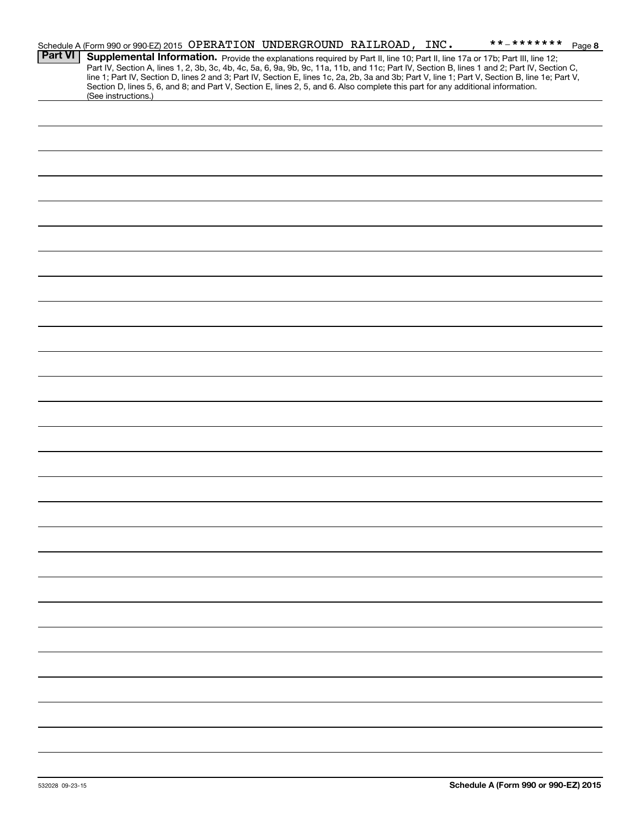|                | Schedule A (Form 990 or 990-EZ) 2015 OPERATION UNDERGROUND RAILROAD, INC.                                                                                                                                                                                                                                                                                                                                                        |  |  | **_******* | Page 8 |
|----------------|----------------------------------------------------------------------------------------------------------------------------------------------------------------------------------------------------------------------------------------------------------------------------------------------------------------------------------------------------------------------------------------------------------------------------------|--|--|------------|--------|
| <b>Part VI</b> | Supplemental Information. Provide the explanations required by Part II, line 10; Part II, line 17a or 17b; Part III, line 12;<br>Part IV, Section A, lines 1, 2, 3b, 3c, 4b, 4c, 5a, 6, 9a, 9b, 9c, 11a, 11b, and 11c; Part IV, Section B, lines 1 and 2; Part IV, Section C,<br>line 1; Part IV, Section D, lines 2 and 3; Part IV, Section E, lines 1c, 2a, 2b, 3a and 3b; Part V, line 1; Part V, Section B, line 1e; Part V, |  |  |            |        |
|                | Section D, lines 5, 6, and 8; and Part V, Section E, lines 2, 5, and 6. Also complete this part for any additional information.<br>(See instructions.)                                                                                                                                                                                                                                                                           |  |  |            |        |
|                |                                                                                                                                                                                                                                                                                                                                                                                                                                  |  |  |            |        |
|                |                                                                                                                                                                                                                                                                                                                                                                                                                                  |  |  |            |        |
|                |                                                                                                                                                                                                                                                                                                                                                                                                                                  |  |  |            |        |
|                |                                                                                                                                                                                                                                                                                                                                                                                                                                  |  |  |            |        |
|                |                                                                                                                                                                                                                                                                                                                                                                                                                                  |  |  |            |        |
|                |                                                                                                                                                                                                                                                                                                                                                                                                                                  |  |  |            |        |
|                |                                                                                                                                                                                                                                                                                                                                                                                                                                  |  |  |            |        |
|                |                                                                                                                                                                                                                                                                                                                                                                                                                                  |  |  |            |        |
|                |                                                                                                                                                                                                                                                                                                                                                                                                                                  |  |  |            |        |
|                |                                                                                                                                                                                                                                                                                                                                                                                                                                  |  |  |            |        |
|                |                                                                                                                                                                                                                                                                                                                                                                                                                                  |  |  |            |        |
|                |                                                                                                                                                                                                                                                                                                                                                                                                                                  |  |  |            |        |
|                |                                                                                                                                                                                                                                                                                                                                                                                                                                  |  |  |            |        |
|                |                                                                                                                                                                                                                                                                                                                                                                                                                                  |  |  |            |        |
|                |                                                                                                                                                                                                                                                                                                                                                                                                                                  |  |  |            |        |
|                |                                                                                                                                                                                                                                                                                                                                                                                                                                  |  |  |            |        |
|                |                                                                                                                                                                                                                                                                                                                                                                                                                                  |  |  |            |        |
|                |                                                                                                                                                                                                                                                                                                                                                                                                                                  |  |  |            |        |
|                |                                                                                                                                                                                                                                                                                                                                                                                                                                  |  |  |            |        |
|                |                                                                                                                                                                                                                                                                                                                                                                                                                                  |  |  |            |        |
|                |                                                                                                                                                                                                                                                                                                                                                                                                                                  |  |  |            |        |
|                |                                                                                                                                                                                                                                                                                                                                                                                                                                  |  |  |            |        |
|                |                                                                                                                                                                                                                                                                                                                                                                                                                                  |  |  |            |        |
|                |                                                                                                                                                                                                                                                                                                                                                                                                                                  |  |  |            |        |
|                |                                                                                                                                                                                                                                                                                                                                                                                                                                  |  |  |            |        |
|                |                                                                                                                                                                                                                                                                                                                                                                                                                                  |  |  |            |        |
|                |                                                                                                                                                                                                                                                                                                                                                                                                                                  |  |  |            |        |
|                |                                                                                                                                                                                                                                                                                                                                                                                                                                  |  |  |            |        |
|                |                                                                                                                                                                                                                                                                                                                                                                                                                                  |  |  |            |        |
|                |                                                                                                                                                                                                                                                                                                                                                                                                                                  |  |  |            |        |
|                |                                                                                                                                                                                                                                                                                                                                                                                                                                  |  |  |            |        |
|                |                                                                                                                                                                                                                                                                                                                                                                                                                                  |  |  |            |        |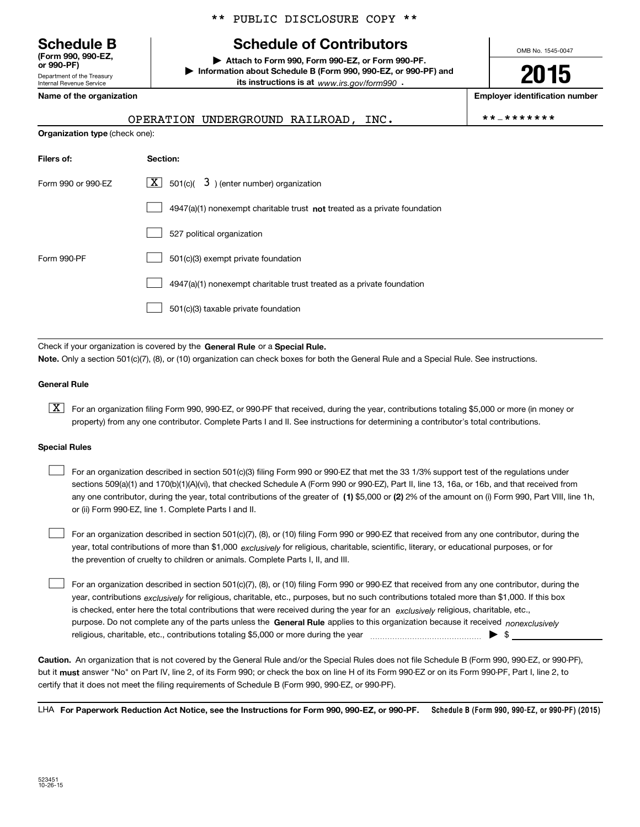Department of the Treasury **(Form 990, 990-EZ, or 990-PF)**

Internal Revenue Service

## \*\* PUBLIC DISCLOSURE COPY \*\*

# **Schedule B Schedule of Contributors**

**| Attach to Form 990, Form 990-EZ, or Form 990-PF. | Information about Schedule B (Form 990, 990-EZ, or 990-PF) and its instructions is at** www.irs.gov/form990  $\cdot$ 

**Name of the organization Employer identification number**

| OPERATION UNDERGROUND RAILROAD. |  |  | **_******* |
|---------------------------------|--|--|------------|
|---------------------------------|--|--|------------|

OMB No. 1545-0047

**2015**

|  | * _ * * * * * * * |  |  |  |  |  |  |  |  |
|--|-------------------|--|--|--|--|--|--|--|--|
|--|-------------------|--|--|--|--|--|--|--|--|

| <b>Organization type (check one):</b> |                                                                                    |  |  |
|---------------------------------------|------------------------------------------------------------------------------------|--|--|
| Filers of:                            | Section:                                                                           |  |  |
| Form 990 or 990-EZ                    | $\underline{X}$ 501(c)( 3) (enter number) organization                             |  |  |
|                                       | $4947(a)(1)$ nonexempt charitable trust <b>not</b> treated as a private foundation |  |  |
|                                       | 527 political organization                                                         |  |  |
| Form 990-PF                           | 501(c)(3) exempt private foundation                                                |  |  |
|                                       | 4947(a)(1) nonexempt charitable trust treated as a private foundation              |  |  |
|                                       | 501(c)(3) taxable private foundation                                               |  |  |
|                                       |                                                                                    |  |  |

Check if your organization is covered by the **General Rule** or a **Special Rule. Note.**  Only a section 501(c)(7), (8), or (10) organization can check boxes for both the General Rule and a Special Rule. See instructions.

#### **General Rule**

 $\boxed{\textbf{X}}$  For an organization filing Form 990, 990-EZ, or 990-PF that received, during the year, contributions totaling \$5,000 or more (in money or property) from any one contributor. Complete Parts I and II. See instructions for determining a contributor's total contributions.

#### **Special Rules**

 $\mathcal{L}^{\text{max}}$ 

any one contributor, during the year, total contributions of the greater of  $\,$  (1) \$5,000 or (2) 2% of the amount on (i) Form 990, Part VIII, line 1h, For an organization described in section 501(c)(3) filing Form 990 or 990-EZ that met the 33 1/3% support test of the regulations under sections 509(a)(1) and 170(b)(1)(A)(vi), that checked Schedule A (Form 990 or 990-EZ), Part II, line 13, 16a, or 16b, and that received from or (ii) Form 990-EZ, line 1. Complete Parts I and II.  $\mathcal{L}^{\text{max}}$ 

year, total contributions of more than \$1,000 *exclusively* for religious, charitable, scientific, literary, or educational purposes, or for For an organization described in section 501(c)(7), (8), or (10) filing Form 990 or 990-EZ that received from any one contributor, during the the prevention of cruelty to children or animals. Complete Parts I, II, and III.  $\mathcal{L}^{\text{max}}$ 

purpose. Do not complete any of the parts unless the **General Rule** applies to this organization because it received *nonexclusively* year, contributions <sub>exclusively</sub> for religious, charitable, etc., purposes, but no such contributions totaled more than \$1,000. If this box is checked, enter here the total contributions that were received during the year for an  $\;$ exclusively religious, charitable, etc., For an organization described in section 501(c)(7), (8), or (10) filing Form 990 or 990-EZ that received from any one contributor, during the religious, charitable, etc., contributions totaling \$5,000 or more during the year  $\Box$ — $\Box$   $\Box$ 

**Caution.**An organization that is not covered by the General Rule and/or the Special Rules does not file Schedule B (Form 990, 990-EZ, or 990-PF),  **must** but it answer "No" on Part IV, line 2, of its Form 990; or check the box on line H of its Form 990-EZ or on its Form 990-PF, Part I, line 2, to certify that it does not meet the filing requirements of Schedule B (Form 990, 990-EZ, or 990-PF).

**Schedule B (Form 990, 990-EZ, or 990-PF) (2015) For Paperwork Reduction Act Notice, see the Instructions for Form 990, 990-EZ, or 990-PF.** LHA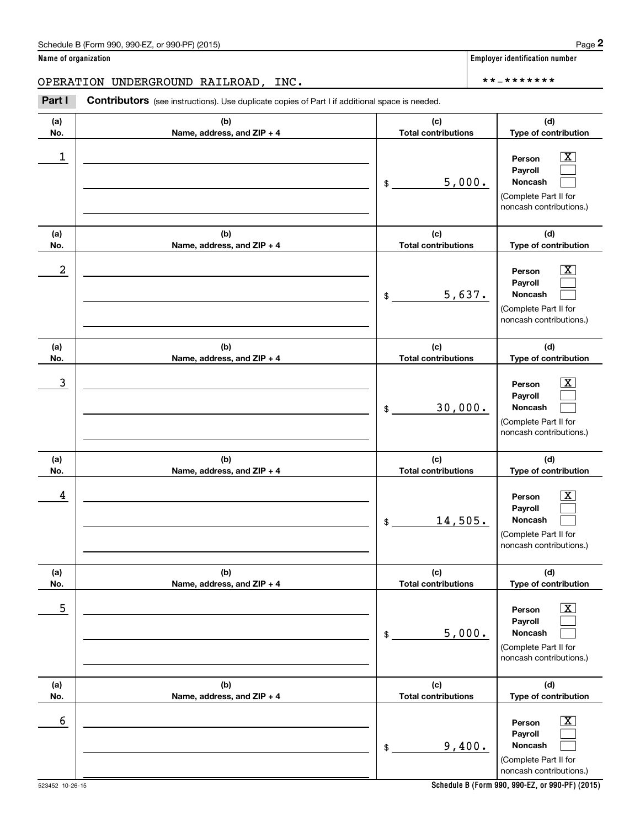(see instructions). Use duplicate copies of Part I if additional space is needed.<br> **2PERATION UNDERGROUND RAILROAD, INC.**<br> **Part I Contributors** (see instructions). Use duplicate copies of Part I if additional space is n

| (a)<br>No.       | (b)<br>Name, address, and ZIP + 4 | (c)<br><b>Total contributions</b> | (d)<br>Type of contribution                                                                            |
|------------------|-----------------------------------|-----------------------------------|--------------------------------------------------------------------------------------------------------|
| 1                |                                   | 5,000.<br>\$                      | x<br>Person<br>Payroll<br>Noncash<br>(Complete Part II for<br>noncash contributions.)                  |
| (a)<br>No.       | (b)<br>Name, address, and ZIP + 4 | (c)<br><b>Total contributions</b> | (d)<br>Type of contribution                                                                            |
| $\boldsymbol{2}$ |                                   | 5,637.<br>\$                      | X<br>Person<br>Payroll<br>Noncash<br>(Complete Part II for<br>noncash contributions.)                  |
| (a)<br>No.       | (b)<br>Name, address, and ZIP + 4 | (c)<br><b>Total contributions</b> | (d)<br>Type of contribution                                                                            |
| 3                |                                   | 30,000.<br>\$                     | X<br>Person<br>Payroll<br><b>Noncash</b><br>(Complete Part II for<br>noncash contributions.)           |
| (a)<br>No.       | (b)<br>Name, address, and ZIP + 4 | (c)<br><b>Total contributions</b> | (d)<br>Type of contribution                                                                            |
| 4                |                                   | 14,505.<br>\$                     | X<br>Person<br>Payroll<br>Noncash<br>(Complete Part II for<br>noncash contributions.)                  |
| (a)<br>No.       | (b)<br>Name, address, and ZIP + 4 | (c)<br><b>Total contributions</b> | (d)<br>Type of contribution                                                                            |
| $\mathbf 5$      |                                   | 5,000.<br>\$                      | $\boxed{\text{X}}$<br>Person<br>Payroll<br>Noncash<br>(Complete Part II for<br>noncash contributions.) |
| (a)<br>No.       | (b)<br>Name, address, and ZIP + 4 | (c)<br><b>Total contributions</b> | (d)<br>Type of contribution                                                                            |
| $\sqrt{6}$       |                                   | 9,400.<br>\$                      | $\boxed{\text{X}}$<br>Person<br>Payroll<br>Noncash<br>(Complete Part II for<br>noncash contributions.) |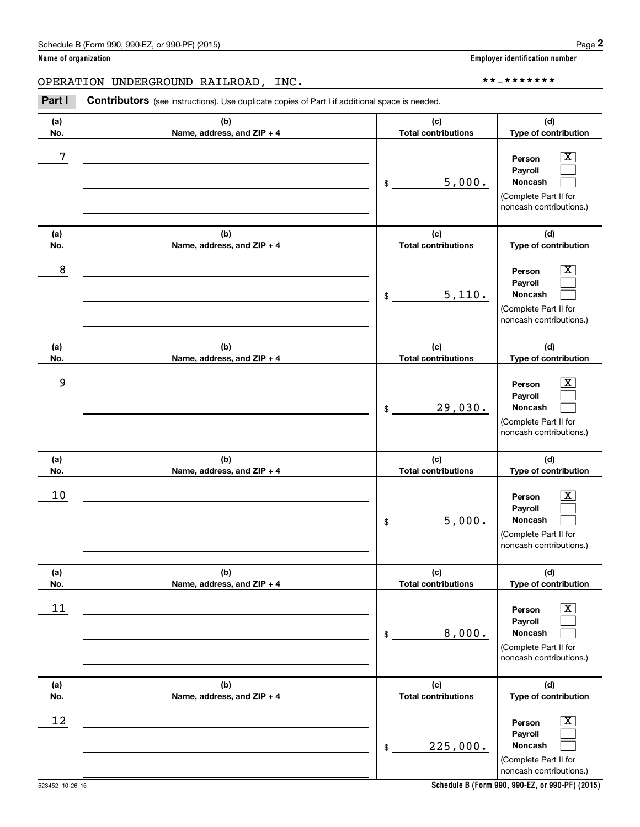(see instructions). Use duplicate copies of Part I if additional space is needed.<br> **2PERATION UNDERGROUND RAILROAD, INC.**<br> **Part I Contributors** (see instructions). Use duplicate copies of Part I if additional space is n

| (a)<br>No. | (b)<br>Name, address, and ZIP + 4 | (c)<br><b>Total contributions</b> | (d)<br>Type of contribution                                                                             |
|------------|-----------------------------------|-----------------------------------|---------------------------------------------------------------------------------------------------------|
| 7          |                                   | 5,000.<br>\$                      | $\mathbf{X}$<br>Person<br>Payroll<br>Noncash<br>(Complete Part II for<br>noncash contributions.)        |
| (a)<br>No. | (b)<br>Name, address, and ZIP + 4 | (c)<br><b>Total contributions</b> | (d)<br>Type of contribution                                                                             |
| 8          |                                   | 5,110.<br>\$                      | $\mathbf{X}$<br>Person<br>Payroll<br><b>Noncash</b><br>(Complete Part II for<br>noncash contributions.) |
| (a)<br>No. | (b)<br>Name, address, and ZIP + 4 | (c)<br><b>Total contributions</b> | (d)<br>Type of contribution                                                                             |
| 9          |                                   | 29,030.<br>\$                     | $\mathbf{X}$<br>Person<br>Payroll<br><b>Noncash</b><br>(Complete Part II for<br>noncash contributions.) |
| (a)<br>No. | (b)<br>Name, address, and ZIP + 4 | (c)<br><b>Total contributions</b> | (d)<br>Type of contribution                                                                             |
| 10         |                                   | 5,000.<br>\$                      | $\mathbf{X}$<br>Person<br>Payroll<br><b>Noncash</b><br>(Complete Part II for<br>noncash contributions.) |
| (a)<br>No. | (b)<br>Name, address, and ZIP + 4 | (c)<br><b>Total contributions</b> | (d)<br>Type of contribution                                                                             |
| $11\,$     |                                   | 8,000.<br>$\$$                    | $\boxed{\text{X}}$<br>Person<br>Payroll<br>Noncash<br>(Complete Part II for<br>noncash contributions.)  |
| (a)<br>No. | (b)<br>Name, address, and ZIP + 4 | (c)<br><b>Total contributions</b> | (d)<br>Type of contribution                                                                             |
| 12         |                                   | 225,000.<br>$\$$                  | $\boxed{\text{X}}$<br>Person<br>Payroll<br>Noncash<br>(Complete Part II for<br>noncash contributions.)  |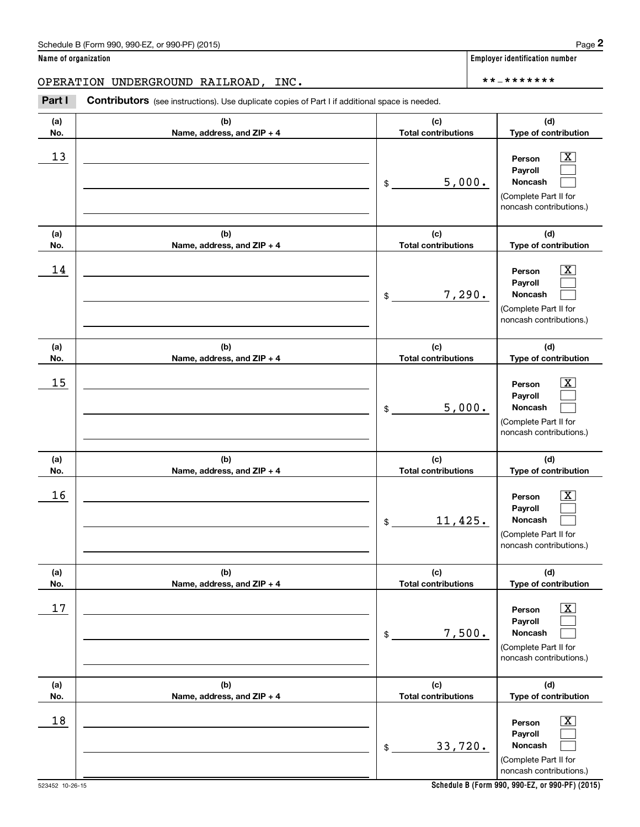(see instructions). Use duplicate copies of Part I if additional space is needed.<br> **2PERATION UNDERGROUND RAILROAD, INC.**<br> **Part I Contributors** (see instructions). Use duplicate copies of Part I if additional space is n

| (a)<br>No. | (b)<br>Name, address, and ZIP + 4 | (c)<br><b>Total contributions</b> | (d)<br>Type of contribution                                                                            |
|------------|-----------------------------------|-----------------------------------|--------------------------------------------------------------------------------------------------------|
| 13         |                                   | 5,000.<br>\$                      | $\boxed{\text{X}}$<br>Person<br>Payroll<br>Noncash<br>(Complete Part II for<br>noncash contributions.) |
| (a)<br>No. | (b)<br>Name, address, and ZIP + 4 | (c)<br><b>Total contributions</b> | (d)<br>Type of contribution                                                                            |
| 14         |                                   | 7,290.<br>\$                      | $\boxed{\text{X}}$<br>Person<br>Payroll<br>Noncash<br>(Complete Part II for<br>noncash contributions.) |
| (a)<br>No. | (b)<br>Name, address, and ZIP + 4 | (c)<br><b>Total contributions</b> | (d)<br>Type of contribution                                                                            |
| 15         |                                   | 5,000.<br>\$                      | $\boxed{\text{X}}$<br>Person<br>Payroll<br>Noncash<br>(Complete Part II for<br>noncash contributions.) |
| (a)<br>No. | (b)<br>Name, address, and ZIP + 4 | (c)<br><b>Total contributions</b> | (d)<br>Type of contribution                                                                            |
| 16         |                                   | 11,425.<br>\$                     | $\boxed{\text{X}}$<br>Person<br>Payroll<br>Noncash<br>(Complete Part II for<br>noncash contributions.) |
| (a)<br>No. | (b)<br>Name, address, and ZIP + 4 | (c)<br><b>Total contributions</b> | (d)<br>Type of contribution                                                                            |
| 17         |                                   | 7,500.<br>\$                      | $\boxed{\text{X}}$<br>Person<br>Payroll<br>Noncash<br>(Complete Part II for<br>noncash contributions.) |
| (a)<br>No. | (b)<br>Name, address, and ZIP + 4 | (c)<br><b>Total contributions</b> | (d)<br>Type of contribution                                                                            |
| 18         |                                   | 33,720.<br>\$                     | $\boxed{\text{X}}$<br>Person<br>Payroll<br>Noncash<br>(Complete Part II for<br>noncash contributions.) |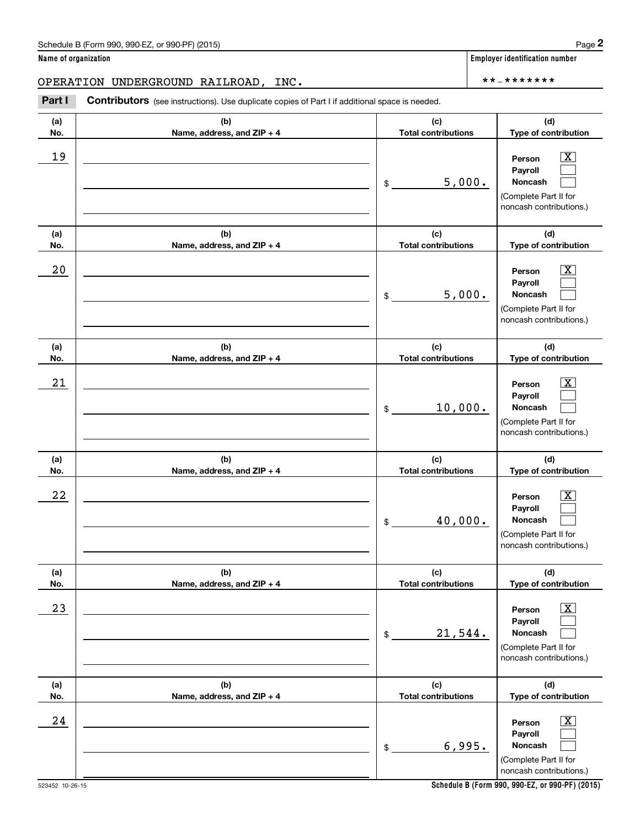(see instructions). Use duplicate copies of Part I if additional space is needed.<br> **2PERATION UNDERGROUND RAILROAD, INC.**<br> **Part I Contributors** (see instructions). Use duplicate copies of Part I if additional space is n

| (a)<br>No. | (b)<br>Name, address, and ZIP + 4 | (c)<br><b>Total contributions</b> | (d)<br>Type of contribution                                                                            |
|------------|-----------------------------------|-----------------------------------|--------------------------------------------------------------------------------------------------------|
| 19         |                                   | 5,000.<br>\$                      | $\boxed{\text{X}}$<br>Person<br>Payroll<br>Noncash<br>(Complete Part II for<br>noncash contributions.) |
| (a)<br>No. | (b)<br>Name, address, and ZIP + 4 | (c)<br><b>Total contributions</b> | (d)<br>Type of contribution                                                                            |
| 20         |                                   | 5,000.<br>\$                      | $\boxed{\text{X}}$<br>Person<br>Payroll<br>Noncash<br>(Complete Part II for<br>noncash contributions.) |
| (a)<br>No. | (b)<br>Name, address, and ZIP + 4 | (c)<br><b>Total contributions</b> | (d)<br>Type of contribution                                                                            |
| 21         |                                   | 10,000.<br>$\mathsf{\$}$          | $\mathbf{X}$<br>Person<br>Payroll<br>Noncash<br>(Complete Part II for<br>noncash contributions.)       |
| (a)<br>No. | (b)<br>Name, address, and ZIP + 4 | (c)<br><b>Total contributions</b> | (d)<br>Type of contribution                                                                            |
| 22         |                                   | 40,000.<br>\$                     | $\mathbf{X}$<br>Person<br>Payroll<br>Noncash<br>(Complete Part II for<br>noncash contributions.)       |
| (a)<br>No. | (b)<br>Name, address, and ZIP + 4 | (c)<br><b>Total contributions</b> | (d)<br>Type of contribution                                                                            |
| 23         |                                   | 21,544.<br>\$                     | $\boxed{\text{X}}$<br>Person<br>Payroll<br>Noncash<br>(Complete Part II for<br>noncash contributions.) |
| (a)<br>No. | (b)<br>Name, address, and ZIP + 4 | (c)<br><b>Total contributions</b> | (d)<br>Type of contribution                                                                            |
| 24         |                                   | 6,995.<br>$$\mathbb{S}$$          | $\boxed{\text{X}}$<br>Person<br>Payroll<br>Noncash<br>(Complete Part II for<br>noncash contributions.) |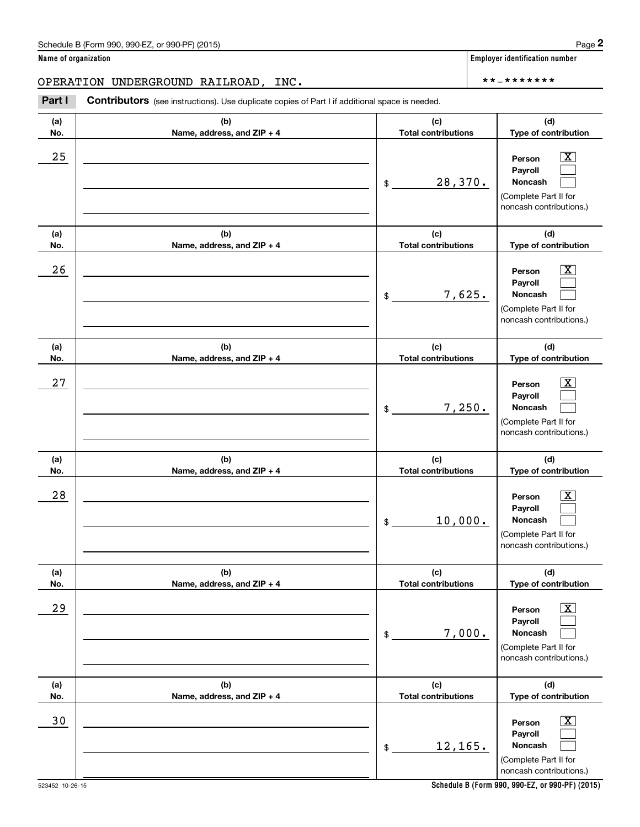(see instructions). Use duplicate copies of Part I if additional space is needed.<br> **2PERATION UNDERGROUND RAILROAD, INC.**<br> **Part I Contributors** (see instructions). Use duplicate copies of Part I if additional space is n

| (a)<br>No. | (b)<br>Name, address, and ZIP + 4 | (c)<br><b>Total contributions</b> | (d)<br>Type of contribution                                                                            |
|------------|-----------------------------------|-----------------------------------|--------------------------------------------------------------------------------------------------------|
| 25         |                                   | 28,370.<br>\$                     | X<br>Person<br>Payroll<br>Noncash<br>(Complete Part II for<br>noncash contributions.)                  |
| (a)<br>No. | (b)<br>Name, address, and ZIP + 4 | (c)<br><b>Total contributions</b> | (d)<br>Type of contribution                                                                            |
| 26         |                                   | 7,625.<br>\$                      | X<br>Person<br>Payroll<br>Noncash<br>(Complete Part II for<br>noncash contributions.)                  |
| (a)<br>No. | (b)<br>Name, address, and ZIP + 4 | (c)<br><b>Total contributions</b> | (d)<br>Type of contribution                                                                            |
| 27         |                                   | 7,250.<br>\$                      | X<br>Person<br>Payroll<br><b>Noncash</b><br>(Complete Part II for<br>noncash contributions.)           |
| (a)<br>No. | (b)<br>Name, address, and ZIP + 4 | (c)<br><b>Total contributions</b> | (d)<br>Type of contribution                                                                            |
| 28         |                                   | 10,000.<br>\$                     | X<br>Person<br>Payroll<br>Noncash<br>(Complete Part II for<br>noncash contributions.)                  |
| (a)<br>No. | (b)<br>Name, address, and ZIP + 4 | (c)<br><b>Total contributions</b> | (d)<br>Type of contribution                                                                            |
| 29         |                                   | 7,000.<br>\$                      | $\boxed{\text{X}}$<br>Person<br>Payroll<br>Noncash<br>(Complete Part II for<br>noncash contributions.) |
| (a)<br>No. | (b)<br>Name, address, and ZIP + 4 | (c)<br><b>Total contributions</b> | (d)<br>Type of contribution                                                                            |
| 30         |                                   | 12,165.<br>\$                     | $\boxed{\text{X}}$<br>Person<br>Payroll<br>Noncash<br>(Complete Part II for<br>noncash contributions.) |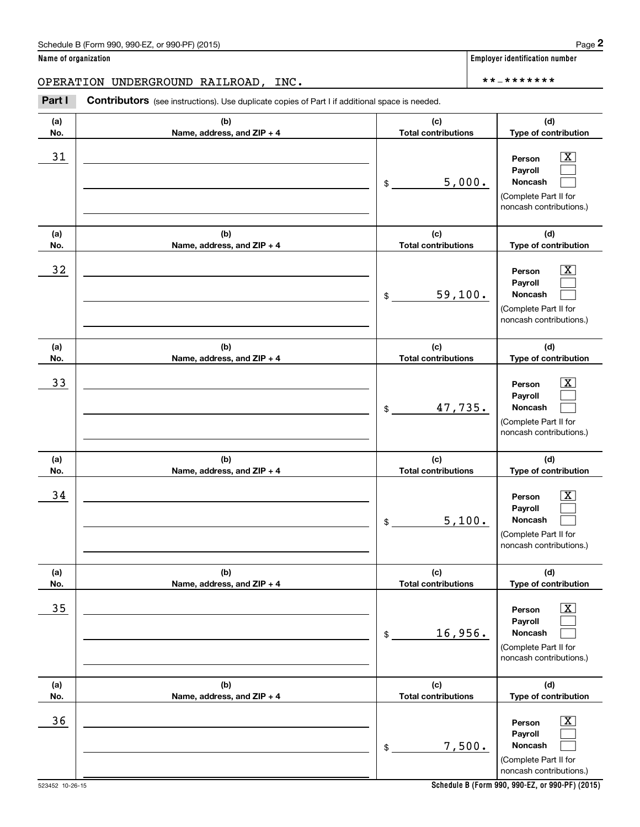(see instructions). Use duplicate copies of Part I if additional space is needed.<br> **2PERATION UNDERGROUND RAILROAD, INC.**<br> **Part I Contributors** (see instructions). Use duplicate copies of Part I if additional space is n

| (a) | (b)                        | (c)                        | (d)                                                                                                       |
|-----|----------------------------|----------------------------|-----------------------------------------------------------------------------------------------------------|
| No. | Name, address, and ZIP + 4 | <b>Total contributions</b> | Type of contribution                                                                                      |
| 31  |                            | 5,000.<br>$\frac{1}{2}$    | $\overline{\text{X}}$<br>Person<br>Payroll<br>Noncash<br>(Complete Part II for<br>noncash contributions.) |
| (a) | (b)                        | (c)                        | (d)                                                                                                       |
| No. | Name, address, and ZIP + 4 | <b>Total contributions</b> | Type of contribution                                                                                      |
| 32  |                            | 59,100.<br>\$              | $\overline{\text{X}}$<br>Person<br>Payroll<br>Noncash<br>(Complete Part II for<br>noncash contributions.) |
| (a) | (b)                        | (c)                        | (d)                                                                                                       |
| No. | Name, address, and ZIP + 4 | <b>Total contributions</b> | Type of contribution                                                                                      |
| 33  |                            | 47,735.<br>$\mathsf{\$}$   | $\overline{\text{X}}$<br>Person<br>Payroll<br>Noncash<br>(Complete Part II for<br>noncash contributions.) |
|     |                            |                            |                                                                                                           |
| (a) | (b)                        | (c)                        | (d)                                                                                                       |
| No. | Name, address, and ZIP + 4 | <b>Total contributions</b> | Type of contribution                                                                                      |
| 34  |                            | 5,100.<br>$\frac{1}{2}$    | X<br>Person<br>Payroll<br>Noncash<br>(Complete Part II for<br>noncash contributions.)                     |
| (a) | (b)                        | (c)                        | (d)                                                                                                       |
| No. | Name, address, and ZIP + 4 | <b>Total contributions</b> | Type of contribution                                                                                      |
| 35  |                            | 16,956.<br>\$              | $\boxed{\text{X}}$<br>Person<br>Payroll<br>Noncash<br>(Complete Part II for<br>noncash contributions.)    |
| (a) | (b)                        | (c)                        | (d)                                                                                                       |
| No. | Name, address, and ZIP + 4 | <b>Total contributions</b> | Type of contribution                                                                                      |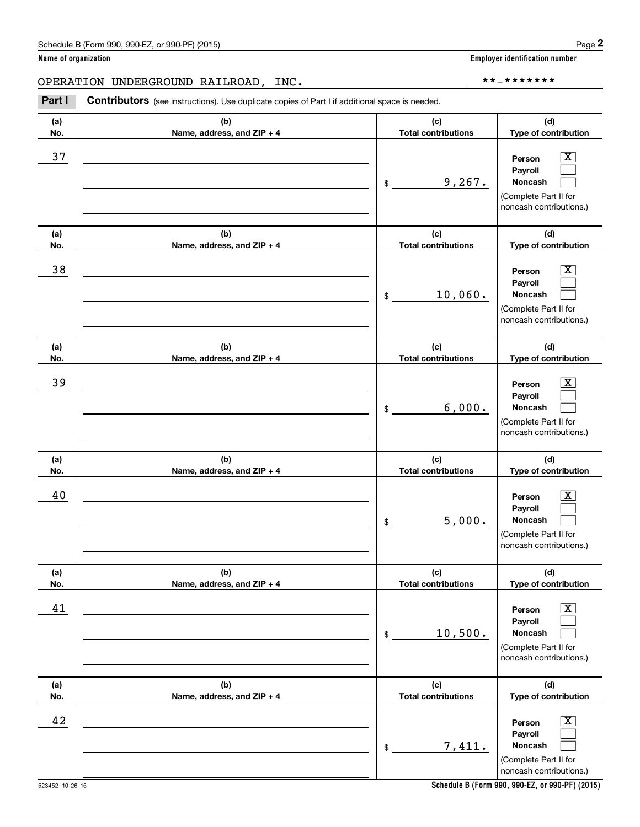(see instructions). Use duplicate copies of Part I if additional space is needed.<br> **2PERATION UNDERGROUND RAILROAD, INC.**<br> **Part I Contributors** (see instructions). Use duplicate copies of Part I if additional space is n

| (a)<br>No. | (b)<br>Name, address, and ZIP + 4 | (c)<br><b>Total contributions</b> | (d)<br>Type of contribution                                                                                 |
|------------|-----------------------------------|-----------------------------------|-------------------------------------------------------------------------------------------------------------|
| 37         |                                   | 9,267.<br>$\frac{1}{2}$           | $\mathbf{X}$<br>Person<br>Payroll<br>Noncash<br>(Complete Part II for<br>noncash contributions.)            |
| (a)<br>No. | (b)<br>Name, address, and ZIP + 4 | (c)<br><b>Total contributions</b> | (d)<br>Type of contribution                                                                                 |
| 38         |                                   | 10,060.<br>\$                     | $\overline{\mathbf{x}}$<br>Person<br>Payroll<br>Noncash<br>(Complete Part II for<br>noncash contributions.) |
| (a)<br>No. | (b)<br>Name, address, and ZIP + 4 | (c)<br><b>Total contributions</b> | (d)<br>Type of contribution                                                                                 |
| 39         |                                   | 6,000.<br>$\frac{1}{2}$           | $\overline{\mathbf{X}}$<br>Person<br>Payroll<br>Noncash<br>(Complete Part II for<br>noncash contributions.) |
| (a)<br>No. | (b)<br>Name, address, and ZIP + 4 | (c)<br><b>Total contributions</b> | (d)<br>Type of contribution                                                                                 |
| 40         |                                   | 5,000.<br>$\frac{1}{2}$           | $\mathbf{X}$<br>Person<br>Payroll<br>Noncash<br>(Complete Part II for<br>noncash contributions.)            |
| (a)<br>No. | (b)<br>Name, address, and ZIP + 4 | (c)<br><b>Total contributions</b> | (d)<br>Type of contribution                                                                                 |
| 41         |                                   | 10,500.<br>\$                     | $\overline{\mathbf{X}}$<br>Person<br>Payroll<br>Noncash<br>(Complete Part II for<br>noncash contributions.) |
| (a)<br>No. | (b)<br>Name, address, and ZIP + 4 | (c)<br><b>Total contributions</b> | (d)<br>Type of contribution                                                                                 |
| 42         |                                   | 7,411.<br>\$                      | $\boxed{\text{X}}$<br>Person<br>Payroll<br>Noncash<br>(Complete Part II for<br>noncash contributions.)      |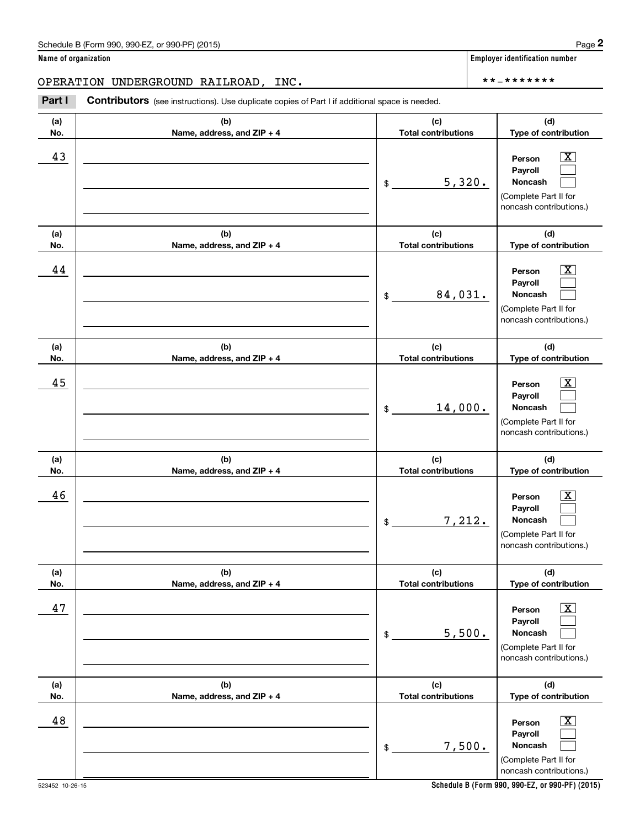OPERATION UNDERGROUND RAILROAD, INC. \*\*‐\*\*\*\*\*\*\*

(see instructions). Use duplicate copies of Part I if additional space is needed.<br> **2PERATION UNDERGROUND RAILROAD, INC.**<br> **Part I Contributors** (see instructions). Use duplicate copies of Part I if additional space is n

| (a)<br>No. | (b)<br>Name, address, and ZIP + 4 | (c)<br><b>Total contributions</b> | (d)<br>Type of contribution                                                                             |
|------------|-----------------------------------|-----------------------------------|---------------------------------------------------------------------------------------------------------|
| 43         |                                   | 5,320.<br>$\frac{1}{2}$           | $\boxed{\text{X}}$<br>Person<br>Payroll<br>Noncash<br>(Complete Part II for<br>noncash contributions.)  |
| (a)<br>No. | (b)<br>Name, address, and ZIP + 4 | (c)<br><b>Total contributions</b> | (d)<br>Type of contribution                                                                             |
| 44         |                                   | 84,031.<br>$\mathsf{\$}$          | $\lfloor x \rfloor$<br>Person<br>Payroll<br>Noncash<br>(Complete Part II for<br>noncash contributions.) |
| (a)<br>No. | (b)<br>Name, address, and ZIP + 4 | (c)<br><b>Total contributions</b> | (d)<br>Type of contribution                                                                             |
| 45         |                                   | 14,000.<br>$\mathsf{\$}$          | $\boxed{\text{X}}$<br>Person<br>Payroll<br>Noncash<br>(Complete Part II for<br>noncash contributions.)  |
| (a)<br>No. | (b)<br>Name, address, and ZIP + 4 | (c)<br><b>Total contributions</b> | (d)<br>Type of contribution                                                                             |
| 46         |                                   | 7,212.<br>$\frac{1}{2}$           | $\boxed{\text{X}}$<br>Person<br>Payroll<br>Noncash<br>(Complete Part II for<br>noncash contributions.)  |
| (a)<br>No. | (b)<br>Name, address, and ZIP + 4 | (c)<br><b>Total contributions</b> | (d)<br>Type of contribution                                                                             |
| 47         |                                   | 5,500.<br>\$                      | $\boxed{\text{X}}$<br>Person<br>Payroll<br>Noncash<br>(Complete Part II for<br>noncash contributions.)  |
| (a)<br>No. | (b)<br>Name, address, and ZIP + 4 | (c)<br><b>Total contributions</b> | (d)<br>Type of contribution                                                                             |
| 48         |                                   | 7,500.<br>$$\mathbb{S}$$          | $\boxed{\text{X}}$<br>Person<br>Payroll<br>Noncash<br>(Complete Part II for<br>noncash contributions.)  |

**Name of organization Employer identification number**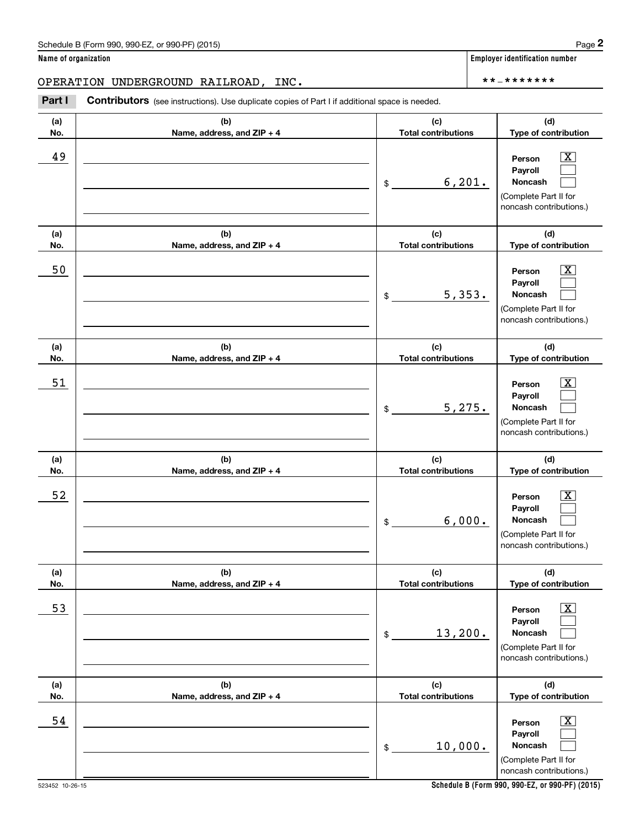(see instructions). Use duplicate copies of Part I if additional space is needed.<br> **2PERATION UNDERGROUND RAILROAD, INC.**<br> **Part I Contributors** (see instructions). Use duplicate copies of Part I if additional space is n

| (a)        | (b)                                 | (c)                               | (d)                                                                                                         |
|------------|-------------------------------------|-----------------------------------|-------------------------------------------------------------------------------------------------------------|
| No.        | Name, address, and ZIP + 4          | <b>Total contributions</b>        | Type of contribution                                                                                        |
| 49         |                                     | 6, 201.<br>$\$$                   | x<br>Person<br>Payroll<br>Noncash<br>(Complete Part II for<br>noncash contributions.)                       |
| (a)<br>No. | (b)<br>Name, address, and ZIP + 4   | (c)<br><b>Total contributions</b> | (d)<br>Type of contribution                                                                                 |
| 50         |                                     | 5,353.<br>\$                      | x<br>Person<br>Payroll<br>Noncash<br>(Complete Part II for<br>noncash contributions.)                       |
| (a)<br>No. | (b)<br>Name, address, and ZIP + 4   | (c)<br><b>Total contributions</b> | (d)<br>Type of contribution                                                                                 |
| 51         |                                     | 5,275.<br>\$                      | x<br>Person<br>Payroll<br>Noncash<br>(Complete Part II for<br>noncash contributions.)                       |
| (a)<br>No. | (b)<br>Name, address, and ZIP + 4   | (c)<br><b>Total contributions</b> | (d)<br>Type of contribution                                                                                 |
| 52         |                                     | 6,000.<br>\$                      | Person<br>Payroll<br>Noncash<br>(Complete Part II for<br>noncash contributions.)                            |
| (a)<br>No. | (b)<br>Name, address, and $ZIP + 4$ | (c)<br><b>Total contributions</b> | (d)<br><b>Type of contribution</b>                                                                          |
| 53         |                                     | 13,200.<br>$\,$                   | $\overline{\texttt{x}}$<br>Person<br>Payroll<br>Noncash<br>(Complete Part II for<br>noncash contributions.) |
| (a)<br>No. | (b)<br>Name, address, and ZIP + 4   | (c)<br><b>Total contributions</b> | (d)<br>Type of contribution                                                                                 |
| 54         |                                     | 10,000.<br>\$                     | $\overline{\text{X}}$<br>Person<br>Payroll<br>Noncash<br>(Complete Part II for<br>noncash contributions.)   |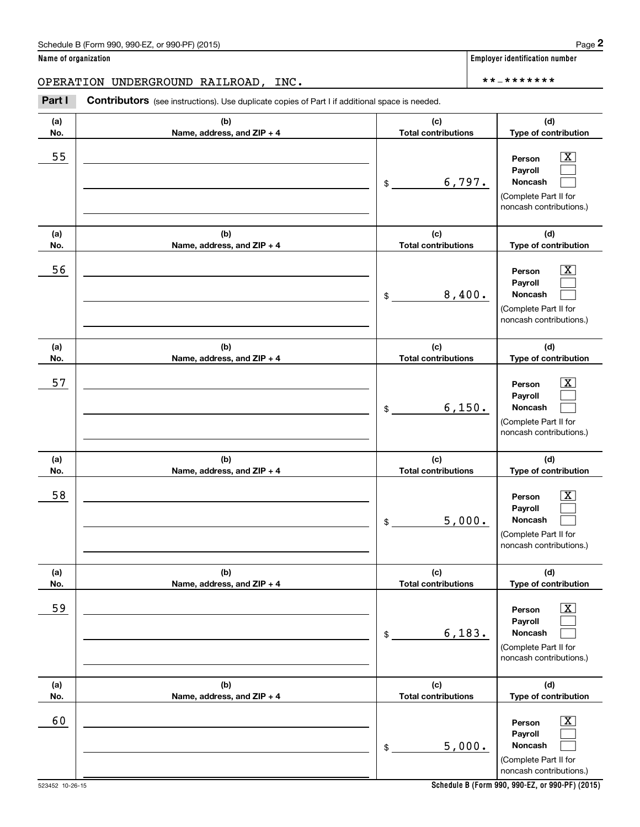(see instructions). Use duplicate copies of Part I if additional space is needed.<br> **2PERATION UNDERGROUND RAILROAD, INC.**<br> **Part I Contributors** (see instructions). Use duplicate copies of Part I if additional space is n

| (a) | (b)                        | (c)                        | (d)                                                                                                         |
|-----|----------------------------|----------------------------|-------------------------------------------------------------------------------------------------------------|
| No. | Name, address, and ZIP + 4 | <b>Total contributions</b> | Type of contribution                                                                                        |
| 55  |                            | 6,797.<br>$\frac{1}{2}$    | X<br>Person<br>Payroll<br>Noncash<br>(Complete Part II for<br>noncash contributions.)                       |
| (a) | (b)                        | (c)                        | (d)                                                                                                         |
| No. | Name, address, and ZIP + 4 | <b>Total contributions</b> | Type of contribution                                                                                        |
| 56  |                            | 8,400.<br>\$               | х<br>Person<br>Payroll<br>Noncash<br>(Complete Part II for<br>noncash contributions.)                       |
| (a) | (b)                        | (c)                        | (d)                                                                                                         |
| No. | Name, address, and ZIP + 4 | <b>Total contributions</b> | Type of contribution                                                                                        |
| 57  |                            | 6,150.<br>\$               | х<br>Person<br>Payroll<br>Noncash<br>(Complete Part II for<br>noncash contributions.)                       |
| (a) | (b)                        | (c)                        | (d)                                                                                                         |
| No. | Name, address, and ZIP + 4 | <b>Total contributions</b> | Type of contribution                                                                                        |
| 58  |                            | 5,000.<br>\$               | X<br>Person<br>Payroll<br>Noncash<br>(Complete Part II for<br>noncash contributions.)                       |
| (a) | (b)                        | (c)                        | (d)                                                                                                         |
| No. | Name, address, and ZIP + 4 | <b>Total contributions</b> | Type of contribution                                                                                        |
| 59  |                            | 6, 183.<br>\$              | $\overline{\mathbf{X}}$<br>Person<br>Payroll<br>Noncash<br>(Complete Part II for<br>noncash contributions.) |
| (a) | (b)                        | (c)                        | (d)                                                                                                         |
| No. | Name, address, and ZIP + 4 | <b>Total contributions</b> | Type of contribution                                                                                        |
| 60  |                            | 5,000.<br>$\$$             | $\boxed{\text{X}}$<br>Person<br>Payroll<br>Noncash<br>(Complete Part II for<br>noncash contributions.)      |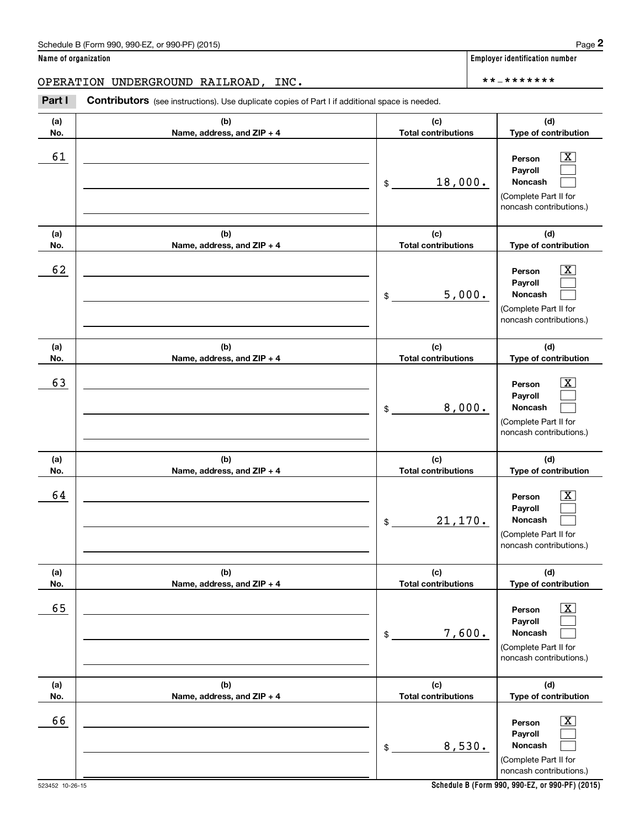(see instructions). Use duplicate copies of Part I if additional space is needed.<br> **2PERATION UNDERGROUND RAILROAD, INC.**<br> **Part I Contributors** (see instructions). Use duplicate copies of Part I if additional space is n

| (a)<br>No. | (b)<br>Name, address, and ZIP + 4 | (c)<br><b>Total contributions</b> | (d)<br>Type of contribution                                                                                 |
|------------|-----------------------------------|-----------------------------------|-------------------------------------------------------------------------------------------------------------|
| 61         |                                   | 18,000.<br>\$                     | $\overline{\mathbf{X}}$<br>Person<br>Payroll<br>Noncash<br>(Complete Part II for<br>noncash contributions.) |
| (a)<br>No. | (b)<br>Name, address, and ZIP + 4 | (c)<br><b>Total contributions</b> | (d)<br>Type of contribution                                                                                 |
| 62         |                                   | 5,000.<br>\$                      | $\overline{\mathbf{X}}$<br>Person<br>Payroll<br>Noncash<br>(Complete Part II for<br>noncash contributions.) |
| (a)<br>No. | (b)<br>Name, address, and ZIP + 4 | (c)<br><b>Total contributions</b> | (d)<br>Type of contribution                                                                                 |
| 63         |                                   | 8,000.<br>\$                      | $\overline{\text{X}}$<br>Person<br>Payroll<br>Noncash<br>(Complete Part II for<br>noncash contributions.)   |
| (a)<br>No. | (b)<br>Name, address, and ZIP + 4 | (c)<br><b>Total contributions</b> | (d)<br>Type of contribution                                                                                 |
| 64         |                                   | 21,170.<br>\$                     | $\overline{\text{X}}$<br>Person<br>Payroll<br>Noncash<br>(Complete Part II for<br>noncash contributions.)   |
| (a)<br>No. | (b)<br>Name, address, and ZIP + 4 | (c)<br><b>Total contributions</b> | (d)<br>Type of contribution                                                                                 |
| 65         |                                   | 7,600.<br>$$\mathbb{S}$$          | $\boxed{\text{X}}$<br>Person<br>Payroll<br>Noncash<br>(Complete Part II for<br>noncash contributions.)      |
| (a)<br>No. | (b)<br>Name, address, and ZIP + 4 | (c)<br><b>Total contributions</b> | (d)<br>Type of contribution                                                                                 |
| 66         |                                   | 8,530.<br>$\$$                    | $\boxed{\text{X}}$<br>Person<br>Payroll<br>Noncash<br>(Complete Part II for<br>noncash contributions.)      |

**Schedule B (Form 990, 990-EZ, or 990-PF) (2015)**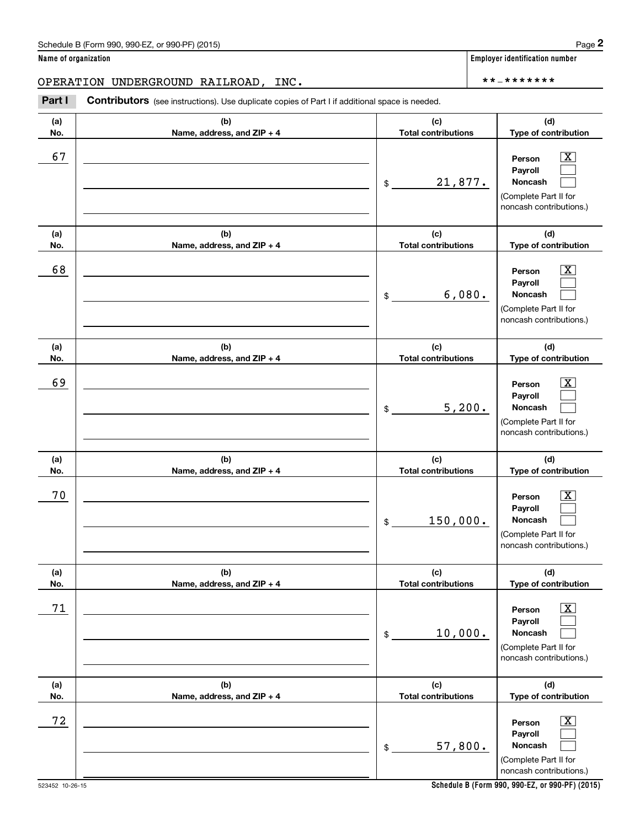(see instructions). Use duplicate copies of Part I if additional space is needed.<br> **2PERATION UNDERGROUND RAILROAD, INC.**<br> **Part I Contributors** (see instructions). Use duplicate copies of Part I if additional space is n

| (a)<br>No. | (b)<br>Name, address, and ZIP + 4 | (c)<br><b>Total contributions</b>                    | (d)<br>Type of contribution                                                                                 |
|------------|-----------------------------------|------------------------------------------------------|-------------------------------------------------------------------------------------------------------------|
| 67         |                                   | 21,877.<br>\$                                        | $\mathbf{X}$<br>Person<br>Payroll<br>Noncash<br>(Complete Part II for<br>noncash contributions.)            |
| (a)<br>No. | (b)<br>Name, address, and ZIP + 4 | (c)<br><b>Total contributions</b>                    | (d)<br>Type of contribution                                                                                 |
| 68         |                                   | 6,080.<br>\$                                         | $\mathbf{X}$<br>Person<br>Payroll<br>Noncash<br>(Complete Part II for<br>noncash contributions.)            |
| (a)<br>No. | (b)<br>Name, address, and ZIP + 4 | (c)<br><b>Total contributions</b>                    | (d)<br>Type of contribution                                                                                 |
| 69         |                                   | 5,200.<br>\$                                         | $\mathbf{X}$<br>Person<br>Payroll<br><b>Noncash</b><br>(Complete Part II for<br>noncash contributions.)     |
| (a)<br>No. | (b)<br>Name, address, and ZIP + 4 | (c)<br><b>Total contributions</b>                    | (d)<br>Type of contribution                                                                                 |
| 70         |                                   | 150,000.<br>\$                                       | $\mathbf{X}$<br>Person<br>Payroll<br>Noncash<br>(Complete Part II for<br>noncash contributions.)            |
| (a)<br>No. | (b)<br>Name, address, and ZIP + 4 | (c)<br><b>Total contributions</b>                    | (d)<br>Type of contribution                                                                                 |
| 71         |                                   | 10,000.<br>$\, \, \raisebox{12pt}{$\scriptstyle \$}$ | $\overline{\mathbf{X}}$<br>Person<br>Payroll<br>Noncash<br>(Complete Part II for<br>noncash contributions.) |
| (a)<br>No. | (b)<br>Name, address, and ZIP + 4 | (c)<br><b>Total contributions</b>                    | (d)<br>Type of contribution                                                                                 |
| 72         |                                   | 57,800.<br>$\, \, \raisebox{12pt}{$\scriptstyle \$}$ | $\mathbf{X}$<br>Person<br>Payroll<br>Noncash<br>(Complete Part II for<br>noncash contributions.)            |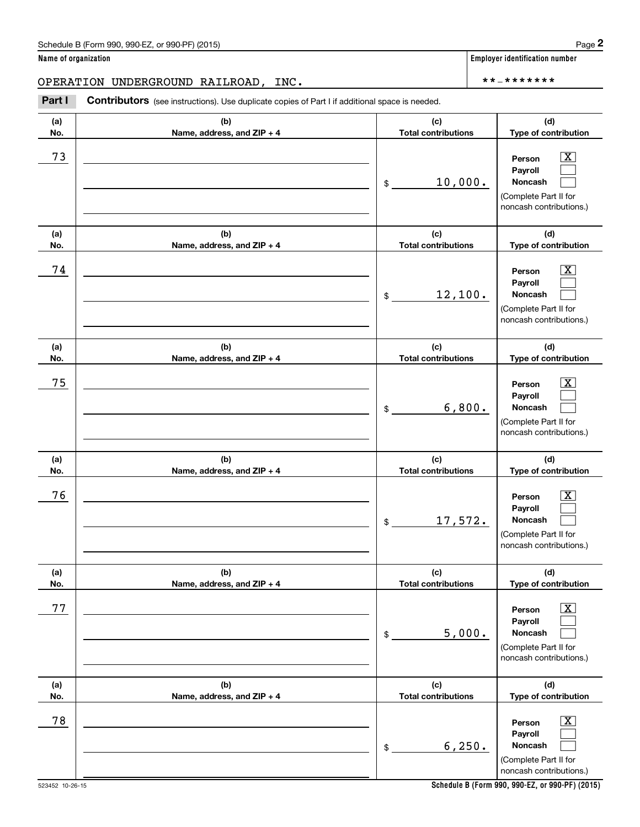(see instructions). Use duplicate copies of Part I if additional space is needed.<br> **2PERATION UNDERGROUND RAILROAD, INC.**<br> **Part I Contributors** (see instructions). Use duplicate copies of Part I if additional space is n

| (a)        | (b)                                 | (c)                               | (d)                                                                                                         |
|------------|-------------------------------------|-----------------------------------|-------------------------------------------------------------------------------------------------------------|
| No.        | Name, address, and ZIP + 4          | <b>Total contributions</b>        | Type of contribution                                                                                        |
| 73         |                                     | 10,000.<br>\$                     | Person<br>x<br>Payroll<br>Noncash<br>(Complete Part II for<br>noncash contributions.)                       |
| (a)<br>No. | (b)<br>Name, address, and ZIP + 4   | (c)<br><b>Total contributions</b> | (d)<br>Type of contribution                                                                                 |
| 74         |                                     | 12,100.<br>\$                     | Person<br>x<br>Payroll<br>Noncash<br>(Complete Part II for<br>noncash contributions.)                       |
| (a)<br>No. | (b)<br>Name, address, and ZIP + 4   | (c)<br><b>Total contributions</b> | (d)<br>Type of contribution                                                                                 |
| 75         |                                     | 6,800.<br>\$                      | Person<br>Payroll<br>Noncash<br>(Complete Part II for<br>noncash contributions.)                            |
| (a)<br>No. | (b)<br>Name, address, and ZIP + 4   | (c)<br><b>Total contributions</b> | (d)<br>Type of contribution                                                                                 |
| 76         |                                     | 17,572.<br>\$                     | Person<br>Payroll<br>Noncash<br>(Complete Part II for<br>noncash contributions.)                            |
| (a)<br>No. | (b)<br>Name, address, and $ZIP + 4$ | (c)<br>Total contributions        | (d)<br>Type of contribution                                                                                 |
| 77         |                                     | 5,000.<br>\$                      | $\overline{\texttt{x}}$<br>Person<br>Payroll<br>Noncash<br>(Complete Part II for<br>noncash contributions.) |
| (a)<br>No. | (b)<br>Name, address, and ZIP + 4   | (c)<br><b>Total contributions</b> | (d)<br>Type of contribution                                                                                 |
| 78         |                                     | 6, 250.<br>\$                     | $\overline{\texttt{x}}$<br>Person<br>Payroll<br>Noncash<br>(Complete Part II for<br>noncash contributions.) |

**Schedule B (Form 990, 990-EZ, or 990-PF) (2015)**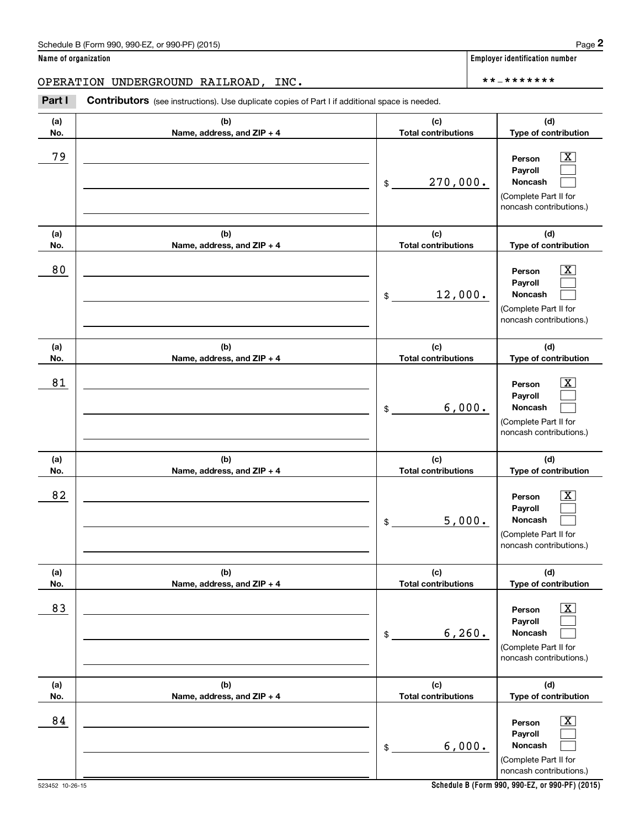OPERATION UNDERGROUND RAILROAD, INC. \*\*‐\*\*\*\*\*\*\*

(see instructions). Use duplicate copies of Part I if additional space is needed.<br> **2PERATION UNDERGROUND RAILROAD, INC.**<br> **Part I Contributors** (see instructions). Use duplicate copies of Part I if additional space is n

| (a) | (b)                        | (c)                        | (d)                                                                                                              |
|-----|----------------------------|----------------------------|------------------------------------------------------------------------------------------------------------------|
| No. | Name, address, and ZIP + 4 | <b>Total contributions</b> | Type of contribution                                                                                             |
| 79  |                            | 270,000.<br>$\frac{1}{2}$  | $\overline{\text{X}}$<br>Person<br>Payroll<br><b>Noncash</b><br>(Complete Part II for<br>noncash contributions.) |
| (a) | (b)                        | (c)                        | (d)                                                                                                              |
| No. | Name, address, and ZIP + 4 | <b>Total contributions</b> | Type of contribution                                                                                             |
| 80  |                            | 12,000.<br>\$              | $\overline{\text{X}}$<br>Person<br>Payroll<br><b>Noncash</b><br>(Complete Part II for<br>noncash contributions.) |
| (a) | (b)                        | (c)                        | (d)                                                                                                              |
| No. | Name, address, and ZIP + 4 | <b>Total contributions</b> | Type of contribution                                                                                             |
| 81  |                            | 6,000.<br>\$               | $\overline{\text{X}}$<br>Person<br>Payroll<br><b>Noncash</b><br>(Complete Part II for<br>noncash contributions.) |
| (a) | (b)                        | (c)                        | (d)                                                                                                              |
| No. | Name, address, and ZIP + 4 | <b>Total contributions</b> | Type of contribution                                                                                             |
| 82  |                            | 5,000.<br>$$_$             | X<br>Person<br>Payroll<br><b>Noncash</b><br>(Complete Part II for<br>noncash contributions.)                     |
| (a) | (b)                        | (c)                        | (d)                                                                                                              |
| No. | Name, address, and ZIP + 4 | <b>Total contributions</b> | Type of contribution                                                                                             |
| 83  |                            | 6, 260.<br>$\frac{1}{2}$   | $\overline{\text{X}}$<br>Person<br>Payroll<br>Noncash<br>(Complete Part II for<br>noncash contributions.)        |
| (a) | (b)                        | (c)                        | (d)                                                                                                              |
| No. | Name, address, and ZIP + 4 | <b>Total contributions</b> | Type of contribution                                                                                             |
| 84  |                            | 6,000.<br>$\frac{1}{2}$    | $\overline{\mathbf{X}}$<br>Person<br>Payroll<br>Noncash<br>(Complete Part II for<br>noncash contributions.)      |

**Name of organization Employer identification number**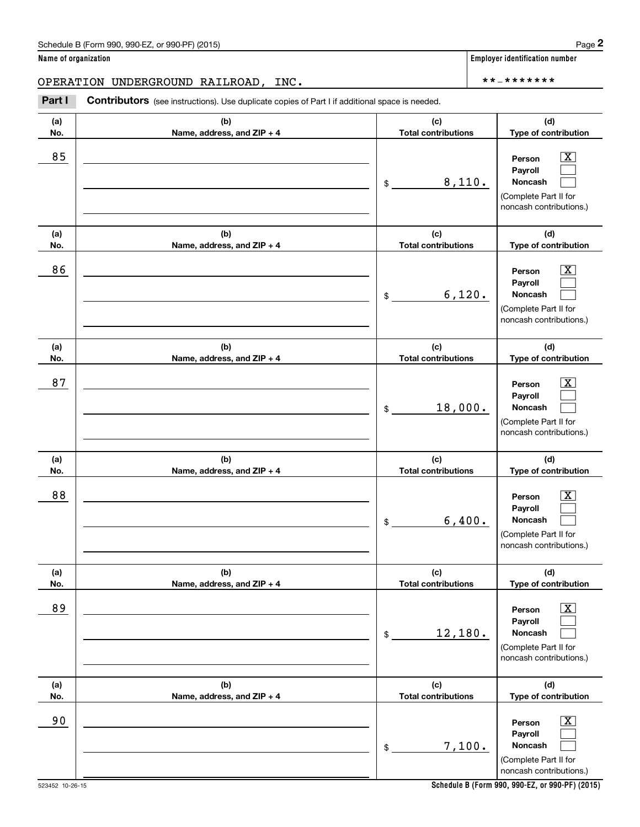(see instructions). Use duplicate copies of Part I if additional space is needed.<br> **2PERATION UNDERGROUND RAILROAD, INC.**<br> **Part I Contributors** (see instructions). Use duplicate copies of Part I if additional space is n

| (a)<br>No. | (b)<br>Name, address, and ZIP + 4 | (c)<br><b>Total contributions</b> | (d)<br>Type of contribution                                                                                 |
|------------|-----------------------------------|-----------------------------------|-------------------------------------------------------------------------------------------------------------|
| 85         |                                   | 8,110.<br>\$                      | $\overline{\mathbf{X}}$<br>Person<br>Payroll<br>Noncash<br>(Complete Part II for<br>noncash contributions.) |
| (a)<br>No. | (b)<br>Name, address, and ZIP + 4 | (c)<br><b>Total contributions</b> | (d)<br>Type of contribution                                                                                 |
| 86         |                                   | 6,120.<br>$\frac{1}{2}$           | $\overline{\mathbf{X}}$<br>Person<br>Payroll<br>Noncash<br>(Complete Part II for<br>noncash contributions.) |
| (a)<br>No. | (b)<br>Name, address, and ZIP + 4 | (c)<br><b>Total contributions</b> | (d)<br>Type of contribution                                                                                 |
| 87         |                                   | 18,000.<br>$\mathfrak{S}$         | $\overline{\mathbf{X}}$<br>Person<br>Payroll<br>Noncash<br>(Complete Part II for<br>noncash contributions.) |
| (a)<br>No. | (b)<br>Name, address, and ZIP + 4 | (c)<br><b>Total contributions</b> | (d)<br>Type of contribution                                                                                 |
| 88         |                                   | 6,400.<br>\$                      | $\overline{\mathbf{X}}$<br>Person<br>Payroll<br>Noncash<br>(Complete Part II for<br>noncash contributions.) |
| (a)<br>No. | (b)<br>Name, address, and ZIP + 4 | (c)<br><b>Total contributions</b> | (d)<br>Type of contribution                                                                                 |
| 89         |                                   | 12,180.<br>\$                     | $\boxed{\text{X}}$<br>Person<br>Payroll<br>Noncash<br>(Complete Part II for<br>noncash contributions.)      |
| (a)<br>No. | (b)<br>Name, address, and ZIP + 4 | (c)<br><b>Total contributions</b> | (d)<br>Type of contribution                                                                                 |
| 90         |                                   | 7,100.<br>$\frac{1}{2}$           | $\boxed{\text{X}}$<br>Person<br>Payroll<br>Noncash<br>(Complete Part II for<br>noncash contributions.)      |

**Schedule B (Form 990, 990-EZ, or 990-PF) (2015)**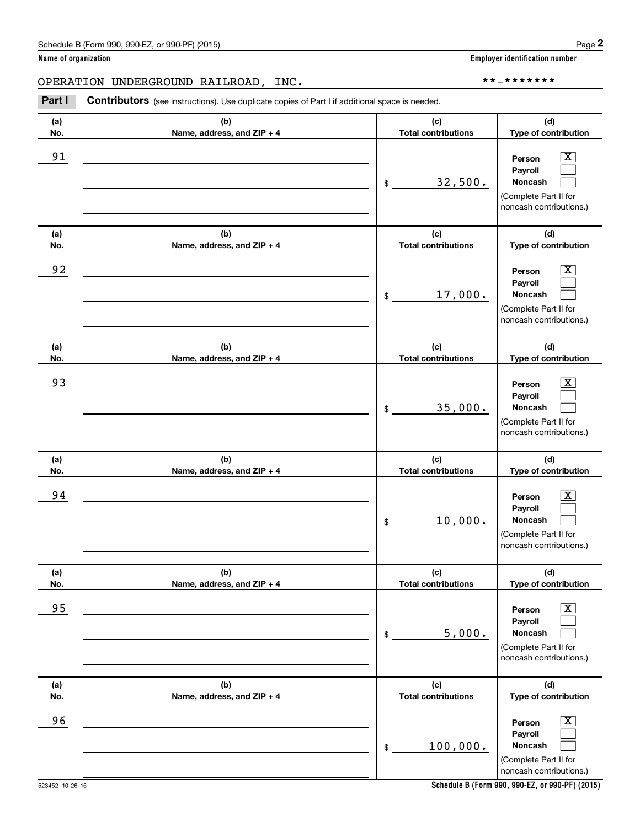(see instructions). Use duplicate copies of Part I if additional space is needed.<br> **2PERATION UNDERGROUND RAILROAD, INC.**<br> **Part I Contributors** (see instructions). Use duplicate copies of Part I if additional space is n

| (a) | (b)                        | (c)                        | (d)                                                                                                              |
|-----|----------------------------|----------------------------|------------------------------------------------------------------------------------------------------------------|
| No. | Name, address, and ZIP + 4 | <b>Total contributions</b> | Type of contribution                                                                                             |
| 91  |                            | 32,500.<br>\$              | $\overline{\text{X}}$<br>Person<br>Payroll<br><b>Noncash</b><br>(Complete Part II for<br>noncash contributions.) |
| (a) | (b)                        | (c)                        | (d)                                                                                                              |
| No. | Name, address, and ZIP + 4 | <b>Total contributions</b> | Type of contribution                                                                                             |
| 92  |                            | 17,000.<br>$\frac{1}{2}$   | $\overline{\text{X}}$<br>Person<br>Payroll<br><b>Noncash</b><br>(Complete Part II for<br>noncash contributions.) |
| (a) | (b)                        | (c)                        | (d)                                                                                                              |
| No. | Name, address, and ZIP + 4 | <b>Total contributions</b> | Type of contribution                                                                                             |
| 93  |                            | 35,000.<br>$\frac{1}{2}$   | X<br>Person<br>Payroll<br><b>Noncash</b><br>(Complete Part II for<br>noncash contributions.)                     |
| (a) | (b)                        | (c)                        | (d)                                                                                                              |
| No. | Name, address, and ZIP + 4 | <b>Total contributions</b> | Type of contribution                                                                                             |
| 94  |                            | 10,000.<br>$\frac{1}{2}$   | X<br>Person<br>Payroll<br><b>Noncash</b><br>(Complete Part II for<br>noncash contributions.)                     |
| (a) | (b)                        | (c)                        | (d)                                                                                                              |
| No. | Name, address, and ZIP + 4 | <b>Total contributions</b> | Type of contribution                                                                                             |
| 95  |                            | 5,000.<br>\$               | $\overline{\text{X}}$<br>Person<br>Payroll<br>Noncash<br>(Complete Part II for<br>noncash contributions.)        |
| (a) | (b)                        | (c)                        | (d)                                                                                                              |
| No. | Name, address, and ZIP + 4 | <b>Total contributions</b> | Type of contribution                                                                                             |
| 96  |                            | 100,000.<br>$\frac{1}{2}$  | $\overline{\mathbf{X}}$<br>Person<br>Payroll<br>Noncash<br>(Complete Part II for<br>noncash contributions.)      |

**Schedule B (Form 990, 990-EZ, or 990-PF) (2015)**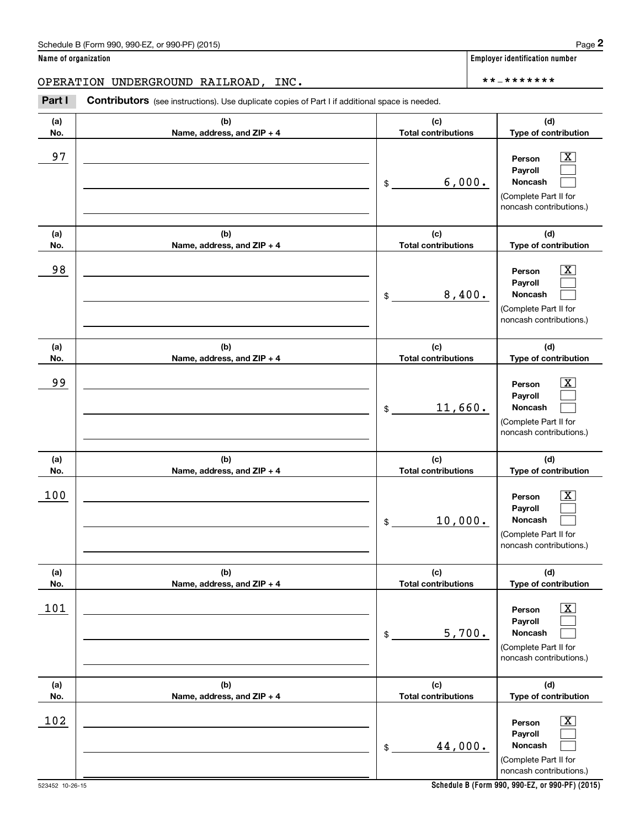(see instructions). Use duplicate copies of Part I if additional space is needed.<br> **2PERATION UNDERGROUND RAILROAD, INC.**<br> **Part I Contributors** (see instructions). Use duplicate copies of Part I if additional space is n

| (a)<br>No. | (b)<br>Name, address, and ZIP + 4 | (c)<br><b>Total contributions</b> | (d)<br>Type of contribution                                                                            |
|------------|-----------------------------------|-----------------------------------|--------------------------------------------------------------------------------------------------------|
| 97         |                                   | 6,000.<br>\$                      | X<br>Person<br>Payroll<br>Noncash<br>(Complete Part II for<br>noncash contributions.)                  |
| (a)<br>No. | (b)<br>Name, address, and ZIP + 4 | (c)<br><b>Total contributions</b> | (d)<br>Type of contribution                                                                            |
| 98         |                                   | 8,400.<br>\$                      | X<br>Person<br>Payroll<br>Noncash<br>(Complete Part II for<br>noncash contributions.)                  |
| (a)<br>No. | (b)<br>Name, address, and ZIP + 4 | (c)<br><b>Total contributions</b> | (d)<br>Type of contribution                                                                            |
| 99         |                                   | 11,660.<br>\$                     | X<br>Person<br>Payroll<br>Noncash<br>(Complete Part II for<br>noncash contributions.)                  |
| (a)<br>No. | (b)<br>Name, address, and ZIP + 4 | (c)<br><b>Total contributions</b> | (d)<br>Type of contribution                                                                            |
| 100        |                                   | 10,000.<br>\$                     | X<br>Person<br>Payroll<br><b>Noncash</b><br>(Complete Part II for<br>noncash contributions.)           |
| (a)<br>No. | (b)<br>Name, address, and ZIP + 4 | (c)<br><b>Total contributions</b> | (d)<br>Type of contribution                                                                            |
| <u>101</u> |                                   | 5,700.<br>\$                      | $\boxed{\text{X}}$<br>Person<br>Payroll<br>Noncash<br>(Complete Part II for<br>noncash contributions.) |
| (a)<br>No. | (b)<br>Name, address, and ZIP + 4 | (c)<br><b>Total contributions</b> | (d)<br>Type of contribution                                                                            |
| 102        |                                   | 44,000.<br>$\,$                   | $\boxed{\text{X}}$<br>Person<br>Payroll<br>Noncash<br>(Complete Part II for<br>noncash contributions.) |

**Schedule B (Form 990, 990-EZ, or 990-PF) (2015)**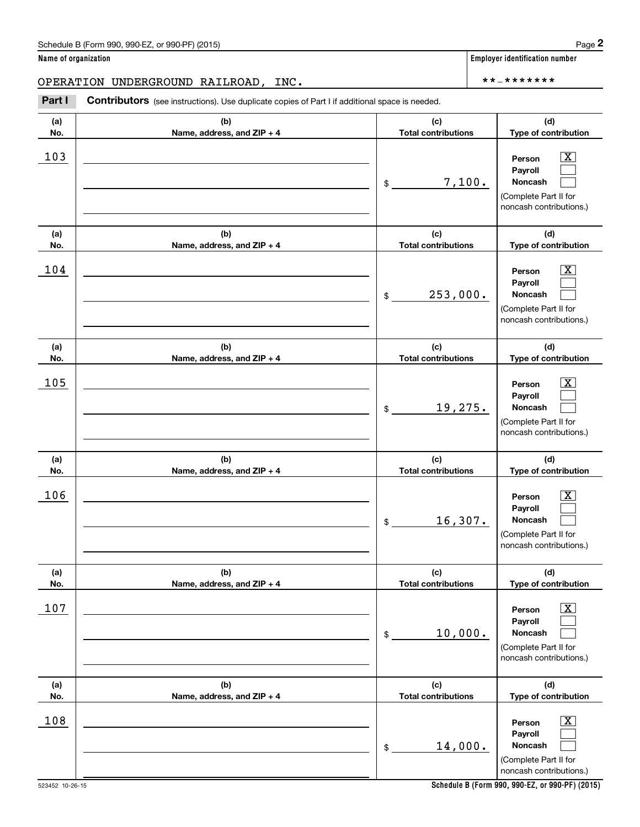**(a) No.**

(see instructions). Use duplicate copies of Part I if additional space is needed.<br> **2PERATION UNDERGROUND RAILROAD, INC.**<br> **Part I Contributors** (see instructions). Use duplicate copies of Part I if additional space is n OPERATION UNDERGROUND RAILROAD, INC. \*\*‐\*\*\*\*\*\*\*

> **(b) Name, address, and ZIP + 4**

| 103        |                                   | 7,100.<br>\$                      | $\overline{\text{X}}$<br>Person<br>Payroll<br>Noncash<br>(Complete Part II for<br>noncash contributions.)   |
|------------|-----------------------------------|-----------------------------------|-------------------------------------------------------------------------------------------------------------|
| (a)<br>No. | (b)<br>Name, address, and ZIP + 4 | (c)<br><b>Total contributions</b> | (d)<br>Type of contribution                                                                                 |
| 104        |                                   | 253,000.<br>\$                    | $\overline{\text{X}}$<br>Person<br>Payroll<br>Noncash<br>(Complete Part II for<br>noncash contributions.)   |
| (a)<br>No. | (b)<br>Name, address, and ZIP + 4 | (c)<br><b>Total contributions</b> | (d)<br>Type of contribution                                                                                 |
| 105        |                                   | 19,275.<br>\$                     | $\overline{\text{X}}$<br>Person<br>Payroll<br>Noncash<br>(Complete Part II for<br>noncash contributions.)   |
| (a)<br>No. | (b)<br>Name, address, and ZIP + 4 | (c)<br><b>Total contributions</b> | (d)<br>Type of contribution                                                                                 |
| 106        |                                   | 16,307.<br>\$                     | $\overline{\text{X}}$<br>Person<br>Payroll<br>Noncash<br>(Complete Part II for<br>noncash contributions.)   |
| (a)<br>No. | (b)<br>Name, address, and ZIP + 4 | (c)<br><b>Total contributions</b> | (d)<br>Type of contribution                                                                                 |
| 107        |                                   | 10,000.<br>\$                     | $\overline{\text{X}}$<br>Person<br>Payroll<br>Noncash<br>(Complete Part II for<br>noncash contributions.)   |
| (a)<br>No. | (b)<br>Name, address, and ZIP + 4 | (c)<br><b>Total contributions</b> | (d)<br>Type of contribution                                                                                 |
| 108        |                                   | 14,000.<br>\$                     | $\overline{\mathbf{X}}$<br>Person<br>Payroll<br>Noncash<br>(Complete Part II for<br>noncash contributions.) |

**Name of organization Employer identification number**

**(d) Type of contribution**

**(c) Total contributions**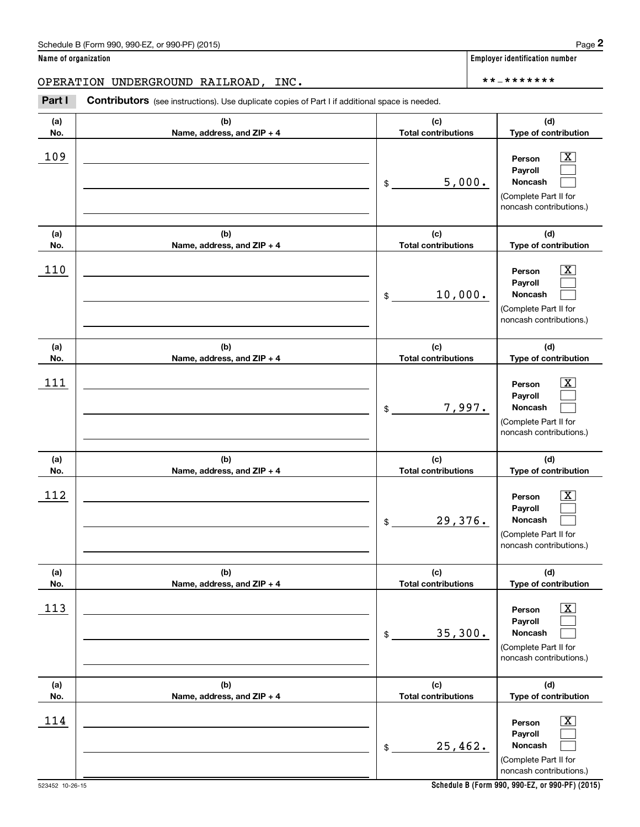(see instructions). Use duplicate copies of Part I if additional space is needed.<br> **2PERATION UNDERGROUND RAILROAD, INC.**<br> **Part I Contributors** (see instructions). Use duplicate copies of Part I if additional space is n

| (a)        | (b)                        | (c)                        | (d)                                                                                                         |
|------------|----------------------------|----------------------------|-------------------------------------------------------------------------------------------------------------|
| No.        | Name, address, and ZIP + 4 | <b>Total contributions</b> | Type of contribution                                                                                        |
| 109        |                            | 5,000.<br>\$               | X<br>Person<br>Payroll<br><b>Noncash</b><br>(Complete Part II for<br>noncash contributions.)                |
| (a)        | (b)                        | (c)                        | (d)                                                                                                         |
| No.        | Name, address, and ZIP + 4 | <b>Total contributions</b> | Type of contribution                                                                                        |
| 110        |                            | 10,000.<br>$\frac{1}{2}$   | X<br>Person<br>Payroll<br><b>Noncash</b><br>(Complete Part II for<br>noncash contributions.)                |
| (a)        | (b)                        | (c)                        | (d)                                                                                                         |
| No.        | Name, address, and ZIP + 4 | <b>Total contributions</b> | Type of contribution                                                                                        |
| 111        |                            | 7,997.<br>\$               | X<br>Person<br>Payroll<br><b>Noncash</b><br>(Complete Part II for<br>noncash contributions.)                |
| (a)        | (b)                        | (c)                        | (d)                                                                                                         |
| No.        | Name, address, and ZIP + 4 | <b>Total contributions</b> | Type of contribution                                                                                        |
| 112        |                            | 29,376.<br>$\mathsf{\$}$   | X<br>Person<br>Payroll<br><b>Noncash</b><br>(Complete Part II for<br>noncash contributions.)                |
| (a)        | (b)                        | (c)                        | (d)                                                                                                         |
| No.        | Name, address, and ZIP + 4 | <b>Total contributions</b> | Type of contribution                                                                                        |
| <u>113</u> |                            | 35,300.<br>\$              | $\overline{\mathbf{X}}$<br>Person<br>Payroll<br>Noncash<br>(Complete Part II for<br>noncash contributions.) |
| (a)        | (b)                        | (c)                        | (d)                                                                                                         |
| No.        | Name, address, and ZIP + 4 | <b>Total contributions</b> | Type of contribution                                                                                        |
| 114        |                            | 25,462.<br>\$              | $\overline{\mathbf{X}}$<br>Person<br>Payroll<br>Noncash<br>(Complete Part II for<br>noncash contributions.) |

**Name of organization Employer identification number**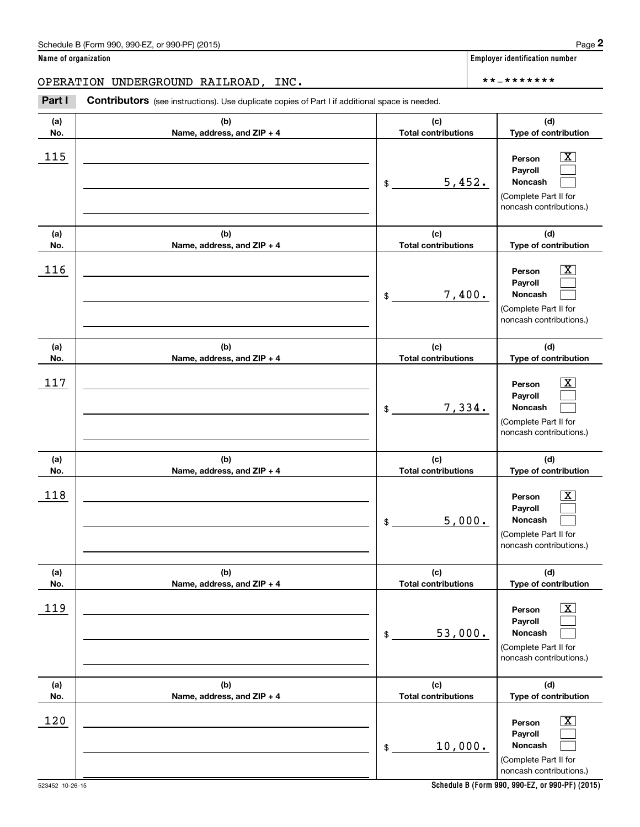| (a)<br>No. | (b)<br>Name, address, and ZIP + 4 | (c)<br><b>Total contributions</b> | (d)<br>Type of contribution                                                                             |
|------------|-----------------------------------|-----------------------------------|---------------------------------------------------------------------------------------------------------|
| 115        |                                   | 5,452.<br>\$                      | $\boxed{\text{X}}$<br>Person<br>Payroll<br>Noncash<br>(Complete Part II for<br>noncash contributions.)  |
| (a)<br>No. | (b)<br>Name, address, and ZIP + 4 | (c)<br><b>Total contributions</b> | (d)<br>Type of contribution                                                                             |
| 116        |                                   | 7,400.<br>\$                      | $\boxed{\text{X}}$<br>Person<br>Payroll<br>Noncash<br>(Complete Part II for<br>noncash contributions.)  |
| (a)<br>No. | (b)<br>Name, address, and ZIP + 4 | (c)<br><b>Total contributions</b> | (d)<br>Type of contribution                                                                             |
| 117        |                                   | 7,334.<br>\$                      | $\mathbf{X}$<br>Person<br>Payroll<br><b>Noncash</b><br>(Complete Part II for<br>noncash contributions.) |
| (a)<br>No. | (b)<br>Name, address, and ZIP + 4 | (c)<br><b>Total contributions</b> | (d)<br>Type of contribution                                                                             |
| 118        |                                   | 5,000.<br>\$                      | $\mathbf{X}$<br>Person<br>Payroll<br>Noncash<br>(Complete Part II for<br>noncash contributions.)        |
| (a)<br>No. | (b)<br>Name, address, and ZIP + 4 | (c)<br><b>Total contributions</b> | (d)<br>Type of contribution                                                                             |
| 119        |                                   | 53,000.<br>$\,$                   | $\boxed{\text{X}}$<br>Person<br>Payroll<br>Noncash<br>(Complete Part II for<br>noncash contributions.)  |
| (a)<br>No. | (b)<br>Name, address, and ZIP + 4 | (c)<br><b>Total contributions</b> | (d)<br>Type of contribution                                                                             |
| 120        |                                   | 10,000.<br>\$                     | $\boxed{\text{X}}$<br>Person<br>Payroll<br>Noncash<br>(Complete Part II for<br>noncash contributions.)  |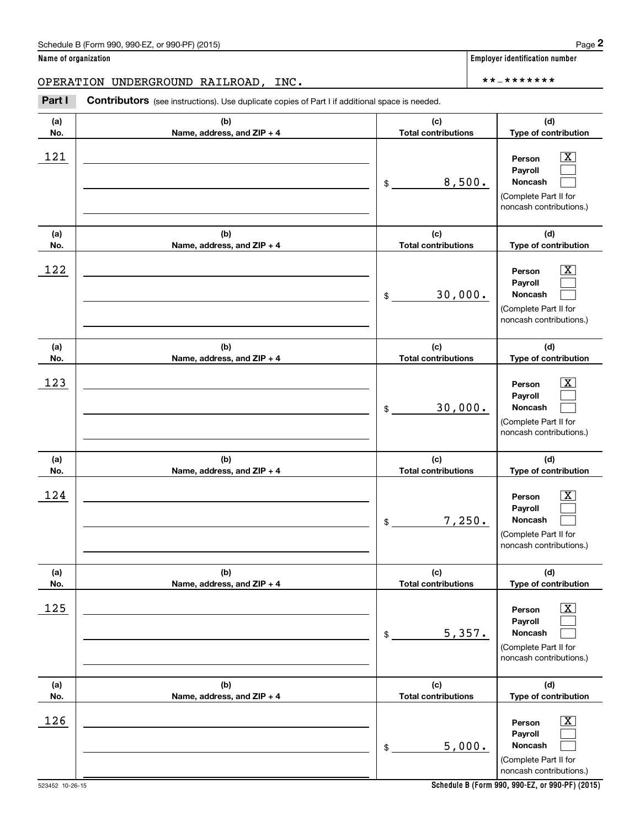| (a)<br>No. | (b)<br>Name, address, and ZIP + 4 | (c)<br><b>Total contributions</b> | (d)<br>Type of contribution                                                                            |
|------------|-----------------------------------|-----------------------------------|--------------------------------------------------------------------------------------------------------|
| 121        |                                   | 8,500.<br>$\frac{1}{2}$           | $\mathbf{X}$<br>Person<br>Pavroll<br>Noncash<br>(Complete Part II for<br>noncash contributions.)       |
| (a)<br>No. | (b)<br>Name, address, and ZIP + 4 | (c)<br><b>Total contributions</b> | (d)<br>Type of contribution                                                                            |
| 122        |                                   | 30,000.<br>\$                     | $\mathbf{X}$<br>Person<br>Payroll<br>Noncash<br>(Complete Part II for<br>noncash contributions.)       |
| (a)<br>No. | (b)<br>Name, address, and ZIP + 4 | (c)<br><b>Total contributions</b> | (d)<br>Type of contribution                                                                            |
| 123        |                                   | 30,000.<br>$$\circ$$              | $\mathbf{X}$<br>Person<br>Payroll<br>Noncash<br>(Complete Part II for<br>noncash contributions.)       |
| (a)<br>No. | (b)<br>Name, address, and ZIP + 4 | (c)<br><b>Total contributions</b> | (d)<br>Type of contribution                                                                            |
| 124        |                                   | 7,250.<br>$\frac{1}{2}$           | X<br>Person<br>Payroll<br>Noncash<br>(Complete Part II for<br>noncash contributions.)                  |
| (a)<br>No. | (b)<br>Name, address, and ZIP + 4 | (c)                               | (d)                                                                                                    |
|            |                                   | <b>Total contributions</b>        | Type of contribution                                                                                   |
| 125        |                                   | 5,357.<br>\$                      | $\boxed{\text{X}}$<br>Person<br>Payroll<br>Noncash<br>(Complete Part II for<br>noncash contributions.) |
| (a)<br>No. | (b)<br>Name, address, and ZIP + 4 | (c)<br><b>Total contributions</b> | (d)<br>Type of contribution                                                                            |

**Schedule B (Form 990, 990-EZ, or 990-PF) (2015)**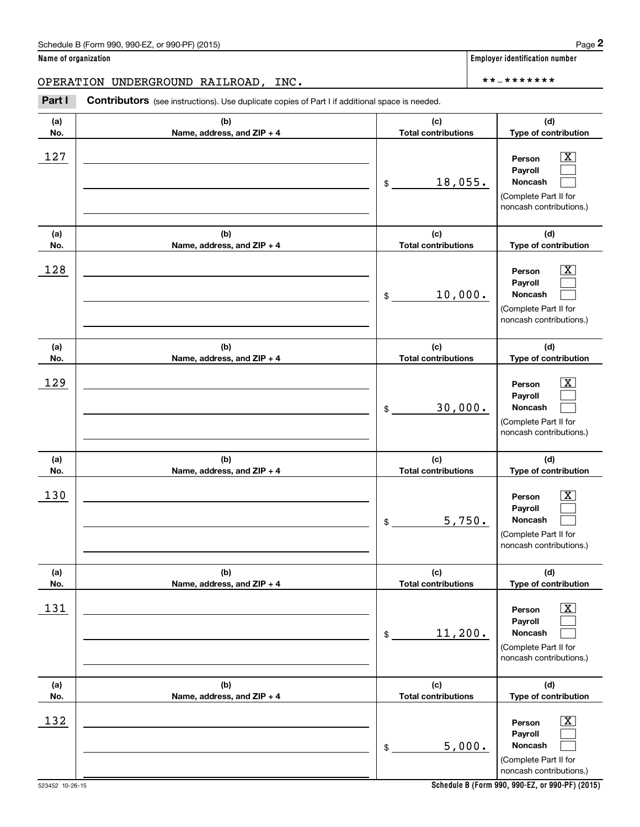| (a)<br>No. | (b)<br>Name, address, and ZIP + 4 | (c)<br><b>Total contributions</b> | (d)<br>Type of contribution                                                                             |
|------------|-----------------------------------|-----------------------------------|---------------------------------------------------------------------------------------------------------|
| 127        |                                   | 18,055.<br>\$                     | $\mathbf{X}$<br>Person<br>Payroll<br>Noncash<br>(Complete Part II for<br>noncash contributions.)        |
| (a)<br>No. | (b)<br>Name, address, and ZIP + 4 | (c)<br><b>Total contributions</b> | (d)<br>Type of contribution                                                                             |
| 128        |                                   | 10,000.<br>\$                     | $\mathbf{X}$<br>Person<br>Payroll<br>Noncash<br>(Complete Part II for<br>noncash contributions.)        |
| (a)<br>No. | (b)<br>Name, address, and ZIP + 4 | (c)<br><b>Total contributions</b> | (d)<br>Type of contribution                                                                             |
| 129        |                                   | 30,000.<br>\$                     | $\mathbf{X}$<br>Person<br>Payroll<br><b>Noncash</b><br>(Complete Part II for<br>noncash contributions.) |
| (a)<br>No. | (b)<br>Name, address, and ZIP + 4 | (c)<br><b>Total contributions</b> | (d)<br>Type of contribution                                                                             |
| 130        |                                   | 5,750.<br>\$                      | $\mathbf{X}$<br>Person<br>Payroll<br><b>Noncash</b><br>(Complete Part II for<br>noncash contributions.) |
| (a)<br>No. | (b)<br>Name, address, and ZIP + 4 | (c)<br><b>Total contributions</b> | (d)<br>Type of contribution                                                                             |
| <u>131</u> |                                   | 11,200.<br>$\$$                   | $\boxed{\text{X}}$<br>Person<br>Payroll<br>Noncash<br>(Complete Part II for<br>noncash contributions.)  |
| (a)<br>No. | (b)<br>Name, address, and ZIP + 4 | (c)<br><b>Total contributions</b> | (d)<br>Type of contribution                                                                             |
| 132        |                                   | 5,000.<br>\$                      | $\mathbf{X}$<br>Person<br>Payroll<br>Noncash<br>(Complete Part II for<br>noncash contributions.)        |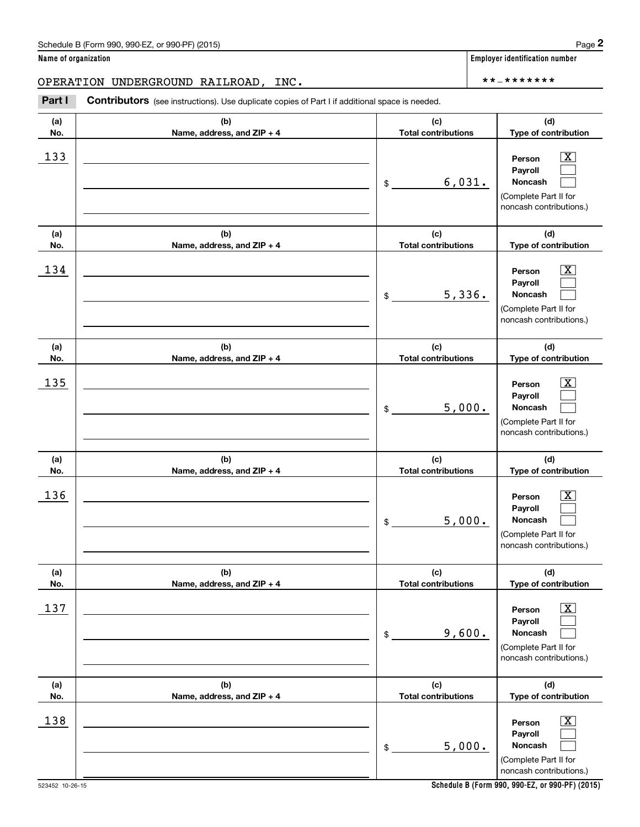| (a)<br>No. | (b)<br>Name, address, and ZIP + 4 | (c)<br><b>Total contributions</b> | (d)<br>Type of contribution                                                                             |
|------------|-----------------------------------|-----------------------------------|---------------------------------------------------------------------------------------------------------|
| 133        |                                   | 6,031.<br>\$                      | $\mathbf{X}$<br>Person<br>Payroll<br><b>Noncash</b><br>(Complete Part II for<br>noncash contributions.) |
| (a)<br>No. | (b)<br>Name, address, and ZIP + 4 | (c)<br><b>Total contributions</b> | (d)<br>Type of contribution                                                                             |
| 134        |                                   | 5,336.<br>\$                      | $\mathbf{X}$<br>Person<br>Payroll<br>Noncash<br>(Complete Part II for<br>noncash contributions.)        |
| (a)<br>No. | (b)<br>Name, address, and ZIP + 4 | (c)<br><b>Total contributions</b> | (d)<br>Type of contribution                                                                             |
| 135        |                                   | 5,000.<br>\$                      | $\mathbf{X}$<br>Person<br>Payroll<br><b>Noncash</b><br>(Complete Part II for<br>noncash contributions.) |
| (a)<br>No. | (b)<br>Name, address, and ZIP + 4 | (c)<br><b>Total contributions</b> | (d)<br>Type of contribution                                                                             |
| 136        |                                   | 5,000.<br>\$                      | $\mathbf{X}$<br>Person<br>Payroll<br><b>Noncash</b><br>(Complete Part II for<br>noncash contributions.) |
| (a)<br>No. | (b)<br>Name, address, and ZIP + 4 | (c)<br><b>Total contributions</b> | (d)<br>Type of contribution                                                                             |
| 137        |                                   | 9,600.<br>\$                      | $\boxed{\text{X}}$<br>Person<br>Payroll<br>Noncash<br>(Complete Part II for<br>noncash contributions.)  |
| (a)<br>No. | (b)<br>Name, address, and ZIP + 4 | (c)<br><b>Total contributions</b> | (d)<br>Type of contribution                                                                             |
| 138        |                                   | 5,000.<br>\$                      | $\mathbf{X}$<br>Person<br>Payroll<br>Noncash<br>(Complete Part II for<br>noncash contributions.)        |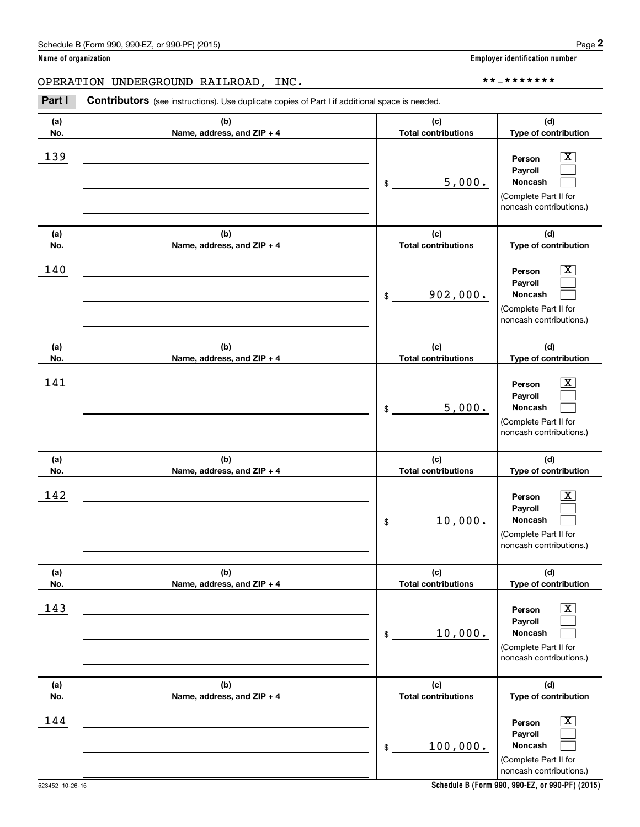(see instructions). Use duplicate copies of Part I if additional space is needed.<br> **2PERATION UNDERGROUND RAILROAD, INC.**<br> **Part I Contributors** (see instructions). Use duplicate copies of Part I if additional space is n

| (a)<br>No. | (b)<br>Name, address, and ZIP + 4 | (c)<br><b>Total contributions</b> | (d)<br>Type of contribution                                                                                    |
|------------|-----------------------------------|-----------------------------------|----------------------------------------------------------------------------------------------------------------|
| 139        |                                   | 5,000.<br>\$                      | $\vert$ X<br>Person<br>Payroll<br>Noncash<br>(Complete Part II for<br>noncash contributions.)                  |
| (a)<br>No. | (b)<br>Name, address, and ZIP + 4 | (c)<br><b>Total contributions</b> | (d)<br>Type of contribution                                                                                    |
| 140        |                                   | 902,000.<br>\$                    | $\lfloor x \rfloor$<br>Person<br>Payroll<br>Noncash<br>(Complete Part II for<br>noncash contributions.)        |
| (a)<br>No. | (b)<br>Name, address, and ZIP + 4 | (c)<br><b>Total contributions</b> | (d)<br>Type of contribution                                                                                    |
| 141        |                                   | 5,000.<br>\$                      | $\vert$ X<br>Person<br>Payroll<br>Noncash<br>(Complete Part II for<br>noncash contributions.)                  |
| (a)<br>No. | (b)<br>Name, address, and ZIP + 4 | (c)<br><b>Total contributions</b> | (d)<br>Type of contribution                                                                                    |
| 142        |                                   | 10,000.<br>$$\circ$$              | $\lfloor x \rfloor$<br>Person<br>Payroll<br><b>Noncash</b><br>(Complete Part II for<br>noncash contributions.) |
| (a)<br>No. | (b)<br>Name, address, and ZIP + 4 | (c)<br><b>Total contributions</b> | (d)<br>Type of contribution                                                                                    |
| 143        |                                   | 10,000.<br>$\,$                   | $\boxed{\text{X}}$<br>Person<br>Payroll<br>Noncash<br>(Complete Part II for<br>noncash contributions.)         |
| (a)<br>No. | (b)<br>Name, address, and ZIP + 4 | (c)<br><b>Total contributions</b> | (d)<br>Type of contribution                                                                                    |
| 144        |                                   | 100,000.<br>\$                    | $\boxed{\text{X}}$<br>Person<br>Payroll<br>Noncash<br>(Complete Part II for<br>noncash contributions.)         |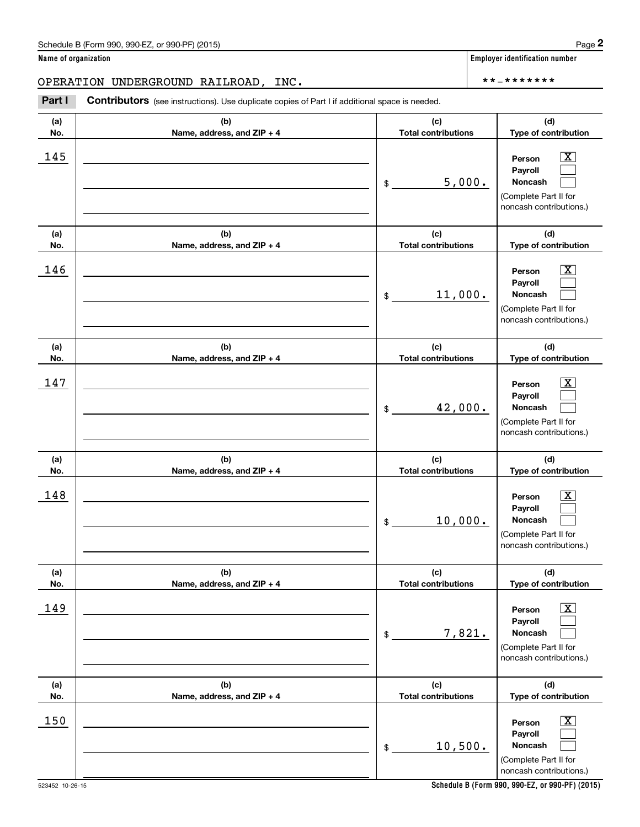(see instructions). Use duplicate copies of Part I if additional space is needed.<br> **2PERATION UNDERGROUND RAILROAD, INC.**<br> **Part I Contributors** (see instructions). Use duplicate copies of Part I if additional space is n

| (a)<br>No. | (b)<br>Name, address, and ZIP + 4 | (c)<br><b>Total contributions</b> | (d)<br>Type of contribution                                                                                 |
|------------|-----------------------------------|-----------------------------------|-------------------------------------------------------------------------------------------------------------|
| 145        |                                   | 5,000.<br>$\frac{1}{2}$           | $\mathbf{X}$<br>Person<br>Payroll<br>Noncash<br>(Complete Part II for<br>noncash contributions.)            |
| (a)<br>No. | (b)<br>Name, address, and ZIP + 4 | (c)<br><b>Total contributions</b> | (d)<br>Type of contribution                                                                                 |
| 146        |                                   | 11,000.<br>$\mathsf{\$}$          | $\mathbf{X}$<br>Person<br>Payroll<br>Noncash<br>(Complete Part II for<br>noncash contributions.)            |
| (a)<br>No. | (b)<br>Name, address, and ZIP + 4 | (c)<br><b>Total contributions</b> | (d)<br>Type of contribution                                                                                 |
| 147        |                                   | 42,000.<br>$\frac{1}{2}$          | $\overline{\mathbf{X}}$<br>Person<br>Payroll<br>Noncash<br>(Complete Part II for<br>noncash contributions.) |
| (a)<br>No. | (b)<br>Name, address, and ZIP + 4 | (c)<br><b>Total contributions</b> | (d)<br>Type of contribution                                                                                 |
| 148        |                                   | 10,000.<br>\$                     | $\mathbf{X}$<br>Person<br>Payroll<br>Noncash<br>(Complete Part II for<br>noncash contributions.)            |
| (a)<br>No. | (b)<br>Name, address, and ZIP + 4 | (c)<br><b>Total contributions</b> | (d)<br>Type of contribution                                                                                 |
| 149        |                                   | 7,821.<br>\$                      | $\overline{\mathbf{x}}$<br>Person<br>Payroll<br>Noncash<br>(Complete Part II for<br>noncash contributions.) |
| (a)<br>No. | (b)<br>Name, address, and ZIP + 4 | (c)<br><b>Total contributions</b> | (d)<br>Type of contribution                                                                                 |
| 150        |                                   | 10,500.<br>\$                     | $\boxed{\text{X}}$<br>Person<br>Payroll<br>Noncash<br>(Complete Part II for<br>noncash contributions.)      |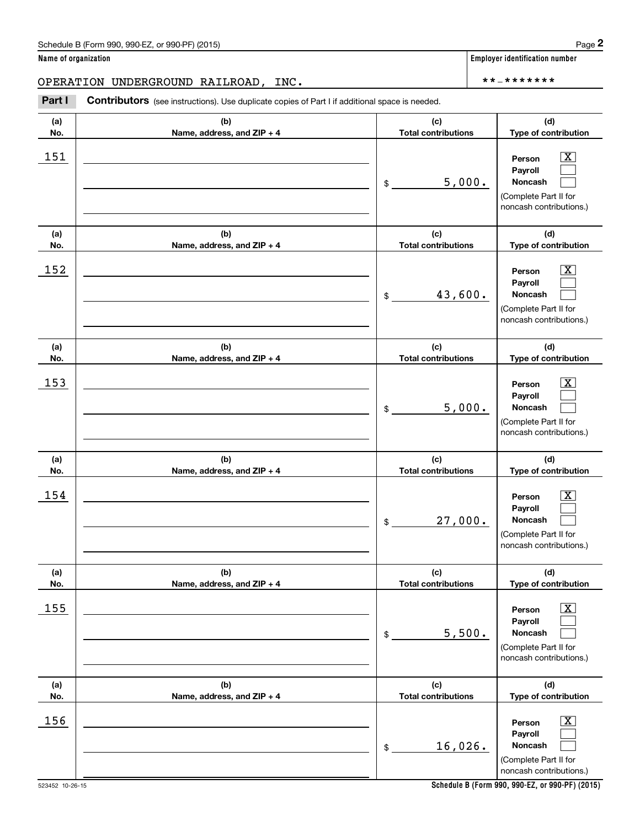(see instructions). Use duplicate copies of Part I if additional space is needed.<br> **2PERATION UNDERGROUND RAILROAD, INC.**<br> **Part I Contributors** (see instructions). Use duplicate copies of Part I if additional space is n

| (a)<br>No. | (b)<br>Name, address, and ZIP + 4 | (c)<br><b>Total contributions</b> | (d)<br>Type of contribution                                                                            |
|------------|-----------------------------------|-----------------------------------|--------------------------------------------------------------------------------------------------------|
| 151        |                                   | 5,000.<br>\$                      | X<br>Person<br>Payroll<br>Noncash<br>(Complete Part II for<br>noncash contributions.)                  |
| (a)<br>No. | (b)<br>Name, address, and ZIP + 4 | (c)<br><b>Total contributions</b> | (d)<br>Type of contribution                                                                            |
| 152        |                                   | 43,600.<br>\$                     | X<br>Person<br>Payroll<br>Noncash<br>(Complete Part II for<br>noncash contributions.)                  |
| (a)<br>No. | (b)<br>Name, address, and ZIP + 4 | (c)<br><b>Total contributions</b> | (d)<br>Type of contribution                                                                            |
| 153        |                                   | 5,000.<br>\$                      | X<br>Person<br>Payroll<br>Noncash<br>(Complete Part II for<br>noncash contributions.)                  |
| (a)<br>No. | (b)<br>Name, address, and ZIP + 4 | (c)<br><b>Total contributions</b> | (d)<br>Type of contribution                                                                            |
| 154        |                                   | 27,000.<br>\$                     | X<br>Person<br>Payroll<br>Noncash<br>(Complete Part II for<br>noncash contributions.)                  |
| (a)<br>No. | (b)<br>Name, address, and ZIP + 4 | (c)<br><b>Total contributions</b> | (d)<br>Type of contribution                                                                            |
| 155        |                                   | 5,500.<br>\$                      | $\boxed{\text{X}}$<br>Person<br>Payroll<br>Noncash<br>(Complete Part II for<br>noncash contributions.) |
| (a)<br>No. | (b)<br>Name, address, and ZIP + 4 | (c)<br><b>Total contributions</b> | (d)<br>Type of contribution                                                                            |
| 156        |                                   | 16,026.<br>$\,$                   | $\boxed{\text{X}}$<br>Person<br>Payroll<br>Noncash<br>(Complete Part II for<br>noncash contributions.) |

**Schedule B (Form 990, 990-EZ, or 990-PF) (2015)**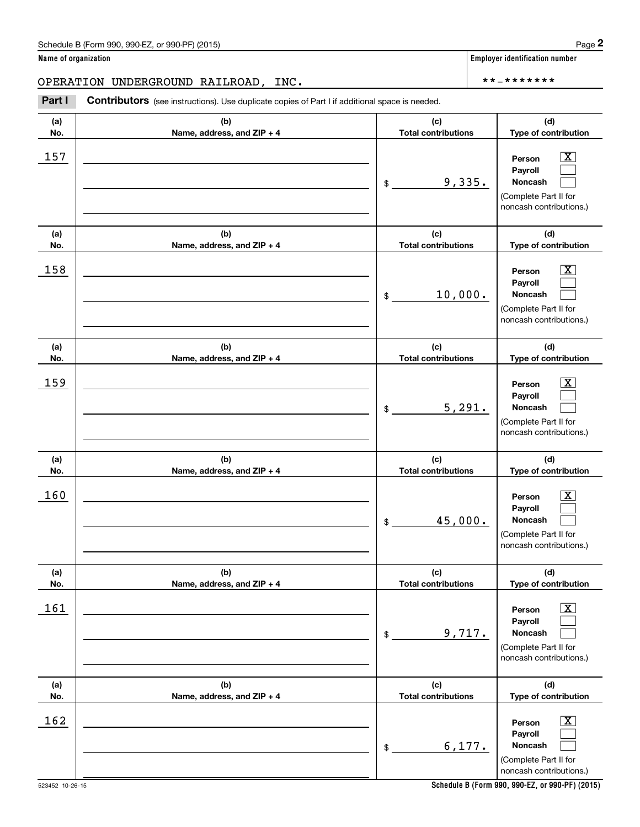(see instructions). Use duplicate copies of Part I if additional space is needed.<br> **2PERATION UNDERGROUND RAILROAD, INC.**<br> **Part I Contributors** (see instructions). Use duplicate copies of Part I if additional space is n

| (a)<br>No. | (b)<br>Name, address, and ZIP + 4 | (c)<br><b>Total contributions</b> | (d)<br>Type of contribution                                                                                   |
|------------|-----------------------------------|-----------------------------------|---------------------------------------------------------------------------------------------------------------|
| 157        |                                   | 9,335.<br>\$                      | $\boxed{\text{X}}$<br>Person<br>Payroll<br><b>Noncash</b><br>(Complete Part II for<br>noncash contributions.) |
| (a)<br>No. | (b)<br>Name, address, and ZIP + 4 | (c)<br><b>Total contributions</b> | (d)<br>Type of contribution                                                                                   |
| 158        |                                   | 10,000.<br>\$                     | $\mathbf{X}$<br>Person<br>Payroll<br>Noncash<br>(Complete Part II for<br>noncash contributions.)              |
| (a)<br>No. | (b)<br>Name, address, and ZIP + 4 | (c)<br><b>Total contributions</b> | (d)<br>Type of contribution                                                                                   |
| 159        |                                   | 5,291.<br>\$                      | $\mathbf{X}$<br>Person<br>Payroll<br><b>Noncash</b><br>(Complete Part II for<br>noncash contributions.)       |
| (a)<br>No. | (b)<br>Name, address, and ZIP + 4 | (c)<br><b>Total contributions</b> | (d)<br>Type of contribution                                                                                   |
| 160        |                                   | 45,000.<br>\$                     | $\mathbf{X}$<br>Person<br>Payroll<br><b>Noncash</b><br>(Complete Part II for<br>noncash contributions.)       |
| (a)<br>No. | (b)<br>Name, address, and ZIP + 4 | (c)<br><b>Total contributions</b> | (d)<br>Type of contribution                                                                                   |
| 161        |                                   | 9,717.<br>\$                      | $\boxed{\text{X}}$<br>Person<br>Payroll<br>Noncash<br>(Complete Part II for<br>noncash contributions.)        |
| (a)<br>No. | (b)<br>Name, address, and ZIP + 4 | (c)<br><b>Total contributions</b> | (d)<br>Type of contribution                                                                                   |
| 162        |                                   | 6,177.<br>\$                      | $\mathbf{X}$<br>Person<br>Payroll<br>Noncash<br>(Complete Part II for<br>noncash contributions.)              |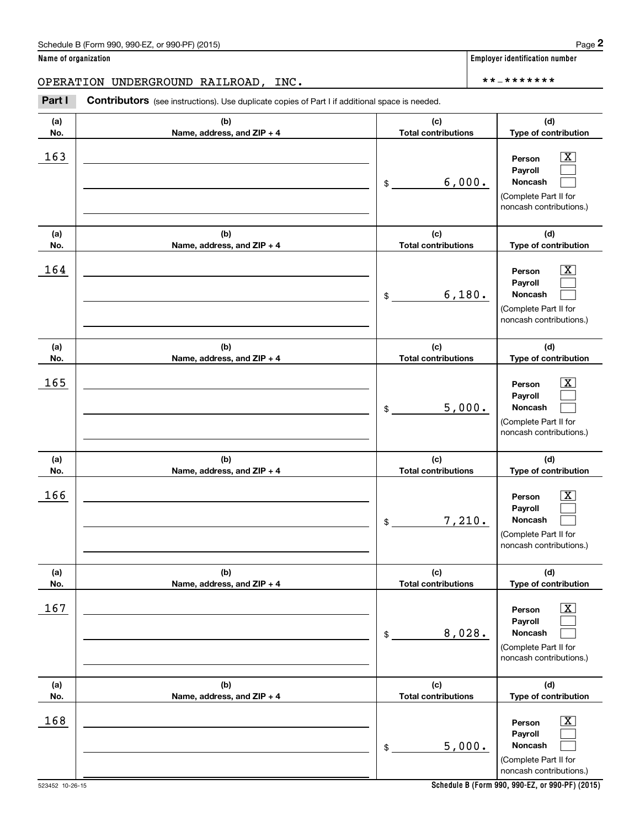(see instructions). Use duplicate copies of Part I if additional space is needed.<br> **2PERATION UNDERGROUND RAILROAD, INC.**<br> **Part I Contributors** (see instructions). Use duplicate copies of Part I if additional space is n

| (a)        | (b)                                 | (c)                               | (d)                                                                                                       |
|------------|-------------------------------------|-----------------------------------|-----------------------------------------------------------------------------------------------------------|
| No.        | Name, address, and ZIP + 4          | <b>Total contributions</b>        | Type of contribution                                                                                      |
| 163        |                                     | 6,000.<br>\$                      | x<br>Person<br>Payroll<br>Noncash<br>(Complete Part II for<br>noncash contributions.)                     |
| (a)<br>No. | (b)<br>Name, address, and ZIP + 4   | (c)<br><b>Total contributions</b> | (d)<br>Type of contribution                                                                               |
| 164        |                                     | 6,180.<br>\$                      | x<br>Person<br>Payroll<br>Noncash<br>(Complete Part II for<br>noncash contributions.)                     |
| (a)<br>No. | (b)<br>Name, address, and ZIP + 4   | (c)<br><b>Total contributions</b> | (d)<br>Type of contribution                                                                               |
| 165        |                                     | 5,000.<br>\$                      | Person<br>x<br>Payroll<br>Noncash<br>(Complete Part II for<br>noncash contributions.)                     |
| (a)<br>No. | (b)<br>Name, address, and ZIP + 4   | (c)<br><b>Total contributions</b> | (d)<br>Type of contribution                                                                               |
| 166        |                                     | 7,210.<br>$\frac{1}{2}$           | x<br>Person<br>Payroll<br>Noncash<br>(Complete Part II for<br>noncash contributions.)                     |
| (a)<br>No. | (b)<br>Name, address, and $ZIP + 4$ | (c)<br><b>Total contributions</b> | (d)<br>Type of contribution                                                                               |
| 167        |                                     | 8,028.<br>\$                      | $\overline{\text{X}}$<br>Person<br>Payroll<br>Noncash<br>(Complete Part II for<br>noncash contributions.) |
| (a)<br>No. | (b)<br>Name, address, and ZIP + 4   | (c)<br><b>Total contributions</b> | (d)<br>Type of contribution                                                                               |
| 168        |                                     | 5,000.<br>\$                      | $\overline{\text{X}}$<br>Person<br>Payroll<br>Noncash<br>(Complete Part II for<br>noncash contributions.) |

**Schedule B (Form 990, 990-EZ, or 990-PF) (2015)**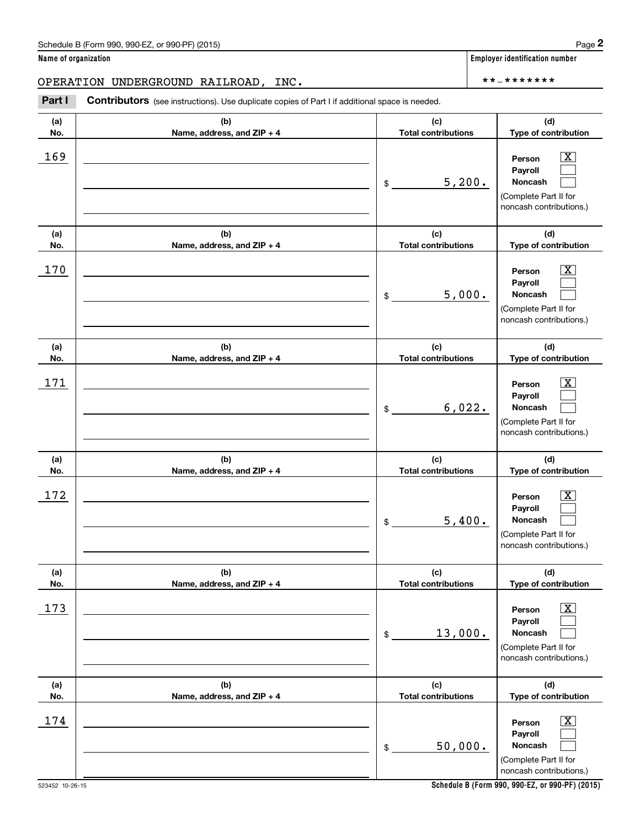(see instructions). Use duplicate copies of Part I if additional space is needed.<br> **2PERATION UNDERGROUND RAILROAD, INC.**<br> **Part I Contributors** (see instructions). Use duplicate copies of Part I if additional space is n

| (a)<br>No. | (b)<br>Name, address, and ZIP + 4 | (c)<br><b>Total contributions</b> | (d)<br>Type of contribution                                                                             |
|------------|-----------------------------------|-----------------------------------|---------------------------------------------------------------------------------------------------------|
| 169        |                                   | 5,200.<br>\$                      | $\mathbf{X}$<br>Person<br>Payroll<br><b>Noncash</b><br>(Complete Part II for<br>noncash contributions.) |
| (a)<br>No. | (b)<br>Name, address, and ZIP + 4 | (c)<br><b>Total contributions</b> | (d)<br>Type of contribution                                                                             |
| 170        |                                   | 5,000.<br>\$                      | $\mathbf{X}$<br>Person<br>Payroll<br>Noncash<br>(Complete Part II for<br>noncash contributions.)        |
| (a)<br>No. | (b)<br>Name, address, and ZIP + 4 | (c)<br><b>Total contributions</b> | (d)<br>Type of contribution                                                                             |
| 171        |                                   | 6,022.<br>\$                      | $\mathbf{X}$<br>Person<br>Payroll<br>Noncash<br>(Complete Part II for<br>noncash contributions.)        |
| (a)<br>No. | (b)<br>Name, address, and ZIP + 4 | (c)<br><b>Total contributions</b> | (d)<br>Type of contribution                                                                             |
| 172        |                                   | 5,400.<br>\$                      | $\mathbf{X}$<br>Person<br>Payroll<br><b>Noncash</b><br>(Complete Part II for<br>noncash contributions.) |
| (a)<br>No. | (b)<br>Name, address, and ZIP + 4 | (c)<br><b>Total contributions</b> | (d)<br>Type of contribution                                                                             |
| 173        |                                   | 13,000.<br>\$                     | $\mathbf{X}$<br>Person<br>Payroll<br>Noncash<br>(Complete Part II for<br>noncash contributions.)        |
| (a)<br>No. | (b)<br>Name, address, and ZIP + 4 | (c)<br><b>Total contributions</b> | (d)<br>Type of contribution                                                                             |
| 174        |                                   | 50,000.<br>\$                     | $\lfloor x \rfloor$<br>Person<br>Payroll<br>Noncash<br>(Complete Part II for<br>noncash contributions.) |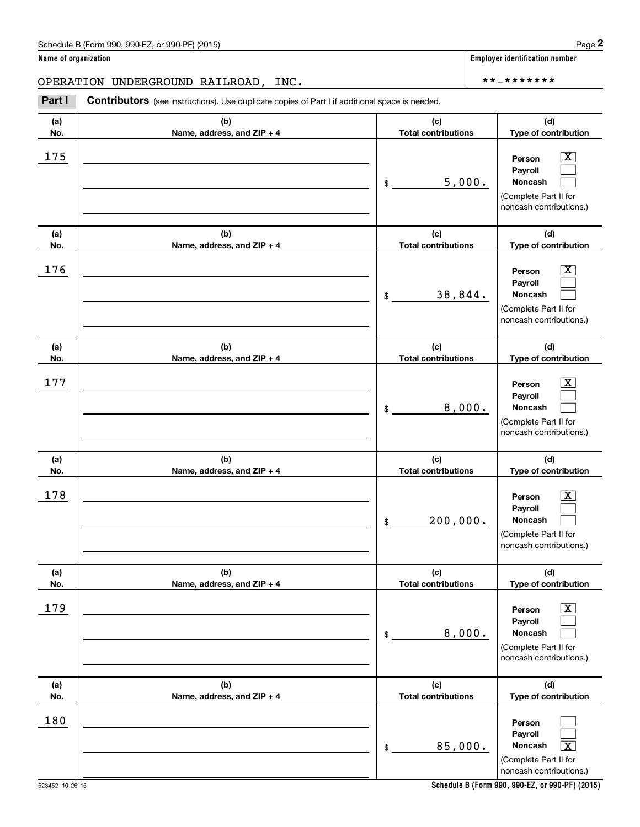| (a) | (b)                        | (c)                        | (d)                                                                                                       |
|-----|----------------------------|----------------------------|-----------------------------------------------------------------------------------------------------------|
| No. | Name, address, and ZIP + 4 | <b>Total contributions</b> | Type of contribution                                                                                      |
| 175 |                            | 5,000.<br>\$               | X<br>Person<br>Payroll<br>Noncash<br>(Complete Part II for<br>noncash contributions.)                     |
| (a) | (b)                        | (c)                        | (d)                                                                                                       |
| No. | Name, address, and ZIP + 4 | <b>Total contributions</b> | Type of contribution                                                                                      |
| 176 |                            | 38,844.<br>\$              | X<br>Person<br>Payroll<br>Noncash<br>(Complete Part II for<br>noncash contributions.)                     |
| (a) | (b)                        | (c)                        | (d)                                                                                                       |
| No. | Name, address, and ZIP + 4 | <b>Total contributions</b> | Type of contribution                                                                                      |
| 177 |                            | 8,000.<br>\$               | X<br>Person<br>Payroll<br>Noncash<br>(Complete Part II for<br>noncash contributions.)                     |
| (a) | (b)                        | (c)                        | (d)                                                                                                       |
| No. | Name, address, and ZIP + 4 | <b>Total contributions</b> | Type of contribution                                                                                      |
| 178 |                            | 200,000.<br>\$             | X<br>Person<br>Payroll<br>Noncash<br>(Complete Part II for<br>noncash contributions.)                     |
| (a) | (b)                        | (c)                        | (d)                                                                                                       |
| No. | Name, address, and ZIP + 4 | <b>Total contributions</b> | Type of contribution                                                                                      |
| 179 |                            | 8,000.<br>\$               | $\boxed{\text{X}}$<br>Person<br>Payroll<br>Noncash<br>(Complete Part II for<br>noncash contributions.)    |
| (a) | (b)                        | (c)                        | (d)                                                                                                       |
| No. | Name, address, and ZIP + 4 | <b>Total contributions</b> | Type of contribution                                                                                      |
| 180 |                            | 85,000.<br>$\,$            | Person<br>Payroll<br>Noncash<br>$\overline{\text{X}}$<br>(Complete Part II for<br>noncash contributions.) |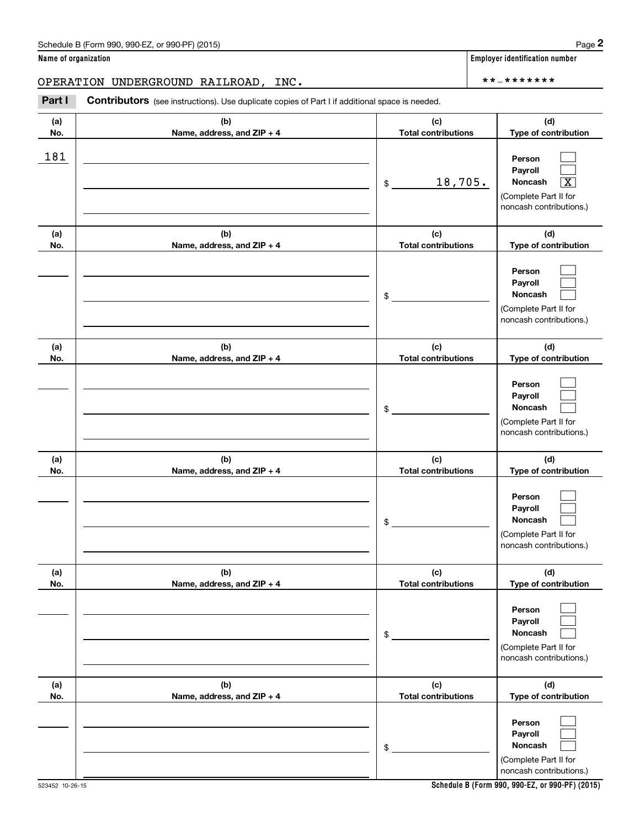| (a)<br>No. | (b)<br>Name, address, and ZIP + 4 | (c)<br><b>Total contributions</b> | (d)<br>Type of contribution                                                                                 |
|------------|-----------------------------------|-----------------------------------|-------------------------------------------------------------------------------------------------------------|
| 181        |                                   | 18,705.<br>$$\circ$$              | Person<br>Payroll<br>Noncash<br>$\overline{\mathbf{x}}$<br>(Complete Part II for<br>noncash contributions.) |
| (a)<br>No. | (b)<br>Name, address, and ZIP + 4 | (c)<br><b>Total contributions</b> | (d)<br>Type of contribution                                                                                 |
|            |                                   | \$                                | Person<br>Payroll<br>Noncash<br>(Complete Part II for<br>noncash contributions.)                            |
| (a)<br>No. | (b)<br>Name, address, and ZIP + 4 | (c)<br><b>Total contributions</b> | (d)<br>Type of contribution                                                                                 |
|            |                                   | \$                                | Person<br>Payroll<br>Noncash<br>(Complete Part II for<br>noncash contributions.)                            |
| (a)<br>No. | (b)<br>Name, address, and ZIP + 4 | (c)<br><b>Total contributions</b> | (d)<br>Type of contribution                                                                                 |
|            |                                   | \$                                | Person<br>Payroll<br><b>Noncash</b><br>(Complete Part II for<br>noncash contributions.)                     |
| (a)<br>No. | (b)<br>Name, address, and ZIP + 4 | (c)<br><b>Total contributions</b> | (d)<br>Type of contribution                                                                                 |
|            |                                   | \$                                | Person<br>Payroll<br>Noncash<br>(Complete Part II for<br>noncash contributions.)                            |
| (a)<br>No. | (b)<br>Name, address, and ZIP + 4 | (c)<br><b>Total contributions</b> | (d)<br>Type of contribution                                                                                 |
|            |                                   | \$                                | Person<br>Payroll<br>Noncash<br>(Complete Part II for<br>noncash contributions.)                            |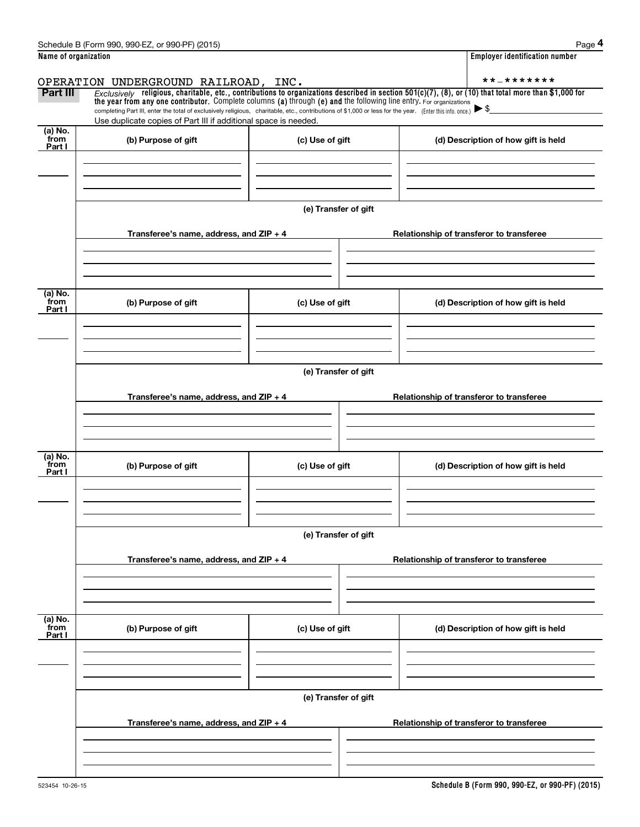|                           | Schedule B (Form 990, 990-EZ, or 990-PF) (2015)                                                                                                                                                                                                                                                                                                                                                                                                                      |                      |  | Page 4                                   |
|---------------------------|----------------------------------------------------------------------------------------------------------------------------------------------------------------------------------------------------------------------------------------------------------------------------------------------------------------------------------------------------------------------------------------------------------------------------------------------------------------------|----------------------|--|------------------------------------------|
| Name of organization      |                                                                                                                                                                                                                                                                                                                                                                                                                                                                      |                      |  | <b>Employer identification number</b>    |
|                           | OPERATION UNDERGROUND RAILROAD, INC.                                                                                                                                                                                                                                                                                                                                                                                                                                 |                      |  | **_*******                               |
| Part III                  | Exclusively religious, charitable, etc., contributions to organizations described in section $501(c)(7)$ , (8), or (10) that total more than \$1,000 for<br>the year from any one contributor. Complete columns (a) through (e) and the following line entry. For organizations<br>completing Part III, enter the total of exclusively religious, charitable, etc., contributions of \$1,000 or less for the year. (Enter this info. once.) $\blacktriangleright$ \$ |                      |  |                                          |
|                           | Use duplicate copies of Part III if additional space is needed.                                                                                                                                                                                                                                                                                                                                                                                                      |                      |  |                                          |
| (a) No.<br>from<br>Part I | (b) Purpose of gift                                                                                                                                                                                                                                                                                                                                                                                                                                                  | (c) Use of gift      |  | (d) Description of how gift is held      |
|                           |                                                                                                                                                                                                                                                                                                                                                                                                                                                                      |                      |  |                                          |
|                           |                                                                                                                                                                                                                                                                                                                                                                                                                                                                      | (e) Transfer of gift |  |                                          |
|                           | Transferee's name, address, and ZIP + 4                                                                                                                                                                                                                                                                                                                                                                                                                              |                      |  | Relationship of transferor to transferee |
|                           |                                                                                                                                                                                                                                                                                                                                                                                                                                                                      |                      |  |                                          |
| (a) No.<br>from<br>Part I | (b) Purpose of gift                                                                                                                                                                                                                                                                                                                                                                                                                                                  | (c) Use of gift      |  | (d) Description of how gift is held      |
|                           |                                                                                                                                                                                                                                                                                                                                                                                                                                                                      |                      |  |                                          |
|                           |                                                                                                                                                                                                                                                                                                                                                                                                                                                                      | (e) Transfer of gift |  |                                          |
|                           | Transferee's name, address, and $ZIP + 4$                                                                                                                                                                                                                                                                                                                                                                                                                            |                      |  | Relationship of transferor to transferee |
| (a) No.                   |                                                                                                                                                                                                                                                                                                                                                                                                                                                                      |                      |  |                                          |
| from<br>Part I            | (b) Purpose of gift                                                                                                                                                                                                                                                                                                                                                                                                                                                  | (c) Use of gift      |  | (d) Description of how gift is held      |
|                           |                                                                                                                                                                                                                                                                                                                                                                                                                                                                      |                      |  |                                          |
|                           |                                                                                                                                                                                                                                                                                                                                                                                                                                                                      | (e) Transfer of gift |  |                                          |
|                           | Transferee's name, address, and ZIP + 4                                                                                                                                                                                                                                                                                                                                                                                                                              |                      |  | Relationship of transferor to transferee |
|                           |                                                                                                                                                                                                                                                                                                                                                                                                                                                                      |                      |  |                                          |
| (a) No.<br>from<br>Part I | (b) Purpose of gift                                                                                                                                                                                                                                                                                                                                                                                                                                                  | (c) Use of gift      |  | (d) Description of how gift is held      |
|                           |                                                                                                                                                                                                                                                                                                                                                                                                                                                                      |                      |  |                                          |
|                           |                                                                                                                                                                                                                                                                                                                                                                                                                                                                      | (e) Transfer of gift |  |                                          |
|                           | Transferee's name, address, and ZIP + 4                                                                                                                                                                                                                                                                                                                                                                                                                              |                      |  | Relationship of transferor to transferee |
|                           |                                                                                                                                                                                                                                                                                                                                                                                                                                                                      |                      |  |                                          |
|                           |                                                                                                                                                                                                                                                                                                                                                                                                                                                                      |                      |  |                                          |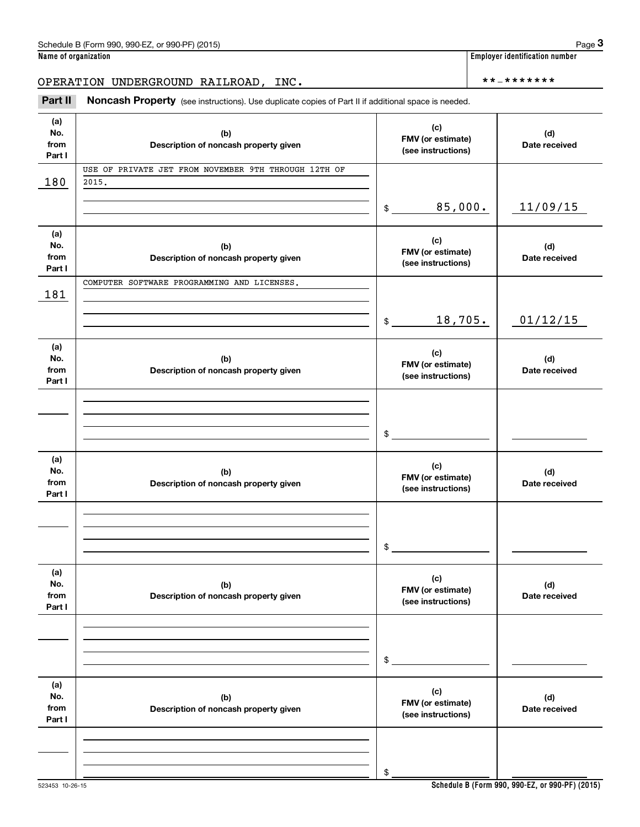**Name of organization Employer identification number**

## OPERATION UNDERGROUND RAILROAD, INC. \*\*‐\*\*\*\*\*\*\*

| (a)<br>No.<br>from<br>Part I | (b)<br>Description of noncash property given                  | (c)<br>FMV (or estimate)<br>(see instructions) | (d)<br>Date received |
|------------------------------|---------------------------------------------------------------|------------------------------------------------|----------------------|
| 180                          | USE OF PRIVATE JET FROM NOVEMBER 9TH THROUGH 12TH OF<br>2015. |                                                |                      |
|                              |                                                               |                                                |                      |
|                              |                                                               | 85,000.<br>$\mathsf{\$}$                       | 11/09/15             |
| (a)<br>No.<br>from<br>Part I | (b)<br>Description of noncash property given                  | (c)<br>FMV (or estimate)<br>(see instructions) | (d)<br>Date received |
| 181                          | COMPUTER SOFTWARE PROGRAMMING AND LICENSES.                   |                                                |                      |
|                              |                                                               |                                                |                      |
|                              |                                                               | 18,705.<br>$\mathfrak s$                       | 01/12/15             |
| (a)<br>No.<br>from<br>Part I | (b)<br>Description of noncash property given                  | (c)<br>FMV (or estimate)<br>(see instructions) | (d)<br>Date received |
|                              |                                                               |                                                |                      |
|                              |                                                               |                                                |                      |
|                              |                                                               | $\sim$                                         |                      |
| (a)<br>No.<br>from<br>Part I | (b)<br>Description of noncash property given                  | (c)<br>FMV (or estimate)<br>(see instructions) | (d)<br>Date received |
|                              |                                                               |                                                |                      |
|                              |                                                               |                                                |                      |
|                              |                                                               | $\frac{1}{2}$                                  |                      |
| (a)<br>No.<br>from<br>Part I | (b)<br>Description of noncash property given                  | (c)<br>FMV (or estimate)<br>(see instructions) | (d)<br>Date received |
|                              |                                                               |                                                |                      |
|                              |                                                               |                                                |                      |
|                              |                                                               | \$                                             |                      |
| (a)<br>No.<br>from<br>Part I | (b)<br>Description of noncash property given                  | (c)<br>FMV (or estimate)<br>(see instructions) | (d)<br>Date received |
|                              |                                                               |                                                |                      |
|                              |                                                               | \$                                             |                      |
|                              |                                                               |                                                |                      |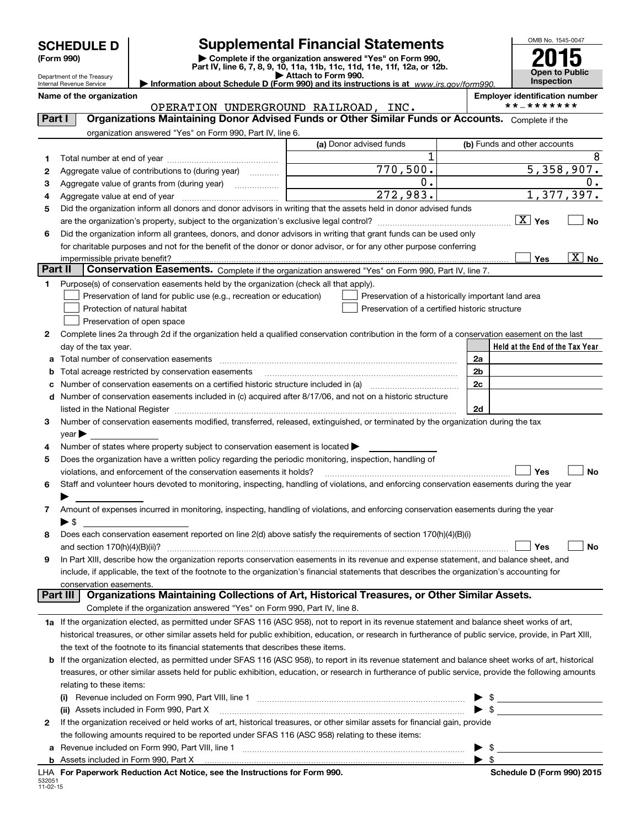Department of the Treasury

532051 11-02-15

# **SCHEDULE D Supplemental Financial Statements**

(Form 990)<br>
Pepartment of the Treasury<br>
Department of the Treasury<br>
Department of the Treasury<br>
Information about Schedule D (Form 990) and its instructions is at www.irs.gov/form990.



Internal Revenue Service

**Name of the organization Employer identification number** OPERATION UNDERGROUND RAILROAD, INC.

| Part I          | vi biuilloin vindbinoind iuilbinoiid ,<br>Organizations Maintaining Donor Advised Funds or Other Similar Funds or Accounts. Complete if the               |                                                |                                                    |
|-----------------|-----------------------------------------------------------------------------------------------------------------------------------------------------------|------------------------------------------------|----------------------------------------------------|
|                 | organization answered "Yes" on Form 990, Part IV, line 6.                                                                                                 |                                                |                                                    |
|                 |                                                                                                                                                           | (a) Donor advised funds                        | (b) Funds and other accounts                       |
| 1.              |                                                                                                                                                           | 1                                              | 8                                                  |
| 2               | Aggregate value of contributions to (during year)                                                                                                         | 770,500.                                       | 5,358,907.                                         |
| з               | Aggregate value of grants from (during year)                                                                                                              | 0.                                             | $0 \cdot$                                          |
| 4               |                                                                                                                                                           | 272,983.                                       | 1,377,397.                                         |
| 5               | Did the organization inform all donors and donor advisors in writing that the assets held in donor advised funds                                          |                                                |                                                    |
|                 |                                                                                                                                                           |                                                | $\boxed{\text{X}}$ Yes<br><b>No</b>                |
| 6               | Did the organization inform all grantees, donors, and donor advisors in writing that grant funds can be used only                                         |                                                |                                                    |
|                 | for charitable purposes and not for the benefit of the donor or donor advisor, or for any other purpose conferring                                        |                                                |                                                    |
|                 | impermissible private benefit?                                                                                                                            |                                                | $\overline{\text{X}}$ No<br>Yes                    |
| <b>Part II</b>  | Conservation Easements. Complete if the organization answered "Yes" on Form 990, Part IV, line 7.                                                         |                                                |                                                    |
| 1               | Purpose(s) of conservation easements held by the organization (check all that apply).                                                                     |                                                |                                                    |
|                 | Preservation of land for public use (e.g., recreation or education)                                                                                       |                                                | Preservation of a historically important land area |
|                 | Protection of natural habitat                                                                                                                             | Preservation of a certified historic structure |                                                    |
|                 | Preservation of open space                                                                                                                                |                                                |                                                    |
| 2               | Complete lines 2a through 2d if the organization held a qualified conservation contribution in the form of a conservation easement on the last            |                                                |                                                    |
|                 | day of the tax year.                                                                                                                                      |                                                | Held at the End of the Tax Year                    |
|                 | Total number of conservation easements                                                                                                                    |                                                | 2a                                                 |
| b               | Total acreage restricted by conservation easements                                                                                                        |                                                | 2 <sub>b</sub>                                     |
| c               | Number of conservation easements on a certified historic structure included in (a) manufacture included in (a)                                            |                                                | 2 <sub>c</sub>                                     |
| d               | Number of conservation easements included in (c) acquired after 8/17/06, and not on a historic structure                                                  |                                                |                                                    |
|                 |                                                                                                                                                           |                                                | 2d                                                 |
| 3               | Number of conservation easements modified, transferred, released, extinguished, or terminated by the organization during the tax                          |                                                |                                                    |
|                 | $year \triangleright$                                                                                                                                     |                                                |                                                    |
| 4               | Number of states where property subject to conservation easement is located >                                                                             |                                                |                                                    |
| 5               | Does the organization have a written policy regarding the periodic monitoring, inspection, handling of                                                    |                                                |                                                    |
|                 | violations, and enforcement of the conservation easements it holds?                                                                                       |                                                | Yes<br>No                                          |
| 6               | Staff and volunteer hours devoted to monitoring, inspecting, handling of violations, and enforcing conservation easements during the year                 |                                                |                                                    |
|                 |                                                                                                                                                           |                                                |                                                    |
| 7               | Amount of expenses incurred in monitoring, inspecting, handling of violations, and enforcing conservation easements during the year                       |                                                |                                                    |
|                 | $\blacktriangleright$ \$                                                                                                                                  |                                                |                                                    |
| 8               | Does each conservation easement reported on line 2(d) above satisfy the requirements of section 170(h)(4)(B)(i)                                           |                                                |                                                    |
|                 | and section $170(h)(4)(B)(ii)$ ?                                                                                                                          |                                                | Yes<br>No                                          |
| 9               | In Part XIII, describe how the organization reports conservation easements in its revenue and expense statement, and balance sheet, and                   |                                                |                                                    |
|                 | include, if applicable, the text of the footnote to the organization's financial statements that describes the organization's accounting for              |                                                |                                                    |
|                 | conservation easements.                                                                                                                                   |                                                |                                                    |
| <b>Part III</b> | Organizations Maintaining Collections of Art, Historical Treasures, or Other Similar Assets.                                                              |                                                |                                                    |
|                 | Complete if the organization answered "Yes" on Form 990, Part IV, line 8.                                                                                 |                                                |                                                    |
|                 | 1a If the organization elected, as permitted under SFAS 116 (ASC 958), not to report in its revenue statement and balance sheet works of art,             |                                                |                                                    |
|                 | historical treasures, or other similar assets held for public exhibition, education, or research in furtherance of public service, provide, in Part XIII, |                                                |                                                    |
|                 | the text of the footnote to its financial statements that describes these items.                                                                          |                                                |                                                    |
| b               | If the organization elected, as permitted under SFAS 116 (ASC 958), to report in its revenue statement and balance sheet works of art, historical         |                                                |                                                    |
|                 | treasures, or other similar assets held for public exhibition, education, or research in furtherance of public service, provide the following amounts     |                                                |                                                    |
|                 | relating to these items:                                                                                                                                  |                                                |                                                    |
|                 |                                                                                                                                                           |                                                | $\frac{1}{2}$<br>▶                                 |
|                 | (ii) Assets included in Form 990, Part X                                                                                                                  |                                                |                                                    |
| 2               | If the organization received or held works of art, historical treasures, or other similar assets for financial gain, provide                              |                                                |                                                    |
|                 | the following amounts required to be reported under SFAS 116 (ASC 958) relating to these items:                                                           |                                                |                                                    |
| а               |                                                                                                                                                           |                                                | $\blacktriangleright$ \$                           |
|                 |                                                                                                                                                           |                                                | $\blacktriangleright$ \$                           |

**For Paperwork Reduction Act Notice, see the Instructions for Form 990. Schedule D (Form 990) 2015** LHA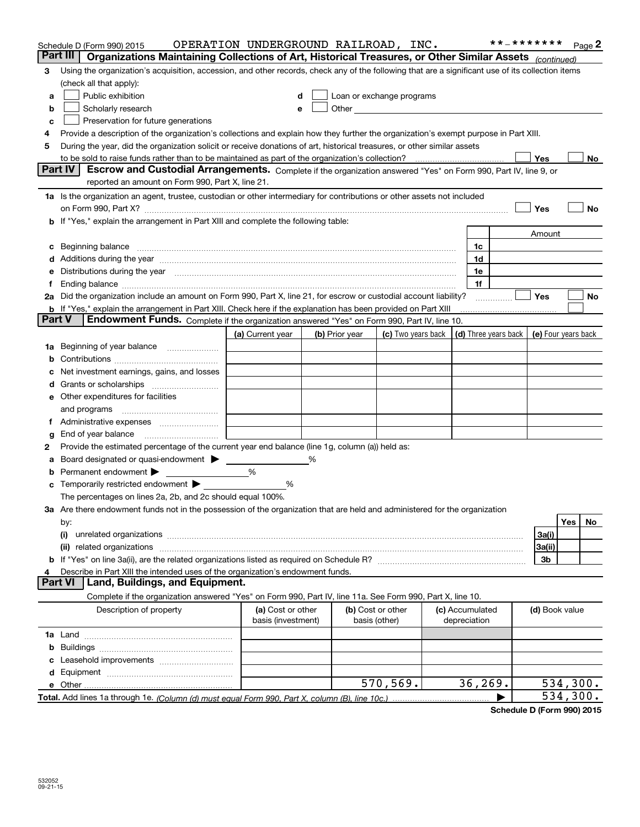|               | Schedule D (Form 990) 2015<br>Organizations Maintaining Collections of Art, Historical Treasures, or Other Similar Assets (continued)<br>Part III                                                                              | OPERATION UNDERGROUND RAILROAD, INC.    |   |                |                                                                                                               |                                            | **_*******     | Page 2    |
|---------------|--------------------------------------------------------------------------------------------------------------------------------------------------------------------------------------------------------------------------------|-----------------------------------------|---|----------------|---------------------------------------------------------------------------------------------------------------|--------------------------------------------|----------------|-----------|
| 3             | Using the organization's acquisition, accession, and other records, check any of the following that are a significant use of its collection items                                                                              |                                         |   |                |                                                                                                               |                                            |                |           |
|               | (check all that apply):                                                                                                                                                                                                        |                                         |   |                |                                                                                                               |                                            |                |           |
| a             | Public exhibition<br>Loan or exchange programs<br>d                                                                                                                                                                            |                                         |   |                |                                                                                                               |                                            |                |           |
| b             | Scholarly research                                                                                                                                                                                                             |                                         |   |                | Other and the contract of the contract of the contract of the contract of the contract of the contract of the |                                            |                |           |
| c             | Preservation for future generations                                                                                                                                                                                            |                                         |   |                |                                                                                                               |                                            |                |           |
| 4             | Provide a description of the organization's collections and explain how they further the organization's exempt purpose in Part XIII.                                                                                           |                                         |   |                |                                                                                                               |                                            |                |           |
| 5             | During the year, did the organization solicit or receive donations of art, historical treasures, or other similar assets                                                                                                       |                                         |   |                |                                                                                                               |                                            |                |           |
|               | to be sold to raise funds rather than to be maintained as part of the organization's collection?<br><b>Part IV</b>                                                                                                             |                                         |   |                |                                                                                                               |                                            | Yes            | No        |
|               | Escrow and Custodial Arrangements. Complete if the organization answered "Yes" on Form 990, Part IV, line 9, or<br>reported an amount on Form 990, Part X, line 21.                                                            |                                         |   |                |                                                                                                               |                                            |                |           |
|               | 1a Is the organization an agent, trustee, custodian or other intermediary for contributions or other assets not included                                                                                                       |                                         |   |                |                                                                                                               |                                            |                |           |
|               | on Form 990, Part X? [11] matter contracts and contracts and contracts are contracted as a function of the set of the set of the set of the set of the set of the set of the set of the set of the set of the set of the set o |                                         |   |                |                                                                                                               |                                            | Yes            | No        |
|               | b If "Yes," explain the arrangement in Part XIII and complete the following table:                                                                                                                                             |                                         |   |                |                                                                                                               |                                            |                |           |
|               |                                                                                                                                                                                                                                |                                         |   |                |                                                                                                               |                                            | Amount         |           |
|               | c Beginning balance measurements and the contract of the contract of the contract of the contract of the contract of the contract of the contract of the contract of the contract of the contract of the contract of the contr |                                         |   |                |                                                                                                               | 1c                                         |                |           |
|               | d Additions during the year measurements are all an according to the year measurement of the year measurement                                                                                                                  |                                         |   |                |                                                                                                               | 1d                                         |                |           |
|               | e Distributions during the year manufactured and continuum and control of the control of the control of the control of the control of the control of the control of the control of the control of the control of the control o |                                         |   |                |                                                                                                               | 1e                                         |                |           |
| Ť.            | Ending balance manufactured and contract the contract of the contract of the contract of the contract of the contract of the contract of the contract of the contract of the contract of the contract of the contract of the c |                                         |   |                |                                                                                                               | 1f                                         |                |           |
|               | 2a Did the organization include an amount on Form 990, Part X, line 21, for escrow or custodial account liability?                                                                                                             |                                         |   |                |                                                                                                               |                                            | Yes            | No        |
|               | <b>b</b> If "Yes," explain the arrangement in Part XIII. Check here if the explanation has been provided on Part XIII                                                                                                          |                                         |   |                |                                                                                                               |                                            |                |           |
| <b>Part V</b> | Endowment Funds. Complete if the organization answered "Yes" on Form 990, Part IV, line 10.                                                                                                                                    |                                         |   |                |                                                                                                               |                                            |                |           |
|               |                                                                                                                                                                                                                                | (a) Current year                        |   | (b) Prior year | (c) Two years back                                                                                            | (d) Three years back   (e) Four years back |                |           |
|               | 1a Beginning of year balance                                                                                                                                                                                                   |                                         |   |                |                                                                                                               |                                            |                |           |
|               |                                                                                                                                                                                                                                |                                         |   |                |                                                                                                               |                                            |                |           |
| c             | Net investment earnings, gains, and losses                                                                                                                                                                                     |                                         |   |                |                                                                                                               |                                            |                |           |
|               |                                                                                                                                                                                                                                |                                         |   |                |                                                                                                               |                                            |                |           |
|               | e Other expenditures for facilities                                                                                                                                                                                            |                                         |   |                |                                                                                                               |                                            |                |           |
|               | and programs                                                                                                                                                                                                                   |                                         |   |                |                                                                                                               |                                            |                |           |
|               | f Administrative expenses                                                                                                                                                                                                      |                                         |   |                |                                                                                                               |                                            |                |           |
| g             |                                                                                                                                                                                                                                |                                         |   |                |                                                                                                               |                                            |                |           |
| 2             | Provide the estimated percentage of the current year end balance (line 1g, column (a)) held as:                                                                                                                                |                                         |   |                |                                                                                                               |                                            |                |           |
| а             | Board designated or quasi-endowment ><br><b>b</b> Permanent endowment $\blacktriangleright$                                                                                                                                    | %                                       | % |                |                                                                                                               |                                            |                |           |
|               | <b>c</b> Temporarily restricted endowment $\blacktriangleright$                                                                                                                                                                | %                                       |   |                |                                                                                                               |                                            |                |           |
|               | The percentages on lines 2a, 2b, and 2c should equal 100%.                                                                                                                                                                     |                                         |   |                |                                                                                                               |                                            |                |           |
|               | 3a Are there endowment funds not in the possession of the organization that are held and administered for the organization                                                                                                     |                                         |   |                |                                                                                                               |                                            |                |           |
|               | by:                                                                                                                                                                                                                            |                                         |   |                |                                                                                                               |                                            |                | Yes<br>No |
|               | (i)                                                                                                                                                                                                                            |                                         |   |                |                                                                                                               |                                            | 3a(i)          |           |
|               |                                                                                                                                                                                                                                |                                         |   |                |                                                                                                               |                                            | 3a(ii)         |           |
|               |                                                                                                                                                                                                                                |                                         |   |                |                                                                                                               |                                            | 3b             |           |
| 4             | Describe in Part XIII the intended uses of the organization's endowment funds.                                                                                                                                                 |                                         |   |                |                                                                                                               |                                            |                |           |
|               | Land, Buildings, and Equipment.<br><b>Part VI</b>                                                                                                                                                                              |                                         |   |                |                                                                                                               |                                            |                |           |
|               | Complete if the organization answered "Yes" on Form 990, Part IV, line 11a. See Form 990, Part X, line 10.                                                                                                                     |                                         |   |                |                                                                                                               |                                            |                |           |
|               | Description of property                                                                                                                                                                                                        | (a) Cost or other<br>basis (investment) |   |                | (b) Cost or other<br>basis (other)                                                                            | (c) Accumulated<br>depreciation            | (d) Book value |           |
|               |                                                                                                                                                                                                                                |                                         |   |                |                                                                                                               |                                            |                |           |
|               |                                                                                                                                                                                                                                |                                         |   |                |                                                                                                               |                                            |                |           |
|               |                                                                                                                                                                                                                                |                                         |   |                |                                                                                                               |                                            |                |           |
|               |                                                                                                                                                                                                                                |                                         |   |                |                                                                                                               |                                            |                |           |
|               |                                                                                                                                                                                                                                |                                         |   |                | 570,569.                                                                                                      | 36, 269.                                   |                | 534,300.  |
|               |                                                                                                                                                                                                                                |                                         |   |                |                                                                                                               |                                            |                | 534,300.  |

**Schedule D (Form 990) 2015**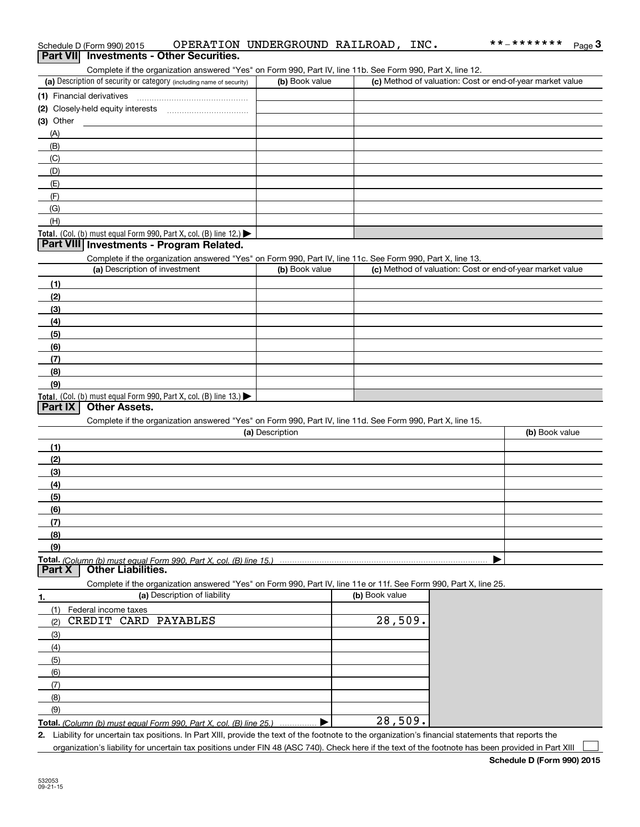|            | Complete if the organization answered "Yes" on Form 990, Part IV, line 11b. See Form 990, Part X, line 12.                                          |                 |                |                                                           |
|------------|-----------------------------------------------------------------------------------------------------------------------------------------------------|-----------------|----------------|-----------------------------------------------------------|
|            | (a) Description of security or category (including name of security)                                                                                | (b) Book value  |                | (c) Method of valuation: Cost or end-of-year market value |
|            |                                                                                                                                                     |                 |                |                                                           |
|            |                                                                                                                                                     |                 |                |                                                           |
| (3) Other  |                                                                                                                                                     |                 |                |                                                           |
| (A)        |                                                                                                                                                     |                 |                |                                                           |
| (B)        |                                                                                                                                                     |                 |                |                                                           |
| (C)        |                                                                                                                                                     |                 |                |                                                           |
| (D)        |                                                                                                                                                     |                 |                |                                                           |
| (E)        |                                                                                                                                                     |                 |                |                                                           |
| (F)        |                                                                                                                                                     |                 |                |                                                           |
| (G)        |                                                                                                                                                     |                 |                |                                                           |
| (H)        |                                                                                                                                                     |                 |                |                                                           |
|            | <b>Total.</b> (Col. (b) must equal Form 990, Part X, col. (B) line 12.)                                                                             |                 |                |                                                           |
|            | Part VIII Investments - Program Related.                                                                                                            |                 |                |                                                           |
|            | Complete if the organization answered "Yes" on Form 990, Part IV, line 11c. See Form 990, Part X, line 13.                                          |                 |                |                                                           |
|            | (a) Description of investment                                                                                                                       | (b) Book value  |                | (c) Method of valuation: Cost or end-of-year market value |
| (1)        |                                                                                                                                                     |                 |                |                                                           |
| (2)        |                                                                                                                                                     |                 |                |                                                           |
| (3)        |                                                                                                                                                     |                 |                |                                                           |
| (4)        |                                                                                                                                                     |                 |                |                                                           |
| (5)        |                                                                                                                                                     |                 |                |                                                           |
| (6)        |                                                                                                                                                     |                 |                |                                                           |
| (7)        |                                                                                                                                                     |                 |                |                                                           |
| (8)        |                                                                                                                                                     |                 |                |                                                           |
| (9)        |                                                                                                                                                     |                 |                |                                                           |
| Part IX    | <b>Total.</b> (Col. (b) must equal Form 990, Part X, col. (B) line 13.)<br><b>Other Assets.</b>                                                     |                 |                |                                                           |
|            | Complete if the organization answered "Yes" on Form 990, Part IV, line 11d. See Form 990, Part X, line 15.                                          |                 |                |                                                           |
|            |                                                                                                                                                     | (a) Description |                | (b) Book value                                            |
|            |                                                                                                                                                     |                 |                |                                                           |
| (1)<br>(2) |                                                                                                                                                     |                 |                |                                                           |
| (3)        |                                                                                                                                                     |                 |                |                                                           |
| (4)        |                                                                                                                                                     |                 |                |                                                           |
| (5)        |                                                                                                                                                     |                 |                |                                                           |
| (6)        |                                                                                                                                                     |                 |                |                                                           |
| (7)        |                                                                                                                                                     |                 |                |                                                           |
| (8)        |                                                                                                                                                     |                 |                |                                                           |
| (9)        |                                                                                                                                                     |                 |                |                                                           |
|            |                                                                                                                                                     |                 |                |                                                           |
| Part X     | <b>Other Liabilities.</b>                                                                                                                           |                 |                |                                                           |
|            | Complete if the organization answered "Yes" on Form 990, Part IV, line 11e or 11f. See Form 990, Part X, line 25.                                   |                 |                |                                                           |
| 1.         | (a) Description of liability                                                                                                                        |                 | (b) Book value |                                                           |
| (1)        | Federal income taxes                                                                                                                                |                 |                |                                                           |
| (2)        | CREDIT CARD PAYABLES                                                                                                                                |                 | 28,509.        |                                                           |
| (3)        |                                                                                                                                                     |                 |                |                                                           |
| (4)        |                                                                                                                                                     |                 |                |                                                           |
| (5)        |                                                                                                                                                     |                 |                |                                                           |
| (6)        |                                                                                                                                                     |                 |                |                                                           |
| (7)        |                                                                                                                                                     |                 |                |                                                           |
| (8)        |                                                                                                                                                     |                 |                |                                                           |
| (9)        |                                                                                                                                                     |                 |                |                                                           |
|            | Total. (Column (b) must equal Form 990. Part X, col. (B) line 25.)                                                                                  |                 | 28,509.        |                                                           |
|            | 2 Lighility for uncertain tay nositions. In Part XIII, provide the text of the footnote to the organization's financial statements that reports the |                 |                |                                                           |

Schedule D (Form 990) 2015 OPERATION UNDERGROUND RAILROAD, INC **.** \* \* – \* \* \* \* \* \* \* \* <sub>Page</sub> 3<br>| **Part VII** | Investments - Other Securities.

**2.**Liability for uncertain tax positions. In Part XIII, provide the text of the footnote to the organization's financial statements that reports the organization's liability for uncertain tax positions under FIN 48 (ASC 740). Check here if the text of the footnote has been provided in Part XIII

\*\*\_\*\*\*\*\*\*\*

┓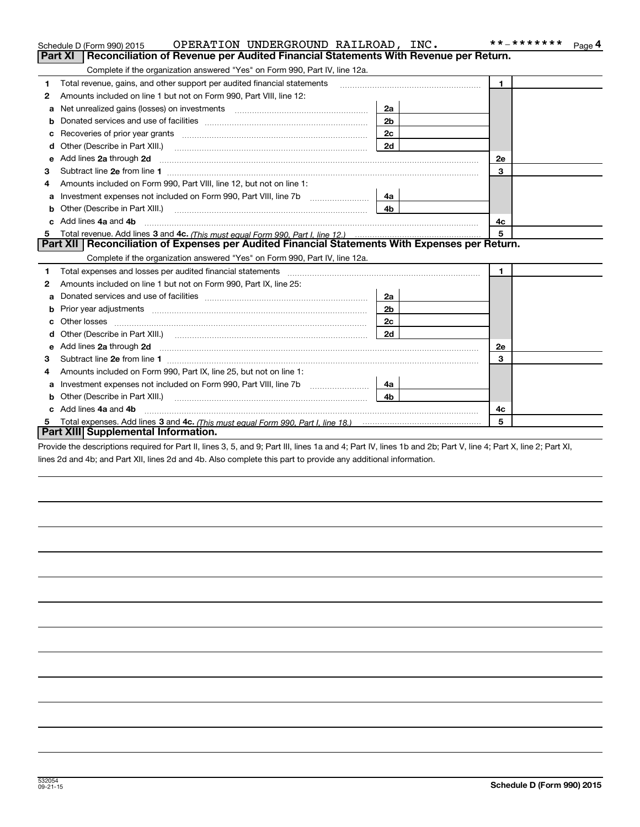|              | OPERATION UNDERGROUND RAILROAD, INC.<br>Schedule D (Form 990) 2015                                                                                                                                                                   |                | * * _ * * * * * * *<br>Page 4 |
|--------------|--------------------------------------------------------------------------------------------------------------------------------------------------------------------------------------------------------------------------------------|----------------|-------------------------------|
|              | <b>Part XI</b><br>Reconciliation of Revenue per Audited Financial Statements With Revenue per Return.                                                                                                                                |                |                               |
|              | Complete if the organization answered "Yes" on Form 990, Part IV, line 12a.                                                                                                                                                          |                |                               |
| 1            | Total revenue, gains, and other support per audited financial statements                                                                                                                                                             |                | $\blacksquare$                |
| $\mathbf{2}$ | Amounts included on line 1 but not on Form 990, Part VIII, line 12:                                                                                                                                                                  |                |                               |
| a            | Net unrealized gains (losses) on investments [11] matter contracts and the unrealized gains (losses) on investments                                                                                                                  | 2a             |                               |
| b            |                                                                                                                                                                                                                                      | 2 <sub>b</sub> |                               |
|              |                                                                                                                                                                                                                                      | 2c             |                               |
| d            | Other (Describe in Part XIII.) <b>Construction Contract Construction</b> Chern Construction Construction Construction                                                                                                                | 2d             |                               |
| е            | Add lines 2a through 2d                                                                                                                                                                                                              |                | 2е                            |
| 3            |                                                                                                                                                                                                                                      |                | 3                             |
| 4            | Amounts included on Form 990, Part VIII, line 12, but not on line 1:                                                                                                                                                                 |                |                               |
| a            | Investment expenses not included on Form 990, Part VIII, line 7b [111] [11] Investment expenses not included on Form 990, Part VIII, line 7b                                                                                         | 4a             |                               |
|              |                                                                                                                                                                                                                                      | 4 <sub>b</sub> |                               |
| c.           | Add lines 4a and 4b                                                                                                                                                                                                                  |                | 4с                            |
| 5            |                                                                                                                                                                                                                                      |                | 5                             |
|              | Part XII   Reconciliation of Expenses per Audited Financial Statements With Expenses per Return.                                                                                                                                     |                |                               |
|              | Complete if the organization answered "Yes" on Form 990, Part IV, line 12a.                                                                                                                                                          |                |                               |
| 1            | Total expenses and losses per audited financial statements                                                                                                                                                                           |                | $\blacksquare$                |
| 2            | Amounts included on line 1 but not on Form 990, Part IX, line 25:                                                                                                                                                                    |                |                               |
| a            |                                                                                                                                                                                                                                      | 2a             |                               |
| b            |                                                                                                                                                                                                                                      | 2 <sub>b</sub> |                               |
|              |                                                                                                                                                                                                                                      | 2c             |                               |
| d            |                                                                                                                                                                                                                                      | 2d             |                               |
| е            | Add lines 2a through 2d <b>continuum continuum contract and all the contract and all the contract and all the contract and all the contract of the contract of the contract of the contract of the contract of the contract of t</b> |                | 2e                            |
| 3            |                                                                                                                                                                                                                                      |                | 3                             |
| 4            | Amounts included on Form 990, Part IX, line 25, but not on line 1:                                                                                                                                                                   |                |                               |
| a            | Investment expenses not included on Form 990, Part VIII, line 7b [111] [11] Investment expenses not included on Form 990, Part VIII, line 7b                                                                                         | 4a l           |                               |
| b            | Other (Describe in Part XIII.)                                                                                                                                                                                                       | 4 <sub>h</sub> |                               |
| c            | Add lines 4a and 4b                                                                                                                                                                                                                  |                | 4c                            |
| 5            |                                                                                                                                                                                                                                      |                | 5                             |
|              | Part XIII Supplemental Information.                                                                                                                                                                                                  |                |                               |
|              |                                                                                                                                                                                                                                      |                |                               |

Provide the descriptions required for Part II, lines 3, 5, and 9; Part III, lines 1a and 4; Part IV, lines 1b and 2b; Part V, line 4; Part X, line 2; Part XI, lines 2d and 4b; and Part XII, lines 2d and 4b. Also complete this part to provide any additional information.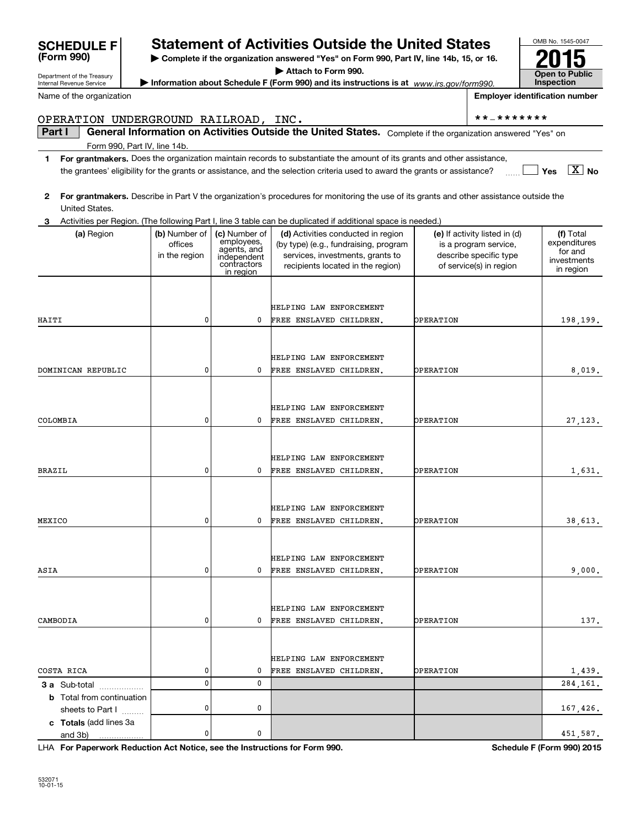| OPERATION UNDERGROUND RAILROAD, INC.                 |                                           |                                                                                       |                                                                                                                                                      |                  | * * _ * * * * * * *                                                                                         |                                                                  |
|------------------------------------------------------|-------------------------------------------|---------------------------------------------------------------------------------------|------------------------------------------------------------------------------------------------------------------------------------------------------|------------------|-------------------------------------------------------------------------------------------------------------|------------------------------------------------------------------|
| Part I                                               |                                           |                                                                                       | General Information on Activities Outside the United States. Complete if the organization answered "Yes" on                                          |                  |                                                                                                             |                                                                  |
| Form 990, Part IV, line 14b.                         |                                           |                                                                                       |                                                                                                                                                      |                  |                                                                                                             |                                                                  |
| 1                                                    |                                           |                                                                                       | For grantmakers. Does the organization maintain records to substantiate the amount of its grants and other assistance,                               |                  |                                                                                                             |                                                                  |
|                                                      |                                           |                                                                                       | the grantees' eligibility for the grants or assistance, and the selection criteria used to award the grants or assistance?                           |                  |                                                                                                             | $\boxed{X}$ No<br>Yes                                            |
| 2<br>United States.                                  |                                           |                                                                                       | For grantmakers. Describe in Part V the organization's procedures for monitoring the use of its grants and other assistance outside the              |                  |                                                                                                             |                                                                  |
|                                                      |                                           |                                                                                       | Activities per Region. (The following Part I, line 3 table can be duplicated if additional space is needed.)                                         |                  |                                                                                                             |                                                                  |
| (a) Region                                           | (b) Number of<br>offices<br>in the region | (c) Number of<br>employees,<br>agents, and<br>independent<br>contractors<br>in region | (d) Activities conducted in region<br>(by type) (e.g., fundraising, program<br>services, investments, grants to<br>recipients located in the region) |                  | (e) If activity listed in (d)<br>is a program service,<br>describe specific type<br>of service(s) in region | (f) Total<br>expenditures<br>for and<br>investments<br>in region |
|                                                      |                                           |                                                                                       | HELPING LAW ENFORCEMENT                                                                                                                              |                  |                                                                                                             |                                                                  |
| HAITI                                                | 0                                         | 0                                                                                     | FREE ENSLAVED CHILDREN.                                                                                                                              | OPERATION        |                                                                                                             | 198,199.                                                         |
|                                                      |                                           |                                                                                       |                                                                                                                                                      |                  |                                                                                                             |                                                                  |
|                                                      |                                           |                                                                                       | HELPING LAW ENFORCEMENT                                                                                                                              |                  |                                                                                                             |                                                                  |
| DOMINICAN REPUBLIC                                   | 0                                         | 0                                                                                     | FREE ENSLAVED CHILDREN.                                                                                                                              | OPERATION        |                                                                                                             | 8,019.                                                           |
|                                                      |                                           |                                                                                       |                                                                                                                                                      |                  |                                                                                                             |                                                                  |
|                                                      |                                           |                                                                                       | HELPING LAW ENFORCEMENT                                                                                                                              |                  |                                                                                                             |                                                                  |
| COLOMBIA                                             | 0                                         | 0                                                                                     | FREE ENSLAVED CHILDREN.                                                                                                                              | OPERATION        |                                                                                                             | 27, 123.                                                         |
|                                                      |                                           |                                                                                       |                                                                                                                                                      |                  |                                                                                                             |                                                                  |
|                                                      |                                           |                                                                                       | HELPING LAW ENFORCEMENT                                                                                                                              |                  |                                                                                                             |                                                                  |
| <b>BRAZIL</b>                                        | 0                                         | 0                                                                                     | FREE ENSLAVED CHILDREN.                                                                                                                              | OPERATION        |                                                                                                             | 1,631.                                                           |
|                                                      |                                           |                                                                                       |                                                                                                                                                      |                  |                                                                                                             |                                                                  |
|                                                      |                                           |                                                                                       | HELPING LAW ENFORCEMENT                                                                                                                              |                  |                                                                                                             |                                                                  |
| MEXICO                                               | 0                                         | 0                                                                                     | FREE ENSLAVED CHILDREN.                                                                                                                              | OPERATION        |                                                                                                             | 38,613.                                                          |
|                                                      |                                           |                                                                                       |                                                                                                                                                      |                  |                                                                                                             |                                                                  |
|                                                      |                                           |                                                                                       | HELPING LAW ENFORCEMENT                                                                                                                              |                  |                                                                                                             |                                                                  |
| ASIA                                                 | $\mathbf 0$                               | 0                                                                                     | FREE ENSLAVED CHILDREN.                                                                                                                              | OPERATION        |                                                                                                             | 9,000.                                                           |
|                                                      |                                           |                                                                                       |                                                                                                                                                      |                  |                                                                                                             |                                                                  |
|                                                      |                                           |                                                                                       |                                                                                                                                                      |                  |                                                                                                             |                                                                  |
|                                                      | 0                                         | 0                                                                                     | HELPING LAW ENFORCEMENT<br>FREE ENSLAVED CHILDREN.                                                                                                   |                  |                                                                                                             |                                                                  |
| CAMBODIA                                             |                                           |                                                                                       |                                                                                                                                                      | OPERATION        |                                                                                                             | 137,                                                             |
|                                                      |                                           |                                                                                       |                                                                                                                                                      |                  |                                                                                                             |                                                                  |
|                                                      |                                           |                                                                                       | HELPING LAW ENFORCEMENT                                                                                                                              |                  |                                                                                                             |                                                                  |
| COSTA RICA                                           | 0                                         | 0                                                                                     | FREE ENSLAVED CHILDREN.                                                                                                                              | <b>OPERATION</b> |                                                                                                             | 1,439.                                                           |
| 3 a Sub-total                                        | 0                                         | 0                                                                                     |                                                                                                                                                      |                  |                                                                                                             | 284,161.                                                         |
| <b>b</b> Total from continuation<br>sheets to Part I | 0                                         | 0                                                                                     |                                                                                                                                                      |                  |                                                                                                             | 167,426.                                                         |
| c Totals (add lines 3a                               |                                           |                                                                                       |                                                                                                                                                      |                  |                                                                                                             |                                                                  |
| and 3b)                                              | 0                                         | 0                                                                                     |                                                                                                                                                      |                  |                                                                                                             | 451,587.                                                         |

**For Paperwork Reduction Act Notice, see the Instructions for Form 990. Schedule F (Form 990) 2015** LHA

**(Form 990)**

| $\sf SCHEDULEF $ | <b>Statement of Activities Outside the United States</b> |
|------------------|----------------------------------------------------------|
|                  |                                                          |

**| Complete if the organization answered "Yes" on Form 990, Part IV, line 14b, 15, or 16. | Attach to Form 990.**

**| Information about Schedule F (Form 990) and its instructions is at**  *www.irs.gov/form990.*

**Employer identification number**

532071 10-01-15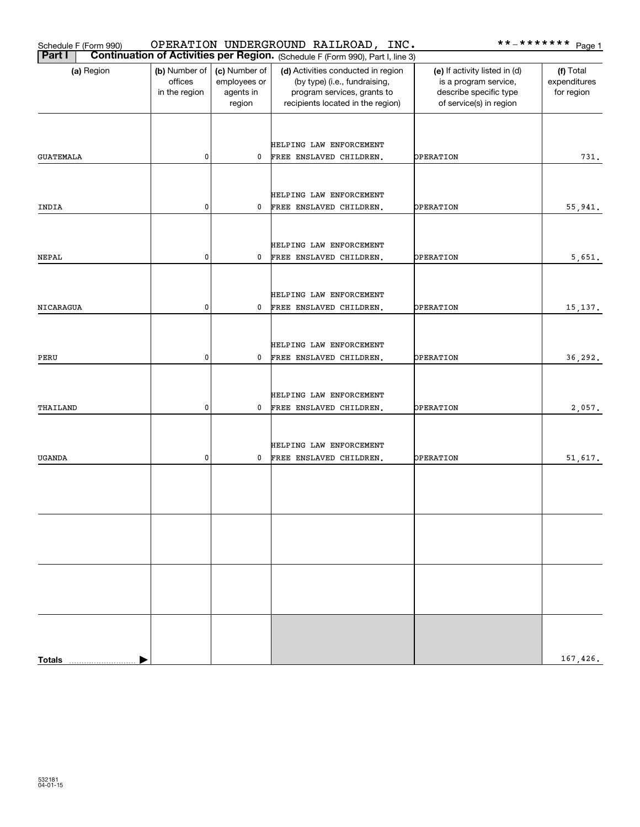| Schedule F (Form 990) |                                           |                                                      | OPERATION UNDERGROUND RAILROAD, INC.                                                                                                    |                                                                                                             | **_******* <u>Page 1</u>                |
|-----------------------|-------------------------------------------|------------------------------------------------------|-----------------------------------------------------------------------------------------------------------------------------------------|-------------------------------------------------------------------------------------------------------------|-----------------------------------------|
| <b>Part I</b>         |                                           |                                                      | Continuation of Activities per Region. (Schedule F (Form 990), Part I, line 3)                                                          |                                                                                                             |                                         |
| (a) Region            | (b) Number of<br>offices<br>in the region | (c) Number of<br>employees or<br>agents in<br>region | (d) Activities conducted in region<br>(by type) (i.e., fundraising,<br>program services, grants to<br>recipients located in the region) | (e) If activity listed in (d)<br>is a program service,<br>describe specific type<br>of service(s) in region | (f) Total<br>expenditures<br>for region |
| <b>GUATEMALA</b>      | 0                                         | 0                                                    | HELPING LAW ENFORCEMENT<br>FREE ENSLAVED CHILDREN.                                                                                      | OPERATION                                                                                                   | 731.                                    |
| INDIA                 | 0                                         | 0                                                    | HELPING LAW ENFORCEMENT<br>FREE ENSLAVED CHILDREN.                                                                                      | OPERATION                                                                                                   | 55,941.                                 |
| <b>NEPAL</b>          | 0                                         | 0                                                    | HELPING LAW ENFORCEMENT<br>FREE ENSLAVED CHILDREN.                                                                                      | OPERATION                                                                                                   | 5,651.                                  |
| NICARAGUA             | 0                                         | 0                                                    | HELPING LAW ENFORCEMENT<br>FREE ENSLAVED CHILDREN.                                                                                      | OPERATION                                                                                                   | 15, 137.                                |
| PERU                  | 0                                         | 0                                                    | HELPING LAW ENFORCEMENT<br>FREE ENSLAVED CHILDREN.                                                                                      | OPERATION                                                                                                   | 36,292.                                 |
| THAILAND              | 0                                         | 0                                                    | HELPING LAW ENFORCEMENT<br>FREE ENSLAVED CHILDREN.                                                                                      | OPERATION                                                                                                   | 2,057.                                  |
| <b>UGANDA</b>         | 0                                         | 0                                                    | HELPING LAW ENFORCEMENT<br>FREE ENSLAVED CHILDREN.                                                                                      | OPERATION                                                                                                   | 51,617.                                 |
|                       |                                           |                                                      |                                                                                                                                         |                                                                                                             |                                         |
|                       |                                           |                                                      |                                                                                                                                         |                                                                                                             |                                         |
| <b>Totals</b>         |                                           |                                                      |                                                                                                                                         |                                                                                                             | 167,426.                                |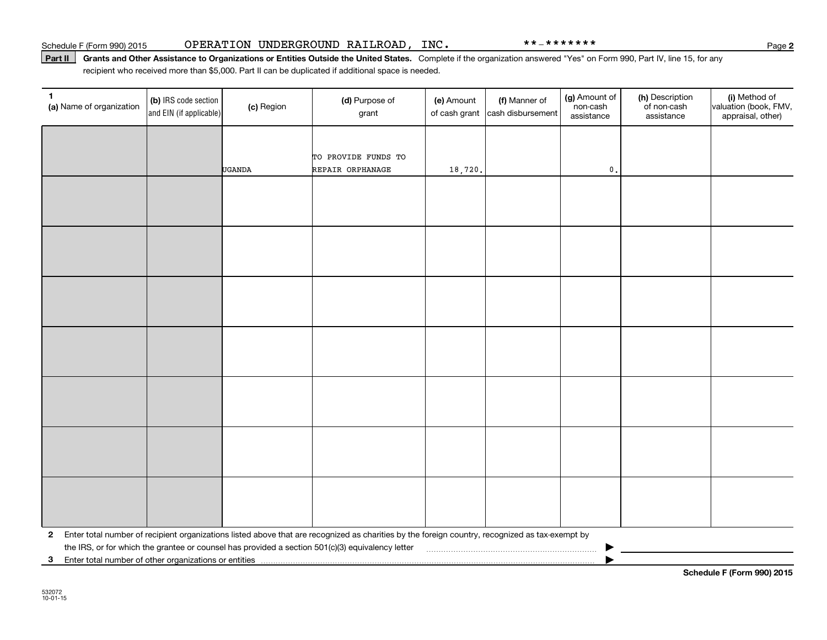#### Schedule F (Form 990) 2015 OPERATION UNDERGROUND RAILROAD , INC • \* \* – \* \* \* \* \* \* \*

#### Part II | Grants and Other Assistance to Organizations or Entities Outside the United States. Complete if the organization answered "Yes" on Form 990, Part IV, line 15, for any recipient who received more than \$5,000. Part II can be duplicated if additional space is needed.

| 1<br>(a) Name of organization | (b) IRS code section<br>and EIN (if applicable)                                                                                                             | (c) Region    | (d) Purpose of<br>grant                                                                                                                         | (e) Amount<br>of cash grant | (f) Manner of<br>cash disbursement | (g) Amount of<br>non-cash<br>assistance | (h) Description<br>of non-cash<br>assistance | (i) Method of<br>valuation (book, FMV,<br>appraisal, other) |
|-------------------------------|-------------------------------------------------------------------------------------------------------------------------------------------------------------|---------------|-------------------------------------------------------------------------------------------------------------------------------------------------|-----------------------------|------------------------------------|-----------------------------------------|----------------------------------------------|-------------------------------------------------------------|
|                               |                                                                                                                                                             |               |                                                                                                                                                 |                             |                                    |                                         |                                              |                                                             |
|                               |                                                                                                                                                             |               | TO PROVIDE FUNDS TO                                                                                                                             |                             |                                    |                                         |                                              |                                                             |
|                               |                                                                                                                                                             | <b>UGANDA</b> | REPAIR ORPHANAGE                                                                                                                                | 18,720.                     |                                    | $\mathbf{0}$ .                          |                                              |                                                             |
|                               |                                                                                                                                                             |               |                                                                                                                                                 |                             |                                    |                                         |                                              |                                                             |
|                               |                                                                                                                                                             |               |                                                                                                                                                 |                             |                                    |                                         |                                              |                                                             |
|                               |                                                                                                                                                             |               |                                                                                                                                                 |                             |                                    |                                         |                                              |                                                             |
|                               |                                                                                                                                                             |               |                                                                                                                                                 |                             |                                    |                                         |                                              |                                                             |
|                               |                                                                                                                                                             |               |                                                                                                                                                 |                             |                                    |                                         |                                              |                                                             |
|                               |                                                                                                                                                             |               |                                                                                                                                                 |                             |                                    |                                         |                                              |                                                             |
|                               |                                                                                                                                                             |               |                                                                                                                                                 |                             |                                    |                                         |                                              |                                                             |
|                               |                                                                                                                                                             |               |                                                                                                                                                 |                             |                                    |                                         |                                              |                                                             |
|                               |                                                                                                                                                             |               |                                                                                                                                                 |                             |                                    |                                         |                                              |                                                             |
|                               |                                                                                                                                                             |               |                                                                                                                                                 |                             |                                    |                                         |                                              |                                                             |
|                               |                                                                                                                                                             |               |                                                                                                                                                 |                             |                                    |                                         |                                              |                                                             |
|                               |                                                                                                                                                             |               |                                                                                                                                                 |                             |                                    |                                         |                                              |                                                             |
|                               |                                                                                                                                                             |               |                                                                                                                                                 |                             |                                    |                                         |                                              |                                                             |
|                               |                                                                                                                                                             |               |                                                                                                                                                 |                             |                                    |                                         |                                              |                                                             |
|                               |                                                                                                                                                             |               |                                                                                                                                                 |                             |                                    |                                         |                                              |                                                             |
|                               |                                                                                                                                                             |               |                                                                                                                                                 |                             |                                    |                                         |                                              |                                                             |
|                               |                                                                                                                                                             |               |                                                                                                                                                 |                             |                                    |                                         |                                              |                                                             |
|                               |                                                                                                                                                             |               |                                                                                                                                                 |                             |                                    |                                         |                                              |                                                             |
| $\mathbf{2}$                  |                                                                                                                                                             |               | Enter total number of recipient organizations listed above that are recognized as charities by the foreign country, recognized as tax-exempt by |                             |                                    |                                         |                                              |                                                             |
|                               | the IRS, or for which the grantee or counsel has provided a section 501(c)(3) equivalency letter<br>3 Enter total number of other organizations or entities |               |                                                                                                                                                 |                             |                                    |                                         |                                              |                                                             |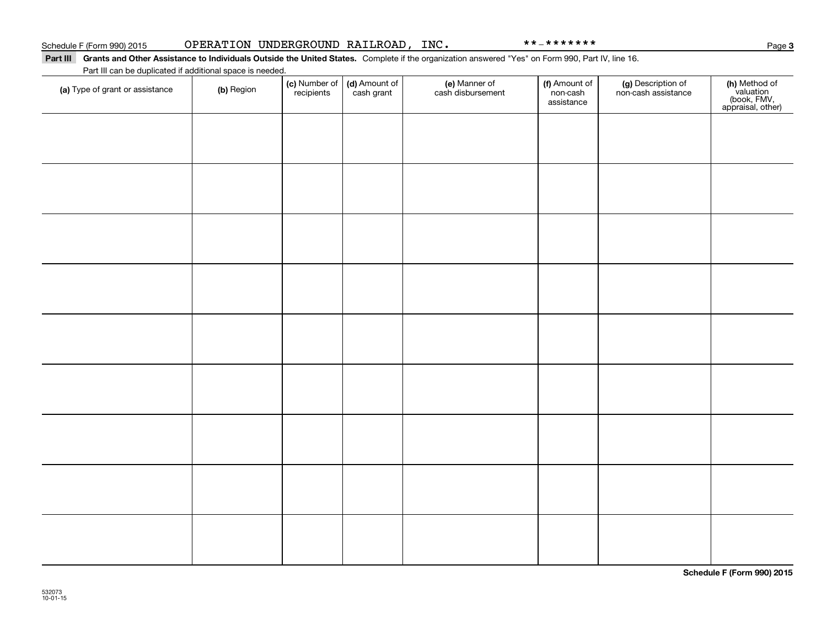#### Part III Grants and Other Assistance to Individuals Outside the United States. Complete if the organization answered "Yes" on Form 990, Part IV, line 16. Part III can be duplicated if additional space is needed.

| Part in can be duplicated if additional space is needed. |            |                                    |                             |                                    |                                         |                                           |                                                                |
|----------------------------------------------------------|------------|------------------------------------|-----------------------------|------------------------------------|-----------------------------------------|-------------------------------------------|----------------------------------------------------------------|
| (a) Type of grant or assistance                          | (b) Region | (c) Number of<br><i>recipients</i> | (d) Amount of<br>cash grant | (e) Manner of<br>cash disbursement | (f) Amount of<br>non-cash<br>assistance | (g) Description of<br>non-cash assistance | (h) Method of<br>valuation<br>(book, FMV,<br>appraisal, other) |
|                                                          |            |                                    |                             |                                    |                                         |                                           |                                                                |
|                                                          |            |                                    |                             |                                    |                                         |                                           |                                                                |
|                                                          |            |                                    |                             |                                    |                                         |                                           |                                                                |
|                                                          |            |                                    |                             |                                    |                                         |                                           |                                                                |
|                                                          |            |                                    |                             |                                    |                                         |                                           |                                                                |
|                                                          |            |                                    |                             |                                    |                                         |                                           |                                                                |
|                                                          |            |                                    |                             |                                    |                                         |                                           |                                                                |
|                                                          |            |                                    |                             |                                    |                                         |                                           |                                                                |
|                                                          |            |                                    |                             |                                    |                                         |                                           |                                                                |
|                                                          |            |                                    |                             |                                    |                                         |                                           |                                                                |
|                                                          |            |                                    |                             |                                    |                                         |                                           |                                                                |
|                                                          |            |                                    |                             |                                    |                                         |                                           |                                                                |
|                                                          |            |                                    |                             |                                    |                                         |                                           |                                                                |
|                                                          |            |                                    |                             |                                    |                                         |                                           |                                                                |
|                                                          |            |                                    |                             |                                    |                                         |                                           |                                                                |
|                                                          |            |                                    |                             |                                    |                                         |                                           |                                                                |
|                                                          |            |                                    |                             |                                    |                                         |                                           |                                                                |
|                                                          |            |                                    |                             |                                    |                                         |                                           |                                                                |
|                                                          |            |                                    |                             |                                    |                                         |                                           |                                                                |

**Schedule F (Form 990) 2015**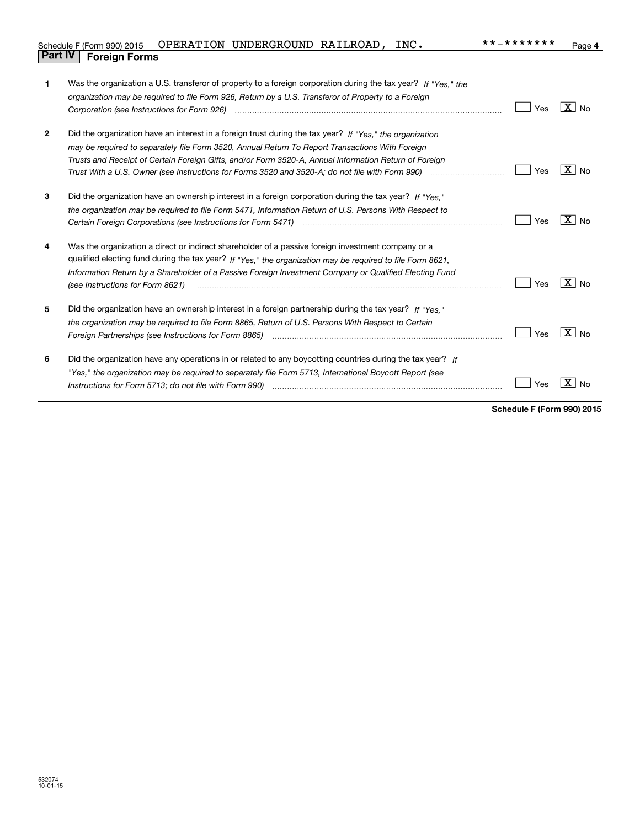|                                | Schedule F (Form 990) 2015  OPERATION UNDERGROUND RAILROAD, |  | INC. | **_******* | Page |
|--------------------------------|-------------------------------------------------------------|--|------|------------|------|
| <b>Part IV   Foreign Forms</b> |                                                             |  |      |            |      |

| 1            | Was the organization a U.S. transferor of property to a foreign corporation during the tax year? If "Yes," the<br>organization may be required to file Form 926, Return by a U.S. Transferor of Property to a Foreign                                                                                                                                                                                                                                   | Yes | $X _{\text{No}}$    |
|--------------|---------------------------------------------------------------------------------------------------------------------------------------------------------------------------------------------------------------------------------------------------------------------------------------------------------------------------------------------------------------------------------------------------------------------------------------------------------|-----|---------------------|
| $\mathbf{2}$ | Did the organization have an interest in a foreign trust during the tax year? If "Yes," the organization<br>may be required to separately file Form 3520, Annual Return To Report Transactions With Foreign<br>Trusts and Receipt of Certain Foreign Gifts, and/or Form 3520-A, Annual Information Return of Foreign<br>Trust With a U.S. Owner (see Instructions for Forms 3520 and 3520-A; do not file with Form 990) manufactional                   | Yes | $ X $ No            |
| 3            | Did the organization have an ownership interest in a foreign corporation during the tax year? If "Yes."<br>the organization may be required to file Form 5471, Information Return of U.S. Persons With Respect to                                                                                                                                                                                                                                       | Yes | $X \mid N_{\Omega}$ |
| 4            | Was the organization a direct or indirect shareholder of a passive foreign investment company or a<br>qualified electing fund during the tax year? If "Yes," the organization may be required to file Form 8621,<br>Information Return by a Shareholder of a Passive Foreign Investment Company or Qualified Electing Fund<br>(see Instructions for Form 8621)                                                                                          | Yes | $X \mid N_0$        |
| 5            | Did the organization have an ownership interest in a foreign partnership during the tax year? If "Yes."<br>the organization may be required to file Form 8865, Return of U.S. Persons With Respect to Certain                                                                                                                                                                                                                                           | Yes | $X _{N_Q}$          |
| 6            | Did the organization have any operations in or related to any boycotting countries during the tax year? If<br>"Yes," the organization may be required to separately file Form 5713, International Boycott Report (see<br>Instructions for Form 5713; do not file with Form 990) [11] manufactured manufactured in the manufactured in the manufactured in the manufactured in the manufactured in the manufactured in the manufactured in the manufactu | Yes | ΧI<br><b>No</b>     |

**Schedule F (Form 990) 2015**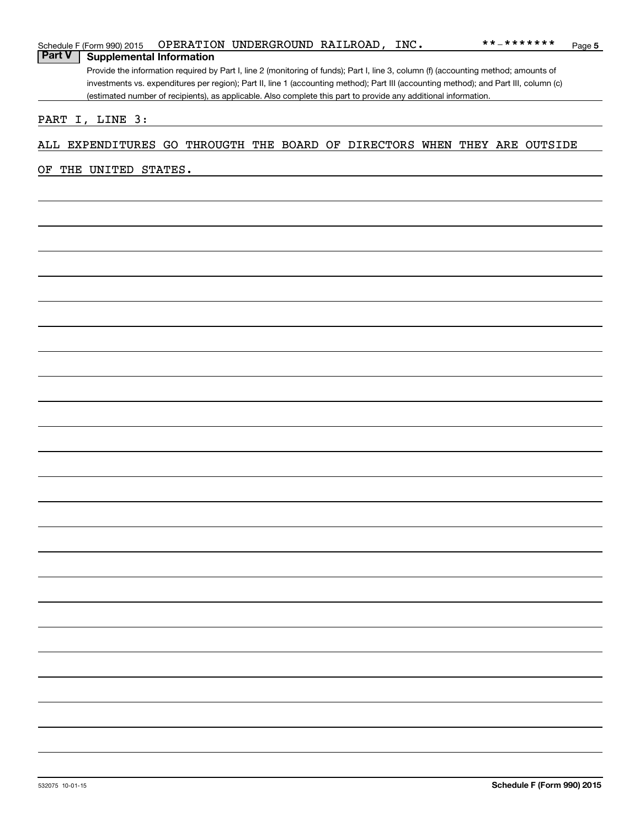|               | Schedule F (Form 990) 2015                                                |  | OPERATION UNDERGROUND RAILROAD, INC.                                                                                                                                                                                                                     |  |  |  |  | **_*******         | Page 5 |
|---------------|---------------------------------------------------------------------------|--|----------------------------------------------------------------------------------------------------------------------------------------------------------------------------------------------------------------------------------------------------------|--|--|--|--|--------------------|--------|
| <b>Part V</b> | <b>Supplemental Information</b>                                           |  |                                                                                                                                                                                                                                                          |  |  |  |  |                    |        |
|               |                                                                           |  | Provide the information required by Part I, line 2 (monitoring of funds); Part I, line 3, column (f) (accounting method; amounts of                                                                                                                      |  |  |  |  |                    |        |
|               |                                                                           |  | investments vs. expenditures per region); Part II, line 1 (accounting method); Part III (accounting method); and Part III, column (c)<br>(estimated number of recipients), as applicable. Also complete this part to provide any additional information. |  |  |  |  |                    |        |
|               |                                                                           |  |                                                                                                                                                                                                                                                          |  |  |  |  |                    |        |
|               | PART I, LINE 3:                                                           |  |                                                                                                                                                                                                                                                          |  |  |  |  |                    |        |
|               |                                                                           |  |                                                                                                                                                                                                                                                          |  |  |  |  |                    |        |
|               | ALL EXPENDITURES GO THROUGTH THE BOARD OF DIRECTORS WHEN THEY ARE OUTSIDE |  |                                                                                                                                                                                                                                                          |  |  |  |  |                    |        |
| OF            | THE UNITED STATES.                                                        |  |                                                                                                                                                                                                                                                          |  |  |  |  |                    |        |
|               |                                                                           |  |                                                                                                                                                                                                                                                          |  |  |  |  |                    |        |
|               |                                                                           |  |                                                                                                                                                                                                                                                          |  |  |  |  |                    |        |
|               |                                                                           |  |                                                                                                                                                                                                                                                          |  |  |  |  |                    |        |
|               |                                                                           |  |                                                                                                                                                                                                                                                          |  |  |  |  |                    |        |
|               |                                                                           |  |                                                                                                                                                                                                                                                          |  |  |  |  |                    |        |
|               |                                                                           |  |                                                                                                                                                                                                                                                          |  |  |  |  |                    |        |
|               |                                                                           |  |                                                                                                                                                                                                                                                          |  |  |  |  |                    |        |
|               |                                                                           |  |                                                                                                                                                                                                                                                          |  |  |  |  |                    |        |
|               |                                                                           |  |                                                                                                                                                                                                                                                          |  |  |  |  |                    |        |
|               |                                                                           |  |                                                                                                                                                                                                                                                          |  |  |  |  |                    |        |
|               |                                                                           |  |                                                                                                                                                                                                                                                          |  |  |  |  |                    |        |
|               |                                                                           |  |                                                                                                                                                                                                                                                          |  |  |  |  |                    |        |
|               |                                                                           |  |                                                                                                                                                                                                                                                          |  |  |  |  |                    |        |
|               |                                                                           |  |                                                                                                                                                                                                                                                          |  |  |  |  |                    |        |
|               |                                                                           |  |                                                                                                                                                                                                                                                          |  |  |  |  |                    |        |
|               |                                                                           |  |                                                                                                                                                                                                                                                          |  |  |  |  |                    |        |
|               |                                                                           |  |                                                                                                                                                                                                                                                          |  |  |  |  |                    |        |
|               |                                                                           |  |                                                                                                                                                                                                                                                          |  |  |  |  |                    |        |
|               |                                                                           |  |                                                                                                                                                                                                                                                          |  |  |  |  |                    |        |
|               |                                                                           |  |                                                                                                                                                                                                                                                          |  |  |  |  |                    |        |
|               |                                                                           |  |                                                                                                                                                                                                                                                          |  |  |  |  |                    |        |
|               |                                                                           |  |                                                                                                                                                                                                                                                          |  |  |  |  |                    |        |
|               |                                                                           |  |                                                                                                                                                                                                                                                          |  |  |  |  |                    |        |
|               |                                                                           |  |                                                                                                                                                                                                                                                          |  |  |  |  |                    |        |
|               |                                                                           |  |                                                                                                                                                                                                                                                          |  |  |  |  |                    |        |
|               |                                                                           |  |                                                                                                                                                                                                                                                          |  |  |  |  |                    |        |
|               |                                                                           |  |                                                                                                                                                                                                                                                          |  |  |  |  |                    |        |
|               |                                                                           |  |                                                                                                                                                                                                                                                          |  |  |  |  |                    |        |
|               |                                                                           |  |                                                                                                                                                                                                                                                          |  |  |  |  |                    |        |
|               |                                                                           |  |                                                                                                                                                                                                                                                          |  |  |  |  |                    |        |
|               |                                                                           |  |                                                                                                                                                                                                                                                          |  |  |  |  |                    |        |
|               |                                                                           |  |                                                                                                                                                                                                                                                          |  |  |  |  |                    |        |
|               |                                                                           |  |                                                                                                                                                                                                                                                          |  |  |  |  |                    |        |
|               |                                                                           |  |                                                                                                                                                                                                                                                          |  |  |  |  |                    |        |
|               |                                                                           |  |                                                                                                                                                                                                                                                          |  |  |  |  |                    |        |
|               |                                                                           |  |                                                                                                                                                                                                                                                          |  |  |  |  |                    |        |
|               |                                                                           |  |                                                                                                                                                                                                                                                          |  |  |  |  |                    |        |
|               |                                                                           |  |                                                                                                                                                                                                                                                          |  |  |  |  |                    |        |
|               |                                                                           |  |                                                                                                                                                                                                                                                          |  |  |  |  |                    |        |
|               |                                                                           |  |                                                                                                                                                                                                                                                          |  |  |  |  |                    |        |
|               |                                                                           |  |                                                                                                                                                                                                                                                          |  |  |  |  |                    |        |
|               |                                                                           |  |                                                                                                                                                                                                                                                          |  |  |  |  |                    |        |
|               |                                                                           |  |                                                                                                                                                                                                                                                          |  |  |  |  | 0.1111777700010047 |        |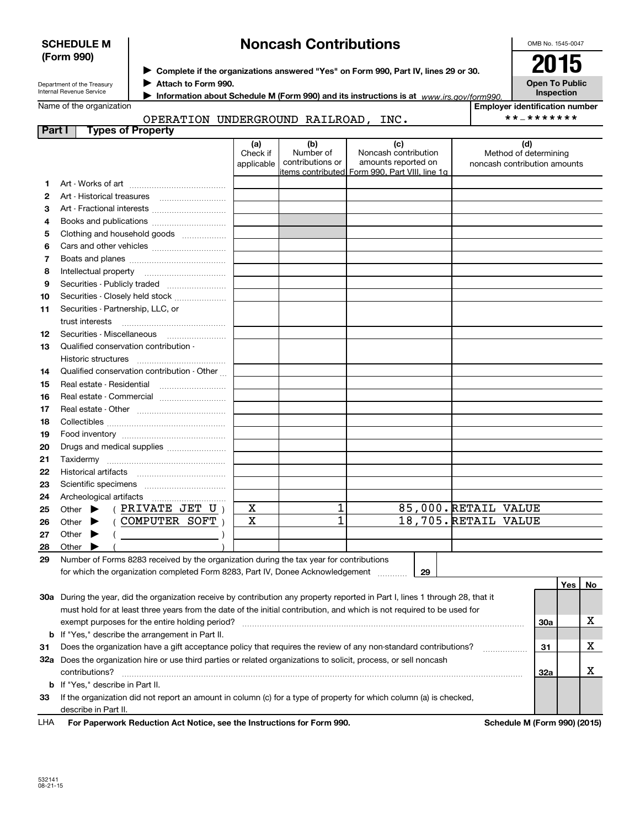532141 08-21-15

**91011**

**SCHEDULE M (Form 990)**

**1213**

|        | Department of the Treasury      | Attach to Form 990.                  |            |                  |                                                                                         |                      | C         |
|--------|---------------------------------|--------------------------------------|------------|------------------|-----------------------------------------------------------------------------------------|----------------------|-----------|
|        | <b>Internal Revenue Service</b> |                                      |            |                  | Information about Schedule M (Form 990) and its instructions is at www.irs.gov/form990. |                      |           |
|        | Name of the organization        |                                      |            |                  |                                                                                         | <b>Employer iden</b> |           |
|        |                                 | OPERATION UNDERGROUND RAILROAD, INC. |            |                  |                                                                                         |                      | $* * - *$ |
| Part I |                                 | <b>Types of Property</b>             |            |                  |                                                                                         |                      |           |
|        |                                 |                                      | (a)        | (b)              | (c)                                                                                     |                      | (d)       |
|        |                                 |                                      | Check if   | Number of        | Noncash contribution                                                                    | Method of de         |           |
|        |                                 |                                      | applicable | contributions or | amounts reported on<br>litems contributed  Form 990, Part VIII, line 1q                 | noncash contribi     |           |
|        |                                 |                                      |            |                  |                                                                                         |                      |           |
|        |                                 |                                      |            |                  |                                                                                         |                      |           |
| 3      |                                 |                                      |            |                  |                                                                                         |                      |           |
|        |                                 |                                      |            |                  |                                                                                         |                      |           |
| 4      |                                 |                                      |            |                  |                                                                                         |                      |           |
| 5      |                                 | Clothing and household goods         |            |                  |                                                                                         |                      |           |
| 6      |                                 |                                      |            |                  |                                                                                         |                      |           |
|        |                                 |                                      |            |                  |                                                                                         |                      |           |
| 8      | Intellectual property           |                                      |            |                  |                                                                                         |                      |           |

Securities - Publicly traded ~~~~~~~~ Securities - Closely held stock ~~~~~~~

trust interests ………………………………… Securities - Miscellaneous ~~~~~~~~ Qualified conservation contribution -

Historic structures ~~~~~~~~~~~~ Qualified conservation contribution - Other ... ....<br>Real estate - Residential ,...........................

Securities - Partnership, LLC, or

# **Noncash Contributions**

 $\blacktriangleright$  Complete if the organizations answered "Yes" on Form 990, Part IV, lines 29 or 30.  $\vert$  2015

**Open To Public Inspection**

| Employer identification number |  |
|--------------------------------|--|
|--------------------------------|--|

## \*\*‐\*\*\*\*\*\*\*

Method of determining noncash contribution amounts

| Real estate - Commercial   |  |  |
|----------------------------|--|--|
| Real estate - Other        |  |  |
|                            |  |  |
|                            |  |  |
| Drugs and medical supplies |  |  |
| Taxidermy                  |  |  |
| Historical artifacts       |  |  |
| Scientific specimens       |  |  |

|    | 22 Historical artifacts                                                                    |   |  |                      |
|----|--------------------------------------------------------------------------------------------|---|--|----------------------|
| 23 | Scientific specimens                                                                       |   |  |                      |
|    | 24 Archeological artifacts                                                                 |   |  |                      |
|    | 25 Other $\blacktriangleright$ (PRIVATE JET U)                                             | х |  | 85,000. RETAIL VALUE |
|    | ( COMPUTER SOFT<br>26 Other $\blacktriangleright$                                          | х |  | 18,705. RETAIL VALUE |
| 27 | Other $\blacktriangleright$                                                                |   |  |                      |
| 28 | Other                                                                                      |   |  |                      |
|    | 20 Number of Forms 8283 received by the organization during the tax year for contributions |   |  |                      |

**29**

#### **29**Number of Forms 8283 received by the organization during the tax year for contributions for which the organization completed Form 8283, Part IV, Donee Acknowledgement ............

|     |                                                                                                                                 |                                         | Yes | No. |
|-----|---------------------------------------------------------------------------------------------------------------------------------|-----------------------------------------|-----|-----|
| 30a | During the year, did the organization receive by contribution any property reported in Part I, lines 1 through 28, that it      |                                         |     |     |
|     | must hold for at least three years from the date of the initial contribution, and which is not required to be used for          |                                         |     |     |
|     | exempt purposes for the entire holding period?                                                                                  | 30a                                     |     | х   |
|     | <b>b</b> If "Yes," describe the arrangement in Part II.                                                                         |                                         |     |     |
| 31  | Does the organization have a gift acceptance policy that requires the review of any non-standard contributions?                 | 31                                      |     | х   |
| 32a | Does the organization hire or use third parties or related organizations to solicit, process, or sell noncash<br>contributions? | 32a                                     |     | v   |
|     | <b>b</b> If "Yes." describe in Part II.                                                                                         |                                         |     |     |
|     |                                                                                                                                 |                                         |     |     |
| 33  | If the organization did not report an amount in column (c) for a type of property for which column (a) is checked,              |                                         |     |     |
|     | describe in Part II.                                                                                                            |                                         |     |     |
|     |                                                                                                                                 | <u> A.L. L. L. L. (F. L. AAA) (AAJE</u> |     |     |

| LHA | For Paperwork Reduction Act Notice, see the Instructions for Form 990. |
|-----|------------------------------------------------------------------------|
|-----|------------------------------------------------------------------------|

**Schedule M (Form 990) (2015)** 

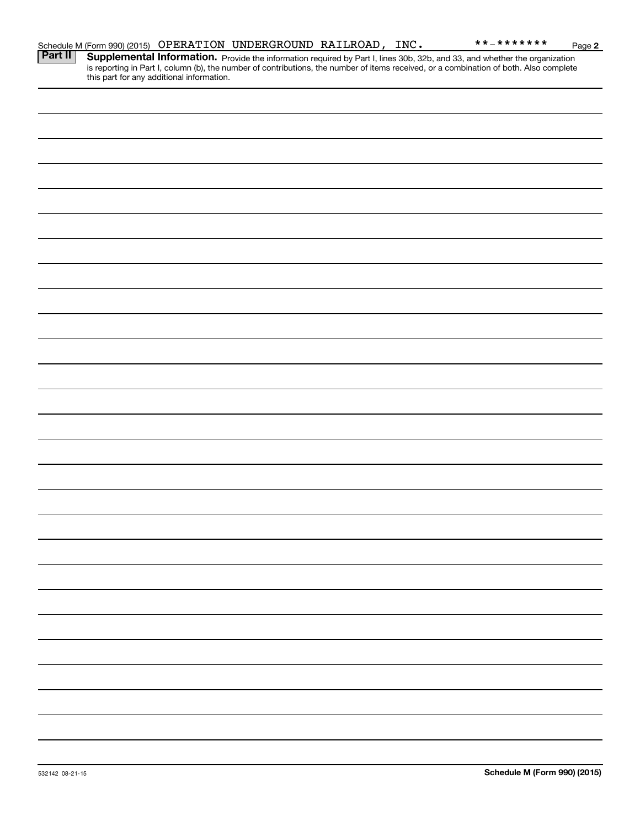|         |                                           | Schedule M (Form 990) (2015) OPERATION UNDERGROUND RAILROAD, INC. |  | **_*******                                                                                                                                                                                                                          | Page 2 |
|---------|-------------------------------------------|-------------------------------------------------------------------|--|-------------------------------------------------------------------------------------------------------------------------------------------------------------------------------------------------------------------------------------|--------|
| Part II | this part for any additional information. |                                                                   |  | <b>Supplemental Information.</b> Provide the information required by Part I, lines 30b, 32b, and 33, and whether the organization is reporting in Part I, column (b), the number of contributions, the number of items received, or |        |
|         |                                           |                                                                   |  |                                                                                                                                                                                                                                     |        |
|         |                                           |                                                                   |  |                                                                                                                                                                                                                                     |        |
|         |                                           |                                                                   |  |                                                                                                                                                                                                                                     |        |
|         |                                           |                                                                   |  |                                                                                                                                                                                                                                     |        |
|         |                                           |                                                                   |  |                                                                                                                                                                                                                                     |        |
|         |                                           |                                                                   |  |                                                                                                                                                                                                                                     |        |
|         |                                           |                                                                   |  |                                                                                                                                                                                                                                     |        |
|         |                                           |                                                                   |  |                                                                                                                                                                                                                                     |        |
|         |                                           |                                                                   |  |                                                                                                                                                                                                                                     |        |
|         |                                           |                                                                   |  |                                                                                                                                                                                                                                     |        |
|         |                                           |                                                                   |  |                                                                                                                                                                                                                                     |        |
|         |                                           |                                                                   |  |                                                                                                                                                                                                                                     |        |
|         |                                           |                                                                   |  |                                                                                                                                                                                                                                     |        |
|         |                                           |                                                                   |  |                                                                                                                                                                                                                                     |        |
|         |                                           |                                                                   |  |                                                                                                                                                                                                                                     |        |
|         |                                           |                                                                   |  |                                                                                                                                                                                                                                     |        |
|         |                                           |                                                                   |  |                                                                                                                                                                                                                                     |        |
|         |                                           |                                                                   |  |                                                                                                                                                                                                                                     |        |
|         |                                           |                                                                   |  |                                                                                                                                                                                                                                     |        |
|         |                                           |                                                                   |  |                                                                                                                                                                                                                                     |        |
|         |                                           |                                                                   |  |                                                                                                                                                                                                                                     |        |
|         |                                           |                                                                   |  |                                                                                                                                                                                                                                     |        |
|         |                                           |                                                                   |  |                                                                                                                                                                                                                                     |        |
|         |                                           |                                                                   |  |                                                                                                                                                                                                                                     |        |
|         |                                           |                                                                   |  |                                                                                                                                                                                                                                     |        |
|         |                                           |                                                                   |  |                                                                                                                                                                                                                                     |        |
|         |                                           |                                                                   |  |                                                                                                                                                                                                                                     |        |
|         |                                           |                                                                   |  |                                                                                                                                                                                                                                     |        |
|         |                                           |                                                                   |  |                                                                                                                                                                                                                                     |        |
|         |                                           |                                                                   |  |                                                                                                                                                                                                                                     |        |
|         |                                           |                                                                   |  |                                                                                                                                                                                                                                     |        |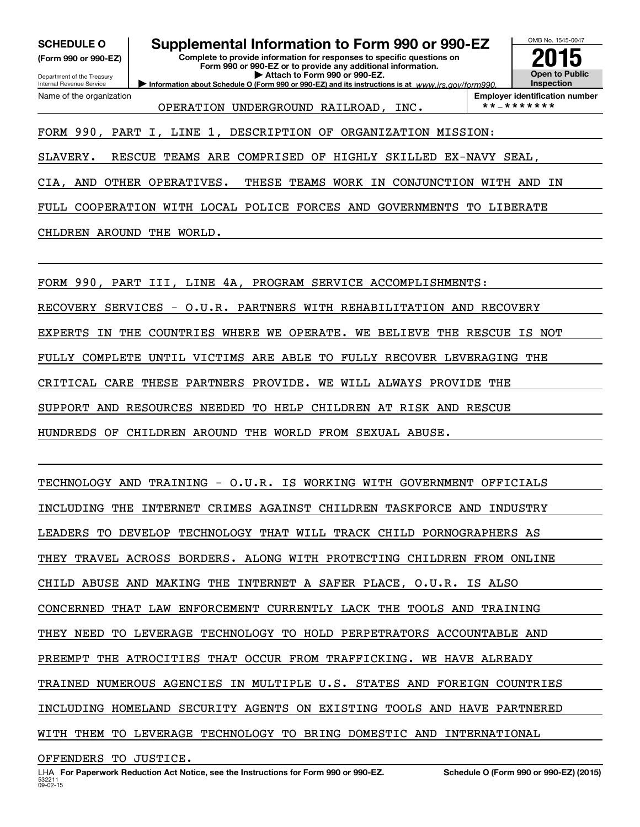**(Form 990 or 990-EZ)**

Department of the Treasury Internal Revenue Service Name of the organization

**SCHEDULE O Supplemental Information to Form 990 or 990-EZ**

**Complete to provide information for responses to specific questions on Form 990 or 990-EZ or to provide any additional information. | Attach to Form 990 or 990-EZ.**

**Information about Schedule O (Form 990 or 990-EZ) and its instructions is at**  $www.irs.gov/form990.$ 

OMB No. 1545-0047 **Open to Public Inspection2015**

OPERATION UNDERGROUND RAILROAD, INC. \*\*-\*\*\*\*\*\*\*

**Employer identification number**

FORM 990, PART I, LINE 1, DESCRIPTION OF ORGANIZATION MISSION:

SLAVERY. RESCUE TEAMS ARE COMPRISED OF HIGHLY SKILLED EX‐NAVY SEAL,

CIA, AND OTHER OPERATIVES. THESE TEAMS WORK IN CONJUNCTION WITH AND IN

FULL COOPERATION WITH LOCAL POLICE FORCES AND GOVERNMENTS TO LIBERATE

CHLDREN AROUND THE WORLD.

FORM 990, PART III, LINE 4A, PROGRAM SERVICE ACCOMPLISHMENTS:

RECOVERY SERVICES ‐ O.U.R. PARTNERS WITH REHABILITATION AND RECOVERY

EXPERTS IN THE COUNTRIES WHERE WE OPERATE. WE BELIEVE THE RESCUE IS NOT

FULLY COMPLETE UNTIL VICTIMS ARE ABLE TO FULLY RECOVER LEVERAGING THE

CRITICAL CARE THESE PARTNERS PROVIDE. WE WILL ALWAYS PROVIDE THE

SUPPORT AND RESOURCES NEEDED TO HELP CHILDREN AT RISK AND RESCUE

HUNDREDS OF CHILDREN AROUND THE WORLD FROM SEXUAL ABUSE.

TECHNOLOGY AND TRAINING ‐ O.U.R. IS WORKING WITH GOVERNMENT OFFICIALS INCLUDING THE INTERNET CRIMES AGAINST CHILDREN TASKFORCE AND INDUSTRY LEADERS TO DEVELOP TECHNOLOGY THAT WILL TRACK CHILD PORNOGRAPHERS AS THEY TRAVEL ACROSS BORDERS. ALONG WITH PROTECTING CHILDREN FROM ONLINE CHILD ABUSE AND MAKING THE INTERNET A SAFER PLACE, O.U.R. IS ALSO CONCERNED THAT LAW ENFORCEMENT CURRENTLY LACK THE TOOLS AND TRAINING THEY NEED TO LEVERAGE TECHNOLOGY TO HOLD PERPETRATORS ACCOUNTABLE AND PREEMPT THE ATROCITIES THAT OCCUR FROM TRAFFICKING. WE HAVE ALREADY TRAINED NUMEROUS AGENCIES IN MULTIPLE U.S. STATES AND FOREIGN COUNTRIES INCLUDING HOMELAND SECURITY AGENTS ON EXISTING TOOLS AND HAVE PARTNERED WITH THEM TO LEVERAGE TECHNOLOGY TO BRING DOMESTIC AND INTERNATIONAL OFFENDERS TO JUSTICE.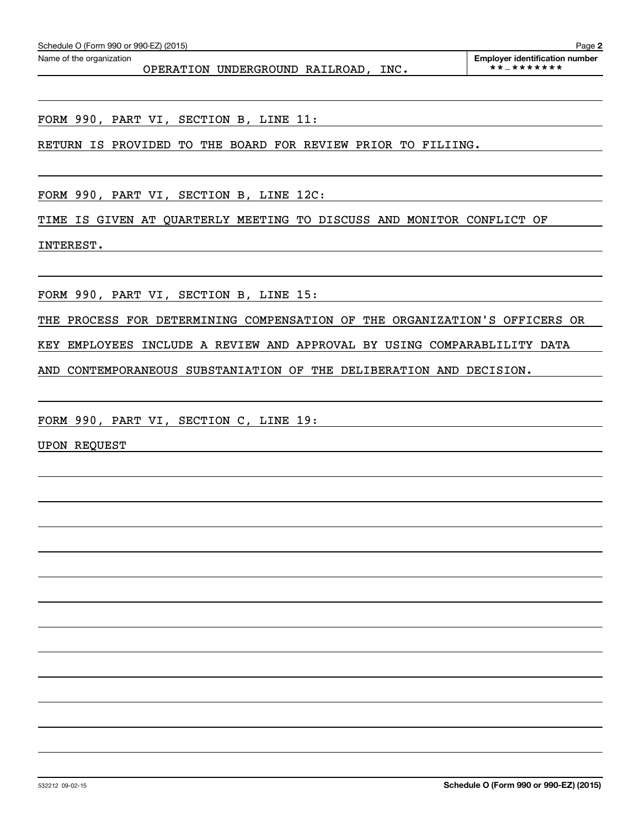FORM 990, PART VI, SECTION B, LINE 11:

RETURN IS PROVIDED TO THE BOARD FOR REVIEW PRIOR TO FILIING.

FORM 990, PART VI, SECTION B, LINE 12C:

TIME IS GIVEN AT QUARTERLY MEETING TO DISCUSS AND MONITOR CONFLICT OF

INTEREST.

FORM 990, PART VI, SECTION B, LINE 15:

THE PROCESS FOR DETERMINING COMPENSATION OF THE ORGANIZATION'S OFFICERS OR

KEY EMPLOYEES INCLUDE A REVIEW AND APPROVAL BY USING COMPARABLILITY DATA

AND CONTEMPORANEOUS SUBSTANIATION OF THE DELIBERATION AND DECISION.

FORM 990, PART VI, SECTION C, LINE 19:

UPON REQUEST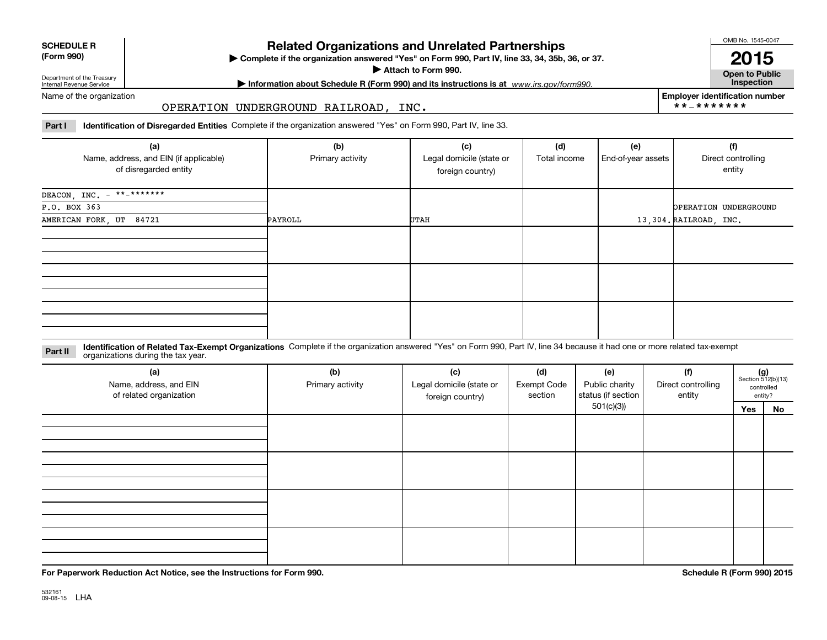| <b>SCHEDULE R</b> |
|-------------------|
| ----              |

## **(Form 990)**

## **Related Organizations and Unrelated Partnerships**

**Complete if the organization answered "Yes" on Form 990, Part IV, line 33, 34, 35b, 36, or 37.** |

**Attach to Form 990.**  |

OMB No. 1545-0047

**Open to Public 2015**

**Employer identification number**

\*\*‐\*\*\*\*\*\*\*

Department of the Treasury Internal Revenue Service

## **| Information about Schedule R (Form 990) and its instructions is at Inspection** *www.irs.gov/form990.*

Name of the organization

## OPERATION UNDERGROUND RAILROAD, INC.

**Part I Identification of Disregarded Entities**  Complete if the organization answered "Yes" on Form 990, Part IV, line 33.

| (a)<br>Name, address, and EIN (if applicable)<br>of disregarded entity | (b)<br>Primary activity | (c)<br>Legal domicile (state or<br>foreign country) | (d)<br>Total income | (e)<br>End-of-year assets | (f)<br>Direct controlling<br>entity |
|------------------------------------------------------------------------|-------------------------|-----------------------------------------------------|---------------------|---------------------------|-------------------------------------|
| DEACON, INC. $-$ **-*******                                            |                         |                                                     |                     |                           |                                     |
| P.O. BOX 363                                                           |                         |                                                     |                     |                           | <b>OPERATION UNDERGROUND</b>        |
| AMERICAN FORK, UT 84721                                                | PAYROLL                 | UTAH                                                |                     |                           | 13,304. RAILROAD, INC.              |
|                                                                        |                         |                                                     |                     |                           |                                     |
|                                                                        |                         |                                                     |                     |                           |                                     |
|                                                                        |                         |                                                     |                     |                           |                                     |

#### **Identification of Related Tax-Exempt Organizations** Complete if the organization answered "Yes" on Form 990, Part IV, line 34 because it had one or more related tax-exempt **Part II** organizations during the tax year.

| (a)<br>Name, address, and EIN<br>of related organization | (b)<br>Primary activity | (c)<br>Legal domicile (state or<br>foreign country) | (d)<br><b>Exempt Code</b><br>section | (e)<br>Public charity<br>status (if section | (f)<br>Direct controlling<br>entity |     | $(g)$<br>Section 512(b)(13)<br>controlled<br>entity? |  |
|----------------------------------------------------------|-------------------------|-----------------------------------------------------|--------------------------------------|---------------------------------------------|-------------------------------------|-----|------------------------------------------------------|--|
|                                                          |                         |                                                     |                                      | 501(c)(3)                                   |                                     | Yes | No                                                   |  |
|                                                          |                         |                                                     |                                      |                                             |                                     |     |                                                      |  |
|                                                          |                         |                                                     |                                      |                                             |                                     |     |                                                      |  |
|                                                          |                         |                                                     |                                      |                                             |                                     |     |                                                      |  |
|                                                          |                         |                                                     |                                      |                                             |                                     |     |                                                      |  |

**For Paperwork Reduction Act Notice, see the Instructions for Form 990. Schedule R (Form 990) 2015**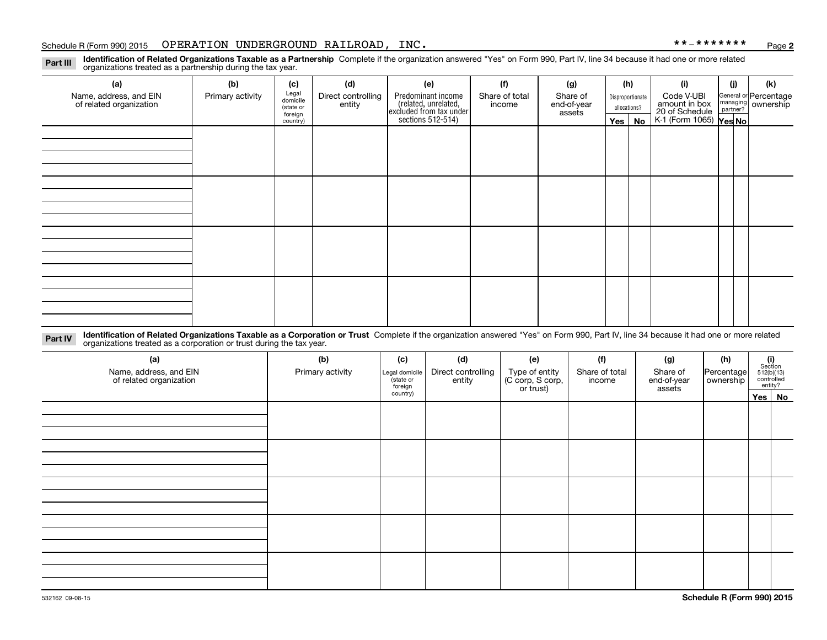#### Schedule R (Form 990) 2015 Page OPERATION UNDERGROUND RAILROAD, INC. \*\*‐\*\*\*\*\*\*\*

**2**

**Identification of Related Organizations Taxable as a Partnership** Complete if the organization answered "Yes" on Form 990, Part IV, line 34 because it had one or more related **Part III** organizations treated as a partnership during the tax year.

| (a)<br>Name, address, and EIN<br>of related organization | (b)<br>Primary activity | (c)<br>Legal<br>domicile<br>(state or<br>foreign<br>country) | (d)<br>Direct controlling<br>entity | (e)<br>Predominant income<br>related, unrelated,<br>excluded from tax under<br>sections 512-514) | (f)<br>Share of total<br>income | (g)<br>Share of<br>end-of-year<br>assets | (h)<br>Disproportionate<br>allocations?<br>Yes   No |  | (i)<br>Code V-UBI<br>amount in box<br>20 of Schedule<br>K-1 (Form 1065) <b>Yes No</b> | (j) | (k)<br>General or Percentage<br>managing<br>partner?<br>partner? |
|----------------------------------------------------------|-------------------------|--------------------------------------------------------------|-------------------------------------|--------------------------------------------------------------------------------------------------|---------------------------------|------------------------------------------|-----------------------------------------------------|--|---------------------------------------------------------------------------------------|-----|------------------------------------------------------------------|
|                                                          |                         |                                                              |                                     |                                                                                                  |                                 |                                          |                                                     |  |                                                                                       |     |                                                                  |
|                                                          |                         |                                                              |                                     |                                                                                                  |                                 |                                          |                                                     |  |                                                                                       |     |                                                                  |
|                                                          |                         |                                                              |                                     |                                                                                                  |                                 |                                          |                                                     |  |                                                                                       |     |                                                                  |
|                                                          |                         |                                                              |                                     |                                                                                                  |                                 |                                          |                                                     |  |                                                                                       |     |                                                                  |

**Identification of Related Organizations Taxable as a Corporation or Trust** Complete if the organization answered "Yes" on Form 990, Part IV, line 34 because it had one or more related **Part IV** organizations treated as a corporation or trust during the tax year.

| (a)<br>Name, address, and EIN<br>of related organization | (b)<br>Primary activity | (c)<br>Legal domicile<br>(state or<br>foreign | (d)<br>Direct controlling<br>entity | (e)<br>Type of entity<br>(C corp, S corp,<br>or trust) | (f)<br>Share of total<br>income | (g)<br>Share of<br>end-of-year<br>assets | (h)<br>Percentage<br>ownership | $\begin{array}{c} \textbf{(i)}\\ \text{Section}\\ 512 \text{(b)} \text{(13)}\\ \text{controlled}\\ \text{entity?} \end{array}$ |
|----------------------------------------------------------|-------------------------|-----------------------------------------------|-------------------------------------|--------------------------------------------------------|---------------------------------|------------------------------------------|--------------------------------|--------------------------------------------------------------------------------------------------------------------------------|
|                                                          |                         | country)                                      |                                     |                                                        |                                 |                                          |                                | Yes No                                                                                                                         |
|                                                          |                         |                                               |                                     |                                                        |                                 |                                          |                                |                                                                                                                                |
|                                                          |                         |                                               |                                     |                                                        |                                 |                                          |                                |                                                                                                                                |
|                                                          |                         |                                               |                                     |                                                        |                                 |                                          |                                |                                                                                                                                |
|                                                          |                         |                                               |                                     |                                                        |                                 |                                          |                                |                                                                                                                                |
|                                                          |                         |                                               |                                     |                                                        |                                 |                                          |                                |                                                                                                                                |
|                                                          |                         |                                               |                                     |                                                        |                                 |                                          |                                |                                                                                                                                |
|                                                          |                         |                                               |                                     |                                                        |                                 |                                          |                                |                                                                                                                                |
|                                                          |                         |                                               |                                     |                                                        |                                 |                                          |                                |                                                                                                                                |
|                                                          |                         |                                               |                                     |                                                        |                                 |                                          |                                |                                                                                                                                |
|                                                          |                         |                                               |                                     |                                                        |                                 |                                          |                                |                                                                                                                                |
|                                                          |                         |                                               |                                     |                                                        |                                 |                                          |                                |                                                                                                                                |
|                                                          |                         |                                               |                                     |                                                        |                                 |                                          |                                |                                                                                                                                |
|                                                          |                         |                                               |                                     |                                                        |                                 |                                          |                                |                                                                                                                                |
|                                                          |                         |                                               |                                     |                                                        |                                 |                                          |                                |                                                                                                                                |
|                                                          |                         |                                               |                                     |                                                        |                                 |                                          |                                |                                                                                                                                |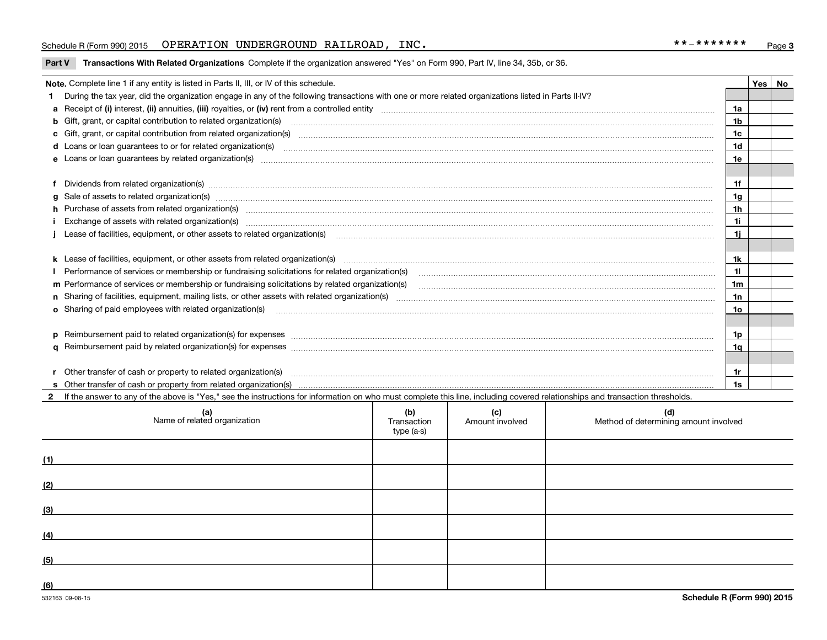## Schedule R (Form 990) 2015 Page OPERATION UNDERGROUND RAILROAD, INC. \*\*‐\*\*\*\*\*\*\*

#### **Part V** Transactions With Related Organizations Complete if the organization answered "Yes" on Form 990, Part IV, line 34, 35b, or 36.

| Note. Complete line 1 if any entity is listed in Parts II, III, or IV of this schedule.                                                                                                                                        |                | Yes   No |
|--------------------------------------------------------------------------------------------------------------------------------------------------------------------------------------------------------------------------------|----------------|----------|
| During the tax year, did the organization engage in any of the following transactions with one or more related organizations listed in Parts II-IV?                                                                            |                |          |
|                                                                                                                                                                                                                                | 1a             |          |
| <b>b</b> Gift, grant, or capital contribution to related organization(s)                                                                                                                                                       | 1b             |          |
| c Gift, grant, or capital contribution from related organization(s) manufaction(s) and contribution from related organization(s) manufaction contribution from related organization(s) manufaction contribution contribution f | 1c             |          |
| d Loans or loan guarantees to or for related organization(s)                                                                                                                                                                   | 1 <sub>d</sub> |          |
| e Loans or loan quarantees by related organization(s)                                                                                                                                                                          | 1e             |          |
|                                                                                                                                                                                                                                |                |          |
| f Dividends from related organization(s) manufactured and contract the contract of the contract of the contract of the contract of the contract of the contract of the contract of the contract of the contract of the contrac | 1f             |          |
| g Sale of assets to related organization(s) www.assetsion.com/www.assetsion.com/www.assetsion.com/www.assetsion.com/www.assetsion.com/www.assetsion.com/www.assetsion.com/www.assetsion.com/www.assetsion.com/www.assetsion.co | 1 <sub>q</sub> |          |
| h Purchase of assets from related organization(s) manufactured and content to content the content of assets from related organization(s)                                                                                       | 1h             |          |
| Exchange of assets with related organization(s) encontraction and contact and contact and contact and contact and contact and contact and contact and contact and contact and contact and contact and contact and contact and  | 11             |          |
| Lease of facilities, equipment, or other assets to related organization(s) The manuform manuform manuform manuform manuform manuform manuform manuform manuform manuform manuform manuform manuform manuform manuform manuform | 1j.            |          |
|                                                                                                                                                                                                                                |                |          |
|                                                                                                                                                                                                                                | 1k             |          |
| Performance of services or membership or fundraising solicitations for related organization(s)                                                                                                                                 | 11             |          |
| m Performance of services or membership or fundraising solicitations by related organization(s)                                                                                                                                | 1 <sub>m</sub> |          |
|                                                                                                                                                                                                                                | 1n             |          |
| o Sharing of paid employees with related organization(s) The Committee of the Committee of Sharing of paid employees with related organization(s)                                                                              | 10             |          |
|                                                                                                                                                                                                                                |                |          |
| p Reimbursement paid to related organization(s) for expenses [111] resummand content to content the set of the set of the set of the set of the set of the set of the set of the set of the set of the set of the set of the s | 1p             |          |
|                                                                                                                                                                                                                                | 1q             |          |
|                                                                                                                                                                                                                                |                |          |
|                                                                                                                                                                                                                                | 1r             |          |
|                                                                                                                                                                                                                                | 1s             |          |

**2**If the answer to any of the above is "Yes," see the instructions for information on who must complete this line, including covered relationships and transaction thresholds.

|     | (a)<br>Name of related organization | (b)<br>Transaction<br>type (a-s) | (c)<br>Amount involved | (d)<br>Method of determining amount involved |
|-----|-------------------------------------|----------------------------------|------------------------|----------------------------------------------|
| (1) |                                     |                                  |                        |                                              |
| (2) |                                     |                                  |                        |                                              |
| (3) |                                     |                                  |                        |                                              |
| (4) |                                     |                                  |                        |                                              |
| (5) |                                     |                                  |                        |                                              |
| (6) |                                     |                                  |                        |                                              |

 $\overline{a}$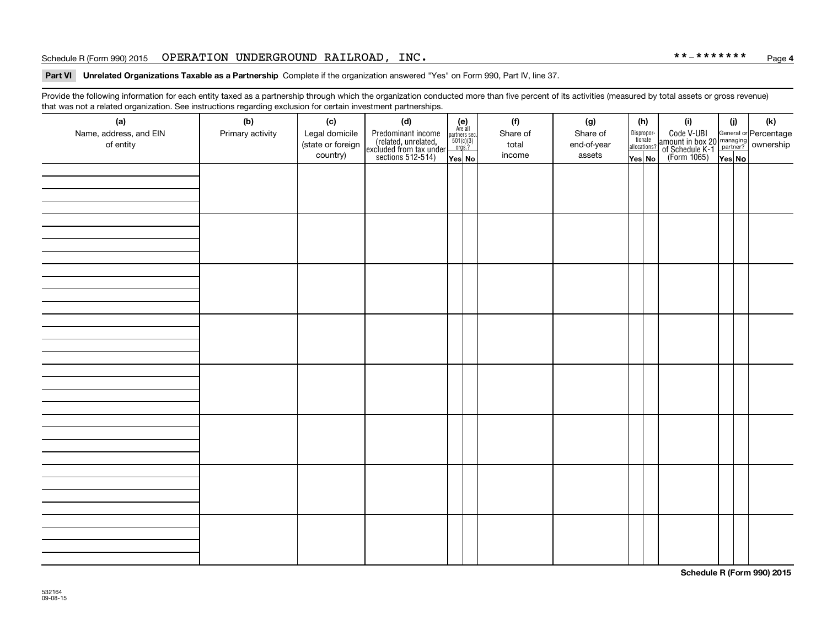## Schedule R (Form 990) 2015 Page OPERATION UNDERGROUND RAILROAD, INC. \*\*‐\*\*\*\*\*\*\*

#### **Part VI Unrelated Organizations Taxable as a Partnership Complete if the organization answered "Yes" on Form 990, Part IV, line 37.**

Provide the following information for each entity taxed as a partnership through which the organization conducted more than five percent of its activities (measured by total assets or gross revenue) that was not a related organization. See instructions regarding exclusion for certain investment partnerships.

| (a)<br>Name, address, and EIN<br>of entity | ----- <del>-</del> --------<br>(b)<br>Primary activity | (c)<br>Legal domicile<br>(state or foreign<br>country) | (d)<br>Predominant income<br>(related, unrelated,<br>excluded from tax under<br>sections 512-514) | (e)<br>Are all<br>partners sec.<br>$501(c)(3)$<br>orgs.?<br>Yes No | (f)<br>Share of<br>total<br>income | (g)<br>Share of<br>end-of-year<br>assets | (h)<br>Dispropor-<br>tionate<br>allocations?<br>Yes No | (i)<br>Code V-UBI<br> amount in box 20 managing<br>  of Schedule K-1 partner? ownership<br>  of Schedule K-1 partner? ownership<br>  Yes No | (i)<br>YesNO | (k) |
|--------------------------------------------|--------------------------------------------------------|--------------------------------------------------------|---------------------------------------------------------------------------------------------------|--------------------------------------------------------------------|------------------------------------|------------------------------------------|--------------------------------------------------------|---------------------------------------------------------------------------------------------------------------------------------------------|--------------|-----|
|                                            |                                                        |                                                        |                                                                                                   |                                                                    |                                    |                                          |                                                        |                                                                                                                                             |              |     |
|                                            |                                                        |                                                        |                                                                                                   |                                                                    |                                    |                                          |                                                        |                                                                                                                                             |              |     |
|                                            |                                                        |                                                        |                                                                                                   |                                                                    |                                    |                                          |                                                        |                                                                                                                                             |              |     |
|                                            |                                                        |                                                        |                                                                                                   |                                                                    |                                    |                                          |                                                        |                                                                                                                                             |              |     |
|                                            |                                                        |                                                        |                                                                                                   |                                                                    |                                    |                                          |                                                        |                                                                                                                                             |              |     |
|                                            |                                                        |                                                        |                                                                                                   |                                                                    |                                    |                                          |                                                        |                                                                                                                                             |              |     |
|                                            |                                                        |                                                        |                                                                                                   |                                                                    |                                    |                                          |                                                        |                                                                                                                                             |              |     |
|                                            |                                                        |                                                        |                                                                                                   |                                                                    |                                    |                                          |                                                        |                                                                                                                                             |              |     |

**Schedule R (Form 990) 2015**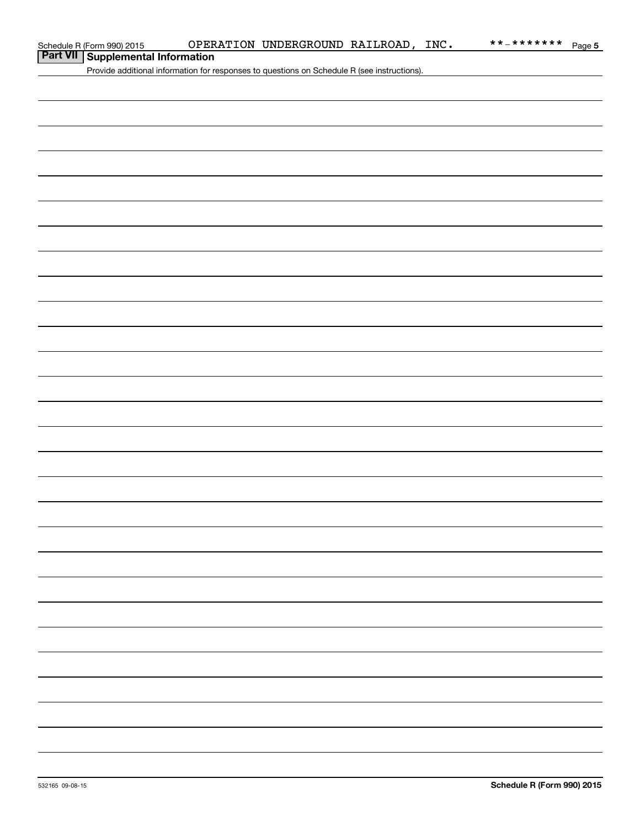## **Part VII Supplemental Information**

Provide additional information for responses to questions on Schedule R (see instructions).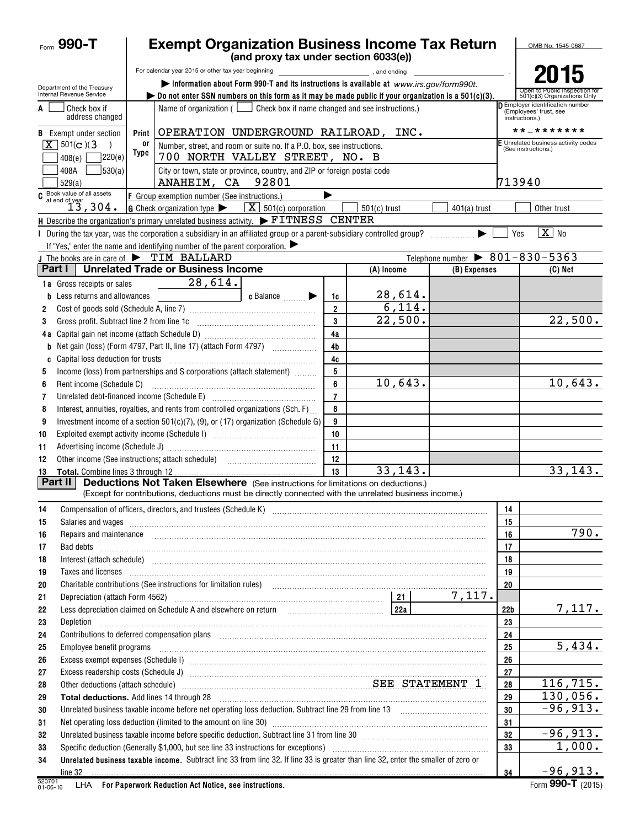|              | Form $990 - T$                                         | <b>Exempt Organization Business Income Tax Return</b>                                                                                                                                                                                |                      |                                              |                                                |                 | OMB No. 1545-0687                                                            |
|--------------|--------------------------------------------------------|--------------------------------------------------------------------------------------------------------------------------------------------------------------------------------------------------------------------------------------|----------------------|----------------------------------------------|------------------------------------------------|-----------------|------------------------------------------------------------------------------|
|              |                                                        | (and proxy tax under section 6033(e))                                                                                                                                                                                                |                      |                                              |                                                |                 |                                                                              |
|              |                                                        | For calendar year 2015 or other tax year beginning<br>Information about Form 990-T and its instructions is available at www.irs.gov/form990t.                                                                                        |                      | $\blacksquare$ , and ending $\blacksquare$ . |                                                |                 | h                                                                            |
|              | Department of the Treasury<br>Internal Revenue Service | bo not enter SSN numbers on this form as it may be made public if your organization is a $501(c)(3)$ .                                                                                                                               |                      |                                              |                                                |                 | Open to Public Inspection for<br>501(c)(3) Organizations Only                |
| A            | Check box if<br>address changed                        | Name of organization $($ $\Box$ Check box if name changed and see instructions.)                                                                                                                                                     |                      |                                              |                                                |                 | D Employer identification number<br>(Employees' trust, see<br>instructions.) |
|              | <b>B</b> Exempt under section                          | OPERATION UNDERGROUND RAILROAD, INC.<br>Print                                                                                                                                                                                        |                      |                                              |                                                |                 | * * _ * * * * * * *                                                          |
|              | $X$ 501(c)(3)                                          | 0ľ<br>Number, street, and room or suite no. If a P.O. box, see instructions.                                                                                                                                                         |                      |                                              |                                                |                 | E Unrelated business activity codes<br>(See instructions.)                   |
|              | 7220(e)<br>408(e)                                      | Type<br>700 NORTH VALLEY STREET, NO. B                                                                                                                                                                                               |                      |                                              |                                                |                 |                                                                              |
|              | 530(a) <br>408A<br>529(a)                              | City or town, state or province, country, and ZIP or foreign postal code<br>ANAHEIM, CA 92801                                                                                                                                        |                      |                                              |                                                | 713940          |                                                                              |
|              | $\frac{C}{\text{at end of year}}$                      | F Group exemption number (See instructions.)                                                                                                                                                                                         |                      |                                              |                                                |                 |                                                                              |
|              | 13,304.                                                | <b>G</b> Check organization type $\blacktriangleright$<br>$\boxed{\mathbf{X}}$ 501(c) corporation                                                                                                                                    |                      | $501(c)$ trust                               | $401(a)$ trust                                 |                 | Other trust                                                                  |
|              |                                                        | H Describe the organization's primary unrelated business activity. FITNESS CENTER                                                                                                                                                    |                      |                                              |                                                |                 |                                                                              |
|              |                                                        |                                                                                                                                                                                                                                      |                      |                                              |                                                | Yes             | $\overline{X}$ No                                                            |
|              |                                                        | If "Yes," enter the name and identifying number of the parent corporation. $\blacktriangleright$                                                                                                                                     |                      |                                              |                                                |                 |                                                                              |
|              | Part I                                                 | J The books are in care of $\blacktriangleright$ TIM BALLARD<br><b>Unrelated Trade or Business Income</b>                                                                                                                            |                      |                                              | Telephone number $\triangleright$ 801-830-5363 |                 |                                                                              |
|              |                                                        |                                                                                                                                                                                                                                      |                      | (A) Income                                   | (B) Expenses                                   |                 | (C) Net                                                                      |
|              | 1a Gross receipts or sales                             | 28,614.                                                                                                                                                                                                                              |                      |                                              |                                                |                 |                                                                              |
|              | Less returns and allowances                            | c Balance <b>Division</b><br><u> The Communication of the Communication</u>                                                                                                                                                          | 1c<br>$\overline{2}$ | 28,614.<br>6,114.                            |                                                |                 |                                                                              |
| 2<br>3       | Gross profit. Subtract line 2 from line 1c             |                                                                                                                                                                                                                                      | 3                    | 22,500.                                      |                                                |                 | 22,500.                                                                      |
|              |                                                        |                                                                                                                                                                                                                                      | 4a                   |                                              |                                                |                 |                                                                              |
| b            |                                                        | Net gain (loss) (Form 4797, Part II, line 17) (attach Form 4797)                                                                                                                                                                     | 4b                   |                                              |                                                |                 |                                                                              |
| C            |                                                        |                                                                                                                                                                                                                                      | 4c                   |                                              |                                                |                 |                                                                              |
| 5            |                                                        | Income (loss) from partnerships and S corporations (attach statement)                                                                                                                                                                | 5                    |                                              |                                                |                 |                                                                              |
| 6            | Rent income (Schedule C)                               |                                                                                                                                                                                                                                      | 6                    | 10,643.                                      |                                                |                 | 10,643.                                                                      |
| 7            |                                                        | Unrelated debt-financed income (Schedule E) [11] [2010] [2010] [2010] [2010] [2010] [2010] [2010] [2010] [2010                                                                                                                       | $\overline{7}$       |                                              |                                                |                 |                                                                              |
| 8            |                                                        | Interest, annuities, royalties, and rents from controlled organizations (Sch. F)                                                                                                                                                     | 8                    |                                              |                                                |                 |                                                                              |
| 9            |                                                        | Investment income of a section 501(c)(7), (9), or (17) organization (Schedule G)                                                                                                                                                     | 9                    |                                              |                                                |                 |                                                                              |
| 10           |                                                        |                                                                                                                                                                                                                                      | 10                   |                                              |                                                |                 |                                                                              |
| 11           |                                                        |                                                                                                                                                                                                                                      | 11                   |                                              |                                                |                 |                                                                              |
| 12           |                                                        |                                                                                                                                                                                                                                      | 12                   |                                              |                                                |                 |                                                                              |
| 13           |                                                        |                                                                                                                                                                                                                                      | 13                   | 33, 143.                                     |                                                |                 | 33,143.                                                                      |
|              | Part II                                                | <b>Deductions Not Taken Elsewhere</b> (See instructions for limitations on deductions.)<br>(Except for contributions, deductions must be directly connected with the unrelated business income.)                                     |                      |                                              |                                                |                 |                                                                              |
| 14           |                                                        | Compensation of officers, directors, and trustees (Schedule K) [11] manufacture material manufacture material material material material material material material material material material material material material mate       |                      |                                              |                                                | 14              |                                                                              |
| 15           |                                                        |                                                                                                                                                                                                                                      |                      |                                              |                                                | 15              |                                                                              |
| 16           |                                                        | Repairs and maintenance <b>construction and construction of the construction</b> and maintenance construction and construction of the construction of the construction of the construction of the construction of the construction   |                      |                                              |                                                | 16              | 790.                                                                         |
| 17           |                                                        |                                                                                                                                                                                                                                      |                      |                                              |                                                | 17              |                                                                              |
| 18           |                                                        |                                                                                                                                                                                                                                      |                      |                                              |                                                | 18              |                                                                              |
| 19           |                                                        | Taxes and licenses <b>construction and construction of the construction</b> and construction of the construction of the                                                                                                              |                      |                                              |                                                | 19              |                                                                              |
| 20           |                                                        | Charitable contributions (See instructions for limitation rules) [11] manufacture in the contributions (See instructions for limitation rules) [11] manufacture in the contributions (See instructions for limitation rules) [       |                      |                                              | 7,117.                                         | 20              |                                                                              |
| 21<br>22     |                                                        | Less depreciation claimed on Schedule A and elsewhere on return [10] [22a]                                                                                                                                                           |                      |                                              |                                                | 22 <sub>b</sub> | 7,117.                                                                       |
| 23           | Depletion                                              |                                                                                                                                                                                                                                      |                      |                                              |                                                | 23              |                                                                              |
| 24           |                                                        |                                                                                                                                                                                                                                      |                      |                                              |                                                | 24              |                                                                              |
| 25           |                                                        | Employee benefit programs in the continuum contract of the contract of the contract of the contract of the contract of the contract of the contract of the contract of the contract of the contract of the contract of the con       |                      |                                              |                                                | 25              | 5,434.                                                                       |
| 26           |                                                        |                                                                                                                                                                                                                                      |                      |                                              |                                                | 26              |                                                                              |
| 27           |                                                        | Excess readership costs (Schedule J) <b>manual contract and contract and contract and contract and contract and contract and contract and contract and contract and contract and contract and contract and contract and contract</b> |                      |                                              |                                                | 27              |                                                                              |
| 28           |                                                        | Other deductions (attach schedule) Material Material Material SEE STATEMENT 1                                                                                                                                                        |                      |                                              |                                                | 28              | 116, 715.                                                                    |
| 29           |                                                        |                                                                                                                                                                                                                                      |                      |                                              |                                                | 29              | 130,056.                                                                     |
| 30           |                                                        |                                                                                                                                                                                                                                      |                      |                                              |                                                | 30              | $-96,913.$                                                                   |
| 31           |                                                        | Net operating loss deduction (limited to the amount on line 30) [11] manufacture in the contraction contraction (                                                                                                                    |                      |                                              |                                                | 31              |                                                                              |
| 32           |                                                        | Unrelated business taxable income before specific deduction. Subtract line 31 from line 30 [11] manuscriptions taxable income before specific deduction. Subtract line 31 from line 30                                               |                      |                                              |                                                | 32              | $-96,913.$                                                                   |
| 33           |                                                        | Specific deduction (Generally \$1,000, but see line 33 instructions for exceptions) manufactured manufactured manufactured with the Specific deduction (Generally \$1,000, but see line 33 instructions for exceptions)              |                      |                                              |                                                | 33              | 1,000.                                                                       |
| 34<br>523701 | line 32                                                | Unrelated business taxable income. Subtract line 33 from line 32. If line 33 is greater than line 32, enter the smaller of zero or                                                                                                   |                      |                                              |                                                | 34              | $-96,913.$                                                                   |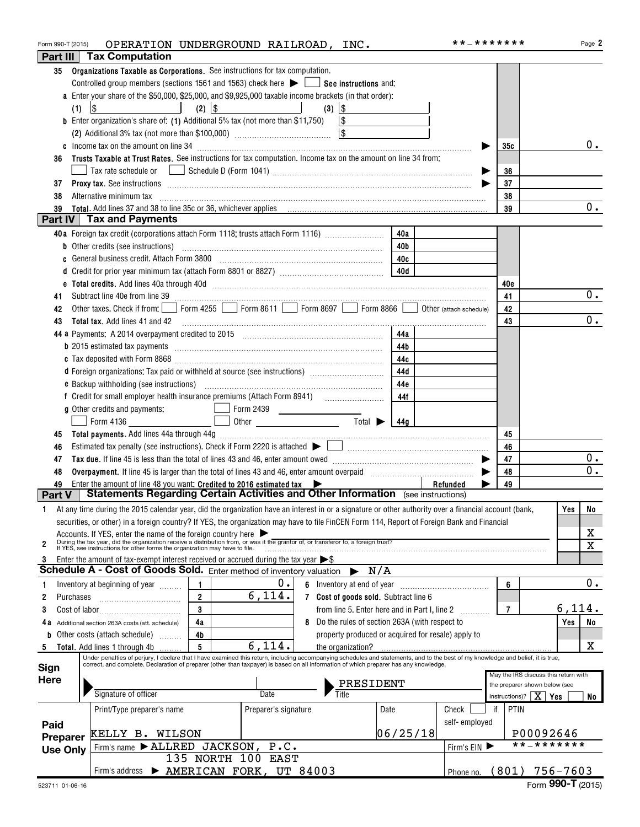| Form 990-T (2015) |           | OPERATION UNDERGROUND RAILROAD, INC.                                                                                                                                                                                                                                                                                      |                |                                                  |   |                                                                                                                |          | **_*******    |                |                                                 | Page 2      |
|-------------------|-----------|---------------------------------------------------------------------------------------------------------------------------------------------------------------------------------------------------------------------------------------------------------------------------------------------------------------------------|----------------|--------------------------------------------------|---|----------------------------------------------------------------------------------------------------------------|----------|---------------|----------------|-------------------------------------------------|-------------|
| Part III          |           | <b>Tax Computation</b>                                                                                                                                                                                                                                                                                                    |                |                                                  |   |                                                                                                                |          |               |                |                                                 |             |
| 35                |           | Organizations Taxable as Corporations. See instructions for tax computation.                                                                                                                                                                                                                                              |                |                                                  |   |                                                                                                                |          |               |                |                                                 |             |
|                   |           | Controlled group members (sections 1561 and 1563) check here $\blacktriangleright$ $\blacksquare$ See instructions and:                                                                                                                                                                                                   |                |                                                  |   |                                                                                                                |          |               |                |                                                 |             |
|                   |           | a Enter your share of the \$50,000, \$25,000, and \$9,925,000 taxable income brackets (in that order):                                                                                                                                                                                                                    |                |                                                  |   |                                                                                                                |          |               |                |                                                 |             |
|                   | (1)       | $\sqrt{3}$<br>and the state of the state of the                                                                                                                                                                                                                                                                           | $(2)$ $ $ \$   |                                                  |   | $(3)$ $ $ \$                                                                                                   |          |               |                |                                                 |             |
|                   |           |                                                                                                                                                                                                                                                                                                                           |                |                                                  |   |                                                                                                                |          |               |                |                                                 |             |
|                   |           | <b>b</b> Enter organization's share of: (1) Additional 5% tax (not more than \$11,750)                                                                                                                                                                                                                                    |                |                                                  |   | $\sim$                                                                                                         |          |               |                |                                                 |             |
|                   |           |                                                                                                                                                                                                                                                                                                                           |                |                                                  |   |                                                                                                                |          |               |                |                                                 |             |
|                   |           |                                                                                                                                                                                                                                                                                                                           |                |                                                  |   |                                                                                                                |          |               | 35c            |                                                 | $0$ .       |
| 36                |           | Trusts Taxable at Trust Rates. See instructions for tax computation. Income tax on the amount on line 34 from:                                                                                                                                                                                                            |                |                                                  |   |                                                                                                                |          |               |                |                                                 |             |
|                   |           |                                                                                                                                                                                                                                                                                                                           |                |                                                  |   |                                                                                                                |          |               | 36             |                                                 |             |
| 37                |           |                                                                                                                                                                                                                                                                                                                           |                |                                                  |   |                                                                                                                |          |               | 37             |                                                 |             |
| 38                |           | Alternative minimum tax information and contact the contract of the contract of the contract of the contract of                                                                                                                                                                                                           |                |                                                  |   |                                                                                                                |          |               | 38             |                                                 |             |
| 39                |           |                                                                                                                                                                                                                                                                                                                           |                |                                                  |   |                                                                                                                |          |               | 39             |                                                 | 0.          |
|                   |           | Part IV Tax and Payments                                                                                                                                                                                                                                                                                                  |                |                                                  |   |                                                                                                                |          |               |                |                                                 |             |
|                   |           | 40a Foreign tax credit (corporations attach Form 1118; trusts attach Form 1116) [                                                                                                                                                                                                                                         |                |                                                  |   |                                                                                                                | 40a      |               |                |                                                 |             |
|                   |           |                                                                                                                                                                                                                                                                                                                           |                |                                                  |   |                                                                                                                | 40b      |               |                |                                                 |             |
|                   |           | c General business credit. Attach Form 3800 [11] [11] Contract Contract Contract Contract Contract Contract Co                                                                                                                                                                                                            |                |                                                  |   |                                                                                                                | 40c      |               |                |                                                 |             |
|                   |           |                                                                                                                                                                                                                                                                                                                           |                |                                                  |   |                                                                                                                | 40d      |               |                |                                                 |             |
|                   |           | e Total credits. Add lines 40a through 40d measurements and contained and contained and annual contained and contained and contained and contained and contained and contained and contained and contained and contained and c                                                                                            |                |                                                  |   |                                                                                                                |          |               | 40e            |                                                 |             |
| 41                |           |                                                                                                                                                                                                                                                                                                                           |                |                                                  |   |                                                                                                                |          |               | 41             |                                                 | 0.          |
| 42                |           | Other taxes. Check if from: Form 4255 Form 8611 Form 8697 Form 8866 Obther (attach schedule)                                                                                                                                                                                                                              |                |                                                  |   |                                                                                                                |          |               | 42             |                                                 |             |
| 43                |           |                                                                                                                                                                                                                                                                                                                           |                |                                                  |   |                                                                                                                |          |               | 43             |                                                 | $0$ .       |
|                   |           | 44 a Payments: A 2014 overpayment credited to 2015 [100] [100] [100] [100] [100] [100] [100] [100] [100] [100] [100] [100] [100] [100] [100] [100] [100] [100] [100] [100] [100] [100] [100] [100] [100] [100] [100] [100] [10                                                                                            |                |                                                  |   |                                                                                                                | 44a      |               |                |                                                 |             |
|                   |           |                                                                                                                                                                                                                                                                                                                           |                |                                                  |   |                                                                                                                | 44b      |               |                |                                                 |             |
|                   |           |                                                                                                                                                                                                                                                                                                                           |                |                                                  |   |                                                                                                                |          |               |                |                                                 |             |
|                   |           |                                                                                                                                                                                                                                                                                                                           |                |                                                  |   |                                                                                                                | 44c      |               |                |                                                 |             |
|                   |           | d Foreign organizations: Tax paid or withheld at source (see instructions) [                                                                                                                                                                                                                                              |                |                                                  |   |                                                                                                                | 44d      |               |                |                                                 |             |
|                   |           |                                                                                                                                                                                                                                                                                                                           |                |                                                  |   |                                                                                                                | 44e      |               |                |                                                 |             |
|                   |           | f Credit for small employer health insurance premiums (Attach Form 8941) [100011000100010010101010101010101010                                                                                                                                                                                                            |                |                                                  |   |                                                                                                                | 44f      |               |                |                                                 |             |
|                   |           | g Other credits and payments:                                                                                                                                                                                                                                                                                             |                | Form 2439                                        |   |                                                                                                                |          |               |                |                                                 |             |
|                   |           | $\perp$ Form 4136                                                                                                                                                                                                                                                                                                         |                | Other $\qquad \qquad$ Total $\qquad \qquad$ 144g |   |                                                                                                                |          |               |                |                                                 |             |
| 45                |           |                                                                                                                                                                                                                                                                                                                           |                |                                                  |   |                                                                                                                |          |               | 45             |                                                 |             |
| 46                |           |                                                                                                                                                                                                                                                                                                                           |                |                                                  |   |                                                                                                                |          |               | 46             |                                                 |             |
| 47                |           |                                                                                                                                                                                                                                                                                                                           |                |                                                  |   |                                                                                                                |          |               | 47             |                                                 | 0.          |
| 48                |           |                                                                                                                                                                                                                                                                                                                           |                |                                                  |   |                                                                                                                |          |               | 48             |                                                 | 0.          |
| 49                |           | Enter the amount of line 48 you want: Credited to 2016 estimated tax $\blacktriangleright$                                                                                                                                                                                                                                |                |                                                  |   |                                                                                                                |          | Refunded      | 49             |                                                 |             |
| <b>Part V</b>     |           | <b>Statements Regarding Certain Activities and Other Information</b> (see instructions)                                                                                                                                                                                                                                   |                |                                                  |   |                                                                                                                |          |               |                |                                                 |             |
| 1                 |           | At any time during the 2015 calendar year, did the organization have an interest in or a signature or other authority over a financial account (bank,                                                                                                                                                                     |                |                                                  |   |                                                                                                                |          |               |                |                                                 | Yes<br>No   |
|                   |           | securities, or other) in a foreign country? If YES, the organization may have to file FinCEN Form 114, Report of Foreign Bank and Financial                                                                                                                                                                               |                |                                                  |   |                                                                                                                |          |               |                |                                                 |             |
|                   |           |                                                                                                                                                                                                                                                                                                                           |                |                                                  |   |                                                                                                                |          |               |                |                                                 | х           |
| $\overline{2}$    |           | Accounts. If YES, enter the name of the foreign country here<br>During the tax year, did the organization receive a distribution from, or was it the grantor of, or transferor to, a foreign trust?<br>If YES, see instructions for                                                                                       |                |                                                  |   |                                                                                                                |          |               |                |                                                 | $\mathbf X$ |
| 3                 |           | Enter the amount of tax-exempt interest received or accrued during the tax year $\triangleright$ \$                                                                                                                                                                                                                       |                |                                                  |   |                                                                                                                |          |               |                |                                                 |             |
|                   |           | Schedule A - Cost of Goods Sold. Enter method of inventory valuation                                                                                                                                                                                                                                                      |                |                                                  |   | $\blacktriangleright$ N/A                                                                                      |          |               |                |                                                 |             |
| 1                 |           | Inventory at beginning of year                                                                                                                                                                                                                                                                                            | 1              | 0.                                               | 6 | Inventory at end of year [10001] [10001] [10001] [10001] [10001] [10001] [10001] [10001] [10001] [10001] [1000 |          |               | 6              |                                                 | 0.          |
| 2                 | Purchases |                                                                                                                                                                                                                                                                                                                           | $\overline{2}$ | 6,114.                                           |   | 7 Cost of goods sold. Subtract line 6                                                                          |          |               |                |                                                 |             |
|                   |           |                                                                                                                                                                                                                                                                                                                           | 3              |                                                  |   |                                                                                                                |          |               | $\overline{7}$ |                                                 | 6,114.      |
| 3                 |           |                                                                                                                                                                                                                                                                                                                           |                |                                                  |   | from line 5. Enter here and in Part I, line 2                                                                  |          |               |                |                                                 |             |
|                   |           | Additional section 263A costs (att. schedule)                                                                                                                                                                                                                                                                             | 4a             |                                                  | 8 | Do the rules of section 263A (with respect to                                                                  |          |               |                |                                                 | Yes<br>No   |
|                   |           | Other costs (attach schedule)                                                                                                                                                                                                                                                                                             | 4b             |                                                  |   | property produced or acquired for resale) apply to                                                             |          |               |                |                                                 |             |
| 5                 |           | Total. Add lines 1 through 4b                                                                                                                                                                                                                                                                                             | 5              | 6,114.                                           |   | the organization?                                                                                              |          |               |                |                                                 | X           |
| Sign              |           | Under penalties of perjury, I declare that I have examined this return, including accompanying schedules and statements, and to the best of my knowledge and belief, it is true,<br>correct, and complete. Declaration of preparer (other than taxpayer) is based on all information of which preparer has any knowledge. |                |                                                  |   |                                                                                                                |          |               |                |                                                 |             |
| <b>Here</b>       |           |                                                                                                                                                                                                                                                                                                                           |                |                                                  |   |                                                                                                                |          |               |                | May the IRS discuss this return with            |             |
|                   |           |                                                                                                                                                                                                                                                                                                                           |                |                                                  |   | PRESIDENT                                                                                                      |          |               |                | the preparer shown below (see                   |             |
|                   |           | Signature of officer                                                                                                                                                                                                                                                                                                      |                | Date                                             |   | Title                                                                                                          |          |               |                | instructions)? $\mid X \mid \gamma_{\text{es}}$ | No l        |
|                   |           | Print/Type preparer's name                                                                                                                                                                                                                                                                                                |                | Preparer's signature                             |   |                                                                                                                | Date     | Check         | PTIN<br>if     |                                                 |             |
| Paid              |           |                                                                                                                                                                                                                                                                                                                           |                |                                                  |   |                                                                                                                |          | self-employed |                |                                                 |             |
| Preparer          |           | KELLY B. WILSON                                                                                                                                                                                                                                                                                                           |                |                                                  |   |                                                                                                                | 06/25/18 |               |                | P00092646                                       |             |
| <b>Use Only</b>   |           | Firm's name $\blacktriangleright$ ALLRED JACKSON,                                                                                                                                                                                                                                                                         |                | P.C.                                             |   |                                                                                                                |          | Firm's $EIN$  |                | **_*******                                      |             |
|                   |           |                                                                                                                                                                                                                                                                                                                           |                | 135 NORTH 100 EAST                               |   |                                                                                                                |          |               |                |                                                 |             |
|                   |           | Firm's address > AMERICAN FORK, UT 84003                                                                                                                                                                                                                                                                                  |                |                                                  |   |                                                                                                                |          | Phone no.     |                | $(801)$ 756-7603                                |             |
|                   |           |                                                                                                                                                                                                                                                                                                                           |                |                                                  |   |                                                                                                                |          |               |                |                                                 |             |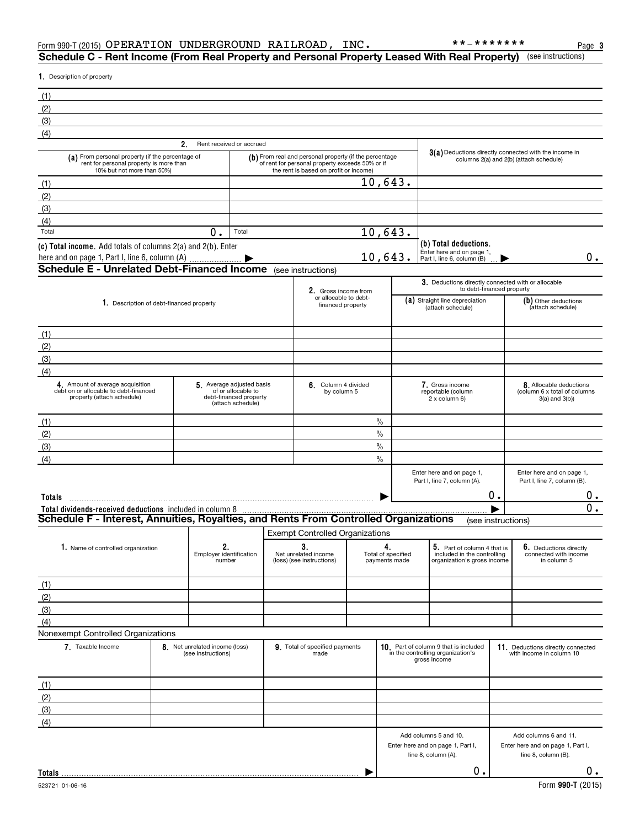| Form 990-T (2015) | OPERATION | UNDERGROUND | RAILROAD | INC | ******* | Page |
|-------------------|-----------|-------------|----------|-----|---------|------|
|                   |           |             |          |     |         |      |

## (see instructions) **Schedule C - Rent Income (From Real Property and Personal Property Leased With Real Property)**

**1.** Description of property

| (1)                                                                                                                       |                                                      |                                                                   |                                                                                                                                                    |                                           |                                                                                                  |    |                                                                                   |  |
|---------------------------------------------------------------------------------------------------------------------------|------------------------------------------------------|-------------------------------------------------------------------|----------------------------------------------------------------------------------------------------------------------------------------------------|-------------------------------------------|--------------------------------------------------------------------------------------------------|----|-----------------------------------------------------------------------------------|--|
| (2)                                                                                                                       |                                                      |                                                                   |                                                                                                                                                    |                                           |                                                                                                  |    |                                                                                   |  |
| (3)                                                                                                                       |                                                      |                                                                   |                                                                                                                                                    |                                           |                                                                                                  |    |                                                                                   |  |
| (4)                                                                                                                       |                                                      |                                                                   |                                                                                                                                                    |                                           |                                                                                                  |    |                                                                                   |  |
|                                                                                                                           | 2.                                                   | Rent received or accrued                                          |                                                                                                                                                    |                                           |                                                                                                  |    |                                                                                   |  |
| (a) From personal property (if the percentage of<br>rent for personal property is more than<br>10% but not more than 50%) |                                                      |                                                                   | $(b)$ From real and personal property (if the percentage of rent for personal property exceeds 50% or if<br>the rent is based on profit or income) |                                           | 3(a) Deductions directly connected with the income in<br>columns 2(a) and 2(b) (attach schedule) |    |                                                                                   |  |
| (1)                                                                                                                       |                                                      |                                                                   |                                                                                                                                                    | 10,643.                                   |                                                                                                  |    |                                                                                   |  |
| (2)                                                                                                                       |                                                      |                                                                   |                                                                                                                                                    |                                           |                                                                                                  |    |                                                                                   |  |
| (3)                                                                                                                       |                                                      |                                                                   |                                                                                                                                                    |                                           |                                                                                                  |    |                                                                                   |  |
| (4)                                                                                                                       |                                                      |                                                                   |                                                                                                                                                    |                                           |                                                                                                  |    |                                                                                   |  |
| Total                                                                                                                     | $\mathbf 0$ .                                        | Total                                                             |                                                                                                                                                    | 10,643.                                   |                                                                                                  |    |                                                                                   |  |
| (c) Total income. Add totals of columns 2(a) and 2(b). Enter<br>here and on page 1, Part I, line 6, column (A)            |                                                      |                                                                   |                                                                                                                                                    | 10,643.                                   | (b) Total deductions.<br>Enter here and on page 1,<br>Part I, line 6, column (B)                 |    | $0$ .                                                                             |  |
| <b>Schedule E - Unrelated Debt-Financed Income</b> (see instructions)                                                     |                                                      |                                                                   |                                                                                                                                                    |                                           |                                                                                                  |    |                                                                                   |  |
|                                                                                                                           |                                                      |                                                                   |                                                                                                                                                    |                                           |                                                                                                  |    | 3. Deductions directly connected with or allocable                                |  |
|                                                                                                                           |                                                      |                                                                   | 2. Gross income from<br>or allocable to debt-                                                                                                      |                                           |                                                                                                  |    | to debt-financed property                                                         |  |
| 1. Description of debt-financed property                                                                                  |                                                      |                                                                   | financed property                                                                                                                                  |                                           | (a) Straight line depreciation<br>(attach schedule)                                              |    | (b) Other deductions<br>(attach schedule)                                         |  |
|                                                                                                                           |                                                      |                                                                   |                                                                                                                                                    |                                           |                                                                                                  |    |                                                                                   |  |
| (1)<br>(2)                                                                                                                |                                                      |                                                                   |                                                                                                                                                    |                                           |                                                                                                  |    |                                                                                   |  |
| (3)                                                                                                                       |                                                      |                                                                   |                                                                                                                                                    |                                           |                                                                                                  |    |                                                                                   |  |
| (4)                                                                                                                       |                                                      |                                                                   |                                                                                                                                                    |                                           |                                                                                                  |    |                                                                                   |  |
| 4. Amount of average acquisition                                                                                          |                                                      | 5. Average adjusted basis                                         | 6. Column 4 divided                                                                                                                                |                                           | 7. Gross income                                                                                  |    |                                                                                   |  |
| debt on or allocable to debt-financed<br>property (attach schedule)                                                       |                                                      | of or allocable to<br>debt-financed property<br>(attach schedule) | by column 5                                                                                                                                        |                                           | reportable (column<br>2 x column 6)                                                              |    | 8. Allocable deductions<br>(column 6 x total of columns<br>$3(a)$ and $3(b)$ )    |  |
| (1)                                                                                                                       |                                                      |                                                                   |                                                                                                                                                    | $\%$                                      |                                                                                                  |    |                                                                                   |  |
| (2)                                                                                                                       |                                                      |                                                                   |                                                                                                                                                    | $\frac{0}{0}$                             |                                                                                                  |    |                                                                                   |  |
| (3)                                                                                                                       |                                                      |                                                                   |                                                                                                                                                    | $\%$                                      |                                                                                                  |    |                                                                                   |  |
| (4)                                                                                                                       |                                                      |                                                                   |                                                                                                                                                    | $\%$                                      |                                                                                                  |    |                                                                                   |  |
|                                                                                                                           |                                                      |                                                                   |                                                                                                                                                    |                                           | Enter here and on page 1,<br>Part I, line 7, column (A).                                         |    | Enter here and on page 1,<br>Part I, line 7, column (B).                          |  |
| Totals                                                                                                                    |                                                      |                                                                   |                                                                                                                                                    |                                           |                                                                                                  | 0. | 0.                                                                                |  |
| Total dividends-received deductions included in column 8                                                                  |                                                      |                                                                   |                                                                                                                                                    |                                           |                                                                                                  |    | $\overline{0}$ .                                                                  |  |
| Schedule F - Interest, Annuities, Royalties, and Rents From Controlled Organizations                                      |                                                      |                                                                   |                                                                                                                                                    |                                           |                                                                                                  |    | (see instructions)                                                                |  |
|                                                                                                                           |                                                      |                                                                   | <b>Exempt Controlled Organizations</b>                                                                                                             |                                           |                                                                                                  |    |                                                                                   |  |
| 1. Name of controlled organization                                                                                        | 2.<br>Employer identification<br>number              |                                                                   | 3.<br>Net unrelated income<br>(loss) (see instructions)                                                                                            | 4.<br>Total of specified<br>payments made | 5. Part of column 4 that is<br>included in the controlling<br>organization's gross income        |    | 6. Deductions directly<br>connected with income<br>in column 5                    |  |
| (1)                                                                                                                       |                                                      |                                                                   |                                                                                                                                                    |                                           |                                                                                                  |    |                                                                                   |  |
| (2)                                                                                                                       |                                                      |                                                                   |                                                                                                                                                    |                                           |                                                                                                  |    |                                                                                   |  |
| (3)                                                                                                                       |                                                      |                                                                   |                                                                                                                                                    |                                           |                                                                                                  |    |                                                                                   |  |
| (4)                                                                                                                       |                                                      |                                                                   |                                                                                                                                                    |                                           |                                                                                                  |    |                                                                                   |  |
| Nonexempt Controlled Organizations                                                                                        |                                                      |                                                                   |                                                                                                                                                    |                                           |                                                                                                  |    |                                                                                   |  |
| 7. Taxable Income                                                                                                         | 8. Net unrelated income (loss)<br>(see instructions) |                                                                   | 9. Total of specified payments<br>made                                                                                                             |                                           | 10. Part of column 9 that is included<br>in the controlling organization's<br>gross income       |    | 11. Deductions directly connected<br>with income in column 10                     |  |
| (1)                                                                                                                       |                                                      |                                                                   |                                                                                                                                                    |                                           |                                                                                                  |    |                                                                                   |  |
| (2)                                                                                                                       |                                                      |                                                                   |                                                                                                                                                    |                                           |                                                                                                  |    |                                                                                   |  |
| (3)                                                                                                                       |                                                      |                                                                   |                                                                                                                                                    |                                           |                                                                                                  |    |                                                                                   |  |
| (4)                                                                                                                       |                                                      |                                                                   |                                                                                                                                                    |                                           |                                                                                                  |    |                                                                                   |  |
|                                                                                                                           |                                                      |                                                                   |                                                                                                                                                    |                                           | Add columns 5 and 10.<br>Enter here and on page 1, Part I,<br>line 8, column (A).                |    | Add columns 6 and 11.<br>Enter here and on page 1, Part I,<br>line 8, column (B). |  |
|                                                                                                                           |                                                      |                                                                   |                                                                                                                                                    |                                           | 0.                                                                                               |    | $0$ .                                                                             |  |
| Totals                                                                                                                    |                                                      |                                                                   |                                                                                                                                                    |                                           |                                                                                                  |    |                                                                                   |  |

**Totals**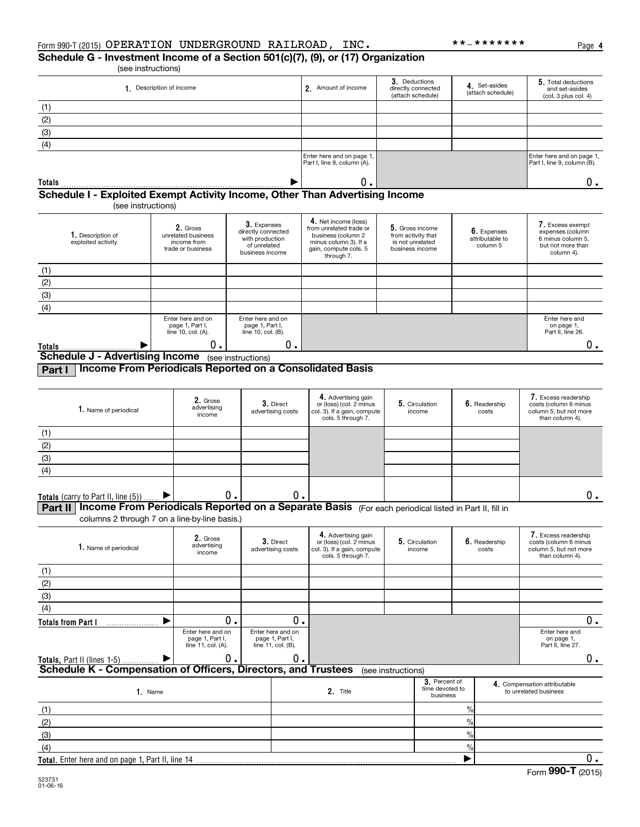(see instructions) **Schedule G - Investment Income of a Section 501(c)(7), (9), or (17) Organization**

| 1. Description of income | 2. Amount of income                                      | 3. Deductions<br>directly connected<br>(attach schedule) | 4. Set-asides<br>(attach schedule) | 5. Total deductions<br>and set-asides<br>(col. 3 plus col. 4) |
|--------------------------|----------------------------------------------------------|----------------------------------------------------------|------------------------------------|---------------------------------------------------------------|
| (1)                      |                                                          |                                                          |                                    |                                                               |
| (2)                      |                                                          |                                                          |                                    |                                                               |
| (3)                      |                                                          |                                                          |                                    |                                                               |
| (4)                      |                                                          |                                                          |                                    |                                                               |
|                          | Enter here and on page 1,<br>Part I, line 9, column (A). |                                                          |                                    | Enter here and on page 1,<br>Part I, line 9, column (B).      |
| <b>Totals</b><br>---     | Ο.<br>---<br>___                                         |                                                          |                                    |                                                               |

## **Schedule I - Exploited Exempt Activity Income, Other Than Advertising Income**

(see instructions)

| 1. Description of<br>exploited activity | 2. Gross<br>unrelated business<br>income from<br>trade or business | 3. Expenses<br>directly connected<br>with production<br>of unrelated<br>business income | 4. Net income (loss)<br>from unrelated trade or<br>business (column 2<br>minus column 3). If a<br>gain, compute cols. 5<br>through 7. | 5. Gross income<br>from activity that<br>is not unrelated<br>business income | 6. Expenses<br>attributable to<br>column 5 | 7. Excess exempt<br>expenses (column<br>6 minus column 5.<br>but not more than<br>column 4). |
|-----------------------------------------|--------------------------------------------------------------------|-----------------------------------------------------------------------------------------|---------------------------------------------------------------------------------------------------------------------------------------|------------------------------------------------------------------------------|--------------------------------------------|----------------------------------------------------------------------------------------------|
| (1)                                     |                                                                    |                                                                                         |                                                                                                                                       |                                                                              |                                            |                                                                                              |
| (2)                                     |                                                                    |                                                                                         |                                                                                                                                       |                                                                              |                                            |                                                                                              |
| (3)                                     |                                                                    |                                                                                         |                                                                                                                                       |                                                                              |                                            |                                                                                              |
| (4)                                     |                                                                    |                                                                                         |                                                                                                                                       |                                                                              |                                            |                                                                                              |
|                                         | Enter here and on<br>page 1, Part I,<br>line 10, col. (A).         | Enter here and on<br>page 1, Part I,<br>line 10, col. (B).                              |                                                                                                                                       |                                                                              |                                            | Enter here and<br>on page 1,<br>Part II, line 26.                                            |
| Totals                                  | 0.                                                                 | О.                                                                                      |                                                                                                                                       |                                                                              |                                            |                                                                                              |
| <b>Schedule J - Advertising Income</b>  |                                                                    | (see instructions)                                                                      |                                                                                                                                       |                                                                              |                                            |                                                                                              |

**Part I Income From Periodicals Reported on a Consolidated Basis**

| 1. Name of periodical               | 2. Gross<br>advertising<br>income | 3. Direct<br>advertising costs | 4. Advertising gain<br>or (loss) (col. 2 minus<br>col. 3). If a gain, compute<br>cols. 5 through 7. | 5. Circulation<br>income | 6. Readership<br>costs | 7. Excess readership<br>costs (column 6 minus<br>column 5, but not more<br>than column 4). |
|-------------------------------------|-----------------------------------|--------------------------------|-----------------------------------------------------------------------------------------------------|--------------------------|------------------------|--------------------------------------------------------------------------------------------|
| (1)                                 |                                   |                                |                                                                                                     |                          |                        |                                                                                            |
| (2)                                 |                                   |                                |                                                                                                     |                          |                        |                                                                                            |
| (3)                                 |                                   |                                |                                                                                                     |                          |                        |                                                                                            |
| (4)                                 |                                   |                                |                                                                                                     |                          |                        |                                                                                            |
|                                     |                                   |                                |                                                                                                     |                          |                        |                                                                                            |
| Totals (carry to Part II, line (5)) |                                   | О.                             |                                                                                                     |                          |                        |                                                                                            |

**Part II | Income From Periodicals Reported on a Separate Basis** (For each periodical listed in Part II, fill in

columns 2 through 7 on a line-by-line basis.)

| 1. Name of periodical                                          | 2. Gross<br>advertising<br>income                          | 3. Direct<br>advertising costs                             | 4. Advertising gain<br>or (loss) (col. 2 minus<br>col. 3). If a gain, compute<br>cols. 5 through 7. |                    | 5. Circulation<br>income                     |               |  | 6. Readership<br>costs                                |  | 7. Excess readership<br>costs (column 6 minus<br>column 5, but not more<br>than column 4). |
|----------------------------------------------------------------|------------------------------------------------------------|------------------------------------------------------------|-----------------------------------------------------------------------------------------------------|--------------------|----------------------------------------------|---------------|--|-------------------------------------------------------|--|--------------------------------------------------------------------------------------------|
| (1)                                                            |                                                            |                                                            |                                                                                                     |                    |                                              |               |  |                                                       |  |                                                                                            |
| (2)                                                            |                                                            |                                                            |                                                                                                     |                    |                                              |               |  |                                                       |  |                                                                                            |
| (3)                                                            |                                                            |                                                            |                                                                                                     |                    |                                              |               |  |                                                       |  |                                                                                            |
| (4)                                                            |                                                            |                                                            |                                                                                                     |                    |                                              |               |  |                                                       |  |                                                                                            |
| <b>Totals from Part I</b>                                      | 0.                                                         | 0.                                                         |                                                                                                     |                    |                                              |               |  | 0.                                                    |  |                                                                                            |
|                                                                | Enter here and on<br>page 1, Part I,<br>line 11, col. (A). | Enter here and on<br>page 1, Part I,<br>line 11, col. (B). |                                                                                                     |                    |                                              |               |  | Enter here and<br>on page 1,<br>Part II, line 27.     |  |                                                                                            |
| <b>Totals, Part II (lines 1-5)</b>                             | 0.                                                         | 0.                                                         |                                                                                                     |                    |                                              |               |  | $0$ .                                                 |  |                                                                                            |
| Schedule K - Compensation of Officers, Directors, and Trustees |                                                            |                                                            |                                                                                                     | (see instructions) |                                              |               |  |                                                       |  |                                                                                            |
| 1. Name                                                        |                                                            |                                                            | 2. Title                                                                                            |                    | 3. Percent of<br>time devoted to<br>business |               |  | 4. Compensation attributable<br>to unrelated business |  |                                                                                            |
| (1)                                                            |                                                            |                                                            |                                                                                                     |                    |                                              | $\frac{0}{0}$ |  |                                                       |  |                                                                                            |
| (2)                                                            |                                                            |                                                            |                                                                                                     |                    |                                              | $\frac{9}{6}$ |  |                                                       |  |                                                                                            |
| (3)                                                            |                                                            |                                                            |                                                                                                     |                    |                                              | $\frac{9}{6}$ |  |                                                       |  |                                                                                            |
| (4)                                                            |                                                            |                                                            |                                                                                                     |                    |                                              | $\frac{9}{6}$ |  |                                                       |  |                                                                                            |
| Total. Enter here and on page 1, Part II, line 14              |                                                            |                                                            |                                                                                                     |                    |                                              |               |  | 0.                                                    |  |                                                                                            |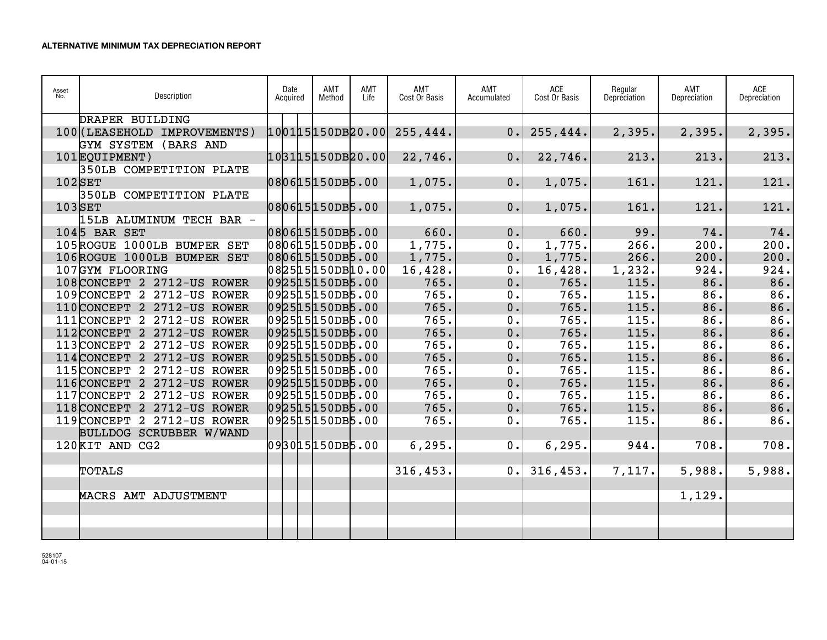| Asset<br>No. | Description                  | Date<br>Acquired | AMT<br>Method | AMT<br>Life | AMT<br>Cost Or Basis | AMT<br>Accumulated | $\sf{ACE}$<br>Cost Or Basis | Regular<br>Depreciation | AMT<br>Depreciation | <b>ACE</b><br>Depreciation |
|--------------|------------------------------|------------------|---------------|-------------|----------------------|--------------------|-----------------------------|-------------------------|---------------------|----------------------------|
|              | DRAPER BUILDING              |                  |               |             |                      |                    |                             |                         |                     |                            |
|              | 100 (LEASEHOLD IMPROVEMENTS) | 100115150DB20.00 |               |             | 255, 444.            | 0.1                | 255, 444.                   | 2,395.                  | 2,395.              | 2,395.                     |
|              | GYM SYSTEM (BARS AND         |                  |               |             |                      |                    |                             |                         |                     |                            |
|              | 101EQUIPMENT)                | 103115150DB20.00 |               |             | 22,746.              | 0.                 | 22,746.                     | 213.                    | 213.                | 213.                       |
|              | 350LB COMPETITION PLATE      |                  |               |             |                      |                    |                             |                         |                     |                            |
| $102$ SET    |                              | 080615150DB5.00  |               |             | 1,075.               | 0.                 | 1,075.                      | 161.                    | 121.                | 121.                       |
|              | 350LB COMPETITION PLATE      |                  |               |             |                      |                    |                             |                         |                     |                            |
| $103$ SET    |                              | 080615150DB5.00  |               |             | 1,075.               | 0.                 | 1,075.                      | 161.                    | 121.                | 121.                       |
|              | 15LB ALUMINUM TECH BAR -     |                  |               |             |                      |                    |                             |                         |                     |                            |
|              | $104$ <sup>5</sup> BAR SET   | 080615150DB5.00  |               |             | 660.                 | 0.                 | 660.                        | 99.                     | 74.                 | 74.                        |
|              | 105ROGUE 1000LB BUMPER SET   | 080615150DB5.00  |               |             | 1,775.               | $0 \cdot$          | 1,775.                      | 266.                    | 200.                | 200.                       |
|              | 106ROGUE 1000LB BUMPER SET   | 080615150DB5.00  |               |             | 1,775.               | 0.                 | 1,775.                      | 266.                    | 200.                | 200.                       |
|              | 107GYM FLOORING              | 082515150DB10.00 |               |             | 16,428.              | 0.                 | 16,428.                     | 1,232.                  | 924.                | 924.                       |
|              | 108 CONCEPT 2 2712-US ROWER  | 092515150DB5.00  |               |             | 765.                 | 0.                 | 765.                        | 115.                    | 86.                 | 86.                        |
|              | 109 CONCEPT 2 2712-US ROWER  | 092515150DB5.00  |               |             | 765.                 | 0.                 | 765.                        | 115.                    | 86.                 | 86.                        |
|              | 110 CONCEPT 2 2712-US ROWER  | 092515150DB5.00  |               |             | 765.                 | 0.                 | 765.                        | 115.                    | 86.                 | 86.                        |
|              | 111 CONCEPT 2 2712-US ROWER  | 092515150DB5.00  |               |             | 765.                 | 0.                 | 765.                        | 115.                    | 86.                 | 86.                        |
|              | 112 CONCEPT 2 2712-US ROWER  | 092515150DB5.00  |               |             | 765.                 | 0.                 | 765.                        | 115.                    | 86.                 | 86.                        |
|              | 113 CONCEPT 2 2712-US ROWER  | 092515150DB5.00  |               |             | 765.                 | 0.                 | 765.                        | 115.                    | 86.                 | 86.                        |
|              | 114 CONCEPT 2 2712-US ROWER  | 092515150DB5.00  |               |             | 765.                 | 0.                 | 765.                        | 115.                    | 86.                 | 86.                        |
|              | 115CONCEPT 2 2712-US ROWER   | 092515150DB5.00  |               |             | 765.                 | 0.                 | 765.                        | 115.                    | 86.                 | 86.                        |
|              | 116 CONCEPT 2 2712-US ROWER  | 092515150DB5.00  |               |             | 765.                 | 0.                 | 765.                        | 115.                    | 86.                 | 86.                        |
|              | 117 CONCEPT 2 2712-US ROWER  | 092515150DB5.00  |               |             | 765.                 | 0.                 | 765.                        | 115.                    | 86.                 | 86.                        |
|              | 118 CONCEPT 2 2712-US ROWER  | 092515150DB5.00  |               |             | 765.                 | 0.                 | 765.                        | 115.                    | 86.                 | 86.                        |
|              | 119CONCEPT 2 2712-US ROWER   | 092515150DB5.00  |               |             | 765.                 | 0.                 | 765.                        | 115.                    | 86.                 | 86.                        |
|              | BULLDOG SCRUBBER W/WAND      |                  |               |             |                      |                    |                             |                         |                     |                            |
|              | 120KIT AND CG2               | 093015150DB5.00  |               |             | 6, 295.              | 0.1                | 6, 295.                     | 944.                    | 708.                | 708.                       |
|              |                              |                  |               |             |                      |                    |                             |                         |                     |                            |
|              | <b>TOTALS</b>                |                  |               |             | 316, 453.            | 0.1                | 316, 453.                   | 7,117.                  | 5,988.              | 5,988.                     |
|              |                              |                  |               |             |                      |                    |                             |                         |                     |                            |
|              | MACRS AMT ADJUSTMENT         |                  |               |             |                      |                    |                             |                         | 1,129.              |                            |
|              |                              |                  |               |             |                      |                    |                             |                         |                     |                            |
|              |                              |                  |               |             |                      |                    |                             |                         |                     |                            |
|              |                              |                  |               |             |                      |                    |                             |                         |                     |                            |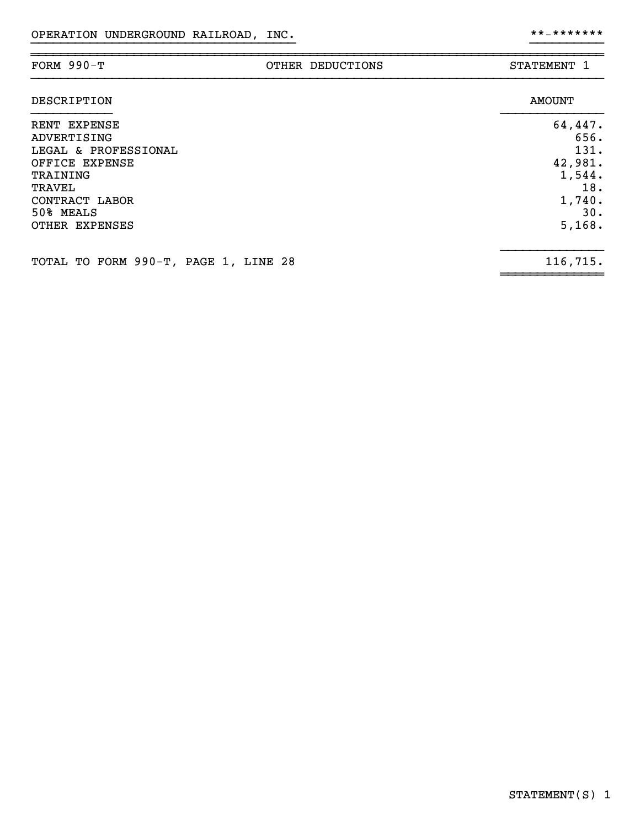| FORM $990-T$                                                                                                                                 | OTHER DEDUCTIONS | STATEMENT 1                                                                    |
|----------------------------------------------------------------------------------------------------------------------------------------------|------------------|--------------------------------------------------------------------------------|
| DESCRIPTION                                                                                                                                  |                  | <b>AMOUNT</b>                                                                  |
| RENT EXPENSE<br>ADVERTISING<br>LEGAL & PROFESSIONAL<br>OFFICE EXPENSE<br>TRAINING<br>TRAVEL<br>CONTRACT LABOR<br>50% MEALS<br>OTHER EXPENSES |                  | 64,447.<br>656.<br>131.<br>42,981.<br>1,544.<br>18.<br>1,740.<br>30.<br>5,168. |
| TOTAL TO FORM 990-T, PAGE 1, LINE 28                                                                                                         |                  | 116,715.                                                                       |

~~~~~~~~~~~~~~

}}}}}}}}}}}}}}}}}}}}}}}}}}}}}}}}}}}} }}}}}}}}}}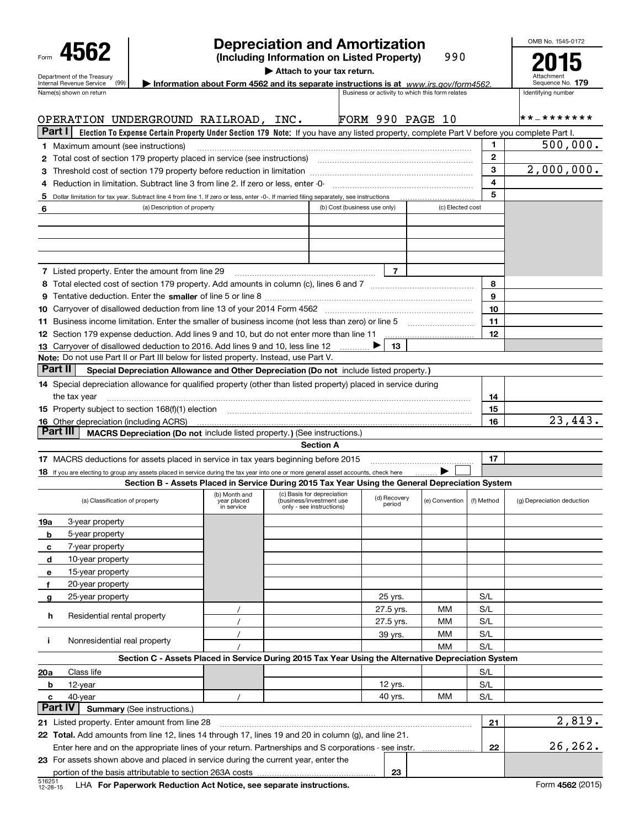| Form |                                                               |  |
|------|---------------------------------------------------------------|--|
|      | Department of the Treasury<br><b>Internal Revenue Service</b> |  |

## **Depreciation and Amortization**

**(Including Information on Listed Property)** 990 OMB No. 1545-0172 **2015**

**| Attach to your tax return.**

|            | Department of the Treasury<br>Internal Revenue Service<br>(99)                                                                                                                                                                 |                                            | Information about Form 4562 and its separate instructions is at $www.irs.gov/form4562$ .        |                              |                        |                                                 |                         | Attachment<br>Sequence No. 179 |
|------------|--------------------------------------------------------------------------------------------------------------------------------------------------------------------------------------------------------------------------------|--------------------------------------------|-------------------------------------------------------------------------------------------------|------------------------------|------------------------|-------------------------------------------------|-------------------------|--------------------------------|
|            | Name(s) shown on return                                                                                                                                                                                                        |                                            |                                                                                                 |                              |                        | Business or activity to which this form relates |                         | Identifying number             |
|            |                                                                                                                                                                                                                                |                                            |                                                                                                 |                              |                        |                                                 |                         |                                |
|            | OPERATION UNDERGROUND RAILROAD, INC.                                                                                                                                                                                           |                                            |                                                                                                 |                              |                        | FORM 990 PAGE 10                                |                         | * * _ * * * * * * *            |
| Part I     | Election To Expense Certain Property Under Section 179 Note: If you have any listed property, complete Part V before you complete Part I.                                                                                      |                                            |                                                                                                 |                              |                        |                                                 |                         |                                |
|            | <b>1</b> Maximum amount (see instructions)                                                                                                                                                                                     |                                            |                                                                                                 |                              |                        |                                                 | 1.                      | 500,000.                       |
|            | 2 Total cost of section 179 property placed in service (see instructions) manufactured cost of section 179 property placed in service (see instructions)                                                                       |                                            |                                                                                                 |                              |                        |                                                 | $\mathbf{2}$            |                                |
|            |                                                                                                                                                                                                                                |                                            |                                                                                                 |                              |                        |                                                 | $\mathbf{3}$            | 2,000,000.                     |
|            | 4 Reduction in limitation. Subtract line 3 from line 2. If zero or less, enter -0-                                                                                                                                             |                                            |                                                                                                 |                              |                        |                                                 | $\overline{\mathbf{4}}$ |                                |
|            | 5 Dollar limitation for tax year. Subtract line 4 from line 1. If zero or less, enter -0-. If married filing separately, see instructions                                                                                      |                                            |                                                                                                 |                              |                        |                                                 | 5                       |                                |
| 6          | (a) Description of property                                                                                                                                                                                                    |                                            |                                                                                                 | (b) Cost (business use only) |                        | (c) Elected cost                                |                         |                                |
|            |                                                                                                                                                                                                                                |                                            |                                                                                                 |                              |                        |                                                 |                         |                                |
|            |                                                                                                                                                                                                                                |                                            |                                                                                                 |                              |                        |                                                 |                         |                                |
|            |                                                                                                                                                                                                                                |                                            |                                                                                                 |                              |                        |                                                 |                         |                                |
|            |                                                                                                                                                                                                                                |                                            |                                                                                                 |                              |                        |                                                 |                         |                                |
|            | <b>7</b> Listed property. Enter the amount from line 29                                                                                                                                                                        |                                            |                                                                                                 |                              | $\overline{7}$         |                                                 |                         |                                |
|            |                                                                                                                                                                                                                                |                                            |                                                                                                 |                              |                        |                                                 | 8                       |                                |
|            |                                                                                                                                                                                                                                |                                            |                                                                                                 |                              |                        |                                                 | 9                       |                                |
|            | 10 Carryover of disallowed deduction from line 13 of your 2014 Form 4562 [111] [120] [120] Carryover of disallowed deduction from line 13 of your 2014 Form 4562                                                               |                                            |                                                                                                 |                              |                        |                                                 | 10                      |                                |
|            | 11 Business income limitation. Enter the smaller of business income (not less than zero) or line 5                                                                                                                             |                                            |                                                                                                 |                              |                        |                                                 | 11                      |                                |
|            | 12 Section 179 expense deduction. Add lines 9 and 10, but do not enter more than line 11                                                                                                                                       |                                            |                                                                                                 |                              |                        |                                                 | 12                      |                                |
|            | 13 Carryover of disallowed deduction to 2016. Add lines 9 and 10, less line 12                                                                                                                                                 |                                            |                                                                                                 |                              | 13                     |                                                 |                         |                                |
|            | Note: Do not use Part II or Part III below for listed property. Instead, use Part V.                                                                                                                                           |                                            |                                                                                                 |                              |                        |                                                 |                         |                                |
|            | Part II<br>Special Depreciation Allowance and Other Depreciation (Do not include listed property.)                                                                                                                             |                                            |                                                                                                 |                              |                        |                                                 |                         |                                |
|            | 14 Special depreciation allowance for qualified property (other than listed property) placed in service during                                                                                                                 |                                            |                                                                                                 |                              |                        |                                                 |                         |                                |
|            | the tax year                                                                                                                                                                                                                   |                                            |                                                                                                 |                              |                        |                                                 | 14                      |                                |
|            | 15 Property subject to section 168(f)(1) election manufactured content to the content of the content of the content of the content of the content of the content of the content of the content of the content of the content o |                                            |                                                                                                 |                              |                        |                                                 | 15                      |                                |
|            | <b>16</b> Other depreciation (including ACRS)                                                                                                                                                                                  |                                            |                                                                                                 |                              |                        |                                                 | 16                      | 23,443.                        |
|            | Part III<br>MACRS Depreciation (Do not include listed property.) (See instructions.)                                                                                                                                           |                                            |                                                                                                 |                              |                        |                                                 |                         |                                |
|            |                                                                                                                                                                                                                                |                                            | <b>Section A</b>                                                                                |                              |                        |                                                 |                         |                                |
|            | 17 MACRS deductions for assets placed in service in tax years beginning before 2015                                                                                                                                            |                                            |                                                                                                 |                              |                        |                                                 | 17                      |                                |
|            | 18 If you are electing to group any assets placed in service during the tax year into one or more general asset accounts, check here                                                                                           |                                            |                                                                                                 |                              |                        |                                                 |                         |                                |
|            |                                                                                                                                                                                                                                |                                            | Section B - Assets Placed in Service During 2015 Tax Year Using the General Depreciation System |                              |                        |                                                 |                         |                                |
|            | (a) Classification of property                                                                                                                                                                                                 | (b) Month and<br>year placed<br>in service | (c) Basis for depreciation<br>(business/investment use<br>only - see instructions)              |                              | (d) Recovery<br>period | (e) Convention                                  | (f) Method              | (g) Depreciation deduction     |
| 19a        | 3-year property                                                                                                                                                                                                                |                                            |                                                                                                 |                              |                        |                                                 |                         |                                |
| b          | 5-year property                                                                                                                                                                                                                |                                            |                                                                                                 |                              |                        |                                                 |                         |                                |
| с          | 7-year property                                                                                                                                                                                                                |                                            |                                                                                                 |                              |                        |                                                 |                         |                                |
| d          | 10-year property                                                                                                                                                                                                               |                                            |                                                                                                 |                              |                        |                                                 |                         |                                |
| е          | 15-year property                                                                                                                                                                                                               |                                            |                                                                                                 |                              |                        |                                                 |                         |                                |
| f          | 20-year property                                                                                                                                                                                                               |                                            |                                                                                                 |                              |                        |                                                 |                         |                                |
| g          | 25-year property                                                                                                                                                                                                               |                                            |                                                                                                 |                              | 25 yrs.                |                                                 | S/L                     |                                |
|            |                                                                                                                                                                                                                                |                                            |                                                                                                 |                              | 27.5 yrs.              | MМ                                              | S/L                     |                                |
| h          | Residential rental property                                                                                                                                                                                                    |                                            |                                                                                                 |                              | 27.5 yrs.              | MМ                                              | S/L                     |                                |
|            |                                                                                                                                                                                                                                |                                            |                                                                                                 |                              | 39 yrs.                | MМ                                              | S/L                     |                                |
| j.         | Nonresidential real property                                                                                                                                                                                                   |                                            |                                                                                                 |                              |                        | ΜМ                                              | S/L                     |                                |
|            | Section C - Assets Placed in Service During 2015 Tax Year Using the Alternative Depreciation System                                                                                                                            |                                            |                                                                                                 |                              |                        |                                                 |                         |                                |
| <u>20a</u> | Class life                                                                                                                                                                                                                     |                                            |                                                                                                 |                              |                        |                                                 | S/L                     |                                |
| b          | 12-year                                                                                                                                                                                                                        |                                            |                                                                                                 |                              | 12 yrs.                |                                                 | S/L                     |                                |
| с          | 40-year                                                                                                                                                                                                                        |                                            |                                                                                                 |                              | 40 yrs.                | MМ                                              | S/L                     |                                |
|            | Part IV<br><b>Summary (See instructions.)</b>                                                                                                                                                                                  |                                            |                                                                                                 |                              |                        |                                                 |                         |                                |
|            | 21 Listed property. Enter amount from line 28                                                                                                                                                                                  |                                            |                                                                                                 |                              |                        |                                                 | 21                      | 2,819.                         |
|            | 22 Total. Add amounts from line 12, lines 14 through 17, lines 19 and 20 in column (g), and line 21.                                                                                                                           |                                            |                                                                                                 |                              |                        |                                                 |                         |                                |
|            | Enter here and on the appropriate lines of your return. Partnerships and S corporations - see instr.                                                                                                                           |                                            |                                                                                                 |                              |                        |                                                 | 22                      | 26,262.                        |
|            | 23 For assets shown above and placed in service during the current year, enter the                                                                                                                                             |                                            |                                                                                                 |                              |                        |                                                 |                         |                                |
|            |                                                                                                                                                                                                                                |                                            |                                                                                                 |                              |                        |                                                 |                         |                                |

**23**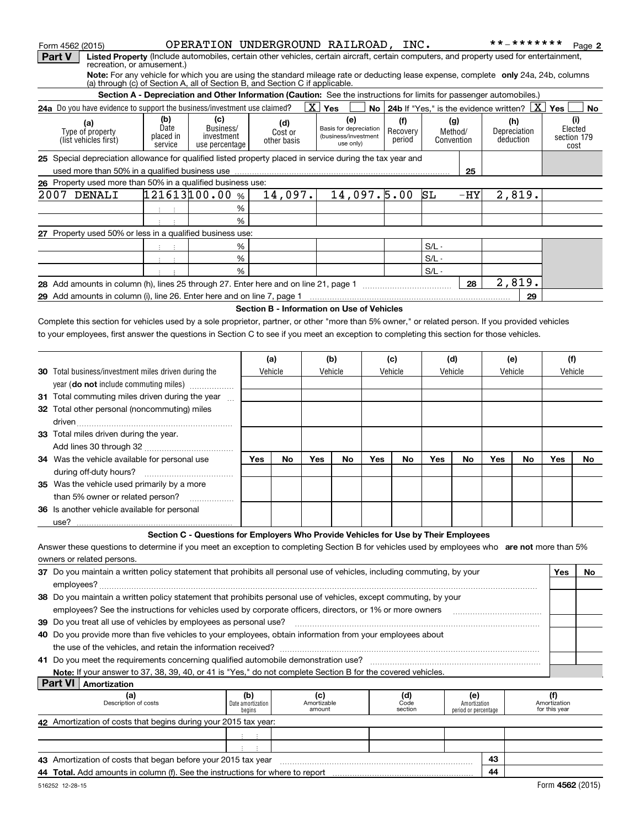|                | Form 4562 (2015)                                                                                                                                                                                                               |                   | OPERATION UNDERGROUND RAILROAD, INC.                                                                                 |                   |                                            |     |                                                |           |                                                                   |         |                      |     | * * _ * * * * * * *       |               | Page 2                 |
|----------------|--------------------------------------------------------------------------------------------------------------------------------------------------------------------------------------------------------------------------------|-------------------|----------------------------------------------------------------------------------------------------------------------|-------------------|--------------------------------------------|-----|------------------------------------------------|-----------|-------------------------------------------------------------------|---------|----------------------|-----|---------------------------|---------------|------------------------|
| Part V         | Listed Property (Include automobiles, certain other vehicles, certain aircraft, certain computers, and property used for entertainment,<br>recreation, or amusement.)                                                          |                   |                                                                                                                      |                   |                                            |     |                                                |           |                                                                   |         |                      |     |                           |               |                        |
|                | Note: For any vehicle for which you are using the standard mileage rate or deducting lease expense, complete only 24a, 24b, columns                                                                                            |                   |                                                                                                                      |                   |                                            |     |                                                |           |                                                                   |         |                      |     |                           |               |                        |
|                | (a) through (c) of Section A, all of Section B, and Section C if applicable.                                                                                                                                                   |                   |                                                                                                                      |                   |                                            |     |                                                |           |                                                                   |         |                      |     |                           |               |                        |
|                |                                                                                                                                                                                                                                |                   | Section A - Depreciation and Other Information (Caution: See the instructions for limits for passenger automobiles.) |                   |                                            |     |                                                |           |                                                                   |         |                      |     |                           |               |                        |
|                | 24a Do you have evidence to support the business/investment use claimed?                                                                                                                                                       |                   |                                                                                                                      |                   |                                            |     | $\overline{\text{X}}$ Yes                      |           | <b>No</b>   24b If "Yes," is the evidence written? $X \mid X$ Yes |         |                      |     |                           |               | No                     |
|                | (a)                                                                                                                                                                                                                            | (b)               | (c)                                                                                                                  |                   | (d)                                        |     |                                                | (e)       | (f)                                                               |         | (g)                  |     | (h)                       |               | (i)                    |
|                | Type of property                                                                                                                                                                                                               | Date<br>placed in | Business/<br>investment                                                                                              |                   | Cost or                                    |     | Basis for depreciation<br>(business/investment |           | Recovery                                                          |         | Method/              |     | Depreciation<br>deduction |               | Elected<br>section 179 |
|                | (list vehicles first)                                                                                                                                                                                                          | service           | use percentage                                                                                                       |                   | other basis                                |     |                                                | use only) | period                                                            |         | Convention           |     |                           |               | cost                   |
|                | 25 Special depreciation allowance for qualified listed property placed in service during the tax year and                                                                                                                      |                   |                                                                                                                      |                   |                                            |     |                                                |           |                                                                   |         |                      |     |                           |               |                        |
|                |                                                                                                                                                                                                                                |                   |                                                                                                                      |                   |                                            |     |                                                |           |                                                                   |         | 25                   |     |                           |               |                        |
|                | 26 Property used more than 50% in a qualified business use:                                                                                                                                                                    |                   |                                                                                                                      |                   |                                            |     |                                                |           |                                                                   |         |                      |     |                           |               |                        |
|                | 2007 DENALI                                                                                                                                                                                                                    |                   | 121613100.00%                                                                                                        |                   | 14,097.                                    |     |                                                |           | 14,097.5.00                                                       | SЬ      | $-HY$                |     | 2,819.                    |               |                        |
|                |                                                                                                                                                                                                                                | 主 主               |                                                                                                                      | $\%$              |                                            |     |                                                |           |                                                                   |         |                      |     |                           |               |                        |
|                |                                                                                                                                                                                                                                |                   |                                                                                                                      | %                 |                                            |     |                                                |           |                                                                   |         |                      |     |                           |               |                        |
|                | 27 Property used 50% or less in a qualified business use:                                                                                                                                                                      |                   |                                                                                                                      |                   |                                            |     |                                                |           |                                                                   |         |                      |     |                           |               |                        |
|                |                                                                                                                                                                                                                                |                   |                                                                                                                      | %                 |                                            |     |                                                |           |                                                                   | $S/L -$ |                      |     |                           |               |                        |
|                |                                                                                                                                                                                                                                | 4. 注册             |                                                                                                                      | $\%$              |                                            |     |                                                |           |                                                                   | $S/L -$ |                      |     |                           |               |                        |
|                |                                                                                                                                                                                                                                |                   |                                                                                                                      | %                 |                                            |     |                                                |           |                                                                   | $S/L -$ |                      |     |                           |               |                        |
|                |                                                                                                                                                                                                                                |                   |                                                                                                                      |                   |                                            |     |                                                |           |                                                                   |         | 28                   |     | $\overline{2,819}$ .      |               |                        |
|                |                                                                                                                                                                                                                                |                   |                                                                                                                      |                   |                                            |     |                                                |           |                                                                   |         |                      |     | 29                        |               |                        |
|                | 29 Add amounts in column (i), line 26. Enter here and on line 7, page 1 [20] Manusetter and online the state of the state of the state of the state of the state of the state of the state of the state of the state of the st |                   |                                                                                                                      |                   | Section B - Information on Use of Vehicles |     |                                                |           |                                                                   |         |                      |     |                           |               |                        |
|                | Complete this section for vehicles used by a sole proprietor, partner, or other "more than 5% owner," or related person. If you provided vehicles                                                                              |                   |                                                                                                                      |                   |                                            |     |                                                |           |                                                                   |         |                      |     |                           |               |                        |
|                | to your employees, first answer the questions in Section C to see if you meet an exception to completing this section for those vehicles.                                                                                      |                   |                                                                                                                      |                   |                                            |     |                                                |           |                                                                   |         |                      |     |                           |               |                        |
|                |                                                                                                                                                                                                                                |                   |                                                                                                                      |                   |                                            |     |                                                |           |                                                                   |         |                      |     |                           |               |                        |
|                |                                                                                                                                                                                                                                |                   |                                                                                                                      |                   | (a)                                        |     | (b)                                            |           | (c)                                                               |         | (d)                  |     | (e)                       | (f)           |                        |
|                | <b>30</b> Total business/investment miles driven during the                                                                                                                                                                    |                   |                                                                                                                      |                   | Vehicle                                    |     | Vehicle                                        |           | Vehicle                                                           |         | Vehicle              |     | Vehicle                   | Vehicle       |                        |
|                | year (do not include commuting miles)                                                                                                                                                                                          |                   |                                                                                                                      |                   |                                            |     |                                                |           |                                                                   |         |                      |     |                           |               |                        |
|                | 31 Total commuting miles driven during the year                                                                                                                                                                                |                   |                                                                                                                      |                   |                                            |     |                                                |           |                                                                   |         |                      |     |                           |               |                        |
|                | 32 Total other personal (noncommuting) miles                                                                                                                                                                                   |                   |                                                                                                                      |                   |                                            |     |                                                |           |                                                                   |         |                      |     |                           |               |                        |
|                |                                                                                                                                                                                                                                |                   |                                                                                                                      |                   |                                            |     |                                                |           |                                                                   |         |                      |     |                           |               |                        |
|                |                                                                                                                                                                                                                                |                   |                                                                                                                      |                   |                                            |     |                                                |           |                                                                   |         |                      |     |                           |               |                        |
|                | 33 Total miles driven during the year.                                                                                                                                                                                         |                   |                                                                                                                      |                   |                                            |     |                                                |           |                                                                   |         |                      |     |                           |               |                        |
|                |                                                                                                                                                                                                                                |                   |                                                                                                                      |                   |                                            |     |                                                |           |                                                                   |         |                      |     |                           |               |                        |
|                | 34 Was the vehicle available for personal use                                                                                                                                                                                  |                   |                                                                                                                      | Yes               | No                                         | Yes | No                                             | Yes       | No                                                                | Yes     | No                   | Yes | No                        | Yes           | No                     |
|                |                                                                                                                                                                                                                                |                   |                                                                                                                      |                   |                                            |     |                                                |           |                                                                   |         |                      |     |                           |               |                        |
|                | 35 Was the vehicle used primarily by a more                                                                                                                                                                                    |                   |                                                                                                                      |                   |                                            |     |                                                |           |                                                                   |         |                      |     |                           |               |                        |
|                | than 5% owner or related person?                                                                                                                                                                                               |                   |                                                                                                                      |                   |                                            |     |                                                |           |                                                                   |         |                      |     |                           |               |                        |
|                | 36 Is another vehicle available for personal                                                                                                                                                                                   |                   |                                                                                                                      |                   |                                            |     |                                                |           |                                                                   |         |                      |     |                           |               |                        |
|                |                                                                                                                                                                                                                                |                   |                                                                                                                      |                   |                                            |     |                                                |           |                                                                   |         |                      |     |                           |               |                        |
|                |                                                                                                                                                                                                                                |                   | Section C - Questions for Employers Who Provide Vehicles for Use by Their Employees                                  |                   |                                            |     |                                                |           |                                                                   |         |                      |     |                           |               |                        |
|                | Answer these questions to determine if you meet an exception to completing Section B for vehicles used by employees who are not more than 5%                                                                                   |                   |                                                                                                                      |                   |                                            |     |                                                |           |                                                                   |         |                      |     |                           |               |                        |
|                | owners or related persons.                                                                                                                                                                                                     |                   |                                                                                                                      |                   |                                            |     |                                                |           |                                                                   |         |                      |     |                           |               |                        |
|                | 37 Do you maintain a written policy statement that prohibits all personal use of vehicles, including commuting, by your                                                                                                        |                   |                                                                                                                      |                   |                                            |     |                                                |           |                                                                   |         |                      |     |                           | Yes           | No                     |
|                |                                                                                                                                                                                                                                |                   |                                                                                                                      |                   |                                            |     |                                                |           |                                                                   |         |                      |     |                           |               |                        |
|                | 38 Do you maintain a written policy statement that prohibits personal use of vehicles, except commuting, by your                                                                                                               |                   |                                                                                                                      |                   |                                            |     |                                                |           |                                                                   |         |                      |     |                           |               |                        |
|                | employees? See the instructions for vehicles used by corporate officers, directors, or 1% or more owners                                                                                                                       |                   |                                                                                                                      |                   |                                            |     |                                                |           |                                                                   |         |                      |     |                           |               |                        |
|                | 39 Do you treat all use of vehicles by employees as personal use?                                                                                                                                                              |                   |                                                                                                                      |                   |                                            |     |                                                |           |                                                                   |         |                      |     |                           |               |                        |
|                | 40 Do you provide more than five vehicles to your employees, obtain information from your employees about                                                                                                                      |                   |                                                                                                                      |                   |                                            |     |                                                |           |                                                                   |         |                      |     |                           |               |                        |
|                |                                                                                                                                                                                                                                |                   |                                                                                                                      |                   |                                            |     |                                                |           |                                                                   |         |                      |     |                           |               |                        |
|                |                                                                                                                                                                                                                                |                   |                                                                                                                      |                   |                                            |     |                                                |           |                                                                   |         |                      |     |                           |               |                        |
|                | Note: If your answer to 37, 38, 39, 40, or 41 is "Yes," do not complete Section B for the covered vehicles.                                                                                                                    |                   |                                                                                                                      |                   |                                            |     |                                                |           |                                                                   |         |                      |     |                           |               |                        |
| <b>Part VI</b> | Amortization                                                                                                                                                                                                                   |                   |                                                                                                                      |                   |                                            |     |                                                |           |                                                                   |         |                      |     |                           |               |                        |
|                | (a)                                                                                                                                                                                                                            |                   |                                                                                                                      | (b)               |                                            |     | (c)                                            |           | (d)                                                               |         | (e)                  |     |                           | (f)           |                        |
|                | Description of costs                                                                                                                                                                                                           |                   |                                                                                                                      | Date amortization |                                            |     | Amortizable                                    |           | Code                                                              |         | Amortization         |     |                           | Amortization  |                        |
|                |                                                                                                                                                                                                                                |                   |                                                                                                                      | begins            |                                            |     | amount                                         |           | section                                                           |         | period or percentage |     |                           | for this year |                        |
|                | 42 Amortization of costs that begins during your 2015 tax year:                                                                                                                                                                |                   |                                                                                                                      |                   |                                            |     |                                                |           |                                                                   |         |                      |     |                           |               |                        |
|                |                                                                                                                                                                                                                                |                   |                                                                                                                      |                   |                                            |     |                                                |           |                                                                   |         |                      |     |                           |               |                        |
|                |                                                                                                                                                                                                                                |                   |                                                                                                                      |                   |                                            |     |                                                |           |                                                                   |         |                      |     |                           |               |                        |
|                | 43 Amortization of costs that began before your 2015 tax year                                                                                                                                                                  |                   |                                                                                                                      |                   |                                            |     |                                                |           |                                                                   |         |                      | 43  |                           |               |                        |

| Amortization of costs that began before your 2015 tax year<br>43                         | -- |  |
|------------------------------------------------------------------------------------------|----|--|
| AA.<br><b>Total.</b> Add amounts in column (f). See the instructions for where to report |    |  |
|                                                                                          |    |  |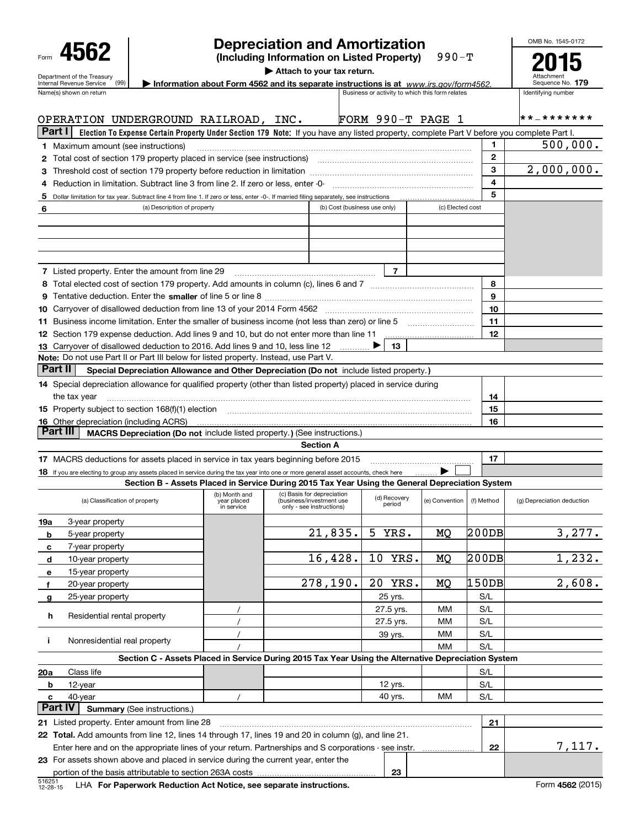|                                                                                                                                                                                                                                |                                        |                           | <b>Depreciation and Amortization</b>                                                                                                      |                              |                      |                     |            |              | OMB No. 1545-0172          |
|--------------------------------------------------------------------------------------------------------------------------------------------------------------------------------------------------------------------------------|----------------------------------------|---------------------------|-------------------------------------------------------------------------------------------------------------------------------------------|------------------------------|----------------------|---------------------|------------|--------------|----------------------------|
| 4562<br>Department of the Treasury                                                                                                                                                                                             |                                        |                           |                                                                                                                                           |                              |                      |                     |            |              |                            |
| (99)<br>Internal Revenue Service<br>Name(s) shown on return                                                                                                                                                                    | Sequence No. 179<br>Identifying number |                           |                                                                                                                                           |                              |                      |                     |            |              |                            |
| OPERATION UNDERGROUND RAILROAD, INC.                                                                                                                                                                                           |                                        |                           |                                                                                                                                           |                              |                      | FORM $990-T$ PAGE 1 |            |              | * * _ * * * * * * *        |
| Part I                                                                                                                                                                                                                         |                                        |                           | Election To Expense Certain Property Under Section 179 Note: If you have any listed property, complete Part V before you complete Part I. |                              |                      |                     |            |              |                            |
| <b>1</b> Maximum amount (see instructions)                                                                                                                                                                                     |                                        |                           |                                                                                                                                           |                              |                      |                     |            | 1            | 500,000.                   |
|                                                                                                                                                                                                                                |                                        |                           |                                                                                                                                           |                              |                      |                     |            | $\mathbf{2}$ |                            |
|                                                                                                                                                                                                                                |                                        |                           |                                                                                                                                           |                              |                      |                     |            | 3            | 2,000,000.                 |
| 4 Reduction in limitation. Subtract line 3 from line 2. If zero or less, enter -0- manufacture in manufacture in the Reduction of the Reduction of Australian and Reduction of Australian and Reduction of Australian and Redu |                                        |                           |                                                                                                                                           |                              |                      |                     |            | 4<br>5       |                            |
|                                                                                                                                                                                                                                |                                        |                           |                                                                                                                                           |                              |                      |                     |            |              |                            |
| 6                                                                                                                                                                                                                              | (a) Description of property            |                           |                                                                                                                                           | (b) Cost (business use only) |                      | (c) Elected cost    |            |              |                            |
| <b>7</b> Listed property. Enter the amount from line 29                                                                                                                                                                        |                                        |                           |                                                                                                                                           |                              |                      |                     |            |              |                            |
|                                                                                                                                                                                                                                |                                        |                           |                                                                                                                                           |                              |                      |                     |            | 8            |                            |
|                                                                                                                                                                                                                                |                                        |                           |                                                                                                                                           |                              |                      |                     |            | 9            |                            |
|                                                                                                                                                                                                                                |                                        |                           |                                                                                                                                           |                              |                      |                     |            | 10           |                            |
|                                                                                                                                                                                                                                |                                        |                           |                                                                                                                                           |                              |                      |                     |            | 11           |                            |
|                                                                                                                                                                                                                                |                                        |                           |                                                                                                                                           |                              |                      |                     |            | 12           |                            |
| 13 Carryover of disallowed deduction to 2016. Add lines 9 and 10, less line 12                                                                                                                                                 |                                        |                           |                                                                                                                                           |                              | 13.                  |                     |            |              |                            |
| <b>Note:</b> Do not use Part II or Part III below for listed property. Instead, use Part V.                                                                                                                                    |                                        |                           |                                                                                                                                           |                              |                      |                     |            |              |                            |
| Part II                                                                                                                                                                                                                        |                                        |                           | Special Depreciation Allowance and Other Depreciation (Do not include listed property.)                                                   |                              |                      |                     |            |              |                            |
| 14 Special depreciation allowance for qualified property (other than listed property) placed in service during                                                                                                                 |                                        |                           |                                                                                                                                           |                              |                      |                     |            |              |                            |
| the tax year                                                                                                                                                                                                                   |                                        |                           |                                                                                                                                           |                              |                      |                     |            | 14           |                            |
| 15 Property subject to section 168(f)(1) election material content content content of the content of the content of the content of the content of the content of the content of the content of the content of the content of t |                                        |                           |                                                                                                                                           |                              |                      |                     |            | 15           |                            |
| <b>16</b> Other depreciation (including ACRS)<br>Part III                                                                                                                                                                      |                                        |                           | MACRS Depreciation (Do not include listed property.) (See instructions.)                                                                  |                              |                      |                     |            | 16           |                            |
|                                                                                                                                                                                                                                |                                        |                           | <b>Section A</b>                                                                                                                          |                              |                      |                     |            |              |                            |
| 17 MACRS deductions for assets placed in service in tax years beginning before 2015                                                                                                                                            |                                        |                           |                                                                                                                                           |                              |                      |                     |            | 17           |                            |
| 18 If you are electing to group any assets placed in service during the tax year into one or more general asset accounts, check here                                                                                           |                                        |                           |                                                                                                                                           |                              |                      |                     |            |              |                            |
|                                                                                                                                                                                                                                |                                        |                           | Section B - Assets Placed in Service During 2015 Tax Year Using the General Depreciation System                                           |                              |                      |                     |            |              |                            |
| (a) Classification of property                                                                                                                                                                                                 |                                        | year placed<br>in service | (b) Month and (c) Basis for depreciation (d) Recovery (e) Con<br>(business/investment use<br>only - see instructions)                     |                              | period               | (e) Convention      | (f) Method |              | (g) Depreciation deduction |
| 3-year property<br>19a                                                                                                                                                                                                         |                                        |                           |                                                                                                                                           |                              |                      |                     |            |              |                            |
| 5-year property<br>b                                                                                                                                                                                                           |                                        |                           | 21,835.                                                                                                                                   | 5                            | YRS.                 | MQ                  | 200DB      |              | 3,277.                     |
| 7-year property<br>с                                                                                                                                                                                                           |                                        |                           |                                                                                                                                           |                              |                      |                     |            |              |                            |
| 10-year property<br>d                                                                                                                                                                                                          |                                        |                           | 16,428.                                                                                                                                   | 10                           | YRS.                 | MQ                  | 200DB      |              | 1,232.                     |
| 15-year property<br>е                                                                                                                                                                                                          |                                        |                           | 278, 190.                                                                                                                                 |                              |                      |                     |            |              |                            |
| 20-year property<br>f                                                                                                                                                                                                          |                                        |                           |                                                                                                                                           | 20 <sub>o</sub>              | YRS.                 | MQ                  | 150DB      |              | 2,608.                     |
| 25-year property<br>g                                                                                                                                                                                                          |                                        |                           |                                                                                                                                           |                              | 25 yrs.<br>27.5 yrs. | мм                  | S/L<br>S/L |              |                            |
| Residential rental property<br>h                                                                                                                                                                                               |                                        |                           |                                                                                                                                           |                              | 27.5 yrs.            | MМ                  | S/L        |              |                            |
|                                                                                                                                                                                                                                |                                        |                           |                                                                                                                                           |                              | 39 yrs.              | MМ                  | S/L        |              |                            |
| Nonresidential real property<br>j.                                                                                                                                                                                             |                                        |                           |                                                                                                                                           |                              |                      | MМ                  | S/L        |              |                            |
|                                                                                                                                                                                                                                |                                        |                           | Section C - Assets Placed in Service During 2015 Tax Year Using the Alternative Depreciation System                                       |                              |                      |                     |            |              |                            |
| Class life<br>20a                                                                                                                                                                                                              |                                        |                           |                                                                                                                                           |                              |                      |                     | S/L        |              |                            |
| 12-year<br>b                                                                                                                                                                                                                   |                                        |                           |                                                                                                                                           |                              | 12 yrs.              |                     | S/L        |              |                            |
| 40-year<br>c                                                                                                                                                                                                                   |                                        |                           |                                                                                                                                           |                              | 40 yrs.              | MМ                  | S/L        |              |                            |
| <b>Part IV</b>                                                                                                                                                                                                                 | <b>Summary (See instructions.)</b>     |                           |                                                                                                                                           |                              |                      |                     |            |              |                            |
| 21 Listed property. Enter amount from line 28                                                                                                                                                                                  |                                        |                           |                                                                                                                                           |                              |                      |                     |            | 21           |                            |
| 22 Total. Add amounts from line 12, lines 14 through 17, lines 19 and 20 in column (g), and line 21.                                                                                                                           |                                        |                           |                                                                                                                                           |                              |                      |                     |            |              |                            |
|                                                                                                                                                                                                                                |                                        |                           | Enter here and on the appropriate lines of your return. Partnerships and S corporations - see instr.                                      |                              |                      |                     |            | 22           | 7,117.                     |
| 23 For assets shown above and placed in service during the current year, enter the                                                                                                                                             |                                        |                           |                                                                                                                                           |                              | 23                   |                     |            |              |                            |